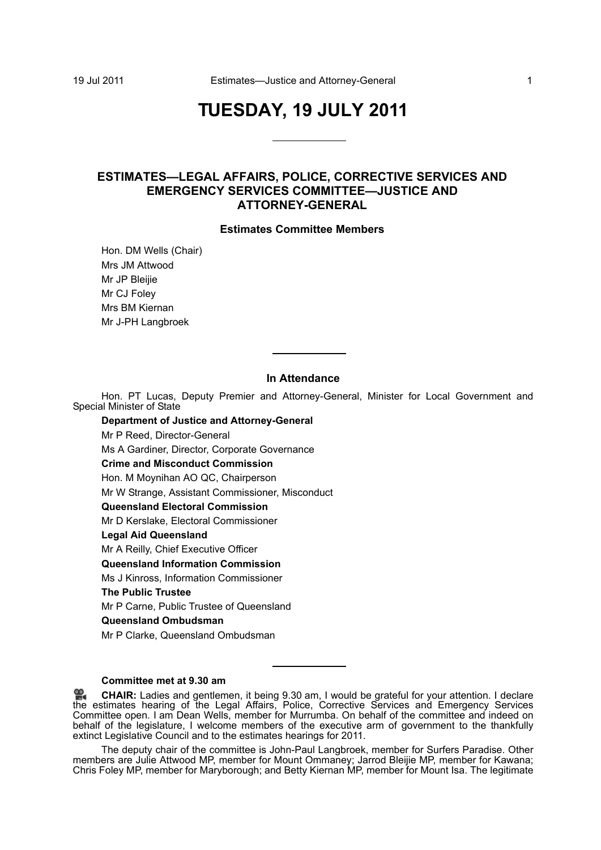# **TUESDAY, 19 JULY 2011**

## **ESTIMATES—LEGAL AFFAIRS, POLICE, CORRECTIVE SERVICES AND EMERGENCY SERVICES COMMITTEE—JUSTICE AND ATTORNEY-GENERAL**

#### **Estimates Committee Members**

Hon. DM Wells (Chair) Mrs JM Attwood Mr JP Bleijie Mr CJ Foley Mrs BM Kiernan Mr J-PH Langbroek

### **In Attendance**

Hon. PT Lucas, Deputy Premier and Attorney-General, Minister for Local Government and Special Minister of State

**Department of Justice and Attorney-General** Mr P Reed, Director-General Ms A Gardiner, Director, Corporate Governance **Crime and Misconduct Commission** Hon. M Moynihan AO QC, Chairperson Mr W Strange, Assistant Commissioner, Misconduct **Queensland Electoral Commission** Mr D Kerslake, Electoral Commissioner **Legal Aid Queensland** Mr A Reilly, Chief Executive Officer **Queensland Information Commission** Ms J Kinross, Information Commissioner **The Public Trustee** Mr P Carne, Public Trustee of Queensland **Queensland Ombudsman** Mr P Clarke, Queensland Ombudsman

**Committee met at 9.30 am**

The deputy chair of the committee is John-Paul Langbroek, member for Surfers Paradise. Other members are Julie Attwood MP, member for Mount Ommaney; Jarrod Bleijie MP, member for Kawana; Chris Foley MP, member for Maryborough; and Betty Kiernan MP, member for Mount Isa. The legitimate

<sup>≌.</sup> **CHAIR:** [Ladies and gentlemen, it being 9.30 am, I would be grateful for your attention. I declare](http://www.parliament.qld.gov.au/docs/find.aspx?id=0Mba20110719_093109) [the](http://www.parliament.qld.gov.au/docs/find.aspx?id=0Mba20110719_093109) estimates hearing of the Legal Affairs, Police, Corrective Services and Emergency Services Committee open. I am Dean Wells, member for Murrumba. On behalf of the committee and indeed on [behalf of the legislature, I welcome members of the executive arm of government to the thankfully](http://www.parliament.qld.gov.au/docs/find.aspx?id=0Mba20110719_093109) extinct Legislative Council and to the estimates hearings for 2011.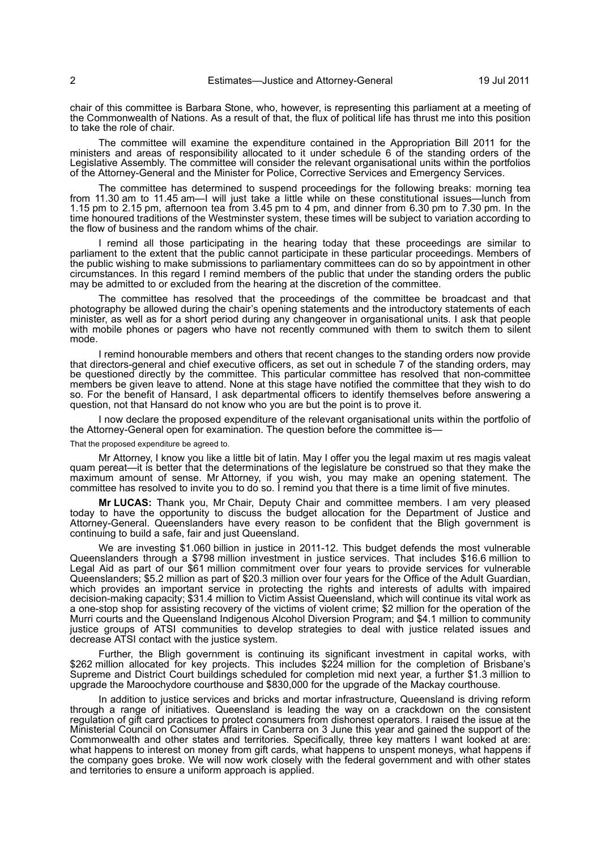chair of this committee is Barbara Stone, who, however, is representing this parliament at a meeting of the Commonwealth of Nations. As a result of that, the flux of political life has thrust me into this position to take the role of chair.

The committee will examine the expenditure contained in the Appropriation Bill 2011 for the ministers and areas of responsibility allocated to it under schedule 6 of the standing orders of the Legislative Assembly. The committee will consider the relevant organisational units within the portfolios of the Attorney-General and the Minister for Police, Corrective Services and Emergency Services.

The committee has determined to suspend proceedings for the following breaks: morning tea from 11.30 am to 11.45 am—I will just take a little while on these constitutional issues—lunch from 1.15 pm to 2.15 pm, afternoon tea from 3.45 pm to 4 pm, and dinner from 6.30 pm to 7.30 pm. In the time honoured traditions of the Westminster system, these times will be subject to variation according to the flow of business and the random whims of the chair.

I remind all those participating in the hearing today that these proceedings are similar to parliament to the extent that the public cannot participate in these particular proceedings. Members of the public wishing to make submissions to parliamentary committees can do so by appointment in other circumstances. In this regard I remind members of the public that under the standing orders the public may be admitted to or excluded from the hearing at the discretion of the committee.

The committee has resolved that the proceedings of the committee be broadcast and that photography be allowed during the chair's opening statements and the introductory statements of each minister, as well as for a short period during any changeover in organisational units. I ask that people with mobile phones or pagers who have not recently communed with them to switch them to silent mode.

I remind honourable members and others that recent changes to the standing orders now provide that directors-general and chief executive officers, as set out in schedule 7 of the standing orders, may be questioned directly by the committee. This particular committee has resolved that non-committee members be given leave to attend. None at this stage have notified the committee that they wish to do so. For the benefit of Hansard, I ask departmental officers to identify themselves before answering a question, not that Hansard do not know who you are but the point is to prove it.

I now declare the proposed expenditure of the relevant organisational units within the portfolio of the Attorney-General open for examination. The question before the committee is-

That the proposed expenditure be agreed to.

Mr Attorney, I know you like a little bit of latin. May I offer you the legal maxim ut res magis valeat quam pereat—it is better that the determinations of the legislature be construed so that they make the maximum amount of sense. Mr Attorney, if you wish, you may make an opening statement. The committee has resolved to invite you to do so. I remind you that there is a time limit of five minutes.

**Mr LUCAS:** Thank you, Mr Chair, Deputy Chair and committee members. I am very pleased today to have the opportunity to discuss the budget allocation for the Department of Justice and Attorney-General. Queenslanders have every reason to be confident that the Bligh government is continuing to build a safe, fair and just Queensland.

We are investing \$1.060 billion in justice in 2011-12. This budget defends the most vulnerable Queenslanders through a \$798 million investment in justice services. That includes \$16.6 million to Legal Aid as part of our \$61 million commitment over four years to provide services for vulnerable Queenslanders; \$5.2 million as part of \$20.3 million over four years for the Office of the Adult Guardian, which provides an important service in protecting the rights and interests of adults with impaired decision-making capacity; \$31.4 million to Victim Assist Queensland, which will continue its vital work as a one-stop shop for assisting recovery of the victims of violent crime; \$2 million for the operation of the Murri courts and the Queensland Indigenous Alcohol Diversion Program; and \$4.1 million to community justice groups of ATSI communities to develop strategies to deal with justice related issues and decrease ATSI contact with the justice system.

Further, the Bligh government is continuing its significant investment in capital works, with \$262 million allocated for key projects. This includes \$224 million for the completion of Brisbane's Supreme and District Court buildings scheduled for completion mid next year, a further \$1.3 million to upgrade the Maroochydore courthouse and \$830,000 for the upgrade of the Mackay courthouse.

In addition to justice services and bricks and mortar infrastructure, Queensland is driving reform through a range of initiatives. Queensland is leading the way on a crackdown on the consistent regulation of gift card practices to protect consumers from dishonest operators. I raised the issue at the Ministerial Council on Consumer Affairs in Canberra on 3 June this year and gained the support of the Commonwealth and other states and territories. Specifically, three key matters I want looked at are: what happens to interest on money from gift cards, what happens to unspent moneys, what happens if the company goes broke. We will now work closely with the federal government and with other states and territories to ensure a uniform approach is applied.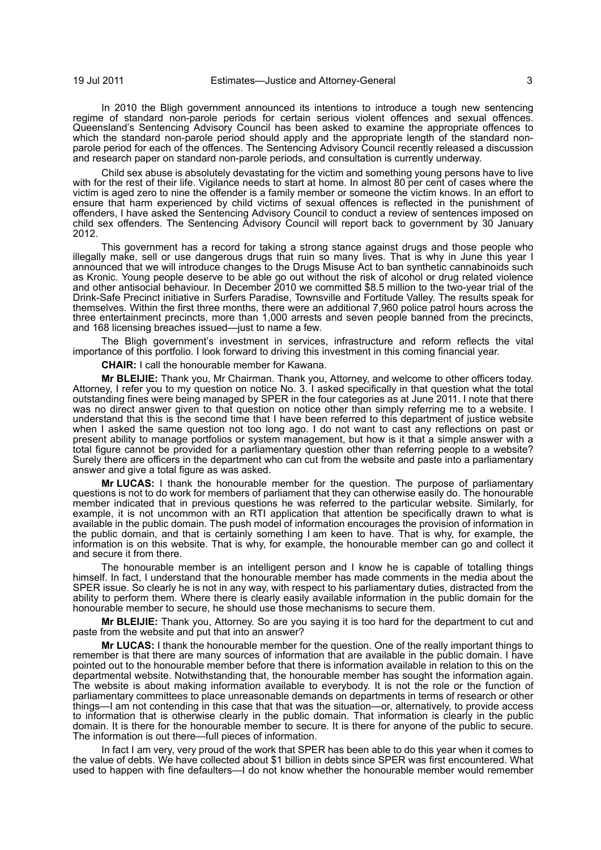In 2010 the Bligh government announced its intentions to introduce a tough new sentencing regime of standard non-parole periods for certain serious violent offences and sexual offences. Queensland's Sentencing Advisory Council has been asked to examine the appropriate offences to which the standard non-parole period should apply and the appropriate length of the standard nonparole period for each of the offences. The Sentencing Advisory Council recently released a discussion and research paper on standard non-parole periods, and consultation is currently underway.

Child sex abuse is absolutely devastating for the victim and something young persons have to live with for the rest of their life. Vigilance needs to start at home. In almost 80 per cent of cases where the victim is aged zero to nine the offender is a family member or someone the victim knows. In an effort to ensure that harm experienced by child victims of sexual offences is reflected in the punishment of offenders, I have asked the Sentencing Advisory Council to conduct a review of sentences imposed on child sex offenders. The Sentencing Advisory Council will report back to government by 30 January 2012.

This government has a record for taking a strong stance against drugs and those people who illegally make, sell or use dangerous drugs that ruin so many lives. That is why in June this year I announced that we will introduce changes to the Drugs Misuse Act to ban synthetic cannabinoids such as Kronic. Young people deserve to be able go out without the risk of alcohol or drug related violence and other antisocial behaviour. In December 2010 we committed \$8.5 million to the two-year trial of the Drink-Safe Precinct initiative in Surfers Paradise, Townsville and Fortitude Valley. The results speak for themselves. Within the first three months, there were an additional 7,960 police patrol hours across the three entertainment precincts, more than 1,000 arrests and seven people banned from the precincts, and 168 licensing breaches issued—just to name a few.

The Bligh government's investment in services, infrastructure and reform reflects the vital importance of this portfolio. I look forward to driving this investment in this coming financial year.

**CHAIR:** I call the honourable member for Kawana.

**Mr BLEIJIE:** Thank you, Mr Chairman. Thank you, Attorney, and welcome to other officers today. Attorney, I refer you to my question on notice No. 3. I asked specifically in that question what the total outstanding fines were being managed by SPER in the four categories as at June 2011. I note that there was no direct answer given to that question on notice other than simply referring me to a website. I understand that this is the second time that I have been referred to this department of justice website when I asked the same question not too long ago. I do not want to cast any reflections on past or present ability to manage portfolios or system management, but how is it that a simple answer with a total figure cannot be provided for a parliamentary question other than referring people to a website? Surely there are officers in the department who can cut from the website and paste into a parliamentary answer and give a total figure as was asked.

**Mr LUCAS:** I thank the honourable member for the question. The purpose of parliamentary questions is not to do work for members of parliament that they can otherwise easily do. The honourable member indicated that in previous questions he was referred to the particular website. Similarly, for example, it is not uncommon with an RTI application that attention be specifically drawn to what is available in the public domain. The push model of information encourages the provision of information in the public domain, and that is certainly something I am keen to have. That is why, for example, the information is on this website. That is why, for example, the honourable member can go and collect it and secure it from there.

The honourable member is an intelligent person and I know he is capable of totalling things himself. In fact, I understand that the honourable member has made comments in the media about the SPER issue. So clearly he is not in any way, with respect to his parliamentary duties, distracted from the ability to perform them. Where there is clearly easily available information in the public domain for the honourable member to secure, he should use those mechanisms to secure them.

**Mr BLEIJIE:** Thank you, Attorney. So are you saying it is too hard for the department to cut and paste from the website and put that into an answer?

**Mr LUCAS:** I thank the honourable member for the question. One of the really important things to remember is that there are many sources of information that are available in the public domain. I have pointed out to the honourable member before that there is information available in relation to this on the departmental website. Notwithstanding that, the honourable member has sought the information again. The website is about making information available to everybody. It is not the role or the function of parliamentary committees to place unreasonable demands on departments in terms of research or other things—I am not contending in this case that that was the situation—or, alternatively, to provide access to information that is otherwise clearly in the public domain. That information is clearly in the public domain. It is there for the honourable member to secure. It is there for anyone of the public to secure. The information is out there—full pieces of information.

In fact I am very, very proud of the work that SPER has been able to do this year when it comes to the value of debts. We have collected about \$1 billion in debts since SPER was first encountered. What used to happen with fine defaulters—I do not know whether the honourable member would remember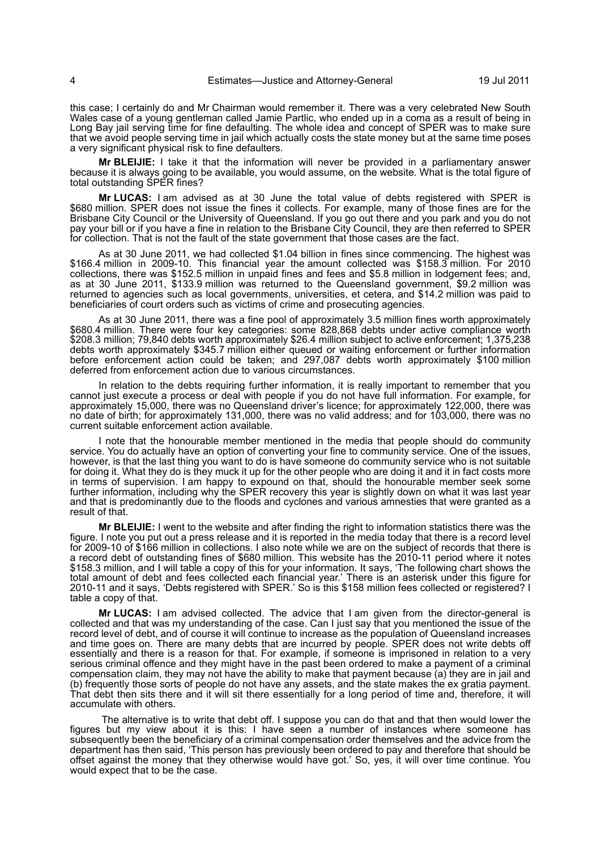this case; I certainly do and Mr Chairman would remember it. There was a very celebrated New South Wales case of a young gentleman called Jamie Partlic, who ended up in a coma as a result of being in Long Bay jail serving time for fine defaulting. The whole idea and concept of SPER was to make sure that we avoid people serving time in jail which actually costs the state money but at the same time poses a very significant physical risk to fine defaulters.

**Mr BLEIJIE:** I take it that the information will never be provided in a parliamentary answer because it is always going to be available, you would assume, on the website. What is the total figure of total outstanding SPER fines?

**Mr LUCAS:** I am advised as at 30 June the total value of debts registered with SPER is \$680 million. SPER does not issue the fines it collects. For example, many of those fines are for the Brisbane City Council or the University of Queensland. If you go out there and you park and you do not pay your bill or if you have a fine in relation to the Brisbane City Council, they are then referred to SPER for collection. That is not the fault of the state government that those cases are the fact.

As at 30 June 2011, we had collected \$1.04 billion in fines since commencing. The highest was \$166.4 million in 2009-10. This financial year the amount collected was \$158.3 million. For 2010 collections, there was \$152.5 million in unpaid fines and fees and \$5.8 million in lodgement fees; and, as at 30 June 2011, \$133.9 million was returned to the Queensland government, \$9.2 million was returned to agencies such as local governments, universities, et cetera, and \$14.2 million was paid to beneficiaries of court orders such as victims of crime and prosecuting agencies.

As at 30 June 2011, there was a fine pool of approximately 3.5 million fines worth approximately \$680.4 million. There were four key categories: some 828,868 debts under active compliance worth \$208.3 million; 79,840 debts worth approximately \$26.4 million subject to active enforcement; 1,375,238 debts worth approximately \$345.7 million either queued or waiting enforcement or further information before enforcement action could be taken; and 297,087 debts worth approximately \$100 million deferred from enforcement action due to various circumstances.

In relation to the debts requiring further information, it is really important to remember that you cannot just execute a process or deal with people if you do not have full information. For example, for approximately 15,000, there was no Queensland driver's licence; for approximately 122,000, there was no date of birth; for approximately 131,000, there was no valid address; and for 103,000, there was no current suitable enforcement action available.

I note that the honourable member mentioned in the media that people should do community service. You do actually have an option of converting your fine to community service. One of the issues, however, is that the last thing you want to do is have someone do community service who is not suitable for doing it. What they do is they muck it up for the other people who are doing it and it in fact costs more in terms of supervision. I am happy to expound on that, should the honourable member seek some further information, including why the SPER recovery this year is slightly down on what it was last year and that is predominantly due to the floods and cyclones and various amnesties that were granted as a result of that.

**Mr BLEIJIE:** I went to the website and after finding the right to information statistics there was the figure. I note you put out a press release and it is reported in the media today that there is a record level for 2009-10 of \$166 million in collections. I also note while we are on the subject of records that there is a record debt of outstanding fines of \$680 million. This website has the 2010-11 period where it notes \$158.3 million, and I will table a copy of this for your information. It says, 'The following chart shows the total amount of debt and fees collected each financial year.' There is an asterisk under this figure for 2010-11 and it says, 'Debts registered with SPER.' So is this \$158 million fees collected or registered? I table a copy of that.

**Mr LUCAS:** I am advised collected. The advice that I am given from the director-general is collected and that was my understanding of the case. Can I just say that you mentioned the issue of the record level of debt, and of course it will continue to increase as the population of Queensland increases and time goes on. There are many debts that are incurred by people. SPER does not write debts off essentially and there is a reason for that. For example, if someone is imprisoned in relation to a very serious criminal offence and they might have in the past been ordered to make a payment of a criminal compensation claim, they may not have the ability to make that payment because (a) they are in jail and (b) frequently those sorts of people do not have any assets, and the state makes the ex gratia payment. That debt then sits there and it will sit there essentially for a long period of time and, therefore, it will accumulate with others.

 The alternative is to write that debt off. I suppose you can do that and that then would lower the figures but my view about it is this: I have seen a number of instances where someone has subsequently been the beneficiary of a criminal compensation order themselves and the advice from the department has then said, 'This person has previously been ordered to pay and therefore that should be offset against the money that they otherwise would have got.' So, yes, it will over time continue. You would expect that to be the case.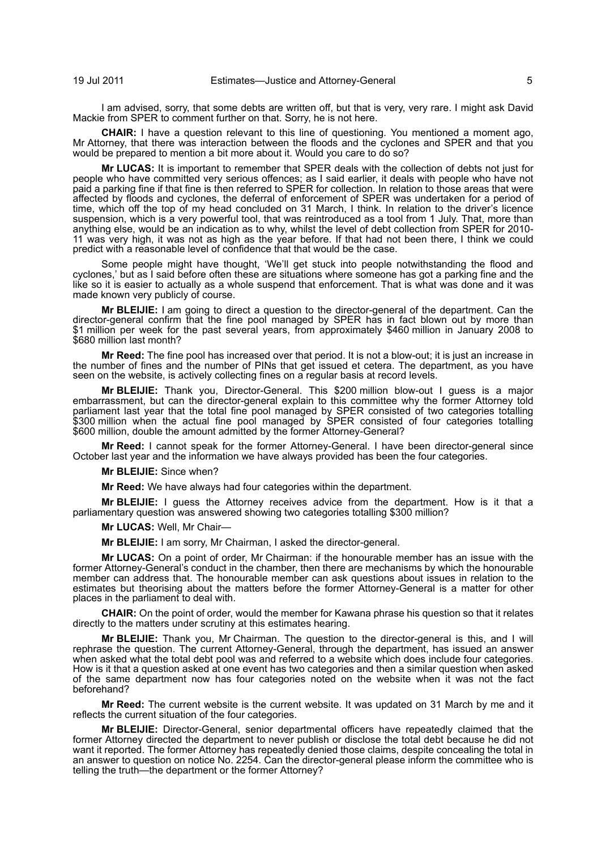I am advised, sorry, that some debts are written off, but that is very, very rare. I might ask David Mackie from SPER to comment further on that. Sorry, he is not here.

**CHAIR:** I have a question relevant to this line of questioning. You mentioned a moment ago, Mr Attorney, that there was interaction between the floods and the cyclones and SPER and that you would be prepared to mention a bit more about it. Would you care to do so?

**Mr LUCAS:** It is important to remember that SPER deals with the collection of debts not just for people who have committed very serious offences; as I said earlier, it deals with people who have not paid a parking fine if that fine is then referred to SPER for collection. In relation to those areas that were affected by floods and cyclones, the deferral of enforcement of SPER was undertaken for a period of time, which off the top of my head concluded on 31 March, I think. In relation to the driver's licence suspension, which is a very powerful tool, that was reintroduced as a tool from 1 July. That, more than anything else, would be an indication as to why, whilst the level of debt collection from SPER for 2010- 11 was very high, it was not as high as the year before. If that had not been there, I think we could predict with a reasonable level of confidence that that would be the case.

Some people might have thought, 'We'll get stuck into people notwithstanding the flood and cyclones,' but as I said before often these are situations where someone has got a parking fine and the like so it is easier to actually as a whole suspend that enforcement. That is what was done and it was made known very publicly of course.

**Mr BLEIJIE:** I am going to direct a question to the director-general of the department. Can the director-general confirm that the fine pool managed by SPER has in fact blown out by more than \$1 million per week for the past several years, from approximately \$460 million in January 2008 to \$680 million last month?

**Mr Reed:** The fine pool has increased over that period. It is not a blow-out; it is just an increase in the number of fines and the number of PINs that get issued et cetera. The department, as you have seen on the website, is actively collecting fines on a regular basis at record levels.

**Mr BLEIJIE:** Thank you, Director-General. This \$200 million blow-out I guess is a major embarrassment, but can the director-general explain to this committee why the former Attorney told parliament last year that the total fine pool managed by SPER consisted of two categories totalling \$300 million when the actual fine pool managed by SPER consisted of four categories totalling \$600 million, double the amount admitted by the former Attorney-General?

**Mr Reed:** I cannot speak for the former Attorney-General. I have been director-general since October last year and the information we have always provided has been the four categories.

**Mr BLEIJIE:** Since when?

**Mr Reed:** We have always had four categories within the department.

**Mr BLEIJIE:** I guess the Attorney receives advice from the department. How is it that a parliamentary question was answered showing two categories totalling \$300 million?

**Mr LUCAS:** Well, Mr Chair—

**Mr BLEIJIE:** I am sorry, Mr Chairman, I asked the director-general.

**Mr LUCAS:** On a point of order, Mr Chairman: if the honourable member has an issue with the former Attorney-General's conduct in the chamber, then there are mechanisms by which the honourable member can address that. The honourable member can ask questions about issues in relation to the estimates but theorising about the matters before the former Attorney-General is a matter for other places in the parliament to deal with.

**CHAIR:** On the point of order, would the member for Kawana phrase his question so that it relates directly to the matters under scrutiny at this estimates hearing.

**Mr BLEIJIE:** Thank you, Mr Chairman. The question to the director-general is this, and I will rephrase the question. The current Attorney-General, through the department, has issued an answer when asked what the total debt pool was and referred to a website which does include four categories. How is it that a question asked at one event has two categories and then a similar question when asked of the same department now has four categories noted on the website when it was not the fact beforehand?

**Mr Reed:** The current website is the current website. It was updated on 31 March by me and it reflects the current situation of the four categories.

**Mr BLEIJIE:** Director-General, senior departmental officers have repeatedly claimed that the former Attorney directed the department to never publish or disclose the total debt because he did not want it reported. The former Attorney has repeatedly denied those claims, despite concealing the total in an answer to question on notice No. 2254. Can the director-general please inform the committee who is telling the truth—the department or the former Attorney?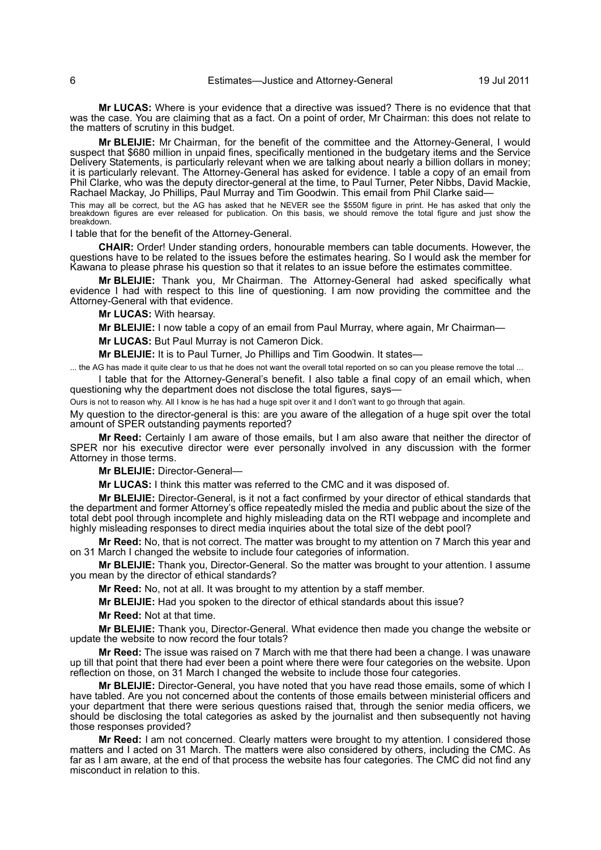**Mr LUCAS:** Where is your evidence that a directive was issued? There is no evidence that that was the case. You are claiming that as a fact. On a point of order, Mr Chairman: this does not relate to the matters of scrutiny in this budget.

**Mr BLEIJIE:** Mr Chairman, for the benefit of the committee and the Attorney-General, I would suspect that \$680 million in unpaid fines, specifically mentioned in the budgetary items and the Service Delivery Statements, is particularly relevant when we are talking about nearly a billion dollars in money; it is particularly relevant. The Attorney-General has asked for evidence. I table a copy of an email from Phil Clarke, who was the deputy director-general at the time, to Paul Turner, Peter Nibbs, David Mackie, Rachael Mackay, Jo Phillips, Paul Murray and Tim Goodwin. This email from Phil Clarke said—

This may all be correct, but the AG has asked that he NEVER see the \$550M figure in print. He has asked that only the<br>breakdown figures are ever released for publication. On this basis, we should remove the total figure an breakdown.

I table that for the benefit of the Attorney-General.

**CHAIR:** Order! Under standing orders, honourable members can table documents. However, the questions have to be related to the issues before the estimates hearing. So I would ask the member for Kawana to please phrase his question so that it relates to an issue before the estimates committee.

**Mr BLEIJIE:** Thank you, Mr Chairman. The Attorney-General had asked specifically what evidence I had with respect to this line of questioning. I am now providing the committee and the Attorney-General with that evidence.

**Mr LUCAS:** With hearsay.

**Mr BLEIJIE:** I now table a copy of an email from Paul Murray, where again, Mr Chairman—

**Mr LUCAS:** But Paul Murray is not Cameron Dick.

**Mr BLEIJIE:** It is to Paul Turner, Jo Phillips and Tim Goodwin. It states—

... the AG has made it quite clear to us that he does not want the overall total reported on so can you please remove the total ...

I table that for the Attorney-General's benefit. I also table a final copy of an email which, when questioning why the department does not disclose the total figures, says—

Ours is not to reason why. All I know is he has had a huge spit over it and I don't want to go through that again.

My question to the director-general is this: are you aware of the allegation of a huge spit over the total amount of SPER outstanding payments reported?

**Mr Reed:** Certainly I am aware of those emails, but I am also aware that neither the director of SPER nor his executive director were ever personally involved in any discussion with the former Attorney in those terms.

**Mr BLEIJIE:** Director-General—

**Mr LUCAS:** I think this matter was referred to the CMC and it was disposed of.

**Mr BLEIJIE:** Director-General, is it not a fact confirmed by your director of ethical standards that the department and former Attorney's office repeatedly misled the media and public about the size of the total debt pool through incomplete and highly misleading data on the RTI webpage and incomplete and highly misleading responses to direct media inquiries about the total size of the debt pool?

**Mr Reed:** No, that is not correct. The matter was brought to my attention on 7 March this year and on 31 March I changed the website to include four categories of information.

**Mr BLEIJIE:** Thank you, Director-General. So the matter was brought to your attention. I assume you mean by the director of ethical standards?

**Mr Reed:** No, not at all. It was brought to my attention by a staff member.

**Mr BLEIJIE:** Had you spoken to the director of ethical standards about this issue?

**Mr Reed:** Not at that time.

**Mr BLEIJIE:** Thank you, Director-General. What evidence then made you change the website or update the website to now record the four totals?

**Mr Reed:** The issue was raised on 7 March with me that there had been a change. I was unaware up till that point that there had ever been a point where there were four categories on the website. Upon reflection on those, on 31 March I changed the website to include those four categories.

**Mr BLEIJIE:** Director-General, you have noted that you have read those emails, some of which I have tabled. Are you not concerned about the contents of those emails between ministerial officers and your department that there were serious questions raised that, through the senior media officers, we should be disclosing the total categories as asked by the journalist and then subsequently not having those responses provided?

**Mr Reed:** I am not concerned. Clearly matters were brought to my attention. I considered those matters and I acted on 31 March. The matters were also considered by others, including the CMC. As far as I am aware, at the end of that process the website has four categories. The CMC did not find any misconduct in relation to this.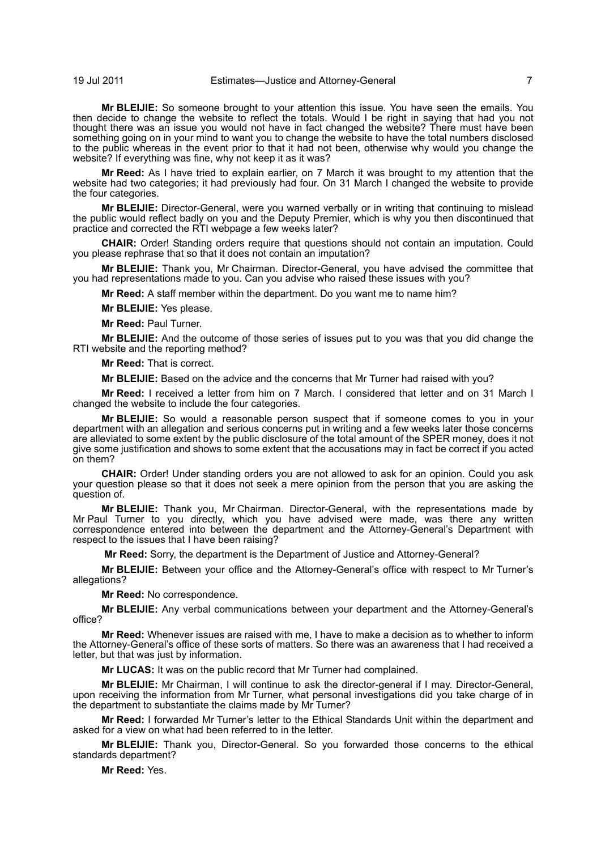**Mr BLEIJIE:** So someone brought to your attention this issue. You have seen the emails. You then decide to change the website to reflect the totals. Would I be right in saying that had you not thought there was an issue you would not have in fact changed the website? There must have been something going on in your mind to want you to change the website to have the total numbers disclosed to the public whereas in the event prior to that it had not been, otherwise why would you change the website? If everything was fine, why not keep it as it was?

**Mr Reed:** As I have tried to explain earlier, on 7 March it was brought to my attention that the website had two categories; it had previously had four. On 31 March I changed the website to provide the four categories.

**Mr BLEIJIE:** Director-General, were you warned verbally or in writing that continuing to mislead the public would reflect badly on you and the Deputy Premier, which is why you then discontinued that practice and corrected the RTI webpage a few weeks later?

**CHAIR:** Order! Standing orders require that questions should not contain an imputation. Could you please rephrase that so that it does not contain an imputation?

**Mr BLEIJIE:** Thank you, Mr Chairman. Director-General, you have advised the committee that you had representations made to you. Can you advise who raised these issues with you?

**Mr Reed:** A staff member within the department. Do you want me to name him?

**Mr BLEIJIE:** Yes please.

**Mr Reed:** Paul Turner.

**Mr BLEIJIE:** And the outcome of those series of issues put to you was that you did change the RTI website and the reporting method?

**Mr Reed:** That is correct.

**Mr BLEIJIE:** Based on the advice and the concerns that Mr Turner had raised with you?

**Mr Reed:** I received a letter from him on 7 March. I considered that letter and on 31 March I changed the website to include the four categories.

**Mr BLEIJIE:** So would a reasonable person suspect that if someone comes to you in your department with an allegation and serious concerns put in writing and a few weeks later those concerns are alleviated to some extent by the public disclosure of the total amount of the SPER money, does it not give some justification and shows to some extent that the accusations may in fact be correct if you acted on them?

**CHAIR:** Order! Under standing orders you are not allowed to ask for an opinion. Could you ask your question please so that it does not seek a mere opinion from the person that you are asking the question of.

**Mr BLEIJIE:** Thank you, Mr Chairman. Director-General, with the representations made by Mr Paul Turner to you directly, which you have advised were made, was there any written correspondence entered into between the department and the Attorney-General's Department with respect to the issues that I have been raising?

**Mr Reed:** Sorry, the department is the Department of Justice and Attorney-General?

**Mr BLEIJIE:** Between your office and the Attorney-General's office with respect to Mr Turner's allegations?

**Mr Reed:** No correspondence.

**Mr BLEIJIE:** Any verbal communications between your department and the Attorney-General's office?

**Mr Reed:** Whenever issues are raised with me, I have to make a decision as to whether to inform the Attorney-General's office of these sorts of matters. So there was an awareness that I had received a letter, but that was just by information.

**Mr LUCAS:** It was on the public record that Mr Turner had complained.

**Mr BLEIJIE:** Mr Chairman, I will continue to ask the director-general if I may. Director-General, upon receiving the information from Mr Turner, what personal investigations did you take charge of in the department to substantiate the claims made by Mr Turner?

**Mr Reed:** I forwarded Mr Turner's letter to the Ethical Standards Unit within the department and asked for a view on what had been referred to in the letter.

**Mr BLEIJIE:** Thank you, Director-General. So you forwarded those concerns to the ethical standards department?

**Mr Reed:** Yes.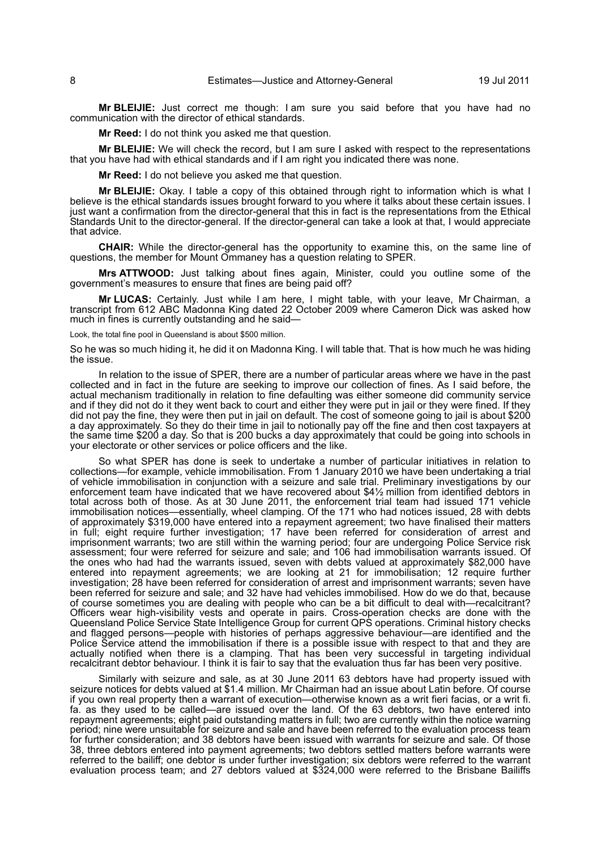**Mr BLEIJIE:** Just correct me though: I am sure you said before that you have had no communication with the director of ethical standards.

**Mr Reed:** I do not think you asked me that question.

**Mr BLEIJIE:** We will check the record, but I am sure I asked with respect to the representations that you have had with ethical standards and if I am right you indicated there was none.

**Mr Reed:** I do not believe you asked me that question.

**Mr BLEIJIE:** Okay. I table a copy of this obtained through right to information which is what I believe is the ethical standards issues brought forward to you where it talks about these certain issues. I just want a confirmation from the director-general that this in fact is the representations from the Ethical Standards Unit to the director-general. If the director-general can take a look at that, I would appreciate that advice.

**CHAIR:** While the director-general has the opportunity to examine this, on the same line of questions, the member for Mount Ommaney has a question relating to SPER.

**Mrs ATTWOOD:** Just talking about fines again, Minister, could you outline some of the government's measures to ensure that fines are being paid off?

**Mr LUCAS:** Certainly. Just while I am here, I might table, with your leave, Mr Chairman, a transcript from 612 ABC Madonna King dated 22 October 2009 where Cameron Dick was asked how much in fines is currently outstanding and he said—

Look, the total fine pool in Queensland is about \$500 million.

So he was so much hiding it, he did it on Madonna King. I will table that. That is how much he was hiding the issue.

In relation to the issue of SPER, there are a number of particular areas where we have in the past collected and in fact in the future are seeking to improve our collection of fines. As I said before, the actual mechanism traditionally in relation to fine defaulting was either someone did community service and if they did not do it they went back to court and either they were put in jail or they were fined. If they did not pay the fine, they were then put in jail on default. The cost of someone going to jail is about \$200 a day approximately. So they do their time in jail to notionally pay off the fine and then cost taxpayers at the same time \$200 a day. So that is 200 bucks a day approximately that could be going into schools in your electorate or other services or police officers and the like.

So what SPER has done is seek to undertake a number of particular initiatives in relation to collections—for example, vehicle immobilisation. From 1 January 2010 we have been undertaking a trial of vehicle immobilisation in conjunction with a seizure and sale trial. Preliminary investigations by our enforcement team have indicated that we have recovered about \$4½ million from identified debtors in total across both of those. As at 30 June 2011, the enforcement trial team had issued 171 vehicle immobilisation notices—essentially, wheel clamping. Of the 171 who had notices issued, 28 with debts of approximately \$319,000 have entered into a repayment agreement; two have finalised their matters in full; eight require further investigation; 17 have been referred for consideration of arrest and imprisonment warrants; two are still within the warning period; four are undergoing Police Service risk assessment; four were referred for seizure and sale; and 106 had immobilisation warrants issued. Of the ones who had had the warrants issued, seven with debts valued at approximately \$82,000 have entered into repayment agreements; we are looking at 21 for immobilisation; 12 require further investigation; 28 have been referred for consideration of arrest and imprisonment warrants; seven have been referred for seizure and sale; and 32 have had vehicles immobilised. How do we do that, because of course sometimes you are dealing with people who can be a bit difficult to deal with—recalcitrant? Officers wear high-visibility vests and operate in pairs. Cross-operation checks are done with the Queensland Police Service State Intelligence Group for current QPS operations. Criminal history checks and flagged persons—people with histories of perhaps aggressive behaviour—are identified and the Police Service attend the immobilisation if there is a possible issue with respect to that and they are actually notified when there is a clamping. That has been very successful in targeting individual recalcitrant debtor behaviour. I think it is fair to say that the evaluation thus far has been very positive.

Similarly with seizure and sale, as at 30 June 2011 63 debtors have had property issued with seizure notices for debts valued at \$1.4 million. Mr Chairman had an issue about Latin before. Of course if you own real property then a warrant of execution—otherwise known as a writ fieri facias, or a writ fi. fa. as they used to be called—are issued over the land. Of the 63 debtors, two have entered into repayment agreements; eight paid outstanding matters in full; two are currently within the notice warning period; nine were unsuitable for seizure and sale and have been referred to the evaluation process team for further consideration; and 38 debtors have been issued with warrants for seizure and sale. Of those 38, three debtors entered into payment agreements; two debtors settled matters before warrants were referred to the bailiff; one debtor is under further investigation; six debtors were referred to the warrant evaluation process team; and 27 debtors valued at \$324,000 were referred to the Brisbane Bailiffs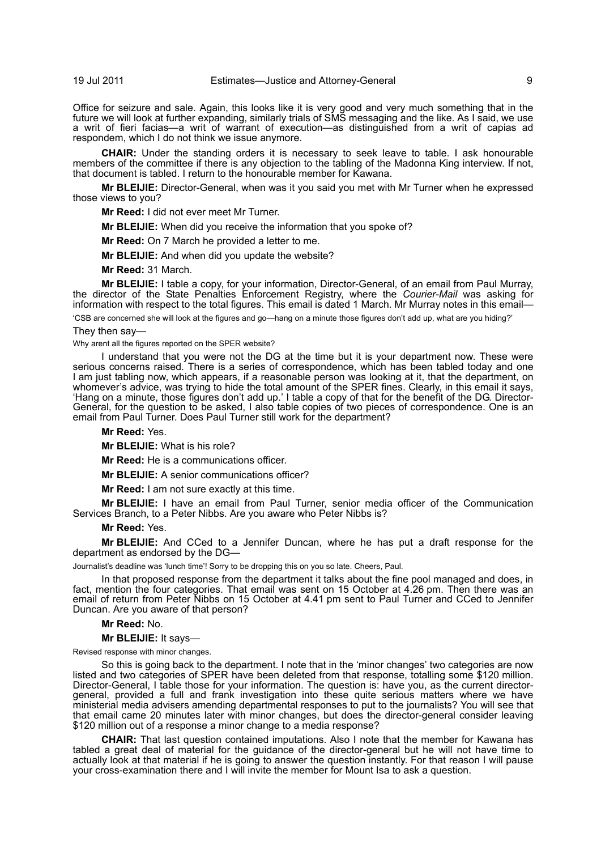Office for seizure and sale. Again, this looks like it is very good and very much something that in the future we will look at further expanding, similarly trials of SMS messaging and the like. As I said, we use a writ of fieri facias—a writ of warrant of execution—as distinguished from a writ of capias ad respondem, which I do not think we issue anymore.

**CHAIR:** Under the standing orders it is necessary to seek leave to table. I ask honourable members of the committee if there is any objection to the tabling of the Madonna King interview. If not, that document is tabled. I return to the honourable member for Kawana.

**Mr BLEIJIE:** Director-General, when was it you said you met with Mr Turner when he expressed those views to you?

**Mr Reed:** I did not ever meet Mr Turner.

**Mr BLEIJIE:** When did you receive the information that you spoke of?

**Mr Reed:** On 7 March he provided a letter to me.

**Mr BLEIJIE:** And when did you update the website?

**Mr Reed:** 31 March.

**Mr BLEIJIE:** I table a copy, for your information, Director-General, of an email from Paul Murray, the director of the State Penalties Enforcement Registry, where the *Courier-Mail* was asking for information with respect to the total figures. This email is dated 1 March. Mr Murray notes in this email—

'CSB are concerned she will look at the figures and go—hang on a minute those figures don't add up, what are you hiding?'

#### They then say—

Why arent all the figures reported on the SPER website?

I understand that you were not the DG at the time but it is your department now. These were serious concerns raised. There is a series of correspondence, which has been tabled today and one I am just tabling now, which appears, if a reasonable person was looking at it, that the department, on whomever's advice, was trying to hide the total amount of the SPER fines. Clearly, in this email it says, 'Hang on a minute, those figures don't add up.' I table a copy of that for the benefit of the DG. Director-General, for the question to be asked, I also table copies of two pieces of correspondence. One is an email from Paul Turner. Does Paul Turner still work for the department?

#### **Mr Reed:** Yes.

**Mr BLEIJIE:** What is his role?

**Mr Reed:** He is a communications officer.

**Mr BLEIJIE:** A senior communications officer?

**Mr Reed:** I am not sure exactly at this time.

**Mr BLEIJIE:** I have an email from Paul Turner, senior media officer of the Communication Services Branch, to a Peter Nibbs. Are you aware who Peter Nibbs is?

#### **Mr Reed:** Yes.

**Mr BLEIJIE:** And CCed to a Jennifer Duncan, where he has put a draft response for the department as endorsed by the DG—

Journalist's deadline was 'lunch time'! Sorry to be dropping this on you so late. Cheers, Paul.

In that proposed response from the department it talks about the fine pool managed and does, in fact, mention the four categories. That email was sent on 15 October at 4.26 pm. Then there was an email of return from Peter Nibbs on 15 October at 4.41 pm sent to Paul Turner and CCed to Jennifer Duncan. Are you aware of that person?

#### **Mr Reed:** No.

**Mr BLEIJIE:** It says—

Revised response with minor changes.

So this is going back to the department. I note that in the 'minor changes' two categories are now listed and two categories of SPER have been deleted from that response, totalling some \$120 million. Director-General, I table those for your information. The question is: have you, as the current directorgeneral, provided a full and frank investigation into these quite serious matters where we have ministerial media advisers amending departmental responses to put to the journalists? You will see that that email came 20 minutes later with minor changes, but does the director-general consider leaving \$120 million out of a response a minor change to a media response?

**CHAIR:** That last question contained imputations. Also I note that the member for Kawana has tabled a great deal of material for the guidance of the director-general but he will not have time to actually look at that material if he is going to answer the question instantly. For that reason I will pause your cross-examination there and I will invite the member for Mount Isa to ask a question.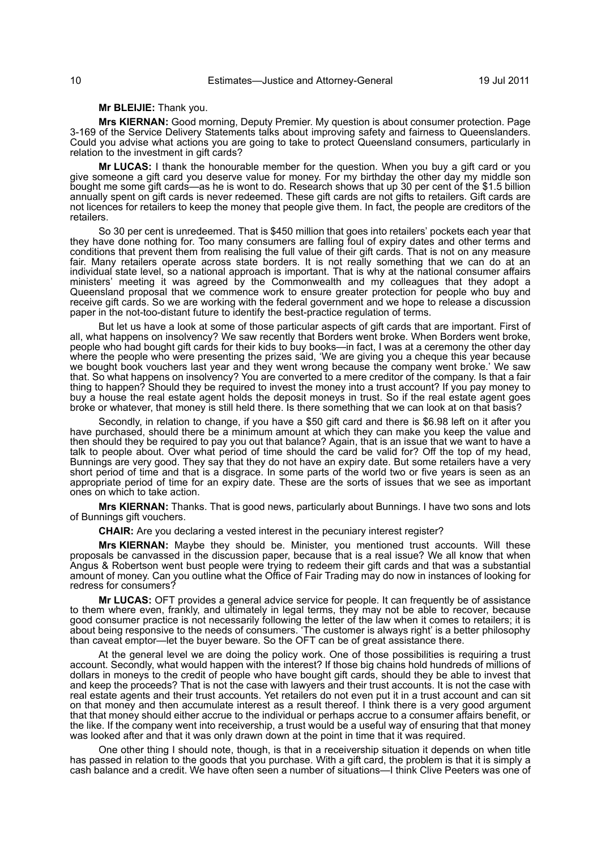**Mr BLEIJIE:** Thank you.

**Mrs KIERNAN:** Good morning, Deputy Premier. My question is about consumer protection. Page 3-169 of the Service Delivery Statements talks about improving safety and fairness to Queenslanders. Could you advise what actions you are going to take to protect Queensland consumers, particularly in relation to the investment in gift cards?

**Mr LUCAS:** I thank the honourable member for the question. When you buy a gift card or you give someone a gift card you deserve value for money. For my birthday the other day my middle son bought me some gift cards—as he is wont to do. Research shows that up 30 per cent of the \$1.5 billion annually spent on gift cards is never redeemed. These gift cards are not gifts to retailers. Gift cards are not licences for retailers to keep the money that people give them. In fact, the people are creditors of the retailers.

So 30 per cent is unredeemed. That is \$450 million that goes into retailers' pockets each year that they have done nothing for. Too many consumers are falling foul of expiry dates and other terms and conditions that prevent them from realising the full value of their gift cards. That is not on any measure fair. Many retailers operate across state borders. It is not really something that we can do at an individual state level, so a national approach is important. That is why at the national consumer affairs ministers' meeting it was agreed by the Commonwealth and my colleagues that they adopt a Queensland proposal that we commence work to ensure greater protection for people who buy and receive gift cards. So we are working with the federal government and we hope to release a discussion paper in the not-too-distant future to identify the best-practice regulation of terms.

But let us have a look at some of those particular aspects of gift cards that are important. First of all, what happens on insolvency? We saw recently that Borders went broke. When Borders went broke, people who had bought gift cards for their kids to buy books—in fact, I was at a ceremony the other day where the people who were presenting the prizes said, 'We are giving you a cheque this year because we bought book vouchers last year and they went wrong because the company went broke.' We saw that. So what happens on insolvency? You are converted to a mere creditor of the company. Is that a fair thing to happen? Should they be required to invest the money into a trust account? If you pay money to buy a house the real estate agent holds the deposit moneys in trust. So if the real estate agent goes broke or whatever, that money is still held there. Is there something that we can look at on that basis?

Secondly, in relation to change, if you have a \$50 gift card and there is \$6.98 left on it after you have purchased, should there be a minimum amount at which they can make you keep the value and then should they be required to pay you out that balance? Again, that is an issue that we want to have a talk to people about. Over what period of time should the card be valid for? Off the top of my head, Bunnings are very good. They say that they do not have an expiry date. But some retailers have a very short period of time and that is a disgrace. In some parts of the world two or five years is seen as an appropriate period of time for an expiry date. These are the sorts of issues that we see as important ones on which to take action.

**Mrs KIERNAN:** Thanks. That is good news, particularly about Bunnings. I have two sons and lots of Bunnings gift vouchers.

**CHAIR:** Are you declaring a vested interest in the pecuniary interest register?

**Mrs KIERNAN:** Maybe they should be. Minister, you mentioned trust accounts. Will these proposals be canvassed in the discussion paper, because that is a real issue? We all know that when Angus & Robertson went bust people were trying to redeem their gift cards and that was a substantial amount of money. Can you outline what the Office of Fair Trading may do now in instances of looking for redress for consumers?

**Mr LUCAS:** OFT provides a general advice service for people. It can frequently be of assistance to them where even, frankly, and ultimately in legal terms, they may not be able to recover, because good consumer practice is not necessarily following the letter of the law when it comes to retailers; it is about being responsive to the needs of consumers. 'The customer is always right' is a better philosophy than caveat emptor—let the buyer beware. So the OFT can be of great assistance there.

At the general level we are doing the policy work. One of those possibilities is requiring a trust account. Secondly, what would happen with the interest? If those big chains hold hundreds of millions of dollars in moneys to the credit of people who have bought gift cards, should they be able to invest that and keep the proceeds? That is not the case with lawyers and their trust accounts. It is not the case with real estate agents and their trust accounts. Yet retailers do not even put it in a trust account and can sit on that money and then accumulate interest as a result thereof. I think there is a very good argument that that money should either accrue to the individual or perhaps accrue to a consumer affairs benefit, or the like. If the company went into receivership, a trust would be a useful way of ensuring that that money was looked after and that it was only drawn down at the point in time that it was required.

One other thing I should note, though, is that in a receivership situation it depends on when title has passed in relation to the goods that you purchase. With a gift card, the problem is that it is simply a cash balance and a credit. We have often seen a number of situations—I think Clive Peeters was one of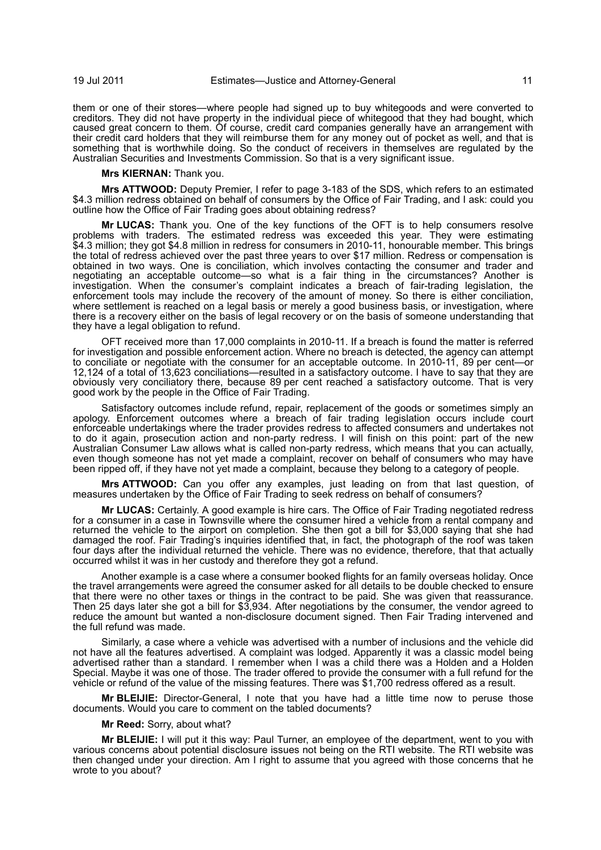them or one of their stores—where people had signed up to buy whitegoods and were converted to creditors. They did not have property in the individual piece of whitegood that they had bought, which caused great concern to them. Of course, credit card companies generally have an arrangement with their credit card holders that they will reimburse them for any money out of pocket as well, and that is something that is worthwhile doing. So the conduct of receivers in themselves are regulated by the Australian Securities and Investments Commission. So that is a very significant issue.

**Mrs KIERNAN:** Thank you.

**Mrs ATTWOOD:** Deputy Premier, I refer to page 3-183 of the SDS, which refers to an estimated \$4.3 million redress obtained on behalf of consumers by the Office of Fair Trading, and I ask: could you outline how the Office of Fair Trading goes about obtaining redress?

**Mr LUCAS:** Thank you. One of the key functions of the OFT is to help consumers resolve problems with traders. The estimated redress was exceeded this year. They were estimating \$4.3 million; they got \$4.8 million in redress for consumers in 2010-11, honourable member. This brings the total of redress achieved over the past three years to over \$17 million. Redress or compensation is obtained in two ways. One is conciliation, which involves contacting the consumer and trader and negotiating an acceptable outcome—so what is a fair thing in the circumstances? Another is investigation. When the consumer's complaint indicates a breach of fair-trading legislation, the enforcement tools may include the recovery of the amount of money. So there is either conciliation, where settlement is reached on a legal basis or merely a good business basis, or investigation, where there is a recovery either on the basis of legal recovery or on the basis of someone understanding that they have a legal obligation to refund.

OFT received more than 17,000 complaints in 2010-11. If a breach is found the matter is referred for investigation and possible enforcement action. Where no breach is detected, the agency can attempt to conciliate or negotiate with the consumer for an acceptable outcome. In 2010-11, 89 per cent—or 12,124 of a total of 13,623 conciliations—resulted in a satisfactory outcome. I have to say that they are obviously very conciliatory there, because 89 per cent reached a satisfactory outcome. That is very good work by the people in the Office of Fair Trading.

Satisfactory outcomes include refund, repair, replacement of the goods or sometimes simply an apology. Enforcement outcomes where a breach of fair trading legislation occurs include court enforceable undertakings where the trader provides redress to affected consumers and undertakes not to do it again, prosecution action and non-party redress. I will finish on this point: part of the new Australian Consumer Law allows what is called non-party redress, which means that you can actually, even though someone has not yet made a complaint, recover on behalf of consumers who may have been ripped off, if they have not yet made a complaint, because they belong to a category of people.

**Mrs ATTWOOD:** Can you offer any examples, just leading on from that last question, of measures undertaken by the Office of Fair Trading to seek redress on behalf of consumers?

**Mr LUCAS:** Certainly. A good example is hire cars. The Office of Fair Trading negotiated redress for a consumer in a case in Townsville where the consumer hired a vehicle from a rental company and returned the vehicle to the airport on completion. She then got a bill for \$3,000 saying that she had damaged the roof. Fair Trading's inquiries identified that, in fact, the photograph of the roof was taken four days after the individual returned the vehicle. There was no evidence, therefore, that that actually occurred whilst it was in her custody and therefore they got a refund.

Another example is a case where a consumer booked flights for an family overseas holiday. Once the travel arrangements were agreed the consumer asked for all details to be double checked to ensure that there were no other taxes or things in the contract to be paid. She was given that reassurance. Then 25 days later she got a bill for \$3,934. After negotiations by the consumer, the vendor agreed to reduce the amount but wanted a non-disclosure document signed. Then Fair Trading intervened and the full refund was made.

Similarly, a case where a vehicle was advertised with a number of inclusions and the vehicle did not have all the features advertised. A complaint was lodged. Apparently it was a classic model being advertised rather than a standard. I remember when I was a child there was a Holden and a Holden Special. Maybe it was one of those. The trader offered to provide the consumer with a full refund for the vehicle or refund of the value of the missing features. There was \$1,700 redress offered as a result.

**Mr BLEIJIE:** Director-General, I note that you have had a little time now to peruse those documents. Would you care to comment on the tabled documents?

**Mr Reed:** Sorry, about what?

**Mr BLEIJIE:** I will put it this way: Paul Turner, an employee of the department, went to you with various concerns about potential disclosure issues not being on the RTI website. The RTI website was then changed under your direction. Am I right to assume that you agreed with those concerns that he wrote to you about?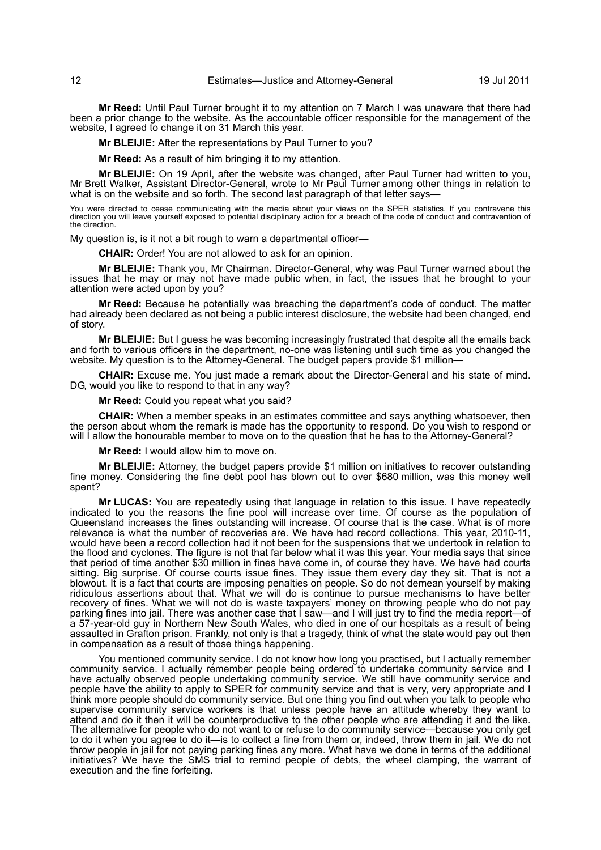**Mr Reed:** Until Paul Turner brought it to my attention on 7 March I was unaware that there had been a prior change to the website. As the accountable officer responsible for the management of the website, I agreed to change it on 31 March this year.

**Mr BLEIJIE:** After the representations by Paul Turner to you?

**Mr Reed:** As a result of him bringing it to my attention.

**Mr BLEIJIE:** On 19 April, after the website was changed, after Paul Turner had written to you, Mr Brett Walker, Assistant Director-General, wrote to Mr Paul Turner among other things in relation to what is on the website and so forth. The second last paragraph of that letter says-

You were directed to cease communicating with the media about your views on the SPER statistics. If you contravene this<br>direction you will leave yourself exposed to potential disciplinary action for a breach of the code of the direction.

My question is, is it not a bit rough to warn a departmental officer—

**CHAIR:** Order! You are not allowed to ask for an opinion.

**Mr BLEIJIE:** Thank you, Mr Chairman. Director-General, why was Paul Turner warned about the issues that he may or may not have made public when, in fact, the issues that he brought to your attention were acted upon by you?

**Mr Reed:** Because he potentially was breaching the department's code of conduct. The matter had already been declared as not being a public interest disclosure, the website had been changed, end of story.

**Mr BLEIJIE:** But I guess he was becoming increasingly frustrated that despite all the emails back and forth to various officers in the department, no-one was listening until such time as you changed the website. My question is to the Attorney-General. The budget papers provide \$1 million-

**CHAIR:** Excuse me. You just made a remark about the Director-General and his state of mind. DG, would you like to respond to that in any way?

**Mr Reed:** Could you repeat what you said?

**CHAIR:** When a member speaks in an estimates committee and says anything whatsoever, then the person about whom the remark is made has the opportunity to respond. Do you wish to respond or will I allow the honourable member to move on to the question that he has to the Attorney-General?

**Mr Reed:** I would allow him to move on.

**Mr BLEIJIE:** Attorney, the budget papers provide \$1 million on initiatives to recover outstanding fine money. Considering the fine debt pool has blown out to over \$680 million, was this money well spent?

**Mr LUCAS:** You are repeatedly using that language in relation to this issue. I have repeatedly indicated to you the reasons the fine pool will increase over time. Of course as the population of Queensland increases the fines outstanding will increase. Of course that is the case. What is of more relevance is what the number of recoveries are. We have had record collections. This year, 2010-11, would have been a record collection had it not been for the suspensions that we undertook in relation to the flood and cyclones. The figure is not that far below what it was this year. Your media says that since that period of time another \$30 million in fines have come in, of course they have. We have had courts sitting. Big surprise. Of course courts issue fines. They issue them every day they sit. That is not a blowout. It is a fact that courts are imposing penalties on people. So do not demean yourself by making ridiculous assertions about that. What we will do is continue to pursue mechanisms to have better recovery of fines. What we will not do is waste taxpayers' money on throwing people who do not pay parking fines into jail. There was another case that I saw—and I will just try to find the media report—of a 57-year-old guy in Northern New South Wales, who died in one of our hospitals as a result of being assaulted in Grafton prison. Frankly, not only is that a tragedy, think of what the state would pay out then in compensation as a result of those things happening.

You mentioned community service. I do not know how long you practised, but I actually remember community service. I actually remember people being ordered to undertake community service and I have actually observed people undertaking community service. We still have community service and people have the ability to apply to SPER for community service and that is very, very appropriate and I think more people should do community service. But one thing you find out when you talk to people who supervise community service workers is that unless people have an attitude whereby they want to attend and do it then it will be counterproductive to the other people who are attending it and the like. The alternative for people who do not want to or refuse to do community service—because you only get to do it when you agree to do it—is to collect a fine from them or, indeed, throw them in jail. We do not throw people in jail for not paying parking fines any more. What have we done in terms of the additional initiatives? We have the SMS trial to remind people of debts, the wheel clamping, the warrant of execution and the fine forfeiting.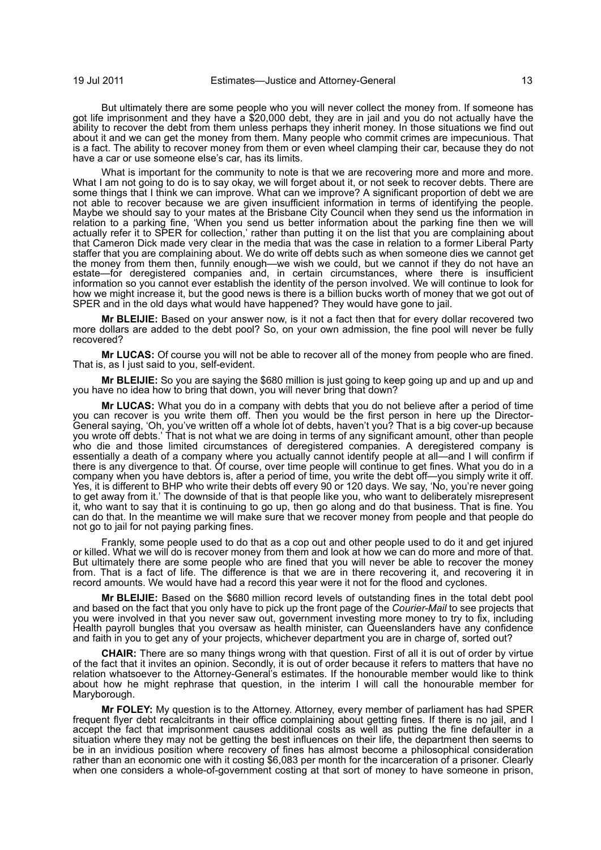But ultimately there are some people who you will never collect the money from. If someone has got life imprisonment and they have a \$20,000 debt, they are in jail and you do not actually have the ability to recover the debt from them unless perhaps they inherit money. In those situations we find out about it and we can get the money from them. Many people who commit crimes are impecunious. That is a fact. The ability to recover money from them or even wheel clamping their car, because they do not have a car or use someone else's car, has its limits.

What is important for the community to note is that we are recovering more and more and more. What I am not going to do is to say okay, we will forget about it, or not seek to recover debts. There are some things that I think we can improve. What can we improve? A significant proportion of debt we are not able to recover because we are given insufficient information in terms of identifying the people. Maybe we should say to your mates at the Brisbane City Council when they send us the information in relation to a parking fine, 'When you send us better information about the parking fine then we will actually refer it to SPER for collection,' rather than putting it on the list that you are complaining about that Cameron Dick made very clear in the media that was the case in relation to a former Liberal Party staffer that you are complaining about. We do write off debts such as when someone dies we cannot get the money from them then, funnily enough—we wish we could, but we cannot if they do not have an estate—for deregistered companies and, in certain circumstances, where there is insufficient information so you cannot ever establish the identity of the person involved. We will continue to look for how we might increase it, but the good news is there is a billion bucks worth of money that we got out of SPER and in the old days what would have happened? They would have gone to jail.

**Mr BLEIJIE:** Based on your answer now, is it not a fact then that for every dollar recovered two more dollars are added to the debt pool? So, on your own admission, the fine pool will never be fully recovered?

**Mr LUCAS:** Of course you will not be able to recover all of the money from people who are fined. That is, as I just said to you, self-evident.

**Mr BLEIJIE:** So you are saying the \$680 million is just going to keep going up and up and up and you have no idea how to bring that down, you will never bring that down?

**Mr LUCAS:** What you do in a company with debts that you do not believe after a period of time you can recover is you write them off. Then you would be the first person in here up the Director-General saying, 'Oh, you've written off a whole lot of debts, haven't you? That is a big cover-up because you wrote off debts.' That is not what we are doing in terms of any significant amount, other than people who die and those limited circumstances of deregistered companies. A deregistered company is essentially a death of a company where you actually cannot identify people at all—and I will confirm if there is any divergence to that. Of course, over time people will continue to get fines. What you do in a company when you have debtors is, after a period of time, you write the debt off—you simply write it off. Yes, it is different to BHP who write their debts off every 90 or 120 days. We say, 'No, you're never going to get away from it.' The downside of that is that people like you, who want to deliberately misrepresent it, who want to say that it is continuing to go up, then go along and do that business. That is fine. You can do that. In the meantime we will make sure that we recover money from people and that people do not go to jail for not paying parking fines.

Frankly, some people used to do that as a cop out and other people used to do it and get injured or killed. What we will do is recover money from them and look at how we can do more and more of that. But ultimately there are some people who are fined that you will never be able to recover the money from. That is a fact of life. The difference is that we are in there recovering it, and recovering it in record amounts. We would have had a record this year were it not for the flood and cyclones.

**Mr BLEIJIE:** Based on the \$680 million record levels of outstanding fines in the total debt pool and based on the fact that you only have to pick up the front page of the *Courier-Mail* to see projects that you were involved in that you never saw out, government investing more money to try to fix, including Health payroll bungles that you oversaw as health minister, can Queenslanders have any confidence and faith in you to get any of your projects, whichever department you are in charge of, sorted out?

**CHAIR:** There are so many things wrong with that question. First of all it is out of order by virtue of the fact that it invites an opinion. Secondly, it is out of order because it refers to matters that have no relation whatsoever to the Attorney-General's estimates. If the honourable member would like to think about how he might rephrase that question, in the interim I will call the honourable member for Maryborough.

**Mr FOLEY:** My question is to the Attorney. Attorney, every member of parliament has had SPER frequent flyer debt recalcitrants in their office complaining about getting fines. If there is no jail, and I accept the fact that imprisonment causes additional costs as well as putting the fine defaulter in a situation where they may not be getting the best influences on their life, the department then seems to be in an invidious position where recovery of fines has almost become a philosophical consideration rather than an economic one with it costing \$6,083 per month for the incarceration of a prisoner. Clearly when one considers a whole-of-government costing at that sort of money to have someone in prison,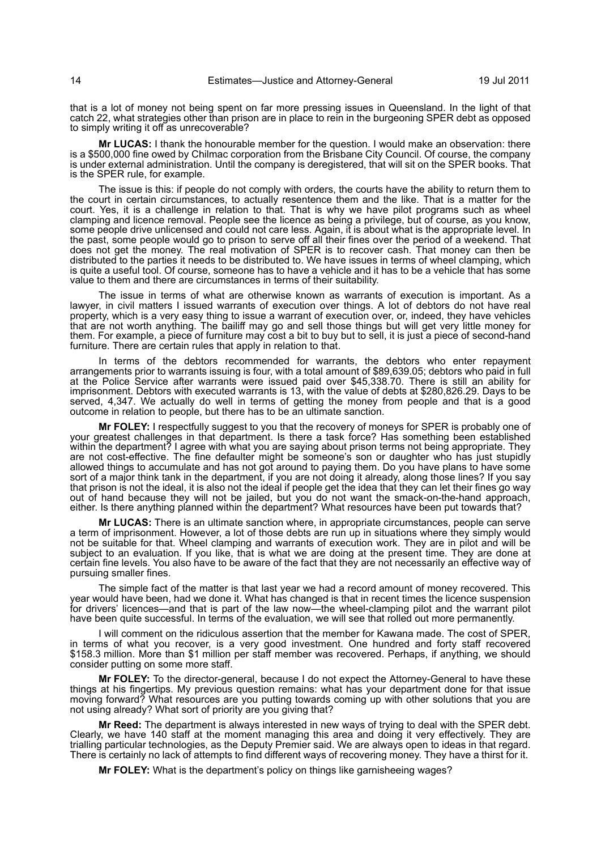that is a lot of money not being spent on far more pressing issues in Queensland. In the light of that catch 22, what strategies other than prison are in place to rein in the burgeoning SPER debt as opposed to simply writing it off as unrecoverable?

**Mr LUCAS:** I thank the honourable member for the question. I would make an observation: there is a \$500,000 fine owed by Chilmac corporation from the Brisbane City Council. Of course, the company is under external administration. Until the company is deregistered, that will sit on the SPER books. That is the SPER rule, for example.

The issue is this: if people do not comply with orders, the courts have the ability to return them to the court in certain circumstances, to actually resentence them and the like. That is a matter for the court. Yes, it is a challenge in relation to that. That is why we have pilot programs such as wheel clamping and licence removal. People see the licence as being a privilege, but of course, as you know, some people drive unlicensed and could not care less. Again, it is about what is the appropriate level. In the past, some people would go to prison to serve off all their fines over the period of a weekend. That does not get the money. The real motivation of SPER is to recover cash. That money can then be distributed to the parties it needs to be distributed to. We have issues in terms of wheel clamping, which is quite a useful tool. Of course, someone has to have a vehicle and it has to be a vehicle that has some value to them and there are circumstances in terms of their suitability.

The issue in terms of what are otherwise known as warrants of execution is important. As a lawyer, in civil matters I issued warrants of execution over things. A lot of debtors do not have real property, which is a very easy thing to issue a warrant of execution over, or, indeed, they have vehicles that are not worth anything. The bailiff may go and sell those things but will get very little money for them. For example, a piece of furniture may cost a bit to buy but to sell, it is just a piece of second-hand furniture. There are certain rules that apply in relation to that.

In terms of the debtors recommended for warrants, the debtors who enter repayment arrangements prior to warrants issuing is four, with a total amount of \$89,639.05; debtors who paid in full at the Police Service after warrants were issued paid over \$45,338.70. There is still an ability for imprisonment. Debtors with executed warrants is 13, with the value of debts at \$280,826.29. Days to be served, 4,347. We actually do well in terms of getting the money from people and that is a good outcome in relation to people, but there has to be an ultimate sanction.

**Mr FOLEY:** I respectfully suggest to you that the recovery of moneys for SPER is probably one of your greatest challenges in that department. Is there a task force? Has something been established within the department? I agree with what you are saying about prison terms not being appropriate. They are not cost-effective. The fine defaulter might be someone's son or daughter who has just stupidly allowed things to accumulate and has not got around to paying them. Do you have plans to have some sort of a major think tank in the department, if you are not doing it already, along those lines? If you say that prison is not the ideal, it is also not the ideal if people get the idea that they can let their fines go way out of hand because they will not be jailed, but you do not want the smack-on-the-hand approach, either. Is there anything planned within the department? What resources have been put towards that?

**Mr LUCAS:** There is an ultimate sanction where, in appropriate circumstances, people can serve a term of imprisonment. However, a lot of those debts are run up in situations where they simply would not be suitable for that. Wheel clamping and warrants of execution work. They are in pilot and will be subject to an evaluation. If you like, that is what we are doing at the present time. They are done at certain fine levels. You also have to be aware of the fact that they are not necessarily an effective way of pursuing smaller fines.

The simple fact of the matter is that last year we had a record amount of money recovered. This year would have been, had we done it. What has changed is that in recent times the licence suspension for drivers' licences—and that is part of the law now—the wheel-clamping pilot and the warrant pilot have been quite successful. In terms of the evaluation, we will see that rolled out more permanently.

I will comment on the ridiculous assertion that the member for Kawana made. The cost of SPER, in terms of what you recover, is a very good investment. One hundred and forty staff recovered \$158.3 million. More than \$1 million per staff member was recovered. Perhaps, if anything, we should consider putting on some more staff.

**Mr FOLEY:** To the director-general, because I do not expect the Attorney-General to have these things at his fingertips. My previous question remains: what has your department done for that issue moving forward? What resources are you putting towards coming up with other solutions that you are not using already? What sort of priority are you giving that?

**Mr Reed:** The department is always interested in new ways of trying to deal with the SPER debt. Clearly, we have 140 staff at the moment managing this area and doing it very effectively. They are trialling particular technologies, as the Deputy Premier said. We are always open to ideas in that regard. There is certainly no lack of attempts to find different ways of recovering money. They have a thirst for it.

**Mr FOLEY:** What is the department's policy on things like garnisheeing wages?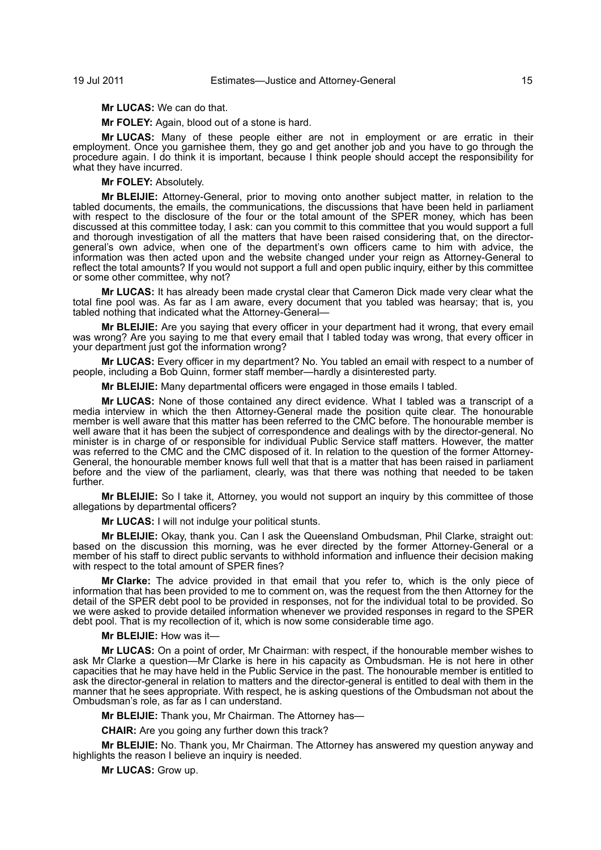**Mr LUCAS:** We can do that.

**Mr FOLEY:** Again, blood out of a stone is hard.

**Mr LUCAS:** Many of these people either are not in employment or are erratic in their employment. Once you garnishee them, they go and get another job and you have to go through the procedure again. I do think it is important, because I think people should accept the responsibility for what they have incurred.

**Mr FOLEY:** Absolutely.

**Mr BLEIJIE:** Attorney-General, prior to moving onto another subject matter, in relation to the tabled documents, the emails, the communications, the discussions that have been held in parliament with respect to the disclosure of the four or the total amount of the SPER money, which has been discussed at this committee today, I ask: can you commit to this committee that you would support a full and thorough investigation of all the matters that have been raised considering that, on the directorgeneral's own advice, when one of the department's own officers came to him with advice, the information was then acted upon and the website changed under your reign as Attorney-General to reflect the total amounts? If you would not support a full and open public inquiry, either by this committee or some other committee, why not?

**Mr LUCAS:** It has already been made crystal clear that Cameron Dick made very clear what the total fine pool was. As far as I am aware, every document that you tabled was hearsay; that is, you tabled nothing that indicated what the Attorney-General—

**Mr BLEIJIE:** Are you saying that every officer in your department had it wrong, that every email was wrong? Are you saying to me that every email that I tabled today was wrong, that every officer in your department just got the information wrong?

**Mr LUCAS:** Every officer in my department? No. You tabled an email with respect to a number of people, including a Bob Quinn, former staff member—hardly a disinterested party.

**Mr BLEIJIE:** Many departmental officers were engaged in those emails I tabled.

**Mr LUCAS:** None of those contained any direct evidence. What I tabled was a transcript of a media interview in which the then Attorney-General made the position quite clear. The honourable member is well aware that this matter has been referred to the CMC before. The honourable member is well aware that it has been the subject of correspondence and dealings with by the director-general. No minister is in charge of or responsible for individual Public Service staff matters. However, the matter was referred to the CMC and the CMC disposed of it. In relation to the question of the former Attorney-General, the honourable member knows full well that that is a matter that has been raised in parliament before and the view of the parliament, clearly, was that there was nothing that needed to be taken further.

**Mr BLEIJIE:** So I take it, Attorney, you would not support an inquiry by this committee of those allegations by departmental officers?

**Mr LUCAS:** I will not indulge your political stunts.

**Mr BLEIJIE:** Okay, thank you. Can I ask the Queensland Ombudsman, Phil Clarke, straight out: based on the discussion this morning, was he ever directed by the former Attorney-General or a member of his staff to direct public servants to withhold information and influence their decision making with respect to the total amount of SPER fines?

**Mr Clarke:** The advice provided in that email that you refer to, which is the only piece of information that has been provided to me to comment on, was the request from the then Attorney for the detail of the SPER debt pool to be provided in responses, not for the individual total to be provided. So we were asked to provide detailed information whenever we provided responses in regard to the SPER debt pool. That is my recollection of it, which is now some considerable time ago.

**Mr BLEIJIE:** How was it—

**Mr LUCAS:** On a point of order, Mr Chairman: with respect, if the honourable member wishes to ask Mr Clarke a question—Mr Clarke is here in his capacity as Ombudsman. He is not here in other capacities that he may have held in the Public Service in the past. The honourable member is entitled to ask the director-general in relation to matters and the director-general is entitled to deal with them in the manner that he sees appropriate. With respect, he is asking questions of the Ombudsman not about the Ombudsman's role, as far as I can understand.

**Mr BLEIJIE:** Thank you, Mr Chairman. The Attorney has—

**CHAIR:** Are you going any further down this track?

**Mr BLEIJIE:** No. Thank you, Mr Chairman. The Attorney has answered my question anyway and highlights the reason I believe an inquiry is needed.

**Mr LUCAS:** Grow up.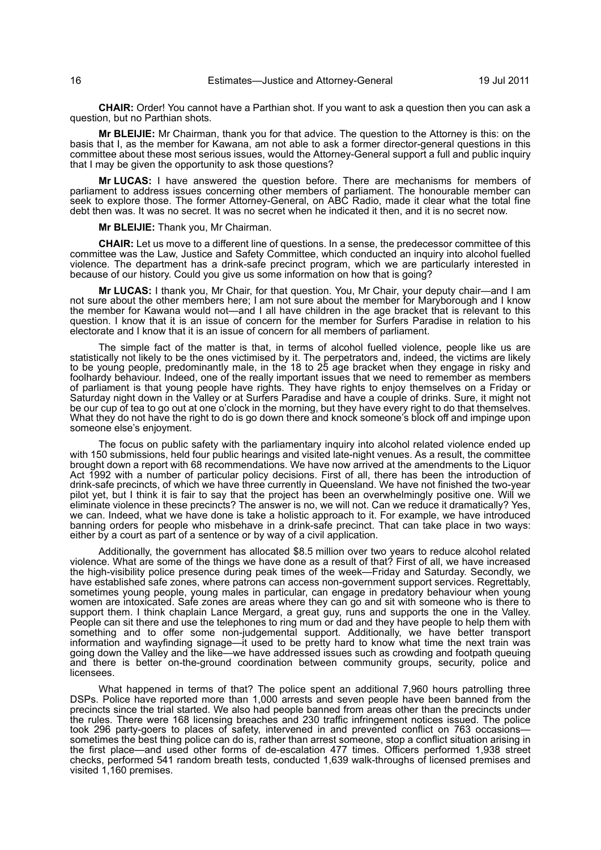**CHAIR:** Order! You cannot have a Parthian shot. If you want to ask a question then you can ask a question, but no Parthian shots.

**Mr BLEIJIE:** Mr Chairman, thank you for that advice. The question to the Attorney is this: on the basis that I, as the member for Kawana, am not able to ask a former director-general questions in this committee about these most serious issues, would the Attorney-General support a full and public inquiry that I may be given the opportunity to ask those questions?

**Mr LUCAS:** I have answered the question before. There are mechanisms for members of parliament to address issues concerning other members of parliament. The honourable member can seek to explore those. The former Attorney-General, on ABC Radio, made it clear what the total fine debt then was. It was no secret. It was no secret when he indicated it then, and it is no secret now.

**Mr BLEIJIE:** Thank you, Mr Chairman.

**CHAIR:** Let us move to a different line of questions. In a sense, the predecessor committee of this committee was the Law, Justice and Safety Committee, which conducted an inquiry into alcohol fuelled violence. The department has a drink-safe precinct program, which we are particularly interested in because of our history. Could you give us some information on how that is going?

**Mr LUCAS:** I thank you, Mr Chair, for that question. You, Mr Chair, your deputy chair—and I am not sure about the other members here; I am not sure about the member for Maryborough and I know the member for Kawana would not—and I all have children in the age bracket that is relevant to this question. I know that it is an issue of concern for the member for Surfers Paradise in relation to his electorate and I know that it is an issue of concern for all members of parliament.

The simple fact of the matter is that, in terms of alcohol fuelled violence, people like us are statistically not likely to be the ones victimised by it. The perpetrators and, indeed, the victims are likely to be young people, predominantly male, in the 18 to 25 age bracket when they engage in risky and foolhardy behaviour. Indeed, one of the really important issues that we need to remember as members of parliament is that young people have rights. They have rights to enjoy themselves on a Friday or Saturday night down in the Valley or at Surfers Paradise and have a couple of drinks. Sure, it might not be our cup of tea to go out at one o'clock in the morning, but they have every right to do that themselves. What they do not have the right to do is go down there and knock someone's block off and impinge upon someone else's enjoyment.

The focus on public safety with the parliamentary inquiry into alcohol related violence ended up with 150 submissions, held four public hearings and visited late-night venues. As a result, the committee brought down a report with 68 recommendations. We have now arrived at the amendments to the Liquor Act 1992 with a number of particular policy decisions. First of all, there has been the introduction of drink-safe precincts, of which we have three currently in Queensland. We have not finished the two-year pilot yet, but I think it is fair to say that the project has been an overwhelmingly positive one. Will we eliminate violence in these precincts? The answer is no, we will not. Can we reduce it dramatically? Yes, we can. Indeed, what we have done is take a holistic approach to it. For example, we have introduced banning orders for people who misbehave in a drink-safe precinct. That can take place in two ways: either by a court as part of a sentence or by way of a civil application.

Additionally, the government has allocated \$8.5 million over two years to reduce alcohol related violence. What are some of the things we have done as a result of that? First of all, we have increased the high-visibility police presence during peak times of the week—Friday and Saturday. Secondly, we have established safe zones, where patrons can access non-government support services. Regrettably, sometimes young people, young males in particular, can engage in predatory behaviour when young women are intoxicated. Safe zones are areas where they can go and sit with someone who is there to support them. I think chaplain Lance Mergard, a great guy, runs and supports the one in the Valley. People can sit there and use the telephones to ring mum or dad and they have people to help them with something and to offer some non-judgemental support. Additionally, we have better transport information and wayfinding signage—it used to be pretty hard to know what time the next train was going down the Valley and the like—we have addressed issues such as crowding and footpath queuing and there is better on-the-ground coordination between community groups, security, police and licensees.

What happened in terms of that? The police spent an additional 7,960 hours patrolling three DSPs. Police have reported more than 1,000 arrests and seven people have been banned from the precincts since the trial started. We also had people banned from areas other than the precincts under the rules. There were 168 licensing breaches and 230 traffic infringement notices issued. The police took 296 party-goers to places of safety, intervened in and prevented conflict on 763 occasions sometimes the best thing police can do is, rather than arrest someone, stop a conflict situation arising in the first place—and used other forms of de-escalation 477 times. Officers performed 1,938 street checks, performed 541 random breath tests, conducted 1,639 walk-throughs of licensed premises and visited 1,160 premises.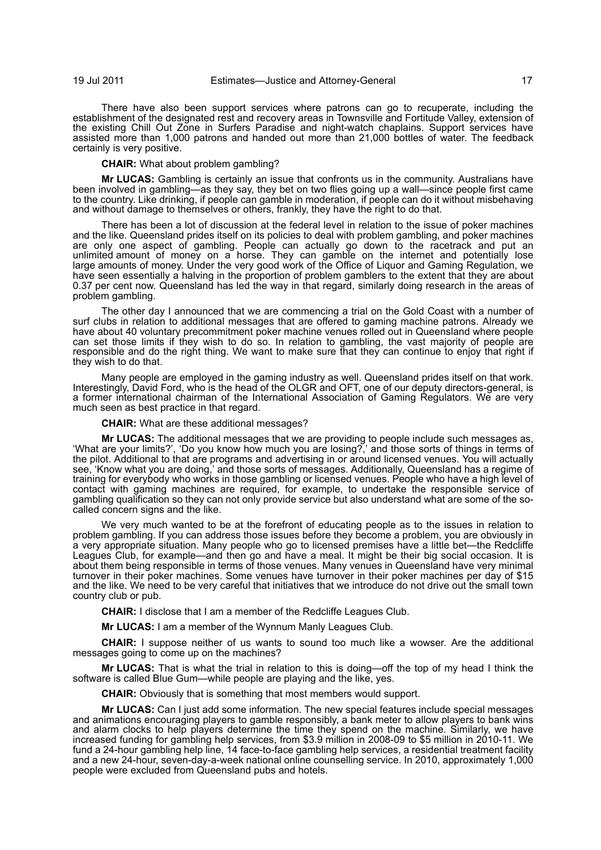There have also been support services where patrons can go to recuperate, including the establishment of the designated rest and recovery areas in Townsville and Fortitude Valley, extension of the existing Chill Out Zone in Surfers Paradise and night-watch chaplains. Support services have assisted more than 1,000 patrons and handed out more than 21,000 bottles of water. The feedback certainly is very positive.

**CHAIR:** What about problem gambling?

**Mr LUCAS:** Gambling is certainly an issue that confronts us in the community. Australians have been involved in gambling—as they say, they bet on two flies going up a wall—since people first came to the country. Like drinking, if people can gamble in moderation, if people can do it without misbehaving and without damage to themselves or others, frankly, they have the right to do that.

There has been a lot of discussion at the federal level in relation to the issue of poker machines and the like. Queensland prides itself on its policies to deal with problem gambling, and poker machines are only one aspect of gambling. People can actually go down to the racetrack and put an unlimited amount of money on a horse. They can gamble on the internet and potentially lose large amounts of money. Under the very good work of the Office of Liquor and Gaming Regulation, we have seen essentially a halving in the proportion of problem gamblers to the extent that they are about 0.37 per cent now. Queensland has led the way in that regard, similarly doing research in the areas of problem gambling.

The other day I announced that we are commencing a trial on the Gold Coast with a number of surf clubs in relation to additional messages that are offered to gaming machine patrons. Already we have about 40 voluntary precommitment poker machine venues rolled out in Queensland where people can set those limits if they wish to do so. In relation to gambling, the vast majority of people are responsible and do the right thing. We want to make sure that they can continue to enjoy that right if they wish to do that.

Many people are employed in the gaming industry as well. Queensland prides itself on that work. Interestingly, David Ford, who is the head of the OLGR and OFT, one of our deputy directors-general, is a former international chairman of the International Association of Gaming Regulators. We are very much seen as best practice in that regard.

**CHAIR:** What are these additional messages?

**Mr LUCAS:** The additional messages that we are providing to people include such messages as, 'What are your limits?', 'Do you know how much you are losing?,' and those sorts of things in terms of the pilot. Additional to that are programs and advertising in or around licensed venues. You will actually see, 'Know what you are doing,' and those sorts of messages. Additionally, Queensland has a regime of training for everybody who works in those gambling or licensed venues. People who have a high level of contact with gaming machines are required, for example, to undertake the responsible service of gambling qualification so they can not only provide service but also understand what are some of the socalled concern signs and the like.

We very much wanted to be at the forefront of educating people as to the issues in relation to problem gambling. If you can address those issues before they become a problem, you are obviously in a very appropriate situation. Many people who go to licensed premises have a little bet—the Redcliffe Leagues Club, for example—and then go and have a meal. It might be their big social occasion. It is about them being responsible in terms of those venues. Many venues in Queensland have very minimal turnover in their poker machines. Some venues have turnover in their poker machines per day of \$15 and the like. We need to be very careful that initiatives that we introduce do not drive out the small town country club or pub.

**CHAIR:** I disclose that I am a member of the Redcliffe Leagues Club.

**Mr LUCAS:** I am a member of the Wynnum Manly Leagues Club.

**CHAIR:** I suppose neither of us wants to sound too much like a wowser. Are the additional messages going to come up on the machines?

**Mr LUCAS:** That is what the trial in relation to this is doing—off the top of my head I think the software is called Blue Gum—while people are playing and the like, yes.

**CHAIR:** Obviously that is something that most members would support.

**Mr LUCAS:** Can I just add some information. The new special features include special messages and animations encouraging players to gamble responsibly, a bank meter to allow players to bank wins and alarm clocks to help players determine the time they spend on the machine. Similarly, we have increased funding for gambling help services, from \$3.9 million in 2008-09 to \$5 million in 2010-11. We fund a 24-hour gambling help line, 14 face-to-face gambling help services, a residential treatment facility and a new 24-hour, seven-day-a-week national online counselling service. In 2010, approximately 1,000 people were excluded from Queensland pubs and hotels.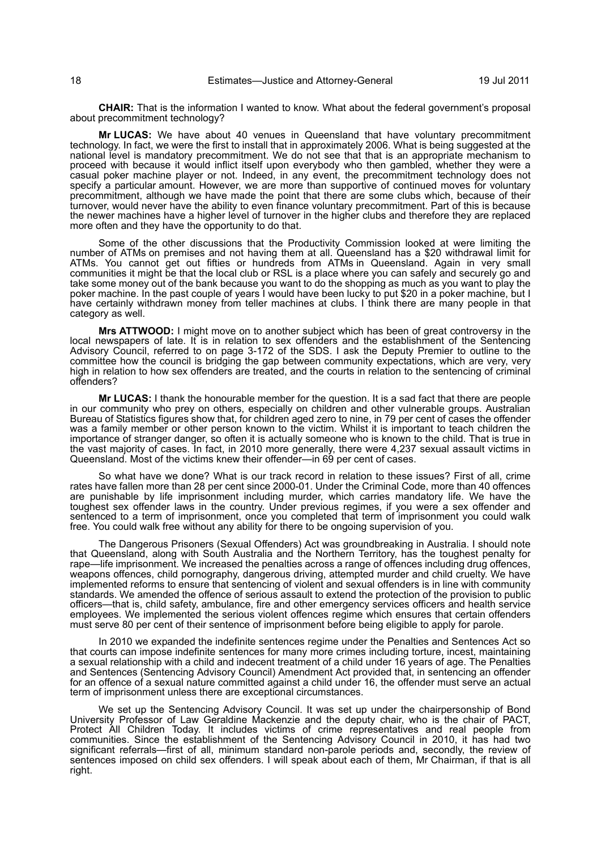**CHAIR:** That is the information I wanted to know. What about the federal government's proposal about precommitment technology?

**Mr LUCAS:** We have about 40 venues in Queensland that have voluntary precommitment technology. In fact, we were the first to install that in approximately 2006. What is being suggested at the national level is mandatory precommitment. We do not see that that is an appropriate mechanism to proceed with because it would inflict itself upon everybody who then gambled, whether they were a casual poker machine player or not. Indeed, in any event, the precommitment technology does not specify a particular amount. However, we are more than supportive of continued moves for voluntary precommitment, although we have made the point that there are some clubs which, because of their turnover, would never have the ability to even finance voluntary precommitment. Part of this is because the newer machines have a higher level of turnover in the higher clubs and therefore they are replaced more often and they have the opportunity to do that.

Some of the other discussions that the Productivity Commission looked at were limiting the number of ATMs on premises and not having them at all. Queensland has a \$20 withdrawal limit for ATMs. You cannot get out fifties or hundreds from ATMs in Queensland. Again in very small communities it might be that the local club or RSL is a place where you can safely and securely go and take some money out of the bank because you want to do the shopping as much as you want to play the poker machine. In the past couple of years I would have been lucky to put \$20 in a poker machine, but I have certainly withdrawn money from teller machines at clubs. I think there are many people in that category as well.

**Mrs ATTWOOD:** I might move on to another subject which has been of great controversy in the local newspapers of late. It is in relation to sex offenders and the establishment of the Sentencing Advisory Council, referred to on page 3-172 of the SDS. I ask the Deputy Premier to outline to the committee how the council is bridging the gap between community expectations, which are very, very high in relation to how sex offenders are treated, and the courts in relation to the sentencing of criminal offenders?

**Mr LUCAS:** I thank the honourable member for the question. It is a sad fact that there are people in our community who prey on others, especially on children and other vulnerable groups. Australian Bureau of Statistics figures show that, for children aged zero to nine, in 79 per cent of cases the offender was a family member or other person known to the victim. Whilst it is important to teach children the importance of stranger danger, so often it is actually someone who is known to the child. That is true in the vast majority of cases. In fact, in 2010 more generally, there were 4,237 sexual assault victims in Queensland. Most of the victims knew their offender—in 69 per cent of cases.

So what have we done? What is our track record in relation to these issues? First of all, crime rates have fallen more than 28 per cent since 2000-01. Under the Criminal Code, more than 40 offences are punishable by life imprisonment including murder, which carries mandatory life. We have the toughest sex offender laws in the country. Under previous regimes, if you were a sex offender and sentenced to a term of imprisonment, once you completed that term of imprisonment you could walk free. You could walk free without any ability for there to be ongoing supervision of you.

The Dangerous Prisoners (Sexual Offenders) Act was groundbreaking in Australia. I should note that Queensland, along with South Australia and the Northern Territory, has the toughest penalty for rape—life imprisonment. We increased the penalties across a range of offences including drug offences, weapons offences, child pornography, dangerous driving, attempted murder and child cruelty. We have implemented reforms to ensure that sentencing of violent and sexual offenders is in line with community standards. We amended the offence of serious assault to extend the protection of the provision to public officers—that is, child safety, ambulance, fire and other emergency services officers and health service employees. We implemented the serious violent offences regime which ensures that certain offenders must serve 80 per cent of their sentence of imprisonment before being eligible to apply for parole.

In 2010 we expanded the indefinite sentences regime under the Penalties and Sentences Act so that courts can impose indefinite sentences for many more crimes including torture, incest, maintaining a sexual relationship with a child and indecent treatment of a child under 16 years of age. The Penalties and Sentences (Sentencing Advisory Council) Amendment Act provided that, in sentencing an offender for an offence of a sexual nature committed against a child under 16, the offender must serve an actual term of imprisonment unless there are exceptional circumstances.

We set up the Sentencing Advisory Council. It was set up under the chairpersonship of Bond University Professor of Law Geraldine Mackenzie and the deputy chair, who is the chair of PACT, Protect All Children Today. It includes victims of crime representatives and real people from communities. Since the establishment of the Sentencing Advisory Council in 2010, it has had two significant referrals—first of all, minimum standard non-parole periods and, secondly, the review of sentences imposed on child sex offenders. I will speak about each of them, Mr Chairman, if that is all right.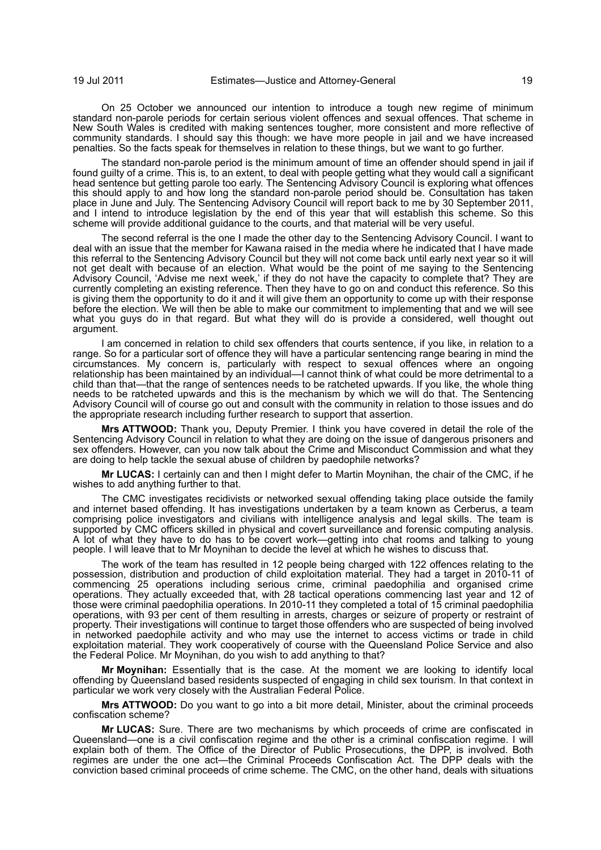On 25 October we announced our intention to introduce a tough new regime of minimum standard non-parole periods for certain serious violent offences and sexual offences. That scheme in New South Wales is credited with making sentences tougher, more consistent and more reflective of community standards. I should say this though: we have more people in jail and we have increased penalties. So the facts speak for themselves in relation to these things, but we want to go further.

The standard non-parole period is the minimum amount of time an offender should spend in jail if found guilty of a crime. This is, to an extent, to deal with people getting what they would call a significant head sentence but getting parole too early. The Sentencing Advisory Council is exploring what offences this should apply to and how long the standard non-parole period should be. Consultation has taken place in June and July. The Sentencing Advisory Council will report back to me by 30 September 2011, and I intend to introduce legislation by the end of this year that will establish this scheme. So this scheme will provide additional guidance to the courts, and that material will be very useful.

The second referral is the one I made the other day to the Sentencing Advisory Council. I want to deal with an issue that the member for Kawana raised in the media where he indicated that I have made this referral to the Sentencing Advisory Council but they will not come back until early next year so it will not get dealt with because of an election. What would be the point of me saying to the Sentencing Advisory Council, 'Advise me next week,' if they do not have the capacity to complete that? They are currently completing an existing reference. Then they have to go on and conduct this reference. So this is giving them the opportunity to do it and it will give them an opportunity to come up with their response before the election. We will then be able to make our commitment to implementing that and we will see what you guys do in that regard. But what they will do is provide a considered, well thought out argument.

I am concerned in relation to child sex offenders that courts sentence, if you like, in relation to a range. So for a particular sort of offence they will have a particular sentencing range bearing in mind the circumstances. My concern is, particularly with respect to sexual offences where an ongoing relationship has been maintained by an individual—I cannot think of what could be more detrimental to a child than that—that the range of sentences needs to be ratcheted upwards. If you like, the whole thing needs to be ratcheted upwards and this is the mechanism by which we will do that. The Sentencing Advisory Council will of course go out and consult with the community in relation to those issues and do the appropriate research including further research to support that assertion.

**Mrs ATTWOOD:** Thank you, Deputy Premier. I think you have covered in detail the role of the Sentencing Advisory Council in relation to what they are doing on the issue of dangerous prisoners and sex offenders. However, can you now talk about the Crime and Misconduct Commission and what they are doing to help tackle the sexual abuse of children by paedophile networks?

**Mr LUCAS:** I certainly can and then I might defer to Martin Moynihan, the chair of the CMC, if he wishes to add anything further to that.

The CMC investigates recidivists or networked sexual offending taking place outside the family and internet based offending. It has investigations undertaken by a team known as Cerberus, a team comprising police investigators and civilians with intelligence analysis and legal skills. The team is supported by CMC officers skilled in physical and covert surveillance and forensic computing analysis. A lot of what they have to do has to be covert work—getting into chat rooms and talking to young people. I will leave that to Mr Moynihan to decide the level at which he wishes to discuss that.

The work of the team has resulted in 12 people being charged with 122 offences relating to the possession, distribution and production of child exploitation material. They had a target in 2010-11 of commencing 25 operations including serious crime, criminal paedophilia and organised crime operations. They actually exceeded that, with 28 tactical operations commencing last year and 12 of those were criminal paedophilia operations. In 2010-11 they completed a total of 15 criminal paedophilia operations, with 93 per cent of them resulting in arrests, charges or seizure of property or restraint of property. Their investigations will continue to target those offenders who are suspected of being involved in networked paedophile activity and who may use the internet to access victims or trade in child exploitation material. They work cooperatively of course with the Queensland Police Service and also the Federal Police. Mr Moynihan, do you wish to add anything to that?

**Mr Moynihan:** Essentially that is the case. At the moment we are looking to identify local offending by Queensland based residents suspected of engaging in child sex tourism. In that context in particular we work very closely with the Australian Federal Police.

**Mrs ATTWOOD:** Do you want to go into a bit more detail, Minister, about the criminal proceeds confiscation scheme?

**Mr LUCAS:** Sure. There are two mechanisms by which proceeds of crime are confiscated in Queensland—one is a civil confiscation regime and the other is a criminal confiscation regime. I will explain both of them. The Office of the Director of Public Prosecutions, the DPP, is involved. Both regimes are under the one act—the Criminal Proceeds Confiscation Act. The DPP deals with the conviction based criminal proceeds of crime scheme. The CMC, on the other hand, deals with situations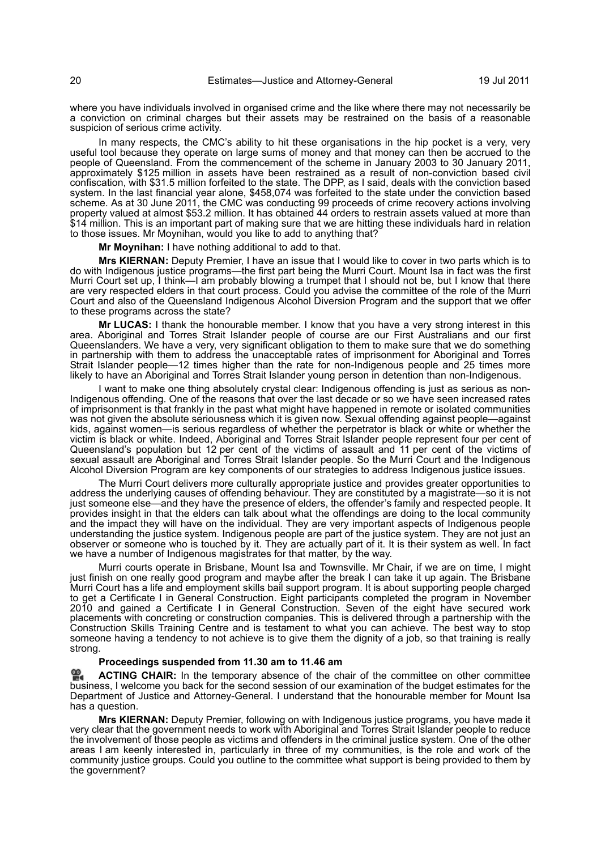where you have individuals involved in organised crime and the like where there may not necessarily be a conviction on criminal charges but their assets may be restrained on the basis of a reasonable suspicion of serious crime activity.

In many respects, the CMC's ability to hit these organisations in the hip pocket is a very, very useful tool because they operate on large sums of money and that money can then be accrued to the people of Queensland. From the commencement of the scheme in January 2003 to 30 January 2011, approximately \$125 million in assets have been restrained as a result of non-conviction based civil confiscation, with \$31.5 million forfeited to the state. The DPP, as I said, deals with the conviction based system. In the last financial year alone, \$458,074 was forfeited to the state under the conviction based scheme. As at 30 June 2011, the CMC was conducting 99 proceeds of crime recovery actions involving property valued at almost \$53.2 million. It has obtained 44 orders to restrain assets valued at more than \$14 million. This is an important part of making sure that we are hitting these individuals hard in relation to those issues. Mr Moynihan, would you like to add to anything that?

**Mr Moynihan:** I have nothing additional to add to that.

**Mrs KIERNAN:** Deputy Premier, I have an issue that I would like to cover in two parts which is to do with Indigenous justice programs—the first part being the Murri Court. Mount Isa in fact was the first Murri Court set up, I think—I am probably blowing a trumpet that I should not be, but I know that there are very respected elders in that court process. Could you advise the committee of the role of the Murri Court and also of the Queensland Indigenous Alcohol Diversion Program and the support that we offer to these programs across the state?

**Mr LUCAS:** I thank the honourable member. I know that you have a very strong interest in this area. Aboriginal and Torres Strait Islander people of course are our First Australians and our first Queenslanders. We have a very, very significant obligation to them to make sure that we do something in partnership with them to address the unacceptable rates of imprisonment for Aboriginal and Torres Strait Islander people—12 times higher than the rate for non-Indigenous people and 25 times more likely to have an Aboriginal and Torres Strait Islander young person in detention than non-Indigenous.

I want to make one thing absolutely crystal clear: Indigenous offending is just as serious as non-Indigenous offending. One of the reasons that over the last decade or so we have seen increased rates of imprisonment is that frankly in the past what might have happened in remote or isolated communities was not given the absolute seriousness which it is given now. Sexual offending against people—against kids, against women—is serious regardless of whether the perpetrator is black or white or whether the victim is black or white. Indeed, Aboriginal and Torres Strait Islander people represent four per cent of Queensland's population but 12 per cent of the victims of assault and 11 per cent of the victims of sexual assault are Aboriginal and Torres Strait Islander people. So the Murri Court and the Indigenous Alcohol Diversion Program are key components of our strategies to address Indigenous justice issues.

The Murri Court delivers more culturally appropriate justice and provides greater opportunities to address the underlying causes of offending behaviour. They are constituted by a magistrate—so it is not just someone else—and they have the presence of elders, the offender's family and respected people. It provides insight in that the elders can talk about what the offendings are doing to the local community and the impact they will have on the individual. They are very important aspects of Indigenous people understanding the justice system. Indigenous people are part of the justice system. They are not just an observer or someone who is touched by it. They are actually part of it. It is their system as well. In fact we have a number of Indigenous magistrates for that matter, by the way.

Murri courts operate in Brisbane, Mount Isa and Townsville. Mr Chair, if we are on time, I might just finish on one really good program and maybe after the break I can take it up again. The Brisbane Murri Court has a life and employment skills bail support program. It is about supporting people charged to get a Certificate I in General Construction. Eight participants completed the program in November 2010 and gained a Certificate I in General Construction. Seven of the eight have secured work placements with concreting or construction companies. This is delivered through a partnership with the Construction Skills Training Centre and is testament to what you can achieve. The best way to stop someone having a tendency to not achieve is to give them the dignity of a job, so that training is really strong.

#### **Proceedings suspended from 11.30 am to 11.46 am**

**ACTING CHAIR:** [In the temporary absence of the chair of the committee on other committee](http://www.parliament.qld.gov.au/docs/find.aspx?id=0Mba20110719_114646) [bus](http://www.parliament.qld.gov.au/docs/find.aspx?id=0Mba20110719_114646)iness, I welcome you back for the second session of our examination of the budget estimates for the [Department of Justice and Attorney-General. I understand that the honourable member for Mount Isa](http://www.parliament.qld.gov.au/docs/find.aspx?id=0Mba20110719_114646) has a question.

**Mrs KIERNAN:** Deputy Premier, following on with Indigenous justice programs, you have made it very clear that the government needs to work with Aboriginal and Torres Strait Islander people to reduce the involvement of those people as victims and offenders in the criminal justice system. One of the other areas I am keenly interested in, particularly in three of my communities, is the role and work of the community justice groups. Could you outline to the committee what support is being provided to them by the government?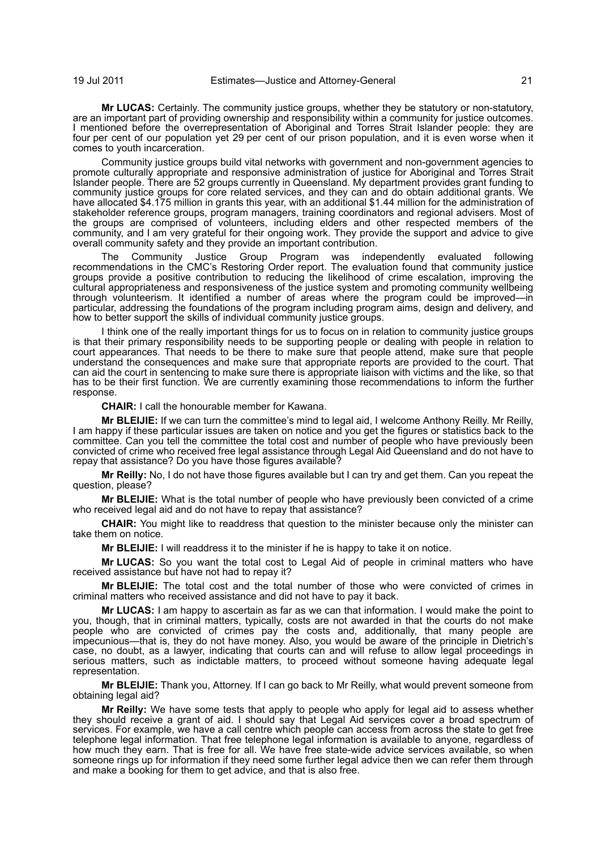**Mr LUCAS:** Certainly. The community justice groups, whether they be statutory or non-statutory, are an important part of providing ownership and responsibility within a community for justice outcomes. I mentioned before the overrepresentation of Aboriginal and Torres Strait Islander people: they are four per cent of our population yet 29 per cent of our prison population, and it is even worse when it comes to youth incarceration.

Community justice groups build vital networks with government and non-government agencies to promote culturally appropriate and responsive administration of justice for Aboriginal and Torres Strait Islander people. There are 52 groups currently in Queensland. My department provides grant funding to community justice groups for core related services, and they can and do obtain additional grants. We have allocated \$4.175 million in grants this year, with an additional \$1.44 million for the administration of stakeholder reference groups, program managers, training coordinators and regional advisers. Most of the groups are comprised of volunteers, including elders and other respected members of the community, and I am very grateful for their ongoing work. They provide the support and advice to give overall community safety and they provide an important contribution.

The Community Justice Group Program was independently evaluated following recommendations in the CMC's Restoring Order report. The evaluation found that community justice groups provide a positive contribution to reducing the likelihood of crime escalation, improving the cultural appropriateness and responsiveness of the justice system and promoting community wellbeing through volunteerism. It identified a number of areas where the program could be improved—in particular, addressing the foundations of the program including program aims, design and delivery, and how to better support the skills of individual community justice groups.

I think one of the really important things for us to focus on in relation to community justice groups is that their primary responsibility needs to be supporting people or dealing with people in relation to court appearances. That needs to be there to make sure that people attend, make sure that people understand the consequences and make sure that appropriate reports are provided to the court. That can aid the court in sentencing to make sure there is appropriate liaison with victims and the like, so that has to be their first function. We are currently examining those recommendations to inform the further response.

**CHAIR:** I call the honourable member for Kawana.

**Mr BLEIJIE:** If we can turn the committee's mind to legal aid, I welcome Anthony Reilly. Mr Reilly, I am happy if these particular issues are taken on notice and you get the figures or statistics back to the committee. Can you tell the committee the total cost and number of people who have previously been convicted of crime who received free legal assistance through Legal Aid Queensland and do not have to repay that assistance? Do you have those figures available?

**Mr Reilly:** No, I do not have those figures available but I can try and get them. Can you repeat the question, please?

**Mr BLEIJIE:** What is the total number of people who have previously been convicted of a crime who received legal aid and do not have to repay that assistance?

**CHAIR:** You might like to readdress that question to the minister because only the minister can take them on notice.

**Mr BLEIJIE:** I will readdress it to the minister if he is happy to take it on notice.

**Mr LUCAS:** So you want the total cost to Legal Aid of people in criminal matters who have received assistance but have not had to repay it?

**Mr BLEIJIE:** The total cost and the total number of those who were convicted of crimes in criminal matters who received assistance and did not have to pay it back.

**Mr LUCAS:** I am happy to ascertain as far as we can that information. I would make the point to you, though, that in criminal matters, typically, costs are not awarded in that the courts do not make people who are convicted of crimes pay the costs and, additionally, that many people are impecunious—that is, they do not have money. Also, you would be aware of the principle in Dietrich's case, no doubt, as a lawyer, indicating that courts can and will refuse to allow legal proceedings in serious matters, such as indictable matters, to proceed without someone having adequate legal representation.

**Mr BLEIJIE:** Thank you, Attorney. If I can go back to Mr Reilly, what would prevent someone from obtaining legal aid?

**Mr Reilly:** We have some tests that apply to people who apply for legal aid to assess whether they should receive a grant of aid. I should say that Legal Aid services cover a broad spectrum of services. For example, we have a call centre which people can access from across the state to get free telephone legal information. That free telephone legal information is available to anyone, regardless of how much they earn. That is free for all. We have free state-wide advice services available, so when someone rings up for information if they need some further legal advice then we can refer them through and make a booking for them to get advice, and that is also free.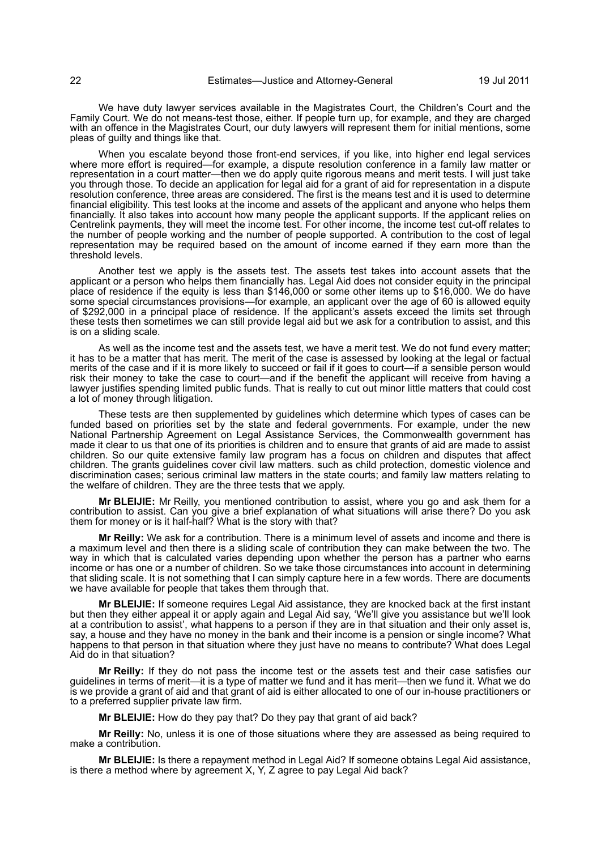We have duty lawyer services available in the Magistrates Court, the Children's Court and the Family Court. We do not means-test those, either. If people turn up, for example, and they are charged with an offence in the Magistrates Court, our duty lawyers will represent them for initial mentions, some pleas of guilty and things like that.

When you escalate beyond those front-end services, if you like, into higher end legal services where more effort is required—for example, a dispute resolution conference in a family law matter or representation in a court matter—then we do apply quite rigorous means and merit tests. I will just take you through those. To decide an application for legal aid for a grant of aid for representation in a dispute resolution conference, three areas are considered. The first is the means test and it is used to determine financial eligibility. This test looks at the income and assets of the applicant and anyone who helps them financially. It also takes into account how many people the applicant supports. If the applicant relies on Centrelink payments, they will meet the income test. For other income, the income test cut-off relates to the number of people working and the number of people supported. A contribution to the cost of legal representation may be required based on the amount of income earned if they earn more than the threshold levels.

Another test we apply is the assets test. The assets test takes into account assets that the applicant or a person who helps them financially has. Legal Aid does not consider equity in the principal place of residence if the equity is less than \$146,000 or some other items up to \$16,000. We do have some special circumstances provisions—for example, an applicant over the age of 60 is allowed equity of \$292,000 in a principal place of residence. If the applicant's assets exceed the limits set through these tests then sometimes we can still provide legal aid but we ask for a contribution to assist, and this is on a sliding scale.

As well as the income test and the assets test, we have a merit test. We do not fund every matter; it has to be a matter that has merit. The merit of the case is assessed by looking at the legal or factual merits of the case and if it is more likely to succeed or fail if it goes to court—if a sensible person would risk their money to take the case to court—and if the benefit the applicant will receive from having a lawyer justifies spending limited public funds. That is really to cut out minor little matters that could cost a lot of money through litigation.

These tests are then supplemented by guidelines which determine which types of cases can be funded based on priorities set by the state and federal governments. For example, under the new National Partnership Agreement on Legal Assistance Services, the Commonwealth government has made it clear to us that one of its priorities is children and to ensure that grants of aid are made to assist children. So our quite extensive family law program has a focus on children and disputes that affect children. The grants guidelines cover civil law matters. such as child protection, domestic violence and discrimination cases; serious criminal law matters in the state courts; and family law matters relating to the welfare of children. They are the three tests that we apply.

**Mr BLEIJIE:** Mr Reilly, you mentioned contribution to assist, where you go and ask them for a contribution to assist. Can you give a brief explanation of what situations will arise there? Do you ask them for money or is it half-half? What is the story with that?

**Mr Reilly:** We ask for a contribution. There is a minimum level of assets and income and there is a maximum level and then there is a sliding scale of contribution they can make between the two. The way in which that is calculated varies depending upon whether the person has a partner who earns income or has one or a number of children. So we take those circumstances into account in determining that sliding scale. It is not something that I can simply capture here in a few words. There are documents we have available for people that takes them through that.

**Mr BLEIJIE:** If someone requires Legal Aid assistance, they are knocked back at the first instant but then they either appeal it or apply again and Legal Aid say, 'We'll give you assistance but we'll look at a contribution to assist', what happens to a person if they are in that situation and their only asset is, say, a house and they have no money in the bank and their income is a pension or single income? What happens to that person in that situation where they just have no means to contribute? What does Legal Aid do in that situation?

**Mr Reilly:** If they do not pass the income test or the assets test and their case satisfies our guidelines in terms of merit—it is a type of matter we fund and it has merit—then we fund it. What we do is we provide a grant of aid and that grant of aid is either allocated to one of our in-house practitioners or to a preferred supplier private law firm.

**Mr BLEIJIE:** How do they pay that? Do they pay that grant of aid back?

**Mr Reilly:** No, unless it is one of those situations where they are assessed as being required to make a contribution.

**Mr BLEIJIE:** Is there a repayment method in Legal Aid? If someone obtains Legal Aid assistance, is there a method where by agreement X, Y, Z agree to pay Legal Aid back?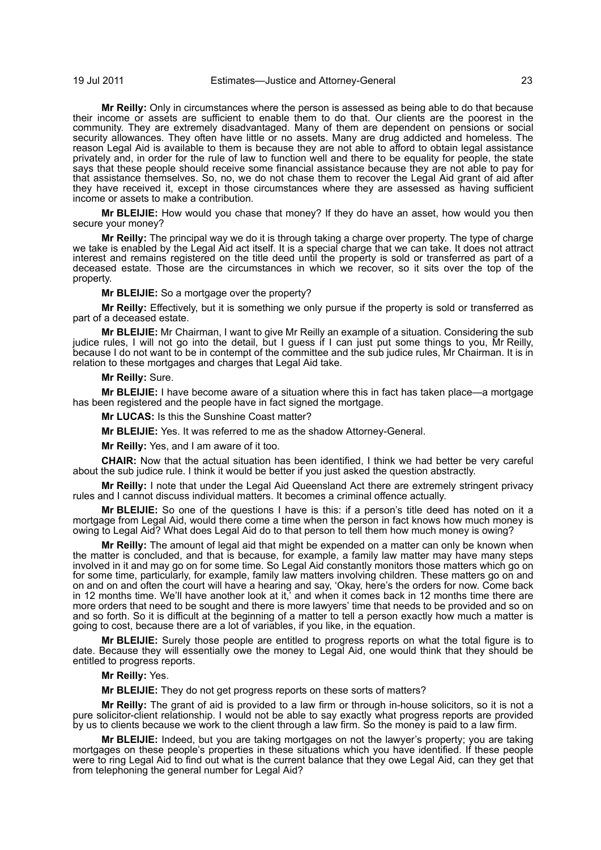#### 19 Jul 2011 Estimates—Justice and Attorney-General 23

**Mr Reilly:** Only in circumstances where the person is assessed as being able to do that because their income or assets are sufficient to enable them to do that. Our clients are the poorest in the community. They are extremely disadvantaged. Many of them are dependent on pensions or social security allowances. They often have little or no assets. Many are drug addicted and homeless. The reason Legal Aid is available to them is because they are not able to afford to obtain legal assistance privately and, in order for the rule of law to function well and there to be equality for people, the state says that these people should receive some financial assistance because they are not able to pay for that assistance themselves. So, no, we do not chase them to recover the Legal Aid grant of aid after they have received it, except in those circumstances where they are assessed as having sufficient income or assets to make a contribution.

**Mr BLEIJIE:** How would you chase that money? If they do have an asset, how would you then secure your money?

**Mr Reilly:** The principal way we do it is through taking a charge over property. The type of charge we take is enabled by the Legal Aid act itself. It is a special charge that we can take. It does not attract interest and remains registered on the title deed until the property is sold or transferred as part of a deceased estate. Those are the circumstances in which we recover, so it sits over the top of the property.

**Mr BLEIJIE:** So a mortgage over the property?

**Mr Reilly:** Effectively, but it is something we only pursue if the property is sold or transferred as part of a deceased estate.

**Mr BLEIJIE:** Mr Chairman, I want to give Mr Reilly an example of a situation. Considering the sub judice rules, I will not go into the detail, but I guess if I can just put some things to you, Mr Reilly, because I do not want to be in contempt of the committee and the sub judice rules, Mr Chairman. It is in relation to these mortgages and charges that Legal Aid take.

**Mr Reilly:** Sure.

**Mr BLEIJIE:** I have become aware of a situation where this in fact has taken place—a mortgage has been registered and the people have in fact signed the mortgage.

**Mr LUCAS:** Is this the Sunshine Coast matter?

**Mr BLEIJIE:** Yes. It was referred to me as the shadow Attorney-General.

**Mr Reilly:** Yes, and I am aware of it too.

**CHAIR:** Now that the actual situation has been identified, I think we had better be very careful about the sub judice rule. I think it would be better if you just asked the question abstractly.

**Mr Reilly:** I note that under the Legal Aid Queensland Act there are extremely stringent privacy rules and I cannot discuss individual matters. It becomes a criminal offence actually.

**Mr BLEIJIE:** So one of the questions I have is this: if a person's title deed has noted on it a mortgage from Legal Aid, would there come a time when the person in fact knows how much money is owing to Legal Aid? What does Legal Aid do to that person to tell them how much money is owing?

**Mr Reilly:** The amount of legal aid that might be expended on a matter can only be known when the matter is concluded, and that is because, for example, a family law matter may have many steps involved in it and may go on for some time. So Legal Aid constantly monitors those matters which go on for some time, particularly, for example, family law matters involving children. These matters go on and on and on and often the court will have a hearing and say, 'Okay, here's the orders for now. Come back in 12 months time. We'll have another look at it,' and when it comes back in 12 months time there are more orders that need to be sought and there is more lawyers' time that needs to be provided and so on and so forth. So it is difficult at the beginning of a matter to tell a person exactly how much a matter is going to cost, because there are a lot of variables, if you like, in the equation.

**Mr BLEIJIE:** Surely those people are entitled to progress reports on what the total figure is to date. Because they will essentially owe the money to Legal Aid, one would think that they should be entitled to progress reports.

**Mr Reilly:** Yes.

**Mr BLEIJIE:** They do not get progress reports on these sorts of matters?

**Mr Reilly:** The grant of aid is provided to a law firm or through in-house solicitors, so it is not a pure solicitor-client relationship. I would not be able to say exactly what progress reports are provided by us to clients because we work to the client through a law firm. So the money is paid to a law firm.

**Mr BLEIJIE:** Indeed, but you are taking mortgages on not the lawyer's property; you are taking mortgages on these people's properties in these situations which you have identified. If these people were to ring Legal Aid to find out what is the current balance that they owe Legal Aid, can they get that from telephoning the general number for Legal Aid?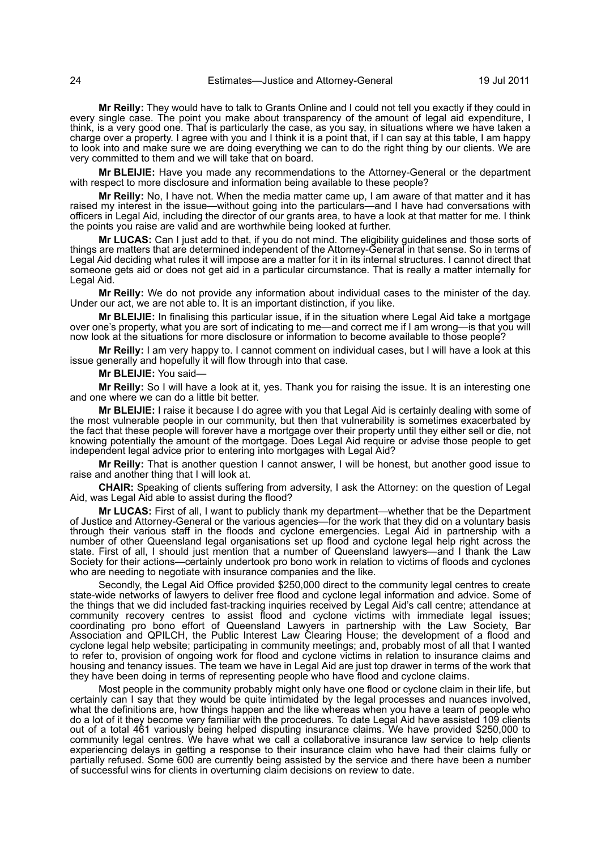**Mr Reilly:** They would have to talk to Grants Online and I could not tell you exactly if they could in every single case. The point you make about transparency of the amount of legal aid expenditure, I think, is a very good one. That is particularly the case, as you say, in situations where we have taken a charge over a property. I agree with you and I think it is a point that, if I can say at this table, I am happy to look into and make sure we are doing everything we can to do the right thing by our clients. We are very committed to them and we will take that on board.

**Mr BLEIJIE:** Have you made any recommendations to the Attorney-General or the department with respect to more disclosure and information being available to these people?

**Mr Reilly:** No, I have not. When the media matter came up, I am aware of that matter and it has raised my interest in the issue—without going into the particulars—and I have had conversations with officers in Legal Aid, including the director of our grants area, to have a look at that matter for me. I think the points you raise are valid and are worthwhile being looked at further.

**Mr LUCAS:** Can I just add to that, if you do not mind. The eligibility guidelines and those sorts of things are matters that are determined independent of the Attorney-General in that sense. So in terms of Legal Aid deciding what rules it will impose are a matter for it in its internal structures. I cannot direct that someone gets aid or does not get aid in a particular circumstance. That is really a matter internally for Legal Aid.

**Mr Reilly:** We do not provide any information about individual cases to the minister of the day. Under our act, we are not able to. It is an important distinction, if you like.

**Mr BLEIJIE:** In finalising this particular issue, if in the situation where Legal Aid take a mortgage over one's property, what you are sort of indicating to me—and correct me if I am wrong—is that you will now look at the situations for more disclosure or information to become available to those people?

**Mr Reilly:** I am very happy to. I cannot comment on individual cases, but I will have a look at this issue generally and hopefully it will flow through into that case.

**Mr BLEIJIE:** You said—

**Mr Reilly:** So I will have a look at it, yes. Thank you for raising the issue. It is an interesting one and one where we can do a little bit better.

**Mr BLEIJIE:** I raise it because I do agree with you that Legal Aid is certainly dealing with some of the most vulnerable people in our community, but then that vulnerability is sometimes exacerbated by the fact that these people will forever have a mortgage over their property until they either sell or die, not knowing potentially the amount of the mortgage. Does Legal Aid require or advise those people to get independent legal advice prior to entering into mortgages with Legal Aid?

**Mr Reilly:** That is another question I cannot answer, I will be honest, but another good issue to raise and another thing that I will look at.

**CHAIR:** Speaking of clients suffering from adversity, I ask the Attorney: on the question of Legal Aid, was Legal Aid able to assist during the flood?

**Mr LUCAS:** First of all, I want to publicly thank my department—whether that be the Department of Justice and Attorney-General or the various agencies—for the work that they did on a voluntary basis through their various staff in the floods and cyclone emergencies. Legal Aid in partnership with a number of other Queensland legal organisations set up flood and cyclone legal help right across the state. First of all, I should just mention that a number of Queensland lawyers—and I thank the Law Society for their actions—certainly undertook pro bono work in relation to victims of floods and cyclones who are needing to negotiate with insurance companies and the like.

Secondly, the Legal Aid Office provided \$250,000 direct to the community legal centres to create state-wide networks of lawyers to deliver free flood and cyclone legal information and advice. Some of the things that we did included fast-tracking inquiries received by Legal Aid's call centre; attendance at community recovery centres to assist flood and cyclone victims with immediate legal issues; coordinating pro bono effort of Queensland Lawyers in partnership with the Law Society, Bar Association and QPILCH, the Public Interest Law Clearing House; the development of a flood and cyclone legal help website; participating in community meetings; and, probably most of all that I wanted to refer to, provision of ongoing work for flood and cyclone victims in relation to insurance claims and housing and tenancy issues. The team we have in Legal Aid are just top drawer in terms of the work that they have been doing in terms of representing people who have flood and cyclone claims.

Most people in the community probably might only have one flood or cyclone claim in their life, but certainly can I say that they would be quite intimidated by the legal processes and nuances involved, what the definitions are, how things happen and the like whereas when you have a team of people who do a lot of it they become very familiar with the procedures. To date Legal Aid have assisted 109 clients out of a total 461 variously being helped disputing insurance claims. We have provided \$250,000 to community legal centres. We have what we call a collaborative insurance law service to help clients experiencing delays in getting a response to their insurance claim who have had their claims fully or partially refused. Some 600 are currently being assisted by the service and there have been a number of successful wins for clients in overturning claim decisions on review to date.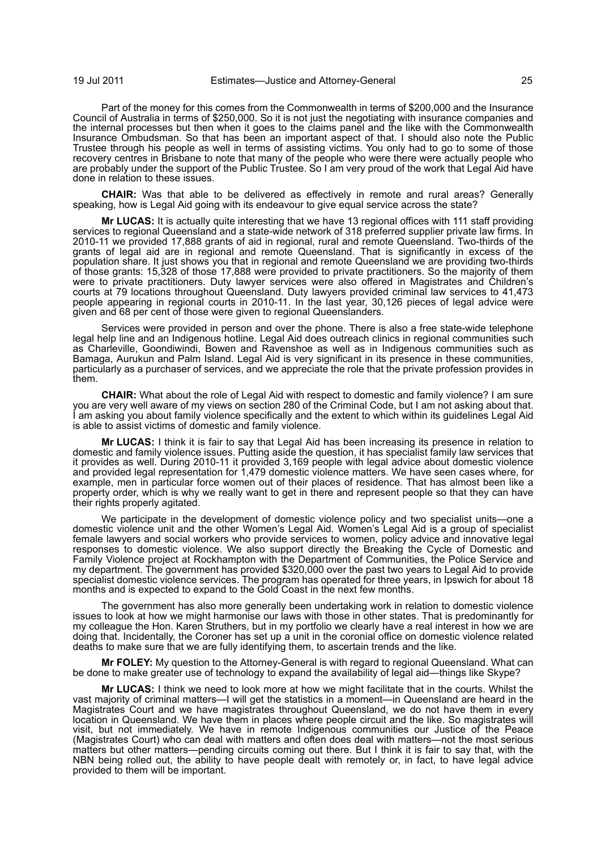Part of the money for this comes from the Commonwealth in terms of \$200,000 and the Insurance Council of Australia in terms of \$250,000. So it is not just the negotiating with insurance companies and the internal processes but then when it goes to the claims panel and the like with the Commonwealth Insurance Ombudsman. So that has been an important aspect of that. I should also note the Public Trustee through his people as well in terms of assisting victims. You only had to go to some of those recovery centres in Brisbane to note that many of the people who were there were actually people who are probably under the support of the Public Trustee. So I am very proud of the work that Legal Aid have done in relation to these issues.

**CHAIR:** Was that able to be delivered as effectively in remote and rural areas? Generally speaking, how is Legal Aid going with its endeavour to give equal service across the state?

**Mr LUCAS:** It is actually quite interesting that we have 13 regional offices with 111 staff providing services to regional Queensland and a state-wide network of 318 preferred supplier private law firms. In 2010-11 we provided 17,888 grants of aid in regional, rural and remote Queensland. Two-thirds of the grants of legal aid are in regional and remote Queensland. That is significantly in excess of the population share. It just shows you that in regional and remote Queensland we are providing two-thirds of those grants: 15,328 of those 17,888 were provided to private practitioners. So the majority of them were to private practitioners. Duty lawyer services were also offered in Magistrates and Children's courts at 79 locations throughout Queensland. Duty lawyers provided criminal law services to 41,473 people appearing in regional courts in 2010-11. In the last year, 30,126 pieces of legal advice were given and 68 per cent of those were given to regional Queenslanders.

Services were provided in person and over the phone. There is also a free state-wide telephone legal help line and an Indigenous hotline. Legal Aid does outreach clinics in regional communities such as Charleville, Goondiwindi, Bowen and Ravenshoe as well as in Indigenous communities such as Bamaga, Aurukun and Palm Island. Legal Aid is very significant in its presence in these communities, particularly as a purchaser of services, and we appreciate the role that the private profession provides in them.

**CHAIR:** What about the role of Legal Aid with respect to domestic and family violence? I am sure you are very well aware of my views on section 280 of the Criminal Code, but I am not asking about that. I am asking you about family violence specifically and the extent to which within its guidelines Legal Aid is able to assist victims of domestic and family violence.

**Mr LUCAS:** I think it is fair to say that Legal Aid has been increasing its presence in relation to domestic and family violence issues. Putting aside the question, it has specialist family law services that it provides as well. During 2010-11 it provided 3,169 people with legal advice about domestic violence and provided legal representation for 1,479 domestic violence matters. We have seen cases where, for example, men in particular force women out of their places of residence. That has almost been like a property order, which is why we really want to get in there and represent people so that they can have their rights properly agitated.

We participate in the development of domestic violence policy and two specialist units—one a domestic violence unit and the other Women's Legal Aid. Women's Legal Aid is a group of specialist female lawyers and social workers who provide services to women, policy advice and innovative legal responses to domestic violence. We also support directly the Breaking the Cycle of Domestic and Family Violence project at Rockhampton with the Department of Communities, the Police Service and my department. The government has provided \$320,000 over the past two years to Legal Aid to provide specialist domestic violence services. The program has operated for three years, in Ipswich for about 18 months and is expected to expand to the Gold Coast in the next few months.

The government has also more generally been undertaking work in relation to domestic violence issues to look at how we might harmonise our laws with those in other states. That is predominantly for my colleague the Hon. Karen Struthers, but in my portfolio we clearly have a real interest in how we are doing that. Incidentally, the Coroner has set up a unit in the coronial office on domestic violence related deaths to make sure that we are fully identifying them, to ascertain trends and the like.

**Mr FOLEY:** My question to the Attorney-General is with regard to regional Queensland. What can be done to make greater use of technology to expand the availability of legal aid—things like Skype?

**Mr LUCAS:** I think we need to look more at how we might facilitate that in the courts. Whilst the vast majority of criminal matters—I will get the statistics in a moment—in Queensland are heard in the Magistrates Court and we have magistrates throughout Queensland, we do not have them in every location in Queensland. We have them in places where people circuit and the like. So magistrates will visit, but not immediately. We have in remote Indigenous communities our Justice of the Peace (Magistrates Court) who can deal with matters and often does deal with matters—not the most serious matters but other matters—pending circuits coming out there. But I think it is fair to say that, with the NBN being rolled out, the ability to have people dealt with remotely or, in fact, to have legal advice provided to them will be important.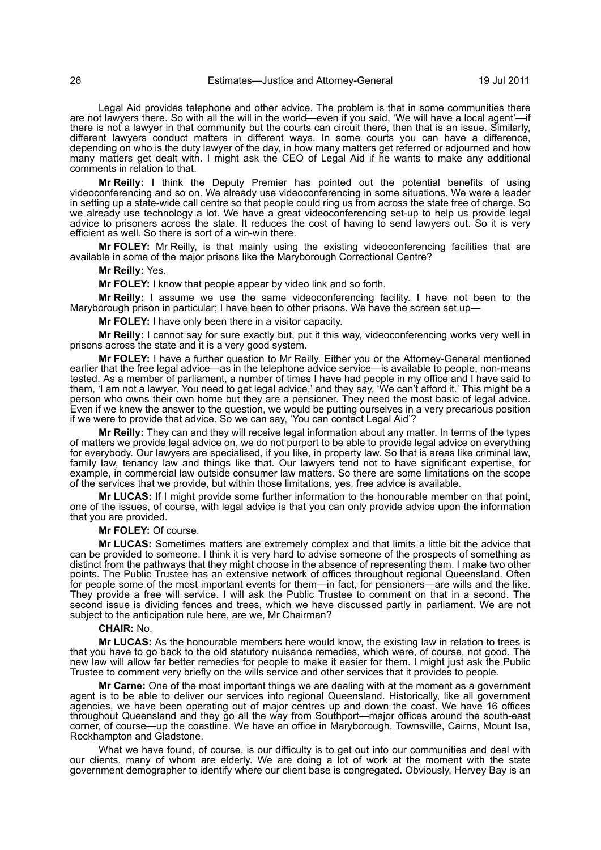Legal Aid provides telephone and other advice. The problem is that in some communities there are not lawyers there. So with all the will in the world—even if you said, 'We will have a local agent'—if there is not a lawyer in that community but the courts can circuit there, then that is an issue. Similarly, different lawyers conduct matters in different ways. In some courts you can have a difference, depending on who is the duty lawyer of the day, in how many matters get referred or adjourned and how many matters get dealt with. I might ask the CEO of Legal Aid if he wants to make any additional comments in relation to that.

**Mr Reilly:** I think the Deputy Premier has pointed out the potential benefits of using videoconferencing and so on. We already use videoconferencing in some situations. We were a leader in setting up a state-wide call centre so that people could ring us from across the state free of charge. So we already use technology a lot. We have a great videoconferencing set-up to help us provide legal advice to prisoners across the state. It reduces the cost of having to send lawyers out. So it is very efficient as well. So there is sort of a win-win there.

**Mr FOLEY:** Mr Reilly, is that mainly using the existing videoconferencing facilities that are available in some of the major prisons like the Maryborough Correctional Centre?

#### **Mr Reilly:** Yes.

**Mr FOLEY:** I know that people appear by video link and so forth.

**Mr Reilly:** I assume we use the same videoconferencing facility. I have not been to the Maryborough prison in particular; I have been to other prisons. We have the screen set up-

**Mr FOLEY:** I have only been there in a visitor capacity.

**Mr Reilly:** I cannot say for sure exactly but, put it this way, videoconferencing works very well in prisons across the state and it is a very good system.

**Mr FOLEY:** I have a further question to Mr Reilly. Either you or the Attorney-General mentioned earlier that the free legal advice—as in the telephone advice service—is available to people, non-means tested. As a member of parliament, a number of times I have had people in my office and I have said to them, 'I am not a lawyer. You need to get legal advice,' and they say, 'We can't afford it.' This might be a person who owns their own home but they are a pensioner. They need the most basic of legal advice. Even if we knew the answer to the question, we would be putting ourselves in a very precarious position if we were to provide that advice. So we can say, 'You can contact Legal Aid'?

**Mr Reilly:** They can and they will receive legal information about any matter. In terms of the types of matters we provide legal advice on, we do not purport to be able to provide legal advice on everything for everybody. Our lawyers are specialised, if you like, in property law. So that is areas like criminal law, family law, tenancy law and things like that. Our lawyers tend not to have significant expertise, for example, in commercial law outside consumer law matters. So there are some limitations on the scope of the services that we provide, but within those limitations, yes, free advice is available.

**Mr LUCAS:** If I might provide some further information to the honourable member on that point, one of the issues, of course, with legal advice is that you can only provide advice upon the information that you are provided.

#### **Mr FOLEY:** Of course.

**Mr LUCAS:** Sometimes matters are extremely complex and that limits a little bit the advice that can be provided to someone. I think it is very hard to advise someone of the prospects of something as distinct from the pathways that they might choose in the absence of representing them. I make two other points. The Public Trustee has an extensive network of offices throughout regional Queensland. Often for people some of the most important events for them—in fact, for pensioners—are wills and the like. They provide a free will service. I will ask the Public Trustee to comment on that in a second. The second issue is dividing fences and trees, which we have discussed partly in parliament. We are not subject to the anticipation rule here, are we, Mr Chairman?

#### **CHAIR:** No.

**Mr LUCAS:** As the honourable members here would know, the existing law in relation to trees is that you have to go back to the old statutory nuisance remedies, which were, of course, not good. The new law will allow far better remedies for people to make it easier for them. I might just ask the Public Trustee to comment very briefly on the wills service and other services that it provides to people.

**Mr Carne:** One of the most important things we are dealing with at the moment as a government agent is to be able to deliver our services into regional Queensland. Historically, like all government agencies, we have been operating out of major centres up and down the coast. We have 16 offices throughout Queensland and they go all the way from Southport—major offices around the south-east corner, of course—up the coastline. We have an office in Maryborough, Townsville, Cairns, Mount Isa, Rockhampton and Gladstone.

What we have found, of course, is our difficulty is to get out into our communities and deal with our clients, many of whom are elderly. We are doing a lot of work at the moment with the state government demographer to identify where our client base is congregated. Obviously, Hervey Bay is an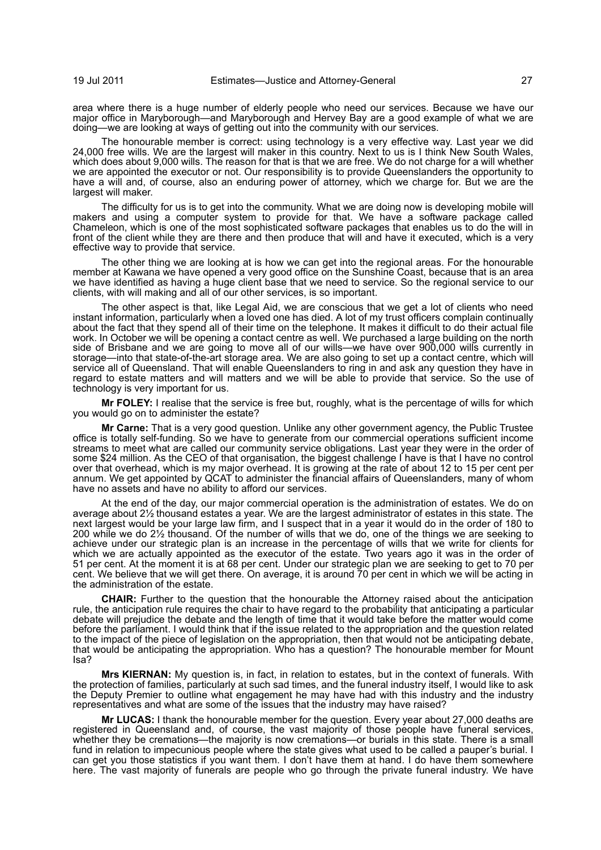area where there is a huge number of elderly people who need our services. Because we have our major office in Maryborough—and Maryborough and Hervey Bay are a good example of what we are doing—we are looking at ways of getting out into the community with our services.

The honourable member is correct: using technology is a very effective way. Last year we did 24,000 free wills. We are the largest will maker in this country. Next to us is I think New South Wales, which does about 9,000 wills. The reason for that is that we are free. We do not charge for a will whether we are appointed the executor or not. Our responsibility is to provide Queenslanders the opportunity to have a will and, of course, also an enduring power of attorney, which we charge for. But we are the largest will maker.

The difficulty for us is to get into the community. What we are doing now is developing mobile will makers and using a computer system to provide for that. We have a software package called Chameleon, which is one of the most sophisticated software packages that enables us to do the will in front of the client while they are there and then produce that will and have it executed, which is a very effective way to provide that service.

The other thing we are looking at is how we can get into the regional areas. For the honourable member at Kawana we have opened a very good office on the Sunshine Coast, because that is an area we have identified as having a huge client base that we need to service. So the regional service to our clients, with will making and all of our other services, is so important.

The other aspect is that, like Legal Aid, we are conscious that we get a lot of clients who need instant information, particularly when a loved one has died. A lot of my trust officers complain continually about the fact that they spend all of their time on the telephone. It makes it difficult to do their actual file work. In October we will be opening a contact centre as well. We purchased a large building on the north side of Brisbane and we are going to move all of our wills—we have over 900,000 wills currently in storage—into that state-of-the-art storage area. We are also going to set up a contact centre, which will service all of Queensland. That will enable Queenslanders to ring in and ask any question they have in regard to estate matters and will matters and we will be able to provide that service. So the use of technology is very important for us.

**Mr FOLEY:** I realise that the service is free but, roughly, what is the percentage of wills for which you would go on to administer the estate?

**Mr Carne:** That is a very good question. Unlike any other government agency, the Public Trustee office is totally self-funding. So we have to generate from our commercial operations sufficient income streams to meet what are called our community service obligations. Last year they were in the order of some \$24 million. As the CEO of that organisation, the biggest challenge I have is that I have no control over that overhead, which is my major overhead. It is growing at the rate of about 12 to 15 per cent per annum. We get appointed by QCAT to administer the financial affairs of Queenslanders, many of whom have no assets and have no ability to afford our services.

At the end of the day, our major commercial operation is the administration of estates. We do on average about 2½ thousand estates a year. We are the largest administrator of estates in this state. The next largest would be your large law firm, and I suspect that in a year it would do in the order of 180 to 200 while we do 2½ thousand. Of the number of wills that we do, one of the things we are seeking to achieve under our strategic plan is an increase in the percentage of wills that we write for clients for which we are actually appointed as the executor of the estate. Two years ago it was in the order of 51 per cent. At the moment it is at 68 per cent. Under our strategic plan we are seeking to get to 70 per cent. We believe that we will get there. On average, it is around 70 per cent in which we will be acting in the administration of the estate.

**CHAIR:** Further to the question that the honourable the Attorney raised about the anticipation rule, the anticipation rule requires the chair to have regard to the probability that anticipating a particular debate will prejudice the debate and the length of time that it would take before the matter would come before the parliament. I would think that if the issue related to the appropriation and the question related to the impact of the piece of legislation on the appropriation, then that would not be anticipating debate, that would be anticipating the appropriation. Who has a question? The honourable member for Mount Isa?

**Mrs KIERNAN:** My question is, in fact, in relation to estates, but in the context of funerals. With the protection of families, particularly at such sad times, and the funeral industry itself, I would like to ask the Deputy Premier to outline what engagement he may have had with this industry and the industry representatives and what are some of the issues that the industry may have raised?

**Mr LUCAS:** I thank the honourable member for the question. Every year about 27,000 deaths are registered in Queensland and, of course, the vast majority of those people have funeral services, whether they be cremations—the majority is now cremations—or burials in this state. There is a small fund in relation to impecunious people where the state gives what used to be called a pauper's burial. I can get you those statistics if you want them. I don't have them at hand. I do have them somewhere here. The vast majority of funerals are people who go through the private funeral industry. We have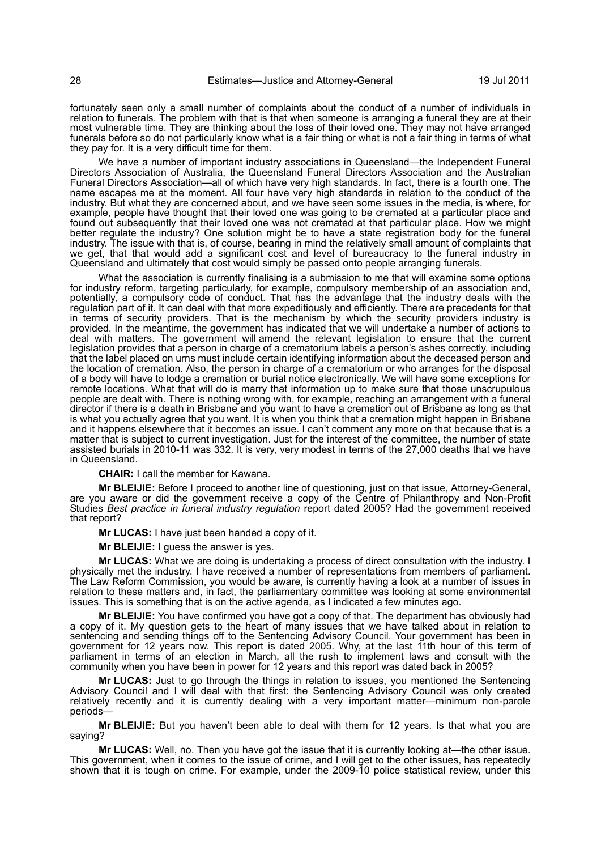fortunately seen only a small number of complaints about the conduct of a number of individuals in relation to funerals. The problem with that is that when someone is arranging a funeral they are at their most vulnerable time. They are thinking about the loss of their loved one. They may not have arranged funerals before so do not particularly know what is a fair thing or what is not a fair thing in terms of what they pay for. It is a very difficult time for them.

We have a number of important industry associations in Queensland—the Independent Funeral Directors Association of Australia, the Queensland Funeral Directors Association and the Australian Funeral Directors Association—all of which have very high standards. In fact, there is a fourth one. The name escapes me at the moment. All four have very high standards in relation to the conduct of the industry. But what they are concerned about, and we have seen some issues in the media, is where, for example, people have thought that their loved one was going to be cremated at a particular place and found out subsequently that their loved one was not cremated at that particular place. How we might better regulate the industry? One solution might be to have a state registration body for the funeral industry. The issue with that is, of course, bearing in mind the relatively small amount of complaints that we get, that that would add a significant cost and level of bureaucracy to the funeral industry in Queensland and ultimately that cost would simply be passed onto people arranging funerals.

What the association is currently finalising is a submission to me that will examine some options for industry reform, targeting particularly, for example, compulsory membership of an association and, potentially, a compulsory code of conduct. That has the advantage that the industry deals with the regulation part of it. It can deal with that more expeditiously and efficiently. There are precedents for that in terms of security providers. That is the mechanism by which the security providers industry is provided. In the meantime, the government has indicated that we will undertake a number of actions to deal with matters. The government will amend the relevant legislation to ensure that the current legislation provides that a person in charge of a crematorium labels a person's ashes correctly, including that the label placed on urns must include certain identifying information about the deceased person and the location of cremation. Also, the person in charge of a crematorium or who arranges for the disposal of a body will have to lodge a cremation or burial notice electronically. We will have some exceptions for remote locations. What that will do is marry that information up to make sure that those unscrupulous people are dealt with. There is nothing wrong with, for example, reaching an arrangement with a funeral director if there is a death in Brisbane and you want to have a cremation out of Brisbane as long as that is what you actually agree that you want. It is when you think that a cremation might happen in Brisbane and it happens elsewhere that it becomes an issue. I can't comment any more on that because that is a matter that is subject to current investigation. Just for the interest of the committee, the number of state assisted burials in 2010-11 was 332. It is very, very modest in terms of the 27,000 deaths that we have in Queensland.

**CHAIR:** I call the member for Kawana.

**Mr BLEIJIE:** Before I proceed to another line of questioning, just on that issue, Attorney-General, are you aware or did the government receive a copy of the Centre of Philanthropy and Non-Profit Studies *Best practice in funeral industry regulation* report dated 2005? Had the government received that report?

**Mr LUCAS:** I have just been handed a copy of it.

**Mr BLEIJIE:** I guess the answer is yes.

**Mr LUCAS:** What we are doing is undertaking a process of direct consultation with the industry. I physically met the industry. I have received a number of representations from members of parliament. The Law Reform Commission, you would be aware, is currently having a look at a number of issues in relation to these matters and, in fact, the parliamentary committee was looking at some environmental issues. This is something that is on the active agenda, as I indicated a few minutes ago.

**Mr BLEIJIE:** You have confirmed you have got a copy of that. The department has obviously had a copy of it. My question gets to the heart of many issues that we have talked about in relation to sentencing and sending things off to the Sentencing Advisory Council. Your government has been in government for 12 years now. This report is dated 2005. Why, at the last 11th hour of this term of parliament in terms of an election in March, all the rush to implement laws and consult with the community when you have been in power for 12 years and this report was dated back in 2005?

**Mr LUCAS:** Just to go through the things in relation to issues, you mentioned the Sentencing Advisory Council and I will deal with that first: the Sentencing Advisory Council was only created relatively recently and it is currently dealing with a very important matter—minimum non-parole periods—

**Mr BLEIJIE:** But you haven't been able to deal with them for 12 years. Is that what you are saying?

**Mr LUCAS:** Well, no. Then you have got the issue that it is currently looking at—the other issue. This government, when it comes to the issue of crime, and I will get to the other issues, has repeatedly shown that it is tough on crime. For example, under the 2009-10 police statistical review, under this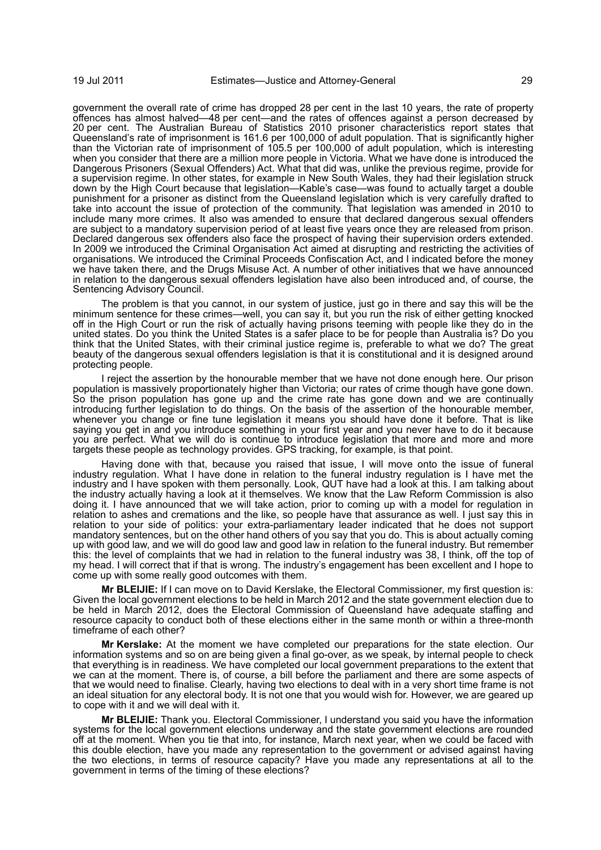government the overall rate of crime has dropped 28 per cent in the last 10 years, the rate of property offences has almost halved—48 per cent—and the rates of offences against a person decreased by 20 per cent. The Australian Bureau of Statistics 2010 prisoner characteristics report states that Queensland's rate of imprisonment is 161.6 per 100,000 of adult population. That is significantly higher than the Victorian rate of imprisonment of 105.5 per 100,000 of adult population, which is interesting when you consider that there are a million more people in Victoria. What we have done is introduced the Dangerous Prisoners (Sexual Offenders) Act. What that did was, unlike the previous regime, provide for a supervision regime. In other states, for example in New South Wales, they had their legislation struck down by the High Court because that legislation—Kable's case—was found to actually target a double punishment for a prisoner as distinct from the Queensland legislation which is very carefully drafted to take into account the issue of protection of the community. That legislation was amended in 2010 to include many more crimes. It also was amended to ensure that declared dangerous sexual offenders are subject to a mandatory supervision period of at least five years once they are released from prison. Declared dangerous sex offenders also face the prospect of having their supervision orders extended. In 2009 we introduced the Criminal Organisation Act aimed at disrupting and restricting the activities of organisations. We introduced the Criminal Proceeds Confiscation Act, and I indicated before the money we have taken there, and the Drugs Misuse Act. A number of other initiatives that we have announced in relation to the dangerous sexual offenders legislation have also been introduced and, of course, the Sentencing Advisory Council.

The problem is that you cannot, in our system of justice, just go in there and say this will be the minimum sentence for these crimes—well, you can say it, but you run the risk of either getting knocked off in the High Court or run the risk of actually having prisons teeming with people like they do in the united states. Do you think the United States is a safer place to be for people than Australia is? Do you think that the United States, with their criminal justice regime is, preferable to what we do? The great beauty of the dangerous sexual offenders legislation is that it is constitutional and it is designed around protecting people.

I reject the assertion by the honourable member that we have not done enough here. Our prison population is massively proportionately higher than Victoria; our rates of crime though have gone down. So the prison population has gone up and the crime rate has gone down and we are continually introducing further legislation to do things. On the basis of the assertion of the honourable member, whenever you change or fine tune legislation it means you should have done it before. That is like saying you get in and you introduce something in your first year and you never have to do it because you are perfect. What we will do is continue to introduce legislation that more and more and more targets these people as technology provides. GPS tracking, for example, is that point.

Having done with that, because you raised that issue, I will move onto the issue of funeral industry regulation. What I have done in relation to the funeral industry regulation is I have met the industry and I have spoken with them personally. Look, QUT have had a look at this. I am talking about the industry actually having a look at it themselves. We know that the Law Reform Commission is also doing it. I have announced that we will take action, prior to coming up with a model for regulation in relation to ashes and cremations and the like, so people have that assurance as well. I just say this in relation to your side of politics: your extra-parliamentary leader indicated that he does not support mandatory sentences, but on the other hand others of you say that you do. This is about actually coming up with good law, and we will do good law and good law in relation to the funeral industry. But remember this: the level of complaints that we had in relation to the funeral industry was 38, I think, off the top of my head. I will correct that if that is wrong. The industry's engagement has been excellent and I hope to come up with some really good outcomes with them.

**Mr BLEIJIE:** If I can move on to David Kerslake, the Electoral Commissioner, my first question is: Given the local government elections to be held in March 2012 and the state government election due to be held in March 2012, does the Electoral Commission of Queensland have adequate staffing and resource capacity to conduct both of these elections either in the same month or within a three-month timeframe of each other?

**Mr Kerslake:** At the moment we have completed our preparations for the state election. Our information systems and so on are being given a final go-over, as we speak, by internal people to check that everything is in readiness. We have completed our local government preparations to the extent that we can at the moment. There is, of course, a bill before the parliament and there are some aspects of that we would need to finalise. Clearly, having two elections to deal with in a very short time frame is not an ideal situation for any electoral body. It is not one that you would wish for. However, we are geared up to cope with it and we will deal with it.

**Mr BLEIJIE:** Thank you. Electoral Commissioner, I understand you said you have the information systems for the local government elections underway and the state government elections are rounded off at the moment. When you tie that into, for instance, March next year, when we could be faced with this double election, have you made any representation to the government or advised against having the two elections, in terms of resource capacity? Have you made any representations at all to the government in terms of the timing of these elections?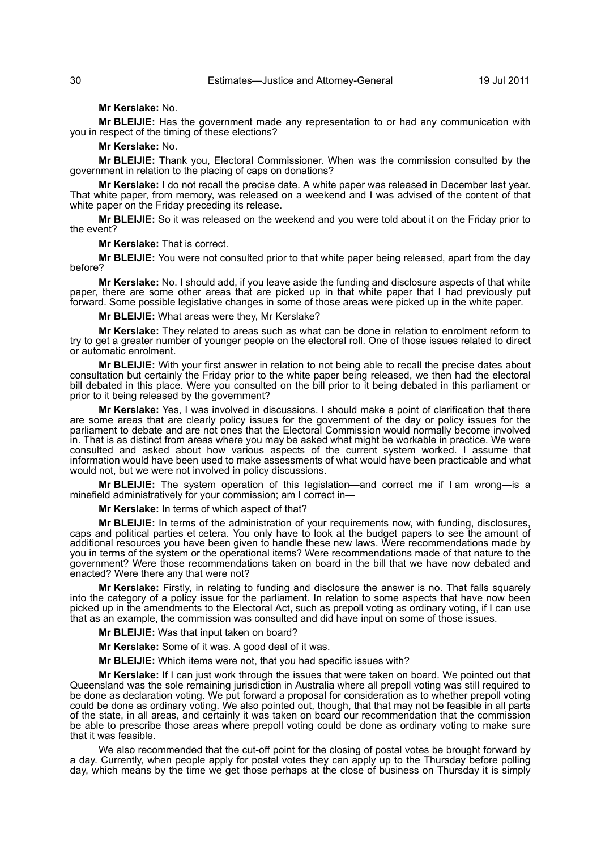#### **Mr Kerslake:** No.

**Mr BLEIJIE:** Has the government made any representation to or had any communication with you in respect of the timing of these elections?

#### **Mr Kerslake:** No.

**Mr BLEIJIE:** Thank you, Electoral Commissioner. When was the commission consulted by the government in relation to the placing of caps on donations?

**Mr Kerslake:** I do not recall the precise date. A white paper was released in December last year. That white paper, from memory, was released on a weekend and I was advised of the content of that white paper on the Friday preceding its release.

**Mr BLEIJIE:** So it was released on the weekend and you were told about it on the Friday prior to the event?

**Mr Kerslake:** That is correct.

**Mr BLEIJIE:** You were not consulted prior to that white paper being released, apart from the day before?

**Mr Kerslake:** No. I should add, if you leave aside the funding and disclosure aspects of that white paper, there are some other areas that are picked up in that white paper that I had previously put forward. Some possible legislative changes in some of those areas were picked up in the white paper.

**Mr BLEIJIE:** What areas were they, Mr Kerslake?

**Mr Kerslake:** They related to areas such as what can be done in relation to enrolment reform to try to get a greater number of younger people on the electoral roll. One of those issues related to direct or automatic enrolment.

**Mr BLEIJIE:** With your first answer in relation to not being able to recall the precise dates about consultation but certainly the Friday prior to the white paper being released, we then had the electoral bill debated in this place. Were you consulted on the bill prior to it being debated in this parliament or prior to it being released by the government?

**Mr Kerslake:** Yes, I was involved in discussions. I should make a point of clarification that there are some areas that are clearly policy issues for the government of the day or policy issues for the parliament to debate and are not ones that the Electoral Commission would normally become involved in. That is as distinct from areas where you may be asked what might be workable in practice. We were consulted and asked about how various aspects of the current system worked. I assume that information would have been used to make assessments of what would have been practicable and what would not, but we were not involved in policy discussions.

**Mr BLEIJIE:** The system operation of this legislation—and correct me if I am wrong—is a minefield administratively for your commission; am I correct in—

**Mr Kerslake:** In terms of which aspect of that?

**Mr BLEIJIE:** In terms of the administration of your requirements now, with funding, disclosures, caps and political parties et cetera. You only have to look at the budget papers to see the amount of additional resources you have been given to handle these new laws. Were recommendations made by you in terms of the system or the operational items? Were recommendations made of that nature to the government? Were those recommendations taken on board in the bill that we have now debated and enacted? Were there any that were not?

**Mr Kerslake:** Firstly, in relating to funding and disclosure the answer is no. That falls squarely into the category of a policy issue for the parliament. In relation to some aspects that have now been picked up in the amendments to the Electoral Act, such as prepoll voting as ordinary voting, if I can use that as an example, the commission was consulted and did have input on some of those issues.

**Mr BLEIJIE:** Was that input taken on board?

**Mr Kerslake:** Some of it was. A good deal of it was.

**Mr BLEIJIE:** Which items were not, that you had specific issues with?

**Mr Kerslake:** If I can just work through the issues that were taken on board. We pointed out that Queensland was the sole remaining jurisdiction in Australia where all prepoll voting was still required to be done as declaration voting. We put forward a proposal for consideration as to whether prepoll voting could be done as ordinary voting. We also pointed out, though, that that may not be feasible in all parts of the state, in all areas, and certainly it was taken on board our recommendation that the commission be able to prescribe those areas where prepoll voting could be done as ordinary voting to make sure that it was feasible.

We also recommended that the cut-off point for the closing of postal votes be brought forward by a day. Currently, when people apply for postal votes they can apply up to the Thursday before polling day, which means by the time we get those perhaps at the close of business on Thursday it is simply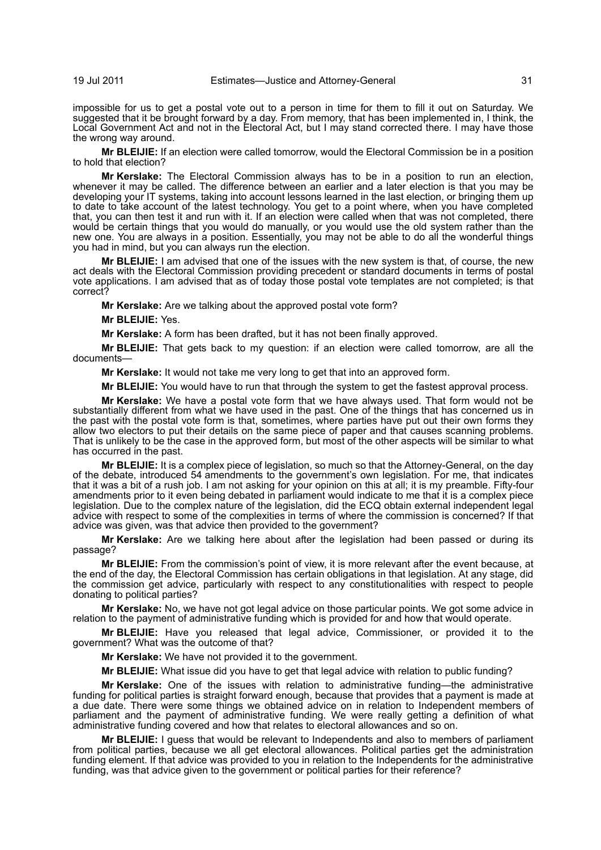impossible for us to get a postal vote out to a person in time for them to fill it out on Saturday. We suggested that it be brought forward by a day. From memory, that has been implemented in, I think, the Local Government Act and not in the Electoral Act, but I may stand corrected there. I may have those the wrong way around.

**Mr BLEIJIE:** If an election were called tomorrow, would the Electoral Commission be in a position to hold that election?

**Mr Kerslake:** The Electoral Commission always has to be in a position to run an election, whenever it may be called. The difference between an earlier and a later election is that you may be developing your IT systems, taking into account lessons learned in the last election, or bringing them up to date to take account of the latest technology. You get to a point where, when you have completed that, you can then test it and run with it. If an election were called when that was not completed, there would be certain things that you would do manually, or you would use the old system rather than the new one. You are always in a position. Essentially, you may not be able to do all the wonderful things you had in mind, but you can always run the election.

**Mr BLEIJIE:** I am advised that one of the issues with the new system is that, of course, the new act deals with the Electoral Commission providing precedent or standard documents in terms of postal vote applications. I am advised that as of today those postal vote templates are not completed; is that correct?

**Mr Kerslake:** Are we talking about the approved postal vote form?

**Mr BLEIJIE:** Yes.

**Mr Kerslake:** A form has been drafted, but it has not been finally approved.

**Mr BLEIJIE:** That gets back to my question: if an election were called tomorrow, are all the documents—

**Mr Kerslake:** It would not take me very long to get that into an approved form.

**Mr BLEIJIE:** You would have to run that through the system to get the fastest approval process.

**Mr Kerslake:** We have a postal vote form that we have always used. That form would not be substantially different from what we have used in the past. One of the things that has concerned us in the past with the postal vote form is that, sometimes, where parties have put out their own forms they allow two electors to put their details on the same piece of paper and that causes scanning problems. That is unlikely to be the case in the approved form, but most of the other aspects will be similar to what has occurred in the past.

**Mr BLEIJIE:** It is a complex piece of legislation, so much so that the Attorney-General, on the day of the debate, introduced 54 amendments to the government's own legislation. For me, that indicates that it was a bit of a rush job. I am not asking for your opinion on this at all; it is my preamble. Fifty-four amendments prior to it even being debated in parliament would indicate to me that it is a complex piece legislation. Due to the complex nature of the legislation, did the ECQ obtain external independent legal advice with respect to some of the complexities in terms of where the commission is concerned? If that advice was given, was that advice then provided to the government?

**Mr Kerslake:** Are we talking here about after the legislation had been passed or during its passage?

**Mr BLEIJIE:** From the commission's point of view, it is more relevant after the event because, at the end of the day, the Electoral Commission has certain obligations in that legislation. At any stage, did the commission get advice, particularly with respect to any constitutionalities with respect to people donating to political parties?

**Mr Kerslake:** No, we have not got legal advice on those particular points. We got some advice in relation to the payment of administrative funding which is provided for and how that would operate.

**Mr BLEIJIE:** Have you released that legal advice, Commissioner, or provided it to the government? What was the outcome of that?

**Mr Kerslake:** We have not provided it to the government.

**Mr BLEIJIE:** What issue did you have to get that legal advice with relation to public funding?

**Mr Kerslake:** One of the issues with relation to administrative funding—the administrative funding for political parties is straight forward enough, because that provides that a payment is made at a due date. There were some things we obtained advice on in relation to Independent members of parliament and the payment of administrative funding. We were really getting a definition of what administrative funding covered and how that relates to electoral allowances and so on.

**Mr BLEIJIE:** I guess that would be relevant to Independents and also to members of parliament from political parties, because we all get electoral allowances. Political parties get the administration funding element. If that advice was provided to you in relation to the Independents for the administrative funding, was that advice given to the government or political parties for their reference?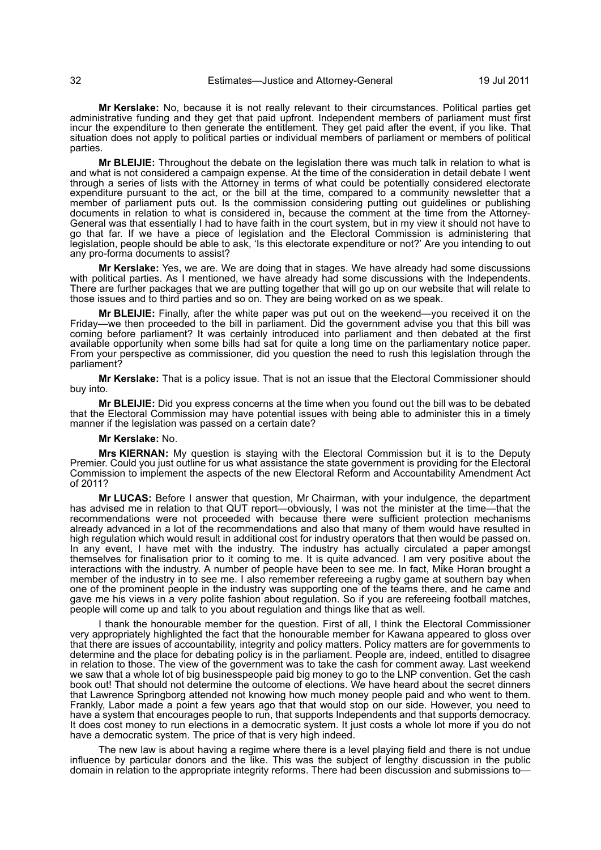**Mr Kerslake:** No, because it is not really relevant to their circumstances. Political parties get administrative funding and they get that paid upfront. Independent members of parliament must first incur the expenditure to then generate the entitlement. They get paid after the event, if you like. That situation does not apply to political parties or individual members of parliament or members of political parties.

**Mr BLEIJIE:** Throughout the debate on the legislation there was much talk in relation to what is and what is not considered a campaign expense. At the time of the consideration in detail debate I went through a series of lists with the Attorney in terms of what could be potentially considered electorate expenditure pursuant to the act, or the bill at the time, compared to a community newsletter that a member of parliament puts out. Is the commission considering putting out guidelines or publishing documents in relation to what is considered in, because the comment at the time from the Attorney-General was that essentially I had to have faith in the court system, but in my view it should not have to go that far. If we have a piece of legislation and the Electoral Commission is administering that legislation, people should be able to ask, 'Is this electorate expenditure or not?' Are you intending to out any pro-forma documents to assist?

**Mr Kerslake:** Yes, we are. We are doing that in stages. We have already had some discussions with political parties. As I mentioned, we have already had some discussions with the Independents. There are further packages that we are putting together that will go up on our website that will relate to those issues and to third parties and so on. They are being worked on as we speak.

**Mr BLEIJIE:** Finally, after the white paper was put out on the weekend—you received it on the Friday—we then proceeded to the bill in parliament. Did the government advise you that this bill was coming before parliament? It was certainly introduced into parliament and then debated at the first available opportunity when some bills had sat for quite a long time on the parliamentary notice paper. From your perspective as commissioner, did you question the need to rush this legislation through the parliament?

**Mr Kerslake:** That is a policy issue. That is not an issue that the Electoral Commissioner should buy into.

**Mr BLEIJIE:** Did you express concerns at the time when you found out the bill was to be debated that the Electoral Commission may have potential issues with being able to administer this in a timely manner if the legislation was passed on a certain date?

#### **Mr Kerslake:** No.

**Mrs KIERNAN:** My question is staying with the Electoral Commission but it is to the Deputy Premier. Could you just outline for us what assistance the state government is providing for the Electoral Commission to implement the aspects of the new Electoral Reform and Accountability Amendment Act of 2011?

**Mr LUCAS:** Before I answer that question, Mr Chairman, with your indulgence, the department has advised me in relation to that QUT report—obviously, I was not the minister at the time—that the recommendations were not proceeded with because there were sufficient protection mechanisms already advanced in a lot of the recommendations and also that many of them would have resulted in high regulation which would result in additional cost for industry operators that then would be passed on. In any event, I have met with the industry. The industry has actually circulated a paper amongst themselves for finalisation prior to it coming to me. It is quite advanced. I am very positive about the interactions with the industry. A number of people have been to see me. In fact, Mike Horan brought a member of the industry in to see me. I also remember refereeing a rugby game at southern bay when one of the prominent people in the industry was supporting one of the teams there, and he came and gave me his views in a very polite fashion about regulation. So if you are refereeing football matches, people will come up and talk to you about regulation and things like that as well.

I thank the honourable member for the question. First of all, I think the Electoral Commissioner very appropriately highlighted the fact that the honourable member for Kawana appeared to gloss over that there are issues of accountability, integrity and policy matters. Policy matters are for governments to determine and the place for debating policy is in the parliament. People are, indeed, entitled to disagree in relation to those. The view of the government was to take the cash for comment away. Last weekend we saw that a whole lot of big businesspeople paid big money to go to the LNP convention. Get the cash book out! That should not determine the outcome of elections. We have heard about the secret dinners that Lawrence Springborg attended not knowing how much money people paid and who went to them. Frankly, Labor made a point a few years ago that that would stop on our side. However, you need to have a system that encourages people to run, that supports Independents and that supports democracy. It does cost money to run elections in a democratic system. It just costs a whole lot more if you do not have a democratic system. The price of that is very high indeed.

The new law is about having a regime where there is a level playing field and there is not undue influence by particular donors and the like. This was the subject of lengthy discussion in the public domain in relation to the appropriate integrity reforms. There had been discussion and submissions to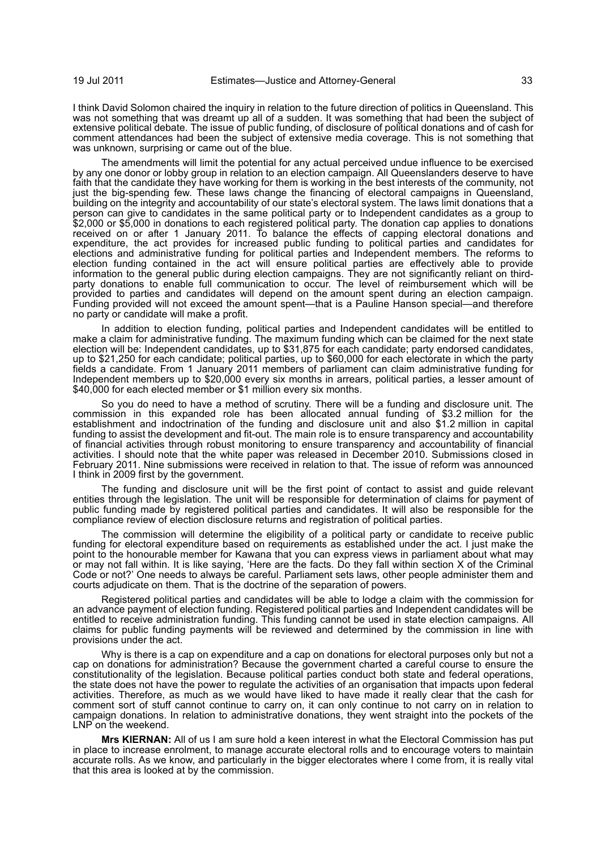I think David Solomon chaired the inquiry in relation to the future direction of politics in Queensland. This was not something that was dreamt up all of a sudden. It was something that had been the subject of extensive political debate. The issue of public funding, of disclosure of political donations and of cash for comment attendances had been the subject of extensive media coverage. This is not something that was unknown, surprising or came out of the blue.

The amendments will limit the potential for any actual perceived undue influence to be exercised by any one donor or lobby group in relation to an election campaign. All Queenslanders deserve to have faith that the candidate they have working for them is working in the best interests of the community, not just the big-spending few. These laws change the financing of electoral campaigns in Queensland, building on the integrity and accountability of our state's electoral system. The laws limit donations that a person can give to candidates in the same political party or to Independent candidates as a group to \$2,000 or \$5,000 in donations to each registered political party. The donation cap applies to donations received on or after 1 January 2011. To balance the effects of capping electoral donations and expenditure, the act provides for increased public funding to political parties and candidates for elections and administrative funding for political parties and Independent members. The reforms to election funding contained in the act will ensure political parties are effectively able to provide information to the general public during election campaigns. They are not significantly reliant on thirdparty donations to enable full communication to occur. The level of reimbursement which will be provided to parties and candidates will depend on the amount spent during an election campaign. Funding provided will not exceed the amount spent—that is a Pauline Hanson special—and therefore no party or candidate will make a profit.

In addition to election funding, political parties and Independent candidates will be entitled to make a claim for administrative funding. The maximum funding which can be claimed for the next state election will be: Independent candidates, up to \$31,875 for each candidate; party endorsed candidates, up to \$21,250 for each candidate; political parties, up to \$60,000 for each electorate in which the party fields a candidate. From 1 January 2011 members of parliament can claim administrative funding for Independent members up to \$20,000 every six months in arrears, political parties, a lesser amount of \$40,000 for each elected member or \$1 million every six months.

So you do need to have a method of scrutiny. There will be a funding and disclosure unit. The commission in this expanded role has been allocated annual funding of \$3.2 million for the establishment and indoctrination of the funding and disclosure unit and also \$1.2 million in capital funding to assist the development and fit-out. The main role is to ensure transparency and accountability of financial activities through robust monitoring to ensure transparency and accountability of financial activities. I should note that the white paper was released in December 2010. Submissions closed in February 2011. Nine submissions were received in relation to that. The issue of reform was announced I think in 2009 first by the government.

The funding and disclosure unit will be the first point of contact to assist and guide relevant entities through the legislation. The unit will be responsible for determination of claims for payment of public funding made by registered political parties and candidates. It will also be responsible for the compliance review of election disclosure returns and registration of political parties.

The commission will determine the eligibility of a political party or candidate to receive public funding for electoral expenditure based on requirements as established under the act. I just make the point to the honourable member for Kawana that you can express views in parliament about what may or may not fall within. It is like saying, 'Here are the facts. Do they fall within section X of the Criminal Code or not?' One needs to always be careful. Parliament sets laws, other people administer them and courts adjudicate on them. That is the doctrine of the separation of powers.

Registered political parties and candidates will be able to lodge a claim with the commission for an advance payment of election funding. Registered political parties and Independent candidates will be entitled to receive administration funding. This funding cannot be used in state election campaigns. All claims for public funding payments will be reviewed and determined by the commission in line with provisions under the act.

Why is there is a cap on expenditure and a cap on donations for electoral purposes only but not a cap on donations for administration? Because the government charted a careful course to ensure the constitutionality of the legislation. Because political parties conduct both state and federal operations, the state does not have the power to regulate the activities of an organisation that impacts upon federal activities. Therefore, as much as we would have liked to have made it really clear that the cash for comment sort of stuff cannot continue to carry on, it can only continue to not carry on in relation to campaign donations. In relation to administrative donations, they went straight into the pockets of the LNP on the weekend.

**Mrs KIERNAN:** All of us I am sure hold a keen interest in what the Electoral Commission has put in place to increase enrolment, to manage accurate electoral rolls and to encourage voters to maintain accurate rolls. As we know, and particularly in the bigger electorates where I come from, it is really vital that this area is looked at by the commission.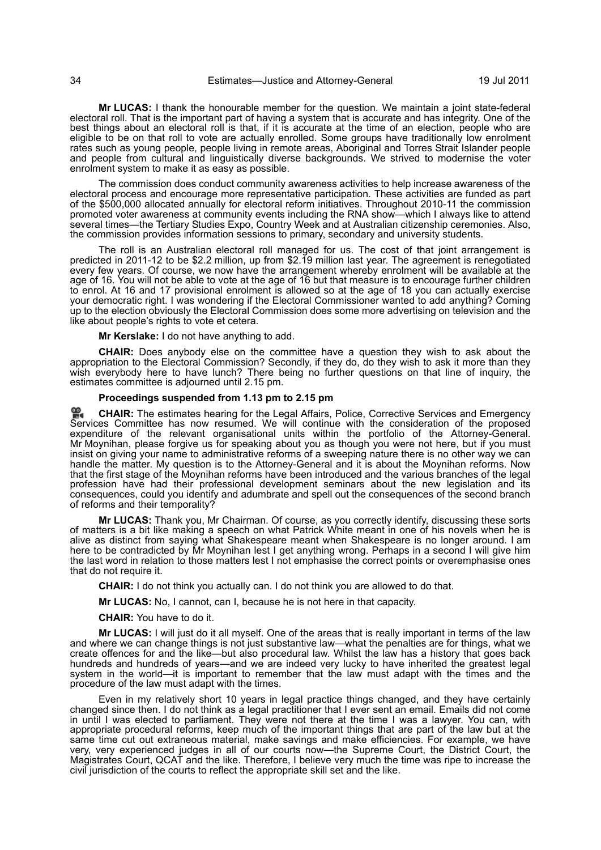**Mr LUCAS:** I thank the honourable member for the question. We maintain a joint state-federal electoral roll. That is the important part of having a system that is accurate and has integrity. One of the best things about an electoral roll is that, if it is accurate at the time of an election, people who are eligible to be on that roll to vote are actually enrolled. Some groups have traditionally low enrolment rates such as young people, people living in remote areas, Aboriginal and Torres Strait Islander people and people from cultural and linguistically diverse backgrounds. We strived to modernise the voter enrolment system to make it as easy as possible.

The commission does conduct community awareness activities to help increase awareness of the electoral process and encourage more representative participation. These activities are funded as part of the \$500,000 allocated annually for electoral reform initiatives. Throughout 2010-11 the commission promoted voter awareness at community events including the RNA show—which I always like to attend several times—the Tertiary Studies Expo, Country Week and at Australian citizenship ceremonies. Also, the commission provides information sessions to primary, secondary and university students.

The roll is an Australian electoral roll managed for us. The cost of that joint arrangement is predicted in 2011-12 to be \$2.2 million, up from \$2.19 million last year. The agreement is renegotiated every few years. Of course, we now have the arrangement whereby enrolment will be available at the age of 16. You will not be able to vote at the age of 16 but that measure is to encourage further children to enrol. At 16 and 17 provisional enrolment is allowed so at the age of 18 you can actually exercise your democratic right. I was wondering if the Electoral Commissioner wanted to add anything? Coming up to the election obviously the Electoral Commission does some more advertising on television and the like about people's rights to vote et cetera.

**Mr Kerslake:** I do not have anything to add.

**CHAIR:** Does anybody else on the committee have a question they wish to ask about the appropriation to the Electoral Commission? Secondly, if they do, do they wish to ask it more than they wish everybody here to have lunch? There being no further questions on that line of inquiry, the estimates committee is adjourned until 2.15 pm.

#### **Proceedings suspended from 1.13 pm to 2.15 pm**

**[CHAIR:](http://www.parliament.qld.gov.au/docs/find.aspx?id=0Mba20110719_141709)** The estimates hearing for the Legal Affairs, Police, Corrective Services and Emergency [Ser](http://www.parliament.qld.gov.au/docs/find.aspx?id=0Mba20110719_141709)vices Committee has now resumed. We will continue with the consideration of the proposed expenditure of the relevant organisational units within the portfolio of the Attorney-General. Mr Moynihan, please forgive us for speaking about you as though you were not here, but if you must insist on giving your name to administrative reforms of a sweeping nature there is no other way we can handle the matter. My question is to the Attorney-General and it is about the Moynihan reforms. Now that the first stage of the Moynihan reforms have been introduced and the various branches of the legal profession have had their professional development seminars about the new legislation and its consequences, could you identify and adumbrate and spell out the consequences of the second branch of reforms and their temporality?

**Mr LUCAS:** Thank you, Mr Chairman. Of course, as you correctly identify, discussing these sorts of matters is a bit like making a speech on what Patrick White meant in one of his novels when he is alive as distinct from saying what Shakespeare meant when Shakespeare is no longer around. I am here to be contradicted by Mr Moynihan lest I get anything wrong. Perhaps in a second I will give him the last word in relation to those matters lest I not emphasise the correct points or overemphasise ones that do not require it.

**CHAIR:** I do not think you actually can. I do not think you are allowed to do that.

**Mr LUCAS:** No, I cannot, can I, because he is not here in that capacity.

**CHAIR:** You have to do it.

**Mr LUCAS:** I will just do it all myself. One of the areas that is really important in terms of the law and where we can change things is not just substantive law—what the penalties are for things, what we create offences for and the like—but also procedural law. Whilst the law has a history that goes back hundreds and hundreds of years—and we are indeed very lucky to have inherited the greatest legal system in the world—it is important to remember that the law must adapt with the times and the procedure of the law must adapt with the times.

Even in my relatively short 10 years in legal practice things changed, and they have certainly changed since then. I do not think as a legal practitioner that I ever sent an email. Emails did not come in until I was elected to parliament. They were not there at the time I was a lawyer. You can, with appropriate procedural reforms, keep much of the important things that are part of the law but at the same time cut out extraneous material, make savings and make efficiencies. For example, we have very, very experienced judges in all of our courts now—the Supreme Court, the District Court, the Magistrates Court, QCAT and the like. Therefore, I believe very much the time was ripe to increase the civil jurisdiction of the courts to reflect the appropriate skill set and the like.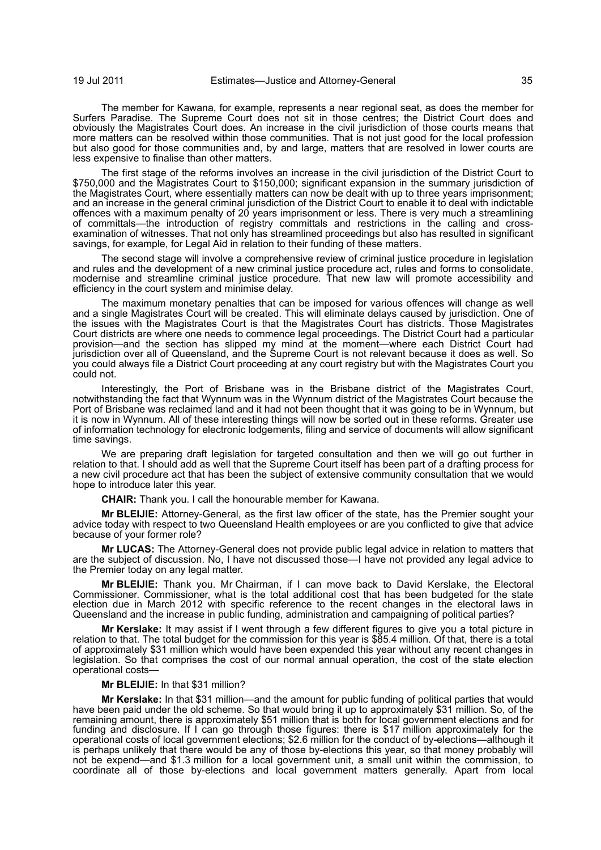The member for Kawana, for example, represents a near regional seat, as does the member for Surfers Paradise. The Supreme Court does not sit in those centres; the District Court does and obviously the Magistrates Court does. An increase in the civil jurisdiction of those courts means that more matters can be resolved within those communities. That is not just good for the local profession but also good for those communities and, by and large, matters that are resolved in lower courts are less expensive to finalise than other matters.

The first stage of the reforms involves an increase in the civil jurisdiction of the District Court to \$750,000 and the Magistrates Court to \$150,000; significant expansion in the summary jurisdiction of the Magistrates Court, where essentially matters can now be dealt with up to three years imprisonment; and an increase in the general criminal jurisdiction of the District Court to enable it to deal with indictable offences with a maximum penalty of 20 years imprisonment or less. There is very much a streamlining of committals—the introduction of registry committals and restrictions in the calling and crossexamination of witnesses. That not only has streamlined proceedings but also has resulted in significant savings, for example, for Legal Aid in relation to their funding of these matters.

The second stage will involve a comprehensive review of criminal justice procedure in legislation and rules and the development of a new criminal justice procedure act, rules and forms to consolidate, modernise and streamline criminal justice procedure. That new law will promote accessibility and efficiency in the court system and minimise delay.

The maximum monetary penalties that can be imposed for various offences will change as well and a single Magistrates Court will be created. This will eliminate delays caused by jurisdiction. One of the issues with the Magistrates Court is that the Magistrates Court has districts. Those Magistrates Court districts are where one needs to commence legal proceedings. The District Court had a particular provision—and the section has slipped my mind at the moment—where each District Court had jurisdiction over all of Queensland, and the Supreme Court is not relevant because it does as well. So you could always file a District Court proceeding at any court registry but with the Magistrates Court you could not.

Interestingly, the Port of Brisbane was in the Brisbane district of the Magistrates Court, notwithstanding the fact that Wynnum was in the Wynnum district of the Magistrates Court because the Port of Brisbane was reclaimed land and it had not been thought that it was going to be in Wynnum, but it is now in Wynnum. All of these interesting things will now be sorted out in these reforms. Greater use of information technology for electronic lodgements, filing and service of documents will allow significant time savings.

We are preparing draft legislation for targeted consultation and then we will go out further in relation to that. I should add as well that the Supreme Court itself has been part of a drafting process for a new civil procedure act that has been the subject of extensive community consultation that we would hope to introduce later this year.

**CHAIR:** Thank you. I call the honourable member for Kawana.

**Mr BLEIJIE:** Attorney-General, as the first law officer of the state, has the Premier sought your advice today with respect to two Queensland Health employees or are you conflicted to give that advice because of your former role?

**Mr LUCAS:** The Attorney-General does not provide public legal advice in relation to matters that are the subject of discussion. No, I have not discussed those—I have not provided any legal advice to the Premier today on any legal matter.

**Mr BLEIJIE:** Thank you. Mr Chairman, if I can move back to David Kerslake, the Electoral Commissioner. Commissioner, what is the total additional cost that has been budgeted for the state election due in March 2012 with specific reference to the recent changes in the electoral laws in Queensland and the increase in public funding, administration and campaigning of political parties?

**Mr Kerslake:** It may assist if I went through a few different figures to give you a total picture in relation to that. The total budget for the commission for this year is \$85.4 million. Of that, there is a total of approximately \$31 million which would have been expended this year without any recent changes in legislation. So that comprises the cost of our normal annual operation, the cost of the state election operational costs—

#### **Mr BLEIJIE:** In that \$31 million?

**Mr Kerslake:** In that \$31 million—and the amount for public funding of political parties that would have been paid under the old scheme. So that would bring it up to approximately \$31 million. So, of the remaining amount, there is approximately \$51 million that is both for local government elections and for funding and disclosure. If I can go through those figures: there is \$17 million approximately for the operational costs of local government elections; \$2.6 million for the conduct of by-elections—although it is perhaps unlikely that there would be any of those by-elections this year, so that money probably will not be expend—and \$1.3 million for a local government unit, a small unit within the commission, to coordinate all of those by-elections and local government matters generally. Apart from local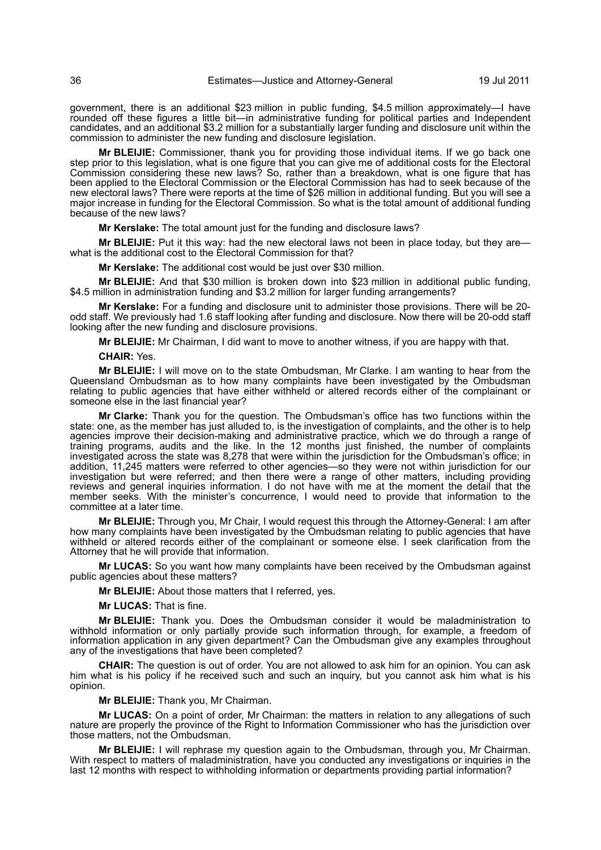government, there is an additional \$23 million in public funding, \$4.5 million approximately—I have rounded off these figures a little bit—in administrative funding for political parties and Independent candidates, and an additional \$3.2 million for a substantially larger funding and disclosure unit within the commission to administer the new funding and disclosure legislation.

**Mr BLEIJIE:** Commissioner, thank you for providing those individual items. If we go back one step prior to this legislation, what is one figure that you can give me of additional costs for the Electoral Commission considering these new laws? So, rather than a breakdown, what is one figure that has been applied to the Electoral Commission or the Electoral Commission has had to seek because of the new electoral laws? There were reports at the time of \$26 million in additional funding. But you will see a major increase in funding for the Electoral Commission. So what is the total amount of additional funding because of the new laws?

**Mr Kerslake:** The total amount just for the funding and disclosure laws?

**Mr BLEIJIE:** Put it this way: had the new electoral laws not been in place today, but they are what is the additional cost to the Electoral Commission for that?

**Mr Kerslake:** The additional cost would be just over \$30 million.

**Mr BLEIJIE:** And that \$30 million is broken down into \$23 million in additional public funding, \$4.5 million in administration funding and \$3.2 million for larger funding arrangements?

**Mr Kerslake:** For a funding and disclosure unit to administer those provisions. There will be 20 odd staff. We previously had 1.6 staff looking after funding and disclosure. Now there will be 20-odd staff looking after the new funding and disclosure provisions.

**Mr BLEIJIE:** Mr Chairman, I did want to move to another witness, if you are happy with that.

#### **CHAIR:** Yes.

**Mr BLEIJIE:** I will move on to the state Ombudsman, Mr Clarke. I am wanting to hear from the Queensland Ombudsman as to how many complaints have been investigated by the Ombudsman relating to public agencies that have either withheld or altered records either of the complainant or someone else in the last financial year?

**Mr Clarke:** Thank you for the question. The Ombudsman's office has two functions within the state: one, as the member has just alluded to, is the investigation of complaints, and the other is to help agencies improve their decision-making and administrative practice, which we do through a range of training programs, audits and the like. In the 12 months just finished, the number of complaints investigated across the state was 8,278 that were within the jurisdiction for the Ombudsman's office; in addition, 11,245 matters were referred to other agencies—so they were not within jurisdiction for our investigation but were referred; and then there were a range of other matters, including providing reviews and general inquiries information. I do not have with me at the moment the detail that the member seeks. With the minister's concurrence, I would need to provide that information to the committee at a later time.

**Mr BLEIJIE:** Through you, Mr Chair, I would request this through the Attorney-General: I am after how many complaints have been investigated by the Ombudsman relating to public agencies that have withheld or altered records either of the complainant or someone else. I seek clarification from the Attorney that he will provide that information.

**Mr LUCAS:** So you want how many complaints have been received by the Ombudsman against public agencies about these matters?

**Mr BLEIJIE:** About those matters that I referred, yes.

**Mr LUCAS:** That is fine.

**Mr BLEIJIE:** Thank you. Does the Ombudsman consider it would be maladministration to withhold information or only partially provide such information through, for example, a freedom of information application in any given department? Can the Ombudsman give any examples throughout any of the investigations that have been completed?

**CHAIR:** The question is out of order. You are not allowed to ask him for an opinion. You can ask him what is his policy if he received such and such an inquiry, but you cannot ask him what is his opinion.

**Mr BLEIJIE:** Thank you, Mr Chairman.

**Mr LUCAS:** On a point of order, Mr Chairman: the matters in relation to any allegations of such nature are properly the province of the Right to Information Commissioner who has the jurisdiction over those matters, not the Ombudsman.

**Mr BLEIJIE:** I will rephrase my question again to the Ombudsman, through you, Mr Chairman. With respect to matters of maladministration, have you conducted any investigations or inquiries in the last 12 months with respect to withholding information or departments providing partial information?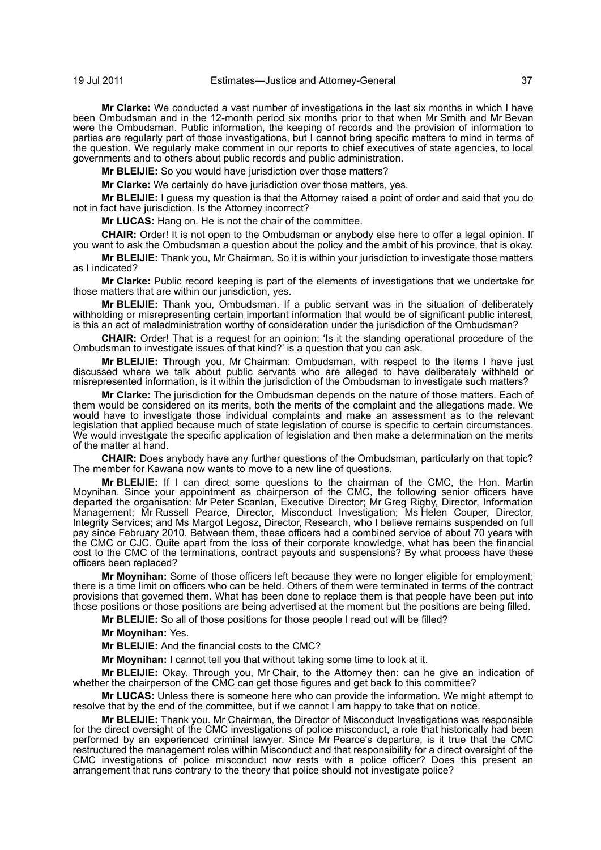**Mr Clarke:** We conducted a vast number of investigations in the last six months in which I have been Ombudsman and in the 12-month period six months prior to that when Mr Smith and Mr Bevan were the Ombudsman. Public information, the keeping of records and the provision of information to parties are regularly part of those investigations, but I cannot bring specific matters to mind in terms of the question. We regularly make comment in our reports to chief executives of state agencies, to local governments and to others about public records and public administration.

**Mr BLEIJIE:** So you would have jurisdiction over those matters?

**Mr Clarke:** We certainly do have jurisdiction over those matters, yes.

**Mr BLEIJIE:** I guess my question is that the Attorney raised a point of order and said that you do not in fact have jurisdiction. Is the Attorney incorrect?

**Mr LUCAS:** Hang on. He is not the chair of the committee.

**CHAIR:** Order! It is not open to the Ombudsman or anybody else here to offer a legal opinion. If you want to ask the Ombudsman a question about the policy and the ambit of his province, that is okay.

**Mr BLEIJIE:** Thank you, Mr Chairman. So it is within your jurisdiction to investigate those matters as I indicated?

**Mr Clarke:** Public record keeping is part of the elements of investigations that we undertake for those matters that are within our jurisdiction, yes.

**Mr BLEIJIE:** Thank you, Ombudsman. If a public servant was in the situation of deliberately withholding or misrepresenting certain important information that would be of significant public interest, is this an act of maladministration worthy of consideration under the jurisdiction of the Ombudsman?

**CHAIR:** Order! That is a request for an opinion: 'Is it the standing operational procedure of the Ombudsman to investigate issues of that kind?' is a question that you can ask.

**Mr BLEIJIE:** Through you, Mr Chairman: Ombudsman, with respect to the items I have just discussed where we talk about public servants who are alleged to have deliberately withheld or misrepresented information, is it within the jurisdiction of the Ombudsman to investigate such matters?

**Mr Clarke:** The jurisdiction for the Ombudsman depends on the nature of those matters. Each of them would be considered on its merits, both the merits of the complaint and the allegations made. We would have to investigate those individual complaints and make an assessment as to the relevant legislation that applied because much of state legislation of course is specific to certain circumstances. We would investigate the specific application of legislation and then make a determination on the merits of the matter at hand.

**CHAIR:** Does anybody have any further questions of the Ombudsman, particularly on that topic? The member for Kawana now wants to move to a new line of questions.

**Mr BLEIJIE:** If I can direct some questions to the chairman of the CMC, the Hon. Martin Moynihan. Since your appointment as chairperson of the CMC, the following senior officers have departed the organisation: Mr Peter Scanlan, Executive Director; Mr Greg Rigby, Director, Information Management; Mr Russell Pearce, Director, Misconduct Investigation; Ms Helen Couper, Director, Integrity Services; and Ms Margot Legosz, Director, Research, who I believe remains suspended on full pay since February 2010. Between them, these officers had a combined service of about 70 years with the CMC or CJC. Quite apart from the loss of their corporate knowledge, what has been the financial cost to the CMC of the terminations, contract payouts and suspensions? By what process have these officers been replaced?

**Mr Moynihan:** Some of those officers left because they were no longer eligible for employment; there is a time limit on officers who can be held. Others of them were terminated in terms of the contract provisions that governed them. What has been done to replace them is that people have been put into those positions or those positions are being advertised at the moment but the positions are being filled.

**Mr BLEIJIE:** So all of those positions for those people I read out will be filled?

**Mr Moynihan:** Yes.

**Mr BLEIJIE:** And the financial costs to the CMC?

**Mr Moynihan:** I cannot tell you that without taking some time to look at it.

**Mr BLEIJIE:** Okay. Through you, Mr Chair, to the Attorney then: can he give an indication of whether the chairperson of the CMC can get those figures and get back to this committee?

**Mr LUCAS:** Unless there is someone here who can provide the information. We might attempt to resolve that by the end of the committee, but if we cannot I am happy to take that on notice.

**Mr BLEIJIE:** Thank you. Mr Chairman, the Director of Misconduct Investigations was responsible for the direct oversight of the CMC investigations of police misconduct, a role that historically had been performed by an experienced criminal lawyer. Since Mr Pearce's departure, is it true that the CMC restructured the management roles within Misconduct and that responsibility for a direct oversight of the CMC investigations of police misconduct now rests with a police officer? Does this present an arrangement that runs contrary to the theory that police should not investigate police?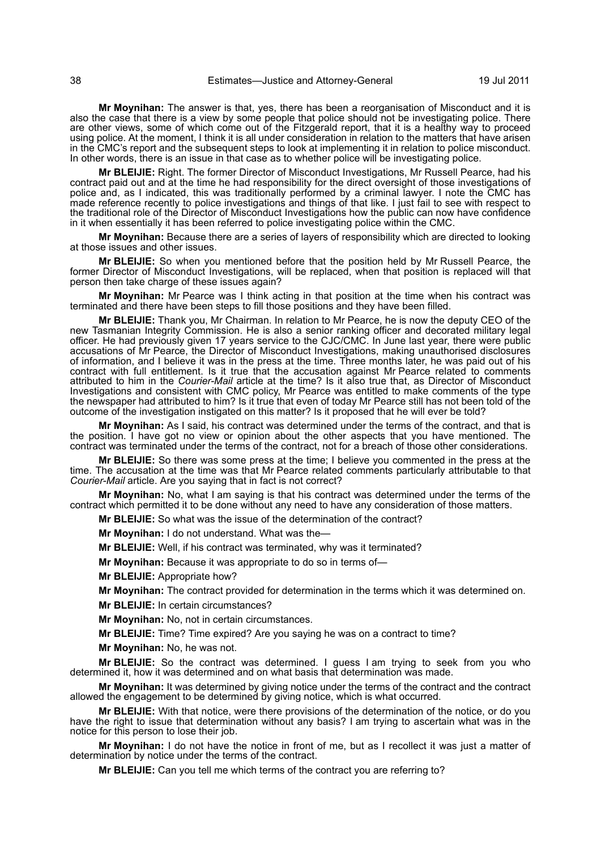**Mr Moynihan:** The answer is that, yes, there has been a reorganisation of Misconduct and it is also the case that there is a view by some people that police should not be investigating police. There are other views, some of which come out of the Fitzgerald report, that it is a healthy way to proceed using police. At the moment, I think it is all under consideration in relation to the matters that have arisen in the CMC's report and the subsequent steps to look at implementing it in relation to police misconduct. In other words, there is an issue in that case as to whether police will be investigating police.

**Mr BLEIJIE:** Right. The former Director of Misconduct Investigations, Mr Russell Pearce, had his contract paid out and at the time he had responsibility for the direct oversight of those investigations of police and, as I indicated, this was traditionally performed by a criminal lawyer. I note the CMC has made reference recently to police investigations and things of that like. I just fail to see with respect to the traditional role of the Director of Misconduct Investigations how the public can now have confidence in it when essentially it has been referred to police investigating police within the CMC.

**Mr Moynihan:** Because there are a series of layers of responsibility which are directed to looking at those issues and other issues.

**Mr BLEIJIE:** So when you mentioned before that the position held by Mr Russell Pearce, the former Director of Misconduct Investigations, will be replaced, when that position is replaced will that person then take charge of these issues again?

**Mr Moynihan:** Mr Pearce was I think acting in that position at the time when his contract was terminated and there have been steps to fill those positions and they have been filled.

**Mr BLEIJIE:** Thank you, Mr Chairman. In relation to Mr Pearce, he is now the deputy CEO of the new Tasmanian Integrity Commission. He is also a senior ranking officer and decorated military legal officer. He had previously given 17 years service to the CJC/CMC. In June last year, there were public accusations of Mr Pearce, the Director of Misconduct Investigations, making unauthorised disclosures of information, and I believe it was in the press at the time. Three months later, he was paid out of his contract with full entitlement. Is it true that the accusation against Mr Pearce related to comments attributed to him in the *Courier-Mail* article at the time? Is it also true that, as Director of Misconduct Investigations and consistent with CMC policy, Mr Pearce was entitled to make comments of the type the newspaper had attributed to him? Is it true that even of today Mr Pearce still has not been told of the outcome of the investigation instigated on this matter? Is it proposed that he will ever be told?

**Mr Moynihan:** As I said, his contract was determined under the terms of the contract, and that is the position. I have got no view or opinion about the other aspects that you have mentioned. The contract was terminated under the terms of the contract, not for a breach of those other considerations.

**Mr BLEIJIE:** So there was some press at the time; I believe you commented in the press at the time. The accusation at the time was that Mr Pearce related comments particularly attributable to that *Courier-Mail* article. Are you saying that in fact is not correct?

**Mr Moynihan:** No, what I am saying is that his contract was determined under the terms of the contract which permitted it to be done without any need to have any consideration of those matters.

**Mr BLEIJIE:** So what was the issue of the determination of the contract?

**Mr Moynihan:** I do not understand. What was the—

**Mr BLEIJIE:** Well, if his contract was terminated, why was it terminated?

**Mr Moynihan:** Because it was appropriate to do so in terms of—

**Mr BLEIJIE:** Appropriate how?

**Mr Moynihan:** The contract provided for determination in the terms which it was determined on.

**Mr BLEIJIE:** In certain circumstances?

**Mr Moynihan:** No, not in certain circumstances.

**Mr BLEIJIE:** Time? Time expired? Are you saying he was on a contract to time?

**Mr Moynihan:** No, he was not.

**Mr BLEIJIE:** So the contract was determined. I guess I am trying to seek from you who determined it, how it was determined and on what basis that determination was made.

**Mr Moynihan:** It was determined by giving notice under the terms of the contract and the contract allowed the engagement to be determined by giving notice, which is what occurred.

**Mr BLEIJIE:** With that notice, were there provisions of the determination of the notice, or do you have the right to issue that determination without any basis? I am trying to ascertain what was in the notice for this person to lose their job.

**Mr Moynihan:** I do not have the notice in front of me, but as I recollect it was just a matter of determination by notice under the terms of the contract.

**Mr BLEIJIE:** Can you tell me which terms of the contract you are referring to?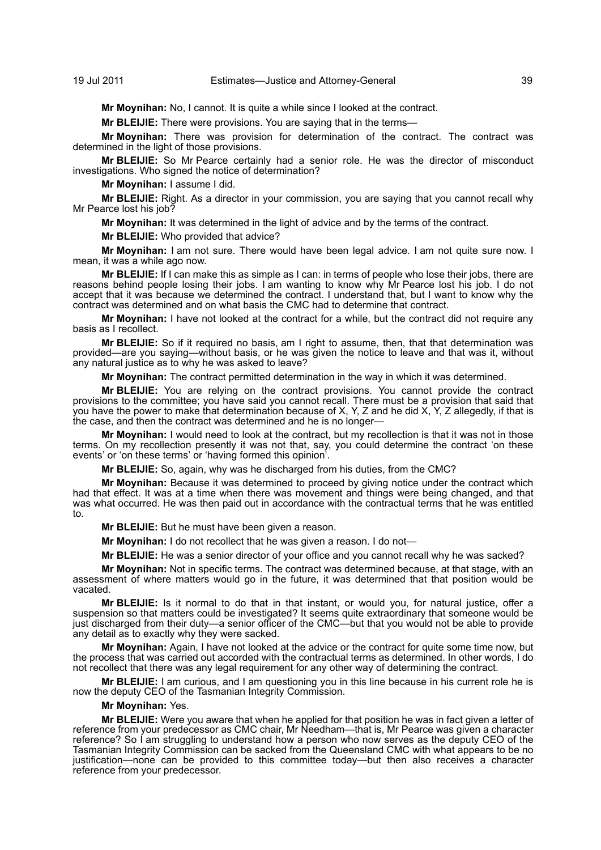**Mr Moynihan:** No, I cannot. It is quite a while since I looked at the contract.

**Mr BLEIJIE:** There were provisions. You are saying that in the terms—

**Mr Moynihan:** There was provision for determination of the contract. The contract was determined in the light of those provisions.

**Mr BLEIJIE:** So Mr Pearce certainly had a senior role. He was the director of misconduct investigations. Who signed the notice of determination?

**Mr Moynihan:** I assume I did.

**Mr BLEIJIE:** Right. As a director in your commission, you are saying that you cannot recall why Mr Pearce lost his job?

**Mr Moynihan:** It was determined in the light of advice and by the terms of the contract.

**Mr BLEIJIE:** Who provided that advice?

**Mr Moynihan:** I am not sure. There would have been legal advice. I am not quite sure now. I mean, it was a while ago now.

**Mr BLEIJIE:** If I can make this as simple as I can: in terms of people who lose their jobs, there are reasons behind people losing their jobs. I am wanting to know why Mr Pearce lost his job. I do not accept that it was because we determined the contract. I understand that, but I want to know why the contract was determined and on what basis the CMC had to determine that contract.

**Mr Moynihan:** I have not looked at the contract for a while, but the contract did not require any basis as I recollect.

**Mr BLEIJIE:** So if it required no basis, am I right to assume, then, that that determination was provided—are you saying—without basis, or he was given the notice to leave and that was it, without any natural justice as to why he was asked to leave?

**Mr Moynihan:** The contract permitted determination in the way in which it was determined.

**Mr BLEIJIE:** You are relying on the contract provisions. You cannot provide the contract provisions to the committee; you have said you cannot recall. There must be a provision that said that you have the power to make that determination because of X, Y, Z and he did X, Y, Z allegedly, if that is the case, and then the contract was determined and he is no longer—

**Mr Moynihan:** I would need to look at the contract, but my recollection is that it was not in those terms. On my recollection presently it was not that, say, you could determine the contract 'on these events' or 'on these terms' or 'having formed this opinion'.

**Mr BLEIJIE:** So, again, why was he discharged from his duties, from the CMC?

**Mr Moynihan:** Because it was determined to proceed by giving notice under the contract which had that effect. It was at a time when there was movement and things were being changed, and that was what occurred. He was then paid out in accordance with the contractual terms that he was entitled to.

**Mr BLEIJIE:** But he must have been given a reason.

**Mr Moynihan:** I do not recollect that he was given a reason. I do not—

**Mr BLEIJIE:** He was a senior director of your office and you cannot recall why he was sacked?

**Mr Moynihan:** Not in specific terms. The contract was determined because, at that stage, with an assessment of where matters would go in the future, it was determined that that position would be vacated.

**Mr BLEIJIE:** Is it normal to do that in that instant, or would you, for natural justice, offer a suspension so that matters could be investigated? It seems quite extraordinary that someone would be just discharged from their duty—a senior officer of the CMC—but that you would not be able to provide any detail as to exactly why they were sacked.

**Mr Moynihan:** Again, I have not looked at the advice or the contract for quite some time now, but the process that was carried out accorded with the contractual terms as determined. In other words, I do not recollect that there was any legal requirement for any other way of determining the contract.

**Mr BLEIJIE:** I am curious, and I am questioning you in this line because in his current role he is now the deputy CEO of the Tasmanian Integrity Commission.

## **Mr Moynihan:** Yes.

**Mr BLEIJIE:** Were you aware that when he applied for that position he was in fact given a letter of reference from your predecessor as CMC chair, Mr Needham—that is, Mr Pearce was given a character reference? So I am struggling to understand how a person who now serves as the deputy CEO of the Tasmanian Integrity Commission can be sacked from the Queensland CMC with what appears to be no justification—none can be provided to this committee today—but then also receives a character reference from your predecessor.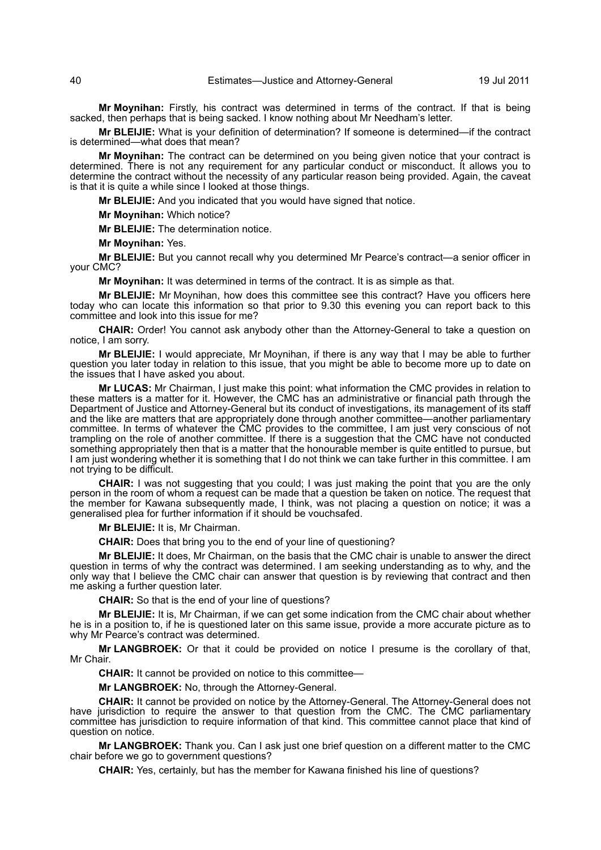**Mr Moynihan:** Firstly, his contract was determined in terms of the contract. If that is being sacked, then perhaps that is being sacked. I know nothing about Mr Needham's letter.

**Mr BLEIJIE:** What is your definition of determination? If someone is determined—if the contract is determined—what does that mean?

**Mr Moynihan:** The contract can be determined on you being given notice that your contract is determined. There is not any requirement for any particular conduct or misconduct. It allows you to determine the contract without the necessity of any particular reason being provided. Again, the caveat is that it is quite a while since I looked at those things.

**Mr BLEIJIE:** And you indicated that you would have signed that notice.

**Mr Moynihan:** Which notice?

**Mr BLEIJIE:** The determination notice.

**Mr Moynihan:** Yes.

**Mr BLEIJIE:** But you cannot recall why you determined Mr Pearce's contract—a senior officer in your CMC?

**Mr Moynihan:** It was determined in terms of the contract. It is as simple as that.

**Mr BLEIJIE:** Mr Moynihan, how does this committee see this contract? Have you officers here today who can locate this information so that prior to 9.30 this evening you can report back to this committee and look into this issue for me?

**CHAIR:** Order! You cannot ask anybody other than the Attorney-General to take a question on notice, I am sorry.

**Mr BLEIJIE:** I would appreciate, Mr Moynihan, if there is any way that I may be able to further question you later today in relation to this issue, that you might be able to become more up to date on the issues that I have asked you about.

**Mr LUCAS:** Mr Chairman, I just make this point: what information the CMC provides in relation to these matters is a matter for it. However, the CMC has an administrative or financial path through the Department of Justice and Attorney-General but its conduct of investigations, its management of its staff and the like are matters that are appropriately done through another committee—another parliamentary committee. In terms of whatever the CMC provides to the committee, I am just very conscious of not trampling on the role of another committee. If there is a suggestion that the CMC have not conducted something appropriately then that is a matter that the honourable member is quite entitled to pursue, but I am just wondering whether it is something that I do not think we can take further in this committee. I am not trying to be difficult.

**CHAIR:** I was not suggesting that you could; I was just making the point that you are the only person in the room of whom a request can be made that a question be taken on notice. The request that the member for Kawana subsequently made, I think, was not placing a question on notice; it was a generalised plea for further information if it should be vouchsafed.

**Mr BLEIJIE:** It is, Mr Chairman.

**CHAIR:** Does that bring you to the end of your line of questioning?

**Mr BLEIJIE:** It does, Mr Chairman, on the basis that the CMC chair is unable to answer the direct question in terms of why the contract was determined. I am seeking understanding as to why, and the only way that I believe the CMC chair can answer that question is by reviewing that contract and then me asking a further question later.

**CHAIR:** So that is the end of your line of questions?

**Mr BLEIJIE:** It is, Mr Chairman, if we can get some indication from the CMC chair about whether he is in a position to, if he is questioned later on this same issue, provide a more accurate picture as to why Mr Pearce's contract was determined.

**Mr LANGBROEK:** Or that it could be provided on notice I presume is the corollary of that, Mr Chair.

**CHAIR:** It cannot be provided on notice to this committee—

**Mr LANGBROEK:** No, through the Attorney-General.

**CHAIR:** It cannot be provided on notice by the Attorney-General. The Attorney-General does not have jurisdiction to require the answer to that question from the CMC. The CMC parliamentary committee has jurisdiction to require information of that kind. This committee cannot place that kind of question on notice.

**Mr LANGBROEK:** Thank you. Can I ask just one brief question on a different matter to the CMC chair before we go to government questions?

**CHAIR:** Yes, certainly, but has the member for Kawana finished his line of questions?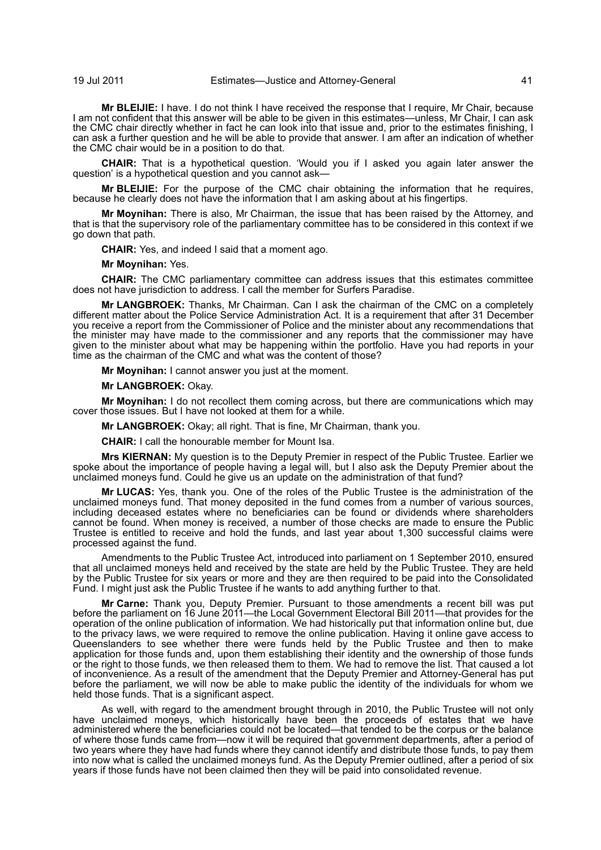**Mr BLEIJIE:** I have. I do not think I have received the response that I require, Mr Chair, because I am not confident that this answer will be able to be given in this estimates—unless, Mr Chair, I can ask the CMC chair directly whether in fact he can look into that issue and, prior to the estimates finishing, I can ask a further question and he will be able to provide that answer. I am after an indication of whether the CMC chair would be in a position to do that.

**CHAIR:** That is a hypothetical question. 'Would you if I asked you again later answer the question' is a hypothetical question and you cannot ask—

**Mr BLEIJIE:** For the purpose of the CMC chair obtaining the information that he requires, because he clearly does not have the information that I am asking about at his fingertips.

**Mr Moynihan:** There is also, Mr Chairman, the issue that has been raised by the Attorney, and that is that the supervisory role of the parliamentary committee has to be considered in this context if we go down that path.

**CHAIR:** Yes, and indeed I said that a moment ago.

**Mr Moynihan:** Yes.

**CHAIR:** The CMC parliamentary committee can address issues that this estimates committee does not have jurisdiction to address. I call the member for Surfers Paradise.

**Mr LANGBROEK:** Thanks, Mr Chairman. Can I ask the chairman of the CMC on a completely different matter about the Police Service Administration Act. It is a requirement that after 31 December you receive a report from the Commissioner of Police and the minister about any recommendations that the minister may have made to the commissioner and any reports that the commissioner may have given to the minister about what may be happening within the portfolio. Have you had reports in your time as the chairman of the CMC and what was the content of those?

**Mr Moynihan:** I cannot answer you just at the moment.

**Mr LANGBROEK:** Okay.

**Mr Moynihan:** I do not recollect them coming across, but there are communications which may cover those issues. But I have not looked at them for a while.

**Mr LANGBROEK:** Okay; all right. That is fine, Mr Chairman, thank you.

**CHAIR:** I call the honourable member for Mount Isa.

**Mrs KIERNAN:** My question is to the Deputy Premier in respect of the Public Trustee. Earlier we spoke about the importance of people having a legal will, but I also ask the Deputy Premier about the unclaimed moneys fund. Could he give us an update on the administration of that fund?

**Mr LUCAS:** Yes, thank you. One of the roles of the Public Trustee is the administration of the unclaimed moneys fund. That money deposited in the fund comes from a number of various sources, including deceased estates where no beneficiaries can be found or dividends where shareholders cannot be found. When money is received, a number of those checks are made to ensure the Public Trustee is entitled to receive and hold the funds, and last year about 1,300 successful claims were processed against the fund.

Amendments to the Public Trustee Act, introduced into parliament on 1 September 2010, ensured that all unclaimed moneys held and received by the state are held by the Public Trustee. They are held by the Public Trustee for six years or more and they are then required to be paid into the Consolidated Fund. I might just ask the Public Trustee if he wants to add anything further to that.

**Mr Carne:** Thank you, Deputy Premier. Pursuant to those amendments a recent bill was put before the parliament on 16 June 2011—the Local Government Electoral Bill 2011—that provides for the operation of the online publication of information. We had historically put that information online but, due to the privacy laws, we were required to remove the online publication. Having it online gave access to Queenslanders to see whether there were funds held by the Public Trustee and then to make application for those funds and, upon them establishing their identity and the ownership of those funds or the right to those funds, we then released them to them. We had to remove the list. That caused a lot of inconvenience. As a result of the amendment that the Deputy Premier and Attorney-General has put before the parliament, we will now be able to make public the identity of the individuals for whom we held those funds. That is a significant aspect.

As well, with regard to the amendment brought through in 2010, the Public Trustee will not only have unclaimed moneys, which historically have been the proceeds of estates that we have administered where the beneficiaries could not be located—that tended to be the corpus or the balance of where those funds came from—now it will be required that government departments, after a period of two years where they have had funds where they cannot identify and distribute those funds, to pay them into now what is called the unclaimed moneys fund. As the Deputy Premier outlined, after a period of six years if those funds have not been claimed then they will be paid into consolidated revenue.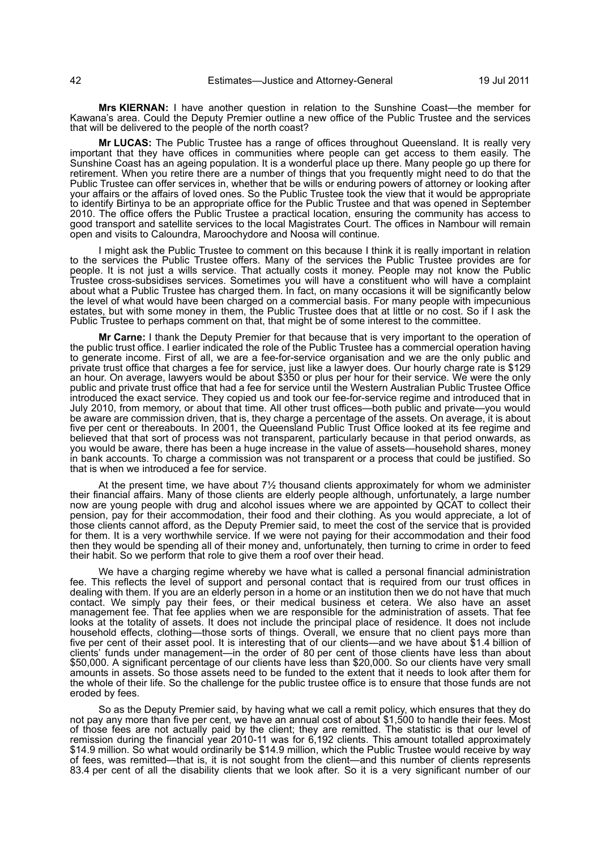**Mrs KIERNAN:** I have another question in relation to the Sunshine Coast—the member for Kawana's area. Could the Deputy Premier outline a new office of the Public Trustee and the services that will be delivered to the people of the north coast?

**Mr LUCAS:** The Public Trustee has a range of offices throughout Queensland. It is really very important that they have offices in communities where people can get access to them easily. The Sunshine Coast has an ageing population. It is a wonderful place up there. Many people go up there for retirement. When you retire there are a number of things that you frequently might need to do that the Public Trustee can offer services in, whether that be wills or enduring powers of attorney or looking after your affairs or the affairs of loved ones. So the Public Trustee took the view that it would be appropriate to identify Birtinya to be an appropriate office for the Public Trustee and that was opened in September 2010. The office offers the Public Trustee a practical location, ensuring the community has access to good transport and satellite services to the local Magistrates Court. The offices in Nambour will remain open and visits to Caloundra, Maroochydore and Noosa will continue.

I might ask the Public Trustee to comment on this because I think it is really important in relation to the services the Public Trustee offers. Many of the services the Public Trustee provides are for people. It is not just a wills service. That actually costs it money. People may not know the Public Trustee cross-subsidises services. Sometimes you will have a constituent who will have a complaint about what a Public Trustee has charged them. In fact, on many occasions it will be significantly below the level of what would have been charged on a commercial basis. For many people with impecunious estates, but with some money in them, the Public Trustee does that at little or no cost. So if I ask the Public Trustee to perhaps comment on that, that might be of some interest to the committee.

**Mr Carne:** I thank the Deputy Premier for that because that is very important to the operation of the public trust office. I earlier indicated the role of the Public Trustee has a commercial operation having to generate income. First of all, we are a fee-for-service organisation and we are the only public and private trust office that charges a fee for service, just like a lawyer does. Our hourly charge rate is \$129 an hour. On average, lawyers would be about \$350 or plus per hour for their service. We were the only public and private trust office that had a fee for service until the Western Australian Public Trustee Office introduced the exact service. They copied us and took our fee-for-service regime and introduced that in July 2010, from memory, or about that time. All other trust offices—both public and private—you would be aware are commission driven, that is, they charge a percentage of the assets. On average, it is about five per cent or thereabouts. In 2001, the Queensland Public Trust Office looked at its fee regime and believed that that sort of process was not transparent, particularly because in that period onwards, as you would be aware, there has been a huge increase in the value of assets—household shares, money in bank accounts. To charge a commission was not transparent or a process that could be justified. So that is when we introduced a fee for service.

At the present time, we have about  $7\frac{1}{2}$  thousand clients approximately for whom we administer their financial affairs. Many of those clients are elderly people although, unfortunately, a large number now are young people with drug and alcohol issues where we are appointed by QCAT to collect their pension, pay for their accommodation, their food and their clothing. As you would appreciate, a lot of those clients cannot afford, as the Deputy Premier said, to meet the cost of the service that is provided for them. It is a very worthwhile service. If we were not paying for their accommodation and their food then they would be spending all of their money and, unfortunately, then turning to crime in order to feed their habit. So we perform that role to give them a roof over their head.

We have a charging regime whereby we have what is called a personal financial administration fee. This reflects the level of support and personal contact that is required from our trust offices in dealing with them. If you are an elderly person in a home or an institution then we do not have that much contact. We simply pay their fees, or their medical business et cetera. We also have an asset management fee. That fee applies when we are responsible for the administration of assets. That fee looks at the totality of assets. It does not include the principal place of residence. It does not include household effects, clothing—those sorts of things. Overall, we ensure that no client pays more than five per cent of their asset pool. It is interesting that of our clients—and we have about \$1.4 billion of clients' funds under management—in the order of 80 per cent of those clients have less than about \$50,000. A significant percentage of our clients have less than \$20,000. So our clients have very small amounts in assets. So those assets need to be funded to the extent that it needs to look after them for the whole of their life. So the challenge for the public trustee office is to ensure that those funds are not eroded by fees.

So as the Deputy Premier said, by having what we call a remit policy, which ensures that they do not pay any more than five per cent, we have an annual cost of about \$1,500 to handle their fees. Most of those fees are not actually paid by the client; they are remitted. The statistic is that our level of remission during the financial year 2010-11 was for 6,192 clients. This amount totalled approximately \$14.9 million. So what would ordinarily be \$14.9 million, which the Public Trustee would receive by way of fees, was remitted—that is, it is not sought from the client—and this number of clients represents 83.4 per cent of all the disability clients that we look after. So it is a very significant number of our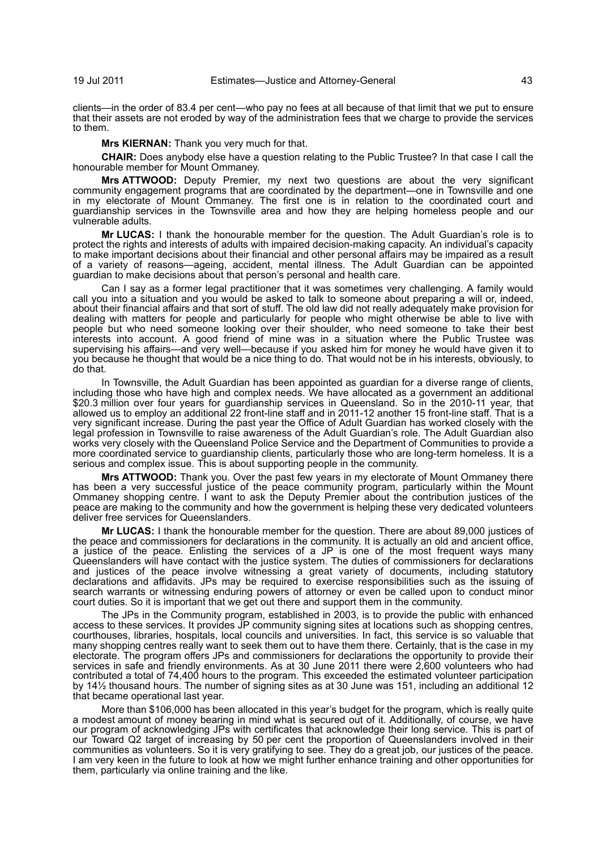clients—in the order of 83.4 per cent—who pay no fees at all because of that limit that we put to ensure that their assets are not eroded by way of the administration fees that we charge to provide the services to them.

**Mrs KIERNAN:** Thank you very much for that.

**CHAIR:** Does anybody else have a question relating to the Public Trustee? In that case I call the honourable member for Mount Ommaney.

**Mrs ATTWOOD:** Deputy Premier, my next two questions are about the very significant community engagement programs that are coordinated by the department—one in Townsville and one in my electorate of Mount Ommaney. The first one is in relation to the coordinated court and guardianship services in the Townsville area and how they are helping homeless people and our vulnerable adults.

**Mr LUCAS:** I thank the honourable member for the question. The Adult Guardian's role is to protect the rights and interests of adults with impaired decision-making capacity. An individual's capacity to make important decisions about their financial and other personal affairs may be impaired as a result of a variety of reasons—ageing, accident, mental illness. The Adult Guardian can be appointed guardian to make decisions about that person's personal and health care.

Can I say as a former legal practitioner that it was sometimes very challenging. A family would call you into a situation and you would be asked to talk to someone about preparing a will or, indeed, about their financial affairs and that sort of stuff. The old law did not really adequately make provision for dealing with matters for people and particularly for people who might otherwise be able to live with people but who need someone looking over their shoulder, who need someone to take their best interests into account. A good friend of mine was in a situation where the Public Trustee was supervising his affairs—and very well—because if you asked him for money he would have given it to you because he thought that would be a nice thing to do. That would not be in his interests, obviously, to do that.

In Townsville, the Adult Guardian has been appointed as guardian for a diverse range of clients, including those who have high and complex needs. We have allocated as a government an additional \$20.3 million over four years for guardianship services in Queensland. So in the 2010-11 year, that allowed us to employ an additional 22 front-line staff and in 2011-12 another 15 front-line staff. That is a very significant increase. During the past year the Office of Adult Guardian has worked closely with the legal profession in Townsville to raise awareness of the Adult Guardian's role. The Adult Guardian also works very closely with the Queensland Police Service and the Department of Communities to provide a more coordinated service to guardianship clients, particularly those who are long-term homeless. It is a serious and complex issue. This is about supporting people in the community.

**Mrs ATTWOOD:** Thank you. Over the past few years in my electorate of Mount Ommaney there has been a very successful justice of the peace community program, particularly within the Mount Ommaney shopping centre. I want to ask the Deputy Premier about the contribution justices of the peace are making to the community and how the government is helping these very dedicated volunteers deliver free services for Queenslanders.

**Mr LUCAS:** I thank the honourable member for the question. There are about 89,000 justices of the peace and commissioners for declarations in the community. It is actually an old and ancient office, a justice of the peace. Enlisting the services of a JP is one of the most frequent ways many Queenslanders will have contact with the justice system. The duties of commissioners for declarations and justices of the peace involve witnessing a great variety of documents, including statutory declarations and affidavits. JPs may be required to exercise responsibilities such as the issuing of search warrants or witnessing enduring powers of attorney or even be called upon to conduct minor court duties. So it is important that we get out there and support them in the community.

The JPs in the Community program, established in 2003, is to provide the public with enhanced access to these services. It provides JP community signing sites at locations such as shopping centres, courthouses, libraries, hospitals, local councils and universities. In fact, this service is so valuable that many shopping centres really want to seek them out to have them there. Certainly, that is the case in my electorate. The program offers JPs and commissioners for declarations the opportunity to provide their services in safe and friendly environments. As at 30 June 2011 there were 2,600 volunteers who had contributed a total of 74,400 hours to the program. This exceeded the estimated volunteer participation by 14½ thousand hours. The number of signing sites as at 30 June was 151, including an additional 12 that became operational last year.

More than \$106,000 has been allocated in this year's budget for the program, which is really quite a modest amount of money bearing in mind what is secured out of it. Additionally, of course, we have our program of acknowledging JPs with certificates that acknowledge their long service. This is part of our Toward Q2 target of increasing by 50 per cent the proportion of Queenslanders involved in their communities as volunteers. So it is very gratifying to see. They do a great job, our justices of the peace. I am very keen in the future to look at how we might further enhance training and other opportunities for them, particularly via online training and the like.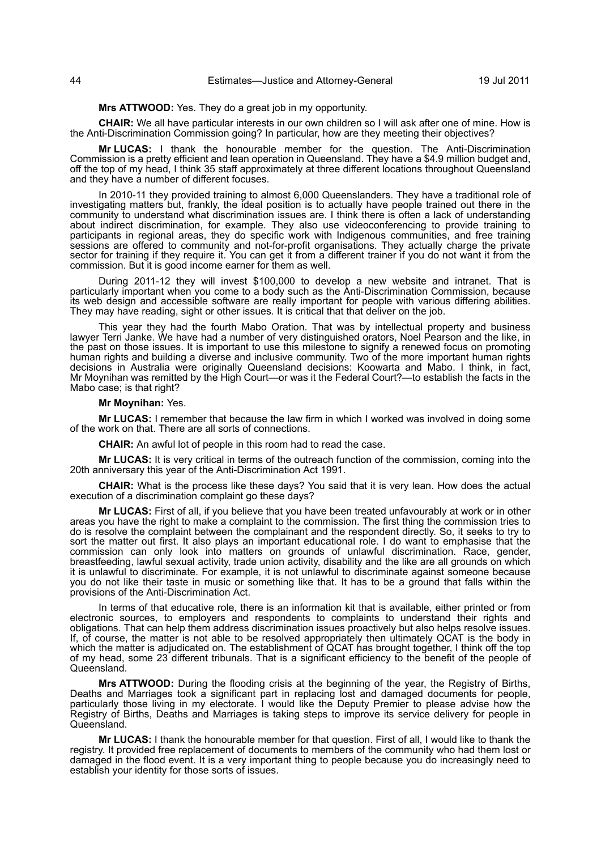**Mrs ATTWOOD:** Yes. They do a great job in my opportunity.

**CHAIR:** We all have particular interests in our own children so I will ask after one of mine. How is the Anti-Discrimination Commission going? In particular, how are they meeting their objectives?

**Mr LUCAS:** I thank the honourable member for the question. The Anti-Discrimination Commission is a pretty efficient and lean operation in Queensland. They have a \$4.9 million budget and, off the top of my head, I think 35 staff approximately at three different locations throughout Queensland and they have a number of different focuses.

In 2010-11 they provided training to almost 6,000 Queenslanders. They have a traditional role of investigating matters but, frankly, the ideal position is to actually have people trained out there in the community to understand what discrimination issues are. I think there is often a lack of understanding about indirect discrimination, for example. They also use videoconferencing to provide training to participants in regional areas, they do specific work with Indigenous communities, and free training sessions are offered to community and not-for-profit organisations. They actually charge the private sector for training if they require it. You can get it from a different trainer if you do not want it from the commission. But it is good income earner for them as well.

During 2011-12 they will invest \$100,000 to develop a new website and intranet. That is particularly important when you come to a body such as the Anti-Discrimination Commission, because its web design and accessible software are really important for people with various differing abilities. They may have reading, sight or other issues. It is critical that that deliver on the job.

This year they had the fourth Mabo Oration. That was by intellectual property and business lawyer Terri Janke. We have had a number of very distinguished orators, Noel Pearson and the like, in the past on those issues. It is important to use this milestone to signify a renewed focus on promoting human rights and building a diverse and inclusive community. Two of the more important human rights decisions in Australia were originally Queensland decisions: Koowarta and Mabo. I think, in fact, Mr Moynihan was remitted by the High Court—or was it the Federal Court?—to establish the facts in the Mabo case; is that right?

**Mr Moynihan:** Yes.

**Mr LUCAS:** I remember that because the law firm in which I worked was involved in doing some of the work on that. There are all sorts of connections.

**CHAIR:** An awful lot of people in this room had to read the case.

**Mr LUCAS:** It is very critical in terms of the outreach function of the commission, coming into the 20th anniversary this year of the Anti-Discrimination Act 1991.

**CHAIR:** What is the process like these days? You said that it is very lean. How does the actual execution of a discrimination complaint go these days?

**Mr LUCAS:** First of all, if you believe that you have been treated unfavourably at work or in other areas you have the right to make a complaint to the commission. The first thing the commission tries to do is resolve the complaint between the complainant and the respondent directly. So, it seeks to try to sort the matter out first. It also plays an important educational role. I do want to emphasise that the commission can only look into matters on grounds of unlawful discrimination. Race, gender, breastfeeding, lawful sexual activity, trade union activity, disability and the like are all grounds on which it is unlawful to discriminate. For example, it is not unlawful to discriminate against someone because you do not like their taste in music or something like that. It has to be a ground that falls within the provisions of the Anti-Discrimination Act.

In terms of that educative role, there is an information kit that is available, either printed or from electronic sources, to employers and respondents to complaints to understand their rights and obligations. That can help them address discrimination issues proactively but also helps resolve issues. If, of course, the matter is not able to be resolved appropriately then ultimately QCAT is the body in which the matter is adjudicated on. The establishment of QCAT has brought together, I think off the top of my head, some 23 different tribunals. That is a significant efficiency to the benefit of the people of Queensland.

**Mrs ATTWOOD:** During the flooding crisis at the beginning of the year, the Registry of Births, Deaths and Marriages took a significant part in replacing lost and damaged documents for people, particularly those living in my electorate. I would like the Deputy Premier to please advise how the Registry of Births, Deaths and Marriages is taking steps to improve its service delivery for people in Queensland.

**Mr LUCAS:** I thank the honourable member for that question. First of all, I would like to thank the registry. It provided free replacement of documents to members of the community who had them lost or damaged in the flood event. It is a very important thing to people because you do increasingly need to establish your identity for those sorts of issues.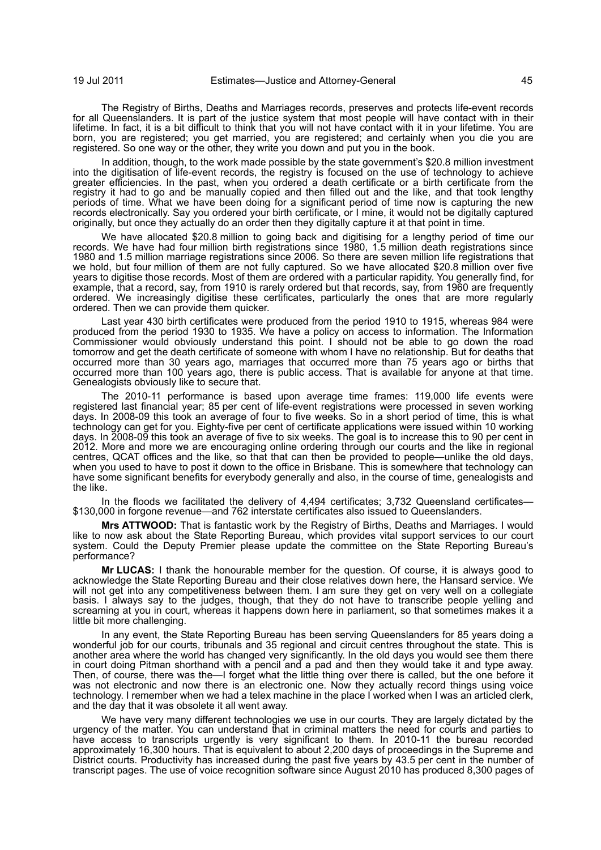The Registry of Births, Deaths and Marriages records, preserves and protects life-event records for all Queenslanders. It is part of the justice system that most people will have contact with in their lifetime. In fact, it is a bit difficult to think that you will not have contact with it in your lifetime. You are born, you are registered; you get married, you are registered; and certainly when you die you are registered. So one way or the other, they write you down and put you in the book.

In addition, though, to the work made possible by the state government's \$20.8 million investment into the digitisation of life-event records, the registry is focused on the use of technology to achieve greater efficiencies. In the past, when you ordered a death certificate or a birth certificate from the registry it had to go and be manually copied and then filled out and the like, and that took lengthy periods of time. What we have been doing for a significant period of time now is capturing the new records electronically. Say you ordered your birth certificate, or I mine, it would not be digitally captured originally, but once they actually do an order then they digitally capture it at that point in time.

We have allocated \$20.8 million to going back and digitising for a lengthy period of time our records. We have had four million birth registrations since 1980, 1.5 million death registrations since 1980 and 1.5 million marriage registrations since 2006. So there are seven million life registrations that we hold, but four million of them are not fully captured. So we have allocated \$20.8 million over five years to digitise those records. Most of them are ordered with a particular rapidity. You generally find, for example, that a record, say, from 1910 is rarely ordered but that records, say, from 1960 are frequently ordered. We increasingly digitise these certificates, particularly the ones that are more regularly ordered. Then we can provide them quicker.

Last year 430 birth certificates were produced from the period 1910 to 1915, whereas 984 were produced from the period 1930 to 1935. We have a policy on access to information. The Information Commissioner would obviously understand this point. I should not be able to go down the road tomorrow and get the death certificate of someone with whom I have no relationship. But for deaths that occurred more than 30 years ago, marriages that occurred more than 75 years ago or births that occurred more than 100 years ago, there is public access. That is available for anyone at that time. Genealogists obviously like to secure that.

The 2010-11 performance is based upon average time frames: 119,000 life events were registered last financial year; 85 per cent of life-event registrations were processed in seven working days. In 2008-09 this took an average of four to five weeks. So in a short period of time, this is what technology can get for you. Eighty-five per cent of certificate applications were issued within 10 working days. In 2008-09 this took an average of five to six weeks. The goal is to increase this to 90 per cent in 2012. More and more we are encouraging online ordering through our courts and the like in regional centres, QCAT offices and the like, so that that can then be provided to people—unlike the old days, when you used to have to post it down to the office in Brisbane. This is somewhere that technology can have some significant benefits for everybody generally and also, in the course of time, genealogists and the like.

In the floods we facilitated the delivery of 4,494 certificates; 3,732 Queensland certificates— \$130,000 in forgone revenue—and 762 interstate certificates also issued to Queenslanders.

**Mrs ATTWOOD:** That is fantastic work by the Registry of Births, Deaths and Marriages. I would like to now ask about the State Reporting Bureau, which provides vital support services to our court system. Could the Deputy Premier please update the committee on the State Reporting Bureau's performance?

**Mr LUCAS:** I thank the honourable member for the question. Of course, it is always good to acknowledge the State Reporting Bureau and their close relatives down here, the Hansard service. We will not get into any competitiveness between them. I am sure they get on very well on a collegiate basis. I always say to the judges, though, that they do not have to transcribe people yelling and screaming at you in court, whereas it happens down here in parliament, so that sometimes makes it a little bit more challenging.

In any event, the State Reporting Bureau has been serving Queenslanders for 85 years doing a wonderful job for our courts, tribunals and 35 regional and circuit centres throughout the state. This is another area where the world has changed very significantly. In the old days you would see them there in court doing Pitman shorthand with a pencil and a pad and then they would take it and type away. Then, of course, there was the—I forget what the little thing over there is called, but the one before it was not electronic and now there is an electronic one. Now they actually record things using voice technology. I remember when we had a telex machine in the place I worked when I was an articled clerk, and the day that it was obsolete it all went away.

We have very many different technologies we use in our courts. They are largely dictated by the urgency of the matter. You can understand that in criminal matters the need for courts and parties to have access to transcripts urgently is very significant to them. In 2010-11 the bureau recorded approximately 16,300 hours. That is equivalent to about 2,200 days of proceedings in the Supreme and District courts. Productivity has increased during the past five years by 43.5 per cent in the number of transcript pages. The use of voice recognition software since August 2010 has produced 8,300 pages of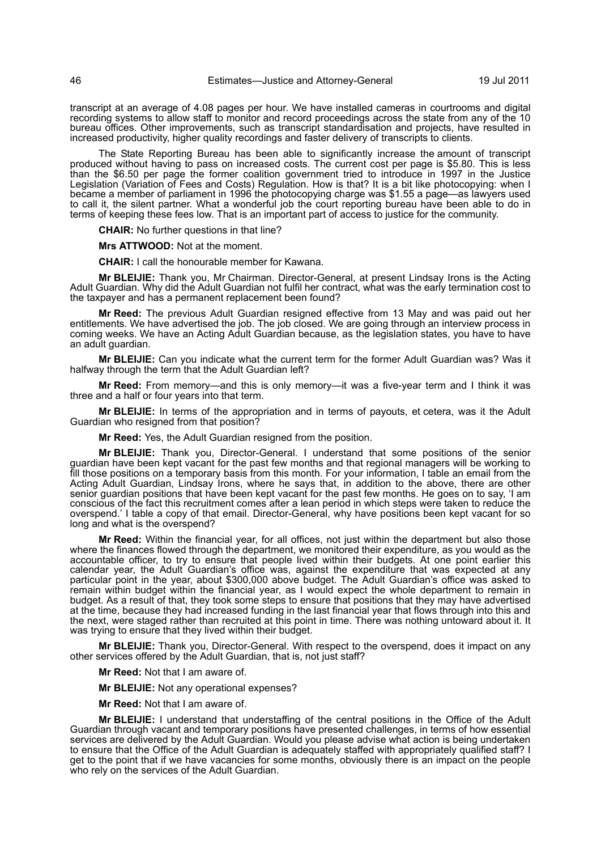transcript at an average of 4.08 pages per hour. We have installed cameras in courtrooms and digital recording systems to allow staff to monitor and record proceedings across the state from any of the 10 bureau offices. Other improvements, such as transcript standardisation and projects, have resulted in increased productivity, higher quality recordings and faster delivery of transcripts to clients.

The State Reporting Bureau has been able to significantly increase the amount of transcript produced without having to pass on increased costs. The current cost per page is \$5.80. This is less than the \$6.50 per page the former coalition government tried to introduce in 1997 in the Justice Legislation (Variation of Fees and Costs) Regulation. How is that? It is a bit like photocopying: when I became a member of parliament in 1996 the photocopying charge was \$1.55 a page—as lawyers used to call it, the silent partner. What a wonderful job the court reporting bureau have been able to do in terms of keeping these fees low. That is an important part of access to justice for the community.

**CHAIR:** No further questions in that line?

**Mrs ATTWOOD:** Not at the moment.

**CHAIR:** I call the honourable member for Kawana.

**Mr BLEIJIE:** Thank you, Mr Chairman. Director-General, at present Lindsay Irons is the Acting Adult Guardian. Why did the Adult Guardian not fulfil her contract, what was the early termination cost to the taxpayer and has a permanent replacement been found?

**Mr Reed:** The previous Adult Guardian resigned effective from 13 May and was paid out her entitlements. We have advertised the job. The job closed. We are going through an interview process in coming weeks. We have an Acting Adult Guardian because, as the legislation states, you have to have an adult guardian.

**Mr BLEIJIE:** Can you indicate what the current term for the former Adult Guardian was? Was it halfway through the term that the Adult Guardian left?

**Mr Reed:** From memory—and this is only memory—it was a five-year term and I think it was three and a half or four years into that term.

**Mr BLEIJIE:** In terms of the appropriation and in terms of payouts, et cetera, was it the Adult Guardian who resigned from that position?

**Mr Reed:** Yes, the Adult Guardian resigned from the position.

**Mr BLEIJIE:** Thank you, Director-General. I understand that some positions of the senior guardian have been kept vacant for the past few months and that regional managers will be working to fill those positions on a temporary basis from this month. For your information, I table an email from the Acting Adult Guardian, Lindsay Irons, where he says that, in addition to the above, there are other senior guardian positions that have been kept vacant for the past few months. He goes on to say, 'I am conscious of the fact this recruitment comes after a lean period in which steps were taken to reduce the overspend.' I table a copy of that email. Director-General, why have positions been kept vacant for so long and what is the overspend?

**Mr Reed:** Within the financial year, for all offices, not just within the department but also those where the finances flowed through the department, we monitored their expenditure, as you would as the accountable officer, to try to ensure that people lived within their budgets. At one point earlier this calendar year, the Adult Guardian's office was, against the expenditure that was expected at any particular point in the year, about \$300,000 above budget. The Adult Guardian's office was asked to remain within budget within the financial year, as I would expect the whole department to remain in budget. As a result of that, they took some steps to ensure that positions that they may have advertised at the time, because they had increased funding in the last financial year that flows through into this and the next, were staged rather than recruited at this point in time. There was nothing untoward about it. It was trying to ensure that they lived within their budget.

**Mr BLEIJIE:** Thank you, Director-General. With respect to the overspend, does it impact on any other services offered by the Adult Guardian, that is, not just staff?

**Mr Reed:** Not that I am aware of.

**Mr BLEIJIE:** Not any operational expenses?

**Mr Reed:** Not that I am aware of.

**Mr BLEIJIE:** I understand that understaffing of the central positions in the Office of the Adult Guardian through vacant and temporary positions have presented challenges, in terms of how essential services are delivered by the Adult Guardian. Would you please advise what action is being undertaken to ensure that the Office of the Adult Guardian is adequately staffed with appropriately qualified staff? I get to the point that if we have vacancies for some months, obviously there is an impact on the people who rely on the services of the Adult Guardian.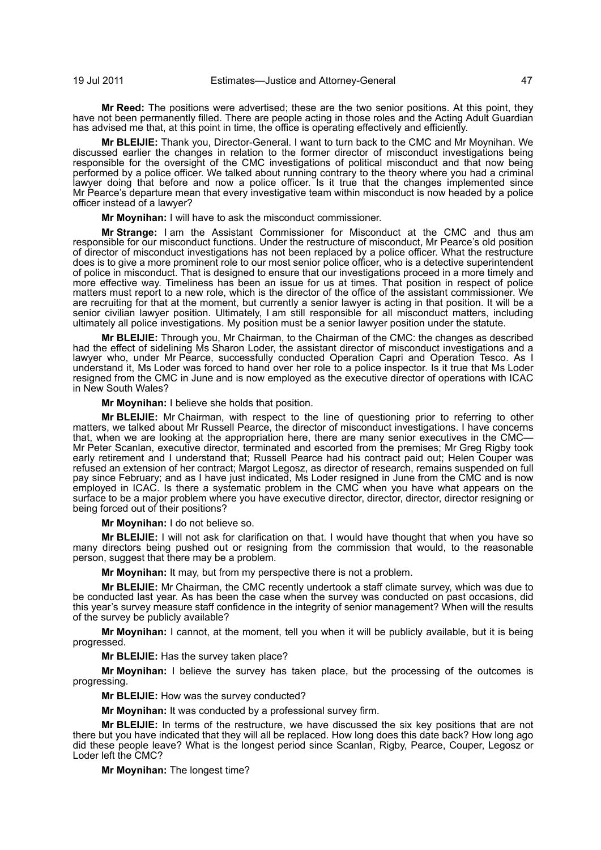**Mr Reed:** The positions were advertised; these are the two senior positions. At this point, they have not been permanently filled. There are people acting in those roles and the Acting Adult Guardian has advised me that, at this point in time, the office is operating effectively and efficiently.

**Mr BLEIJIE:** Thank you, Director-General. I want to turn back to the CMC and Mr Moynihan. We discussed earlier the changes in relation to the former director of misconduct investigations being responsible for the oversight of the CMC investigations of political misconduct and that now being performed by a police officer. We talked about running contrary to the theory where you had a criminal lawyer doing that before and now a police officer. Is it true that the changes implemented since Mr Pearce's departure mean that every investigative team within misconduct is now headed by a police officer instead of a lawyer?

**Mr Moynihan:** I will have to ask the misconduct commissioner.

**Mr Strange:** I am the Assistant Commissioner for Misconduct at the CMC and thus am responsible for our misconduct functions. Under the restructure of misconduct, Mr Pearce's old position of director of misconduct investigations has not been replaced by a police officer. What the restructure does is to give a more prominent role to our most senior police officer, who is a detective superintendent of police in misconduct. That is designed to ensure that our investigations proceed in a more timely and more effective way. Timeliness has been an issue for us at times. That position in respect of police matters must report to a new role, which is the director of the office of the assistant commissioner. We are recruiting for that at the moment, but currently a senior lawyer is acting in that position. It will be a senior civilian lawyer position. Ultimately, I am still responsible for all misconduct matters, including ultimately all police investigations. My position must be a senior lawyer position under the statute.

**Mr BLEIJIE:** Through you, Mr Chairman, to the Chairman of the CMC: the changes as described had the effect of sidelining Ms Sharon Loder, the assistant director of misconduct investigations and a lawyer who, under Mr Pearce, successfully conducted Operation Capri and Operation Tesco. As I understand it, Ms Loder was forced to hand over her role to a police inspector. Is it true that Ms Loder resigned from the CMC in June and is now employed as the executive director of operations with ICAC in New South Wales?

**Mr Moynihan:** I believe she holds that position.

**Mr BLEIJIE:** Mr Chairman, with respect to the line of questioning prior to referring to other matters, we talked about Mr Russell Pearce, the director of misconduct investigations. I have concerns that, when we are looking at the appropriation here, there are many senior executives in the CMC— Mr Peter Scanlan, executive director, terminated and escorted from the premises; Mr Greg Rigby took early retirement and I understand that; Russell Pearce had his contract paid out; Helen Couper was refused an extension of her contract; Margot Legosz, as director of research, remains suspended on full pay since February; and as I have just indicated, Ms Loder resigned in June from the CMC and is now employed in ICAC. Is there a systematic problem in the CMC when you have what appears on the surface to be a major problem where you have executive director, director, director, director resigning or being forced out of their positions?

**Mr Moynihan:** I do not believe so.

**Mr BLEIJIE:** I will not ask for clarification on that. I would have thought that when you have so many directors being pushed out or resigning from the commission that would, to the reasonable person, suggest that there may be a problem.

**Mr Moynihan:** It may, but from my perspective there is not a problem.

**Mr BLEIJIE:** Mr Chairman, the CMC recently undertook a staff climate survey, which was due to be conducted last year. As has been the case when the survey was conducted on past occasions, did this year's survey measure staff confidence in the integrity of senior management? When will the results of the survey be publicly available?

**Mr Moynihan:** I cannot, at the moment, tell you when it will be publicly available, but it is being progressed.

**Mr BLEIJIE:** Has the survey taken place?

**Mr Moynihan:** I believe the survey has taken place, but the processing of the outcomes is progressing.

**Mr BLEIJIE:** How was the survey conducted?

**Mr Moynihan:** It was conducted by a professional survey firm.

**Mr BLEIJIE:** In terms of the restructure, we have discussed the six key positions that are not there but you have indicated that they will all be replaced. How long does this date back? How long ago did these people leave? What is the longest period since Scanlan, Rigby, Pearce, Couper, Legosz or Loder left the CMC?

**Mr Moynihan:** The longest time?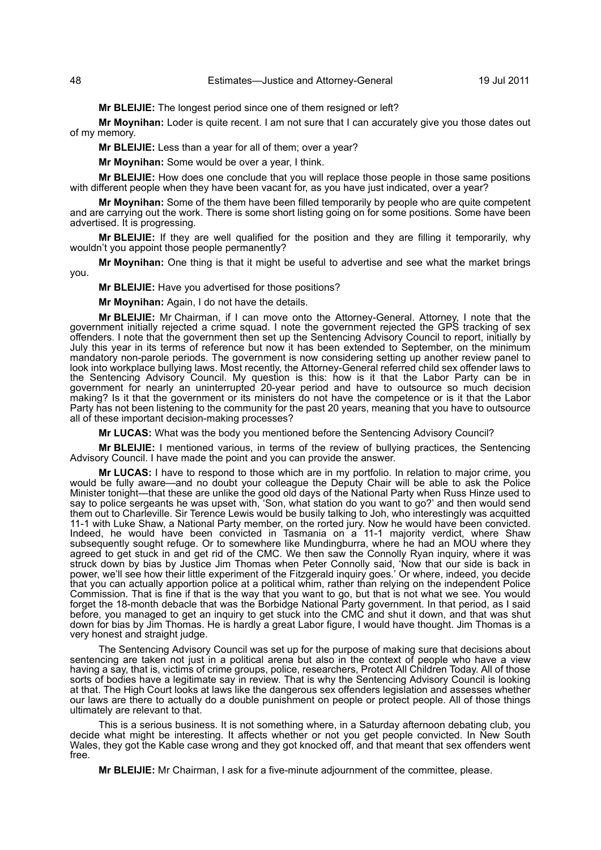**Mr BLEIJIE:** The longest period since one of them resigned or left?

**Mr Moynihan:** Loder is quite recent. I am not sure that I can accurately give you those dates out of my memory.

**Mr BLEIJIE:** Less than a year for all of them; over a year?

**Mr Moynihan:** Some would be over a year, I think.

**Mr BLEIJIE:** How does one conclude that you will replace those people in those same positions with different people when they have been vacant for, as you have just indicated, over a year?

**Mr Moynihan:** Some of the them have been filled temporarily by people who are quite competent and are carrying out the work. There is some short listing going on for some positions. Some have been advertised. It is progressing.

**Mr BLEIJIE:** If they are well qualified for the position and they are filling it temporarily, why wouldn't you appoint those people permanently?

**Mr Moynihan:** One thing is that it might be useful to advertise and see what the market brings you.

**Mr BLEIJIE:** Have you advertised for those positions?

**Mr Moynihan:** Again, I do not have the details.

**Mr BLEIJIE:** Mr Chairman, if I can move onto the Attorney-General. Attorney, I note that the government initially rejected a crime squad. I note the government rejected the GPS tracking of sex offenders. I note that the government then set up the Sentencing Advisory Council to report, initially by July this year in its terms of reference but now it has been extended to September, on the minimum mandatory non-parole periods. The government is now considering setting up another review panel to look into workplace bullying laws. Most recently, the Attorney-General referred child sex offender laws to the Sentencing Advisory Council. My question is this: how is it that the Labor Party can be in government for nearly an uninterrupted 20-year period and have to outsource so much decision making? Is it that the government or its ministers do not have the competence or is it that the Labor Party has not been listening to the community for the past 20 years, meaning that you have to outsource all of these important decision-making processes?

**Mr LUCAS:** What was the body you mentioned before the Sentencing Advisory Council?

**Mr BLEIJIE:** I mentioned various, in terms of the review of bullying practices, the Sentencing Advisory Council. I have made the point and you can provide the answer.

**Mr LUCAS:** I have to respond to those which are in my portfolio. In relation to major crime, you would be fully aware—and no doubt your colleague the Deputy Chair will be able to ask the Police Minister tonight—that these are unlike the good old days of the National Party when Russ Hinze used to say to police sergeants he was upset with, 'Son, what station do you want to go?' and then would send them out to Charleville. Sir Terence Lewis would be busily talking to Joh, who interestingly was acquitted 11-1 with Luke Shaw, a National Party member, on the rorted jury. Now he would have been convicted. Indeed, he would have been convicted in Tasmania on a 11-1 majority verdict, where Shaw subsequently sought refuge. Or to somewhere like Mundingburra, where he had an MOU where they agreed to get stuck in and get rid of the CMC. We then saw the Connolly Ryan inquiry, where it was struck down by bias by Justice Jim Thomas when Peter Connolly said, 'Now that our side is back in power, we'll see how their little experiment of the Fitzgerald inquiry goes.' Or where, indeed, you decide that you can actually apportion police at a political whim, rather than relying on the independent Police Commission. That is fine if that is the way that you want to go, but that is not what we see. You would forget the 18-month debacle that was the Borbidge National Party government. In that period, as I said before, you managed to get an inquiry to get stuck into the CMC and shut it down, and that was shut down for bias by Jim Thomas. He is hardly a great Labor figure, I would have thought. Jim Thomas is a very honest and straight judge.

The Sentencing Advisory Council was set up for the purpose of making sure that decisions about sentencing are taken not just in a political arena but also in the context of people who have a view having a say, that is, victims of crime groups, police, researchers, Protect All Children Today. All of those sorts of bodies have a legitimate say in review. That is why the Sentencing Advisory Council is looking at that. The High Court looks at laws like the dangerous sex offenders legislation and assesses whether our laws are there to actually do a double punishment on people or protect people. All of those things ultimately are relevant to that.

This is a serious business. It is not something where, in a Saturday afternoon debating club, you decide what might be interesting. It affects whether or not you get people convicted. In New South Wales, they got the Kable case wrong and they got knocked off, and that meant that sex offenders went free.

**Mr BLEIJIE:** Mr Chairman, I ask for a five-minute adjournment of the committee, please.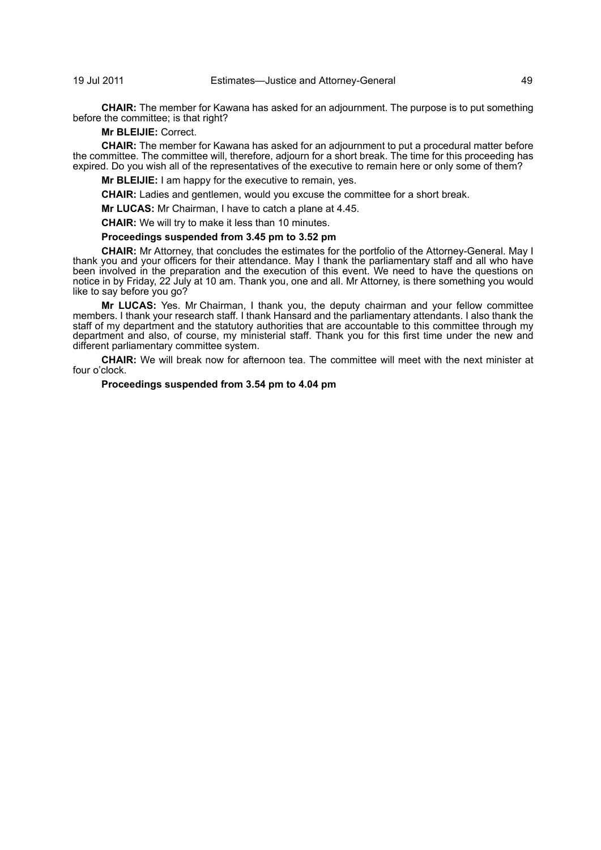**CHAIR:** The member for Kawana has asked for an adjournment. The purpose is to put something before the committee; is that right?

**Mr BLEIJIE:** Correct.

**CHAIR:** The member for Kawana has asked for an adjournment to put a procedural matter before the committee. The committee will, therefore, adjourn for a short break. The time for this proceeding has expired. Do you wish all of the representatives of the executive to remain here or only some of them?

**Mr BLEIJIE:** I am happy for the executive to remain, yes.

**CHAIR:** Ladies and gentlemen, would you excuse the committee for a short break.

**Mr LUCAS:** Mr Chairman, I have to catch a plane at 4.45.

**CHAIR:** We will try to make it less than 10 minutes.

# **Proceedings suspended from 3.45 pm to 3.52 pm**

**CHAIR:** Mr Attorney, that concludes the estimates for the portfolio of the Attorney-General. May I thank you and your officers for their attendance. May I thank the parliamentary staff and all who have been involved in the preparation and the execution of this event. We need to have the questions on notice in by Friday, 22 July at 10 am. Thank you, one and all. Mr Attorney, is there something you would like to say before you go?

**Mr LUCAS:** Yes. Mr Chairman, I thank you, the deputy chairman and your fellow committee members. I thank your research staff. I thank Hansard and the parliamentary attendants. I also thank the staff of my department and the statutory authorities that are accountable to this committee through my department and also, of course, my ministerial staff. Thank you for this first time under the new and different parliamentary committee system.

**CHAIR:** We will break now for afternoon tea. The committee will meet with the next minister at four o'clock.

## **Proceedings suspended from 3.54 pm to 4.04 pm**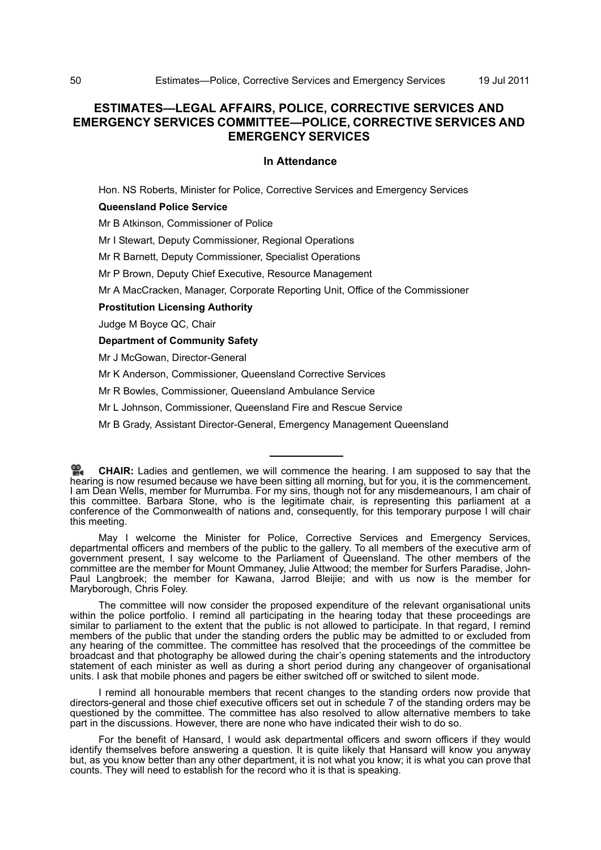## **ESTIMATES—LEGAL AFFAIRS, POLICE, CORRECTIVE SERVICES AND EMERGENCY SERVICES COMMITTEE—POLICE, CORRECTIVE SERVICES AND EMERGENCY SERVICES**

## **In Attendance**

Hon. NS Roberts, Minister for Police, Corrective Services and Emergency Services

## **Queensland Police Service**

Mr B Atkinson, Commissioner of Police

Mr I Stewart, Deputy Commissioner, Regional Operations

Mr R Barnett, Deputy Commissioner, Specialist Operations

Mr P Brown, Deputy Chief Executive, Resource Management

Mr A MacCracken, Manager, Corporate Reporting Unit, Office of the Commissioner

#### **Prostitution Licensing Authority**

Judge M Boyce QC, Chair

**Department of Community Safety**

Mr J McGowan, Director-General

Mr K Anderson, Commissioner, Queensland Corrective Services

Mr R Bowles, Commissioner, Queensland Ambulance Service

Mr L Johnson, Commissioner, Queensland Fire and Rescue Service

Mr B Grady, Assistant Director-General, Emergency Management Queensland

I remind all honourable members that recent changes to the standing orders now provide that directors-general and those chief executive officers set out in schedule 7 of the standing orders may be questioned by the committee. The committee has also resolved to allow alternative members to take part in the discussions. However, there are none who have indicated their wish to do so.

**CHAIR:** [Ladies and gentlemen, we will commence the hearing. I am supposed to say that the](http://www.parliament.qld.gov.au/docs/find.aspx?id=0Mba20110719_160505) [hea](http://www.parliament.qld.gov.au/docs/find.aspx?id=0Mba20110719_160505)ring is now resumed because we have been sitting all morning, but for you, it is the commencement. [I am Dean Wells, member for Murrumba. For my sins, though not for any misdemeanours, I am chair of](http://www.parliament.qld.gov.au/docs/find.aspx?id=0Mba20110719_160505) this committee. Barbara Stone, who is the legitimate chair, is representing this parliament at a conference of the Commonwealth of nations and, consequently, for this temporary purpose I will chair this meeting.

May I welcome the Minister for Police, Corrective Services and Emergency Services, departmental officers and members of the public to the gallery. To all members of the executive arm of government present, I say welcome to the Parliament of Queensland. The other members of the committee are the member for Mount Ommaney, Julie Attwood; the member for Surfers Paradise, John-Paul Langbroek; the member for Kawana, Jarrod Bleijie; and with us now is the member for Maryborough, Chris Foley.

The committee will now consider the proposed expenditure of the relevant organisational units within the police portfolio. I remind all participating in the hearing today that these proceedings are similar to parliament to the extent that the public is not allowed to participate. In that regard, I remind members of the public that under the standing orders the public may be admitted to or excluded from any hearing of the committee. The committee has resolved that the proceedings of the committee be broadcast and that photography be allowed during the chair's opening statements and the introductory statement of each minister as well as during a short period during any changeover of organisational units. I ask that mobile phones and pagers be either switched off or switched to silent mode.

For the benefit of Hansard, I would ask departmental officers and sworn officers if they would identify themselves before answering a question. It is quite likely that Hansard will know you anyway but, as you know better than any other department, it is not what you know; it is what you can prove that counts. They will need to establish for the record who it is that is speaking.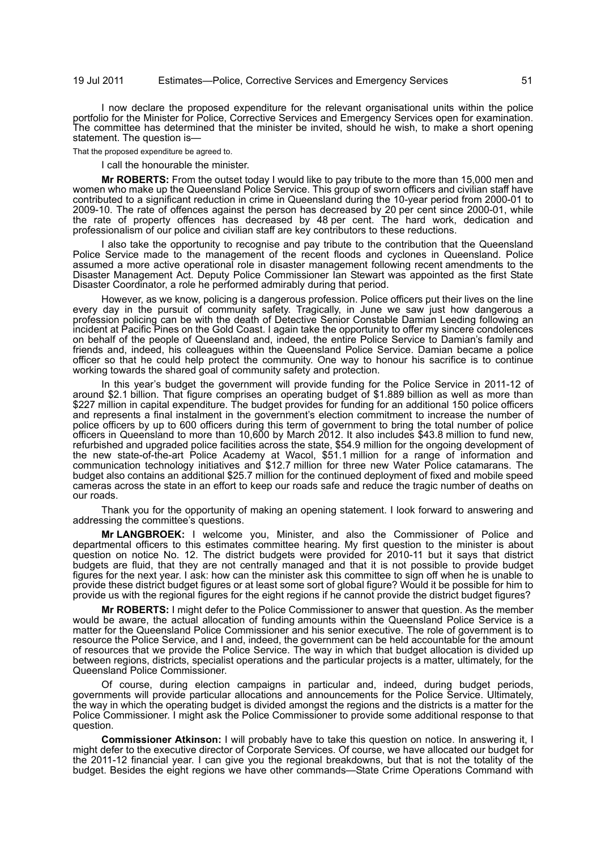I now declare the proposed expenditure for the relevant organisational units within the police portfolio for the Minister for Police, Corrective Services and Emergency Services open for examination. The committee has determined that the minister be invited, should he wish, to make a short opening statement. The question is—

That the proposed expenditure be agreed to.

I call the honourable the minister.

**Mr ROBERTS:** From the outset today I would like to pay tribute to the more than 15,000 men and women who make up the Queensland Police Service. This group of sworn officers and civilian staff have contributed to a significant reduction in crime in Queensland during the 10-year period from 2000-01 to 2009-10. The rate of offences against the person has decreased by 20 per cent since 2000-01, while the rate of property offences has decreased by 48 per cent. The hard work, dedication and professionalism of our police and civilian staff are key contributors to these reductions.

I also take the opportunity to recognise and pay tribute to the contribution that the Queensland Police Service made to the management of the recent floods and cyclones in Queensland. Police assumed a more active operational role in disaster management following recent amendments to the Disaster Management Act. Deputy Police Commissioner Ian Stewart was appointed as the first State Disaster Coordinator, a role he performed admirably during that period.

However, as we know, policing is a dangerous profession. Police officers put their lives on the line every day in the pursuit of community safety. Tragically, in June we saw just how dangerous a profession policing can be with the death of Detective Senior Constable Damian Leeding following an incident at Pacific Pines on the Gold Coast. I again take the opportunity to offer my sincere condolences on behalf of the people of Queensland and, indeed, the entire Police Service to Damian's family and friends and, indeed, his colleagues within the Queensland Police Service. Damian became a police officer so that he could help protect the community. One way to honour his sacrifice is to continue working towards the shared goal of community safety and protection.

In this year's budget the government will provide funding for the Police Service in 2011-12 of around \$2.1 billion. That figure comprises an operating budget of \$1.889 billion as well as more than \$227 million in capital expenditure. The budget provides for funding for an additional 150 police officers and represents a final instalment in the government's election commitment to increase the number of police officers by up to 600 officers during this term of government to bring the total number of police officers in Queensland to more than 10,600 by March 2012. It also includes \$43.8 million to fund new, refurbished and upgraded police facilities across the state, \$54.9 million for the ongoing development of the new state-of-the-art Police Academy at Wacol, \$51.1 million for a range of information and communication technology initiatives and \$12.7 million for three new Water Police catamarans. The budget also contains an additional \$25.7 million for the continued deployment of fixed and mobile speed cameras across the state in an effort to keep our roads safe and reduce the tragic number of deaths on our roads.

Thank you for the opportunity of making an opening statement. I look forward to answering and addressing the committee's questions.

**Mr LANGBROEK:** I welcome you, Minister, and also the Commissioner of Police and departmental officers to this estimates committee hearing. My first question to the minister is about question on notice No. 12. The district budgets were provided for 2010-11 but it says that district budgets are fluid, that they are not centrally managed and that it is not possible to provide budget figures for the next year. I ask: how can the minister ask this committee to sign off when he is unable to provide these district budget figures or at least some sort of global figure? Would it be possible for him to provide us with the regional figures for the eight regions if he cannot provide the district budget figures?

**Mr ROBERTS:** I might defer to the Police Commissioner to answer that question. As the member would be aware, the actual allocation of funding amounts within the Queensland Police Service is a matter for the Queensland Police Commissioner and his senior executive. The role of government is to resource the Police Service, and I and, indeed, the government can be held accountable for the amount of resources that we provide the Police Service. The way in which that budget allocation is divided up between regions, districts, specialist operations and the particular projects is a matter, ultimately, for the Queensland Police Commissioner.

Of course, during election campaigns in particular and, indeed, during budget periods, governments will provide particular allocations and announcements for the Police Service. Ultimately, the way in which the operating budget is divided amongst the regions and the districts is a matter for the Police Commissioner. I might ask the Police Commissioner to provide some additional response to that question.

**Commissioner Atkinson:** I will probably have to take this question on notice. In answering it, I might defer to the executive director of Corporate Services. Of course, we have allocated our budget for the 2011-12 financial year. I can give you the regional breakdowns, but that is not the totality of the budget. Besides the eight regions we have other commands—State Crime Operations Command with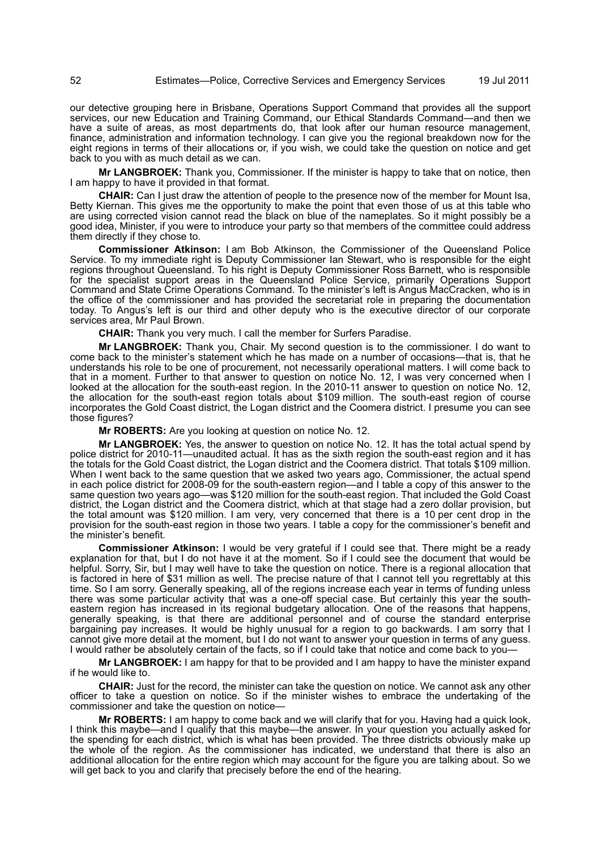our detective grouping here in Brisbane, Operations Support Command that provides all the support services, our new Education and Training Command, our Ethical Standards Command—and then we have a suite of areas, as most departments do, that look after our human resource management, finance, administration and information technology. I can give you the regional breakdown now for the eight regions in terms of their allocations or, if you wish, we could take the question on notice and get back to you with as much detail as we can.

**Mr LANGBROEK:** Thank you, Commissioner. If the minister is happy to take that on notice, then I am happy to have it provided in that format.

**CHAIR:** Can I just draw the attention of people to the presence now of the member for Mount Isa, Betty Kiernan. This gives me the opportunity to make the point that even those of us at this table who are using corrected vision cannot read the black on blue of the nameplates. So it might possibly be a good idea, Minister, if you were to introduce your party so that members of the committee could address them directly if they chose to.

**Commissioner Atkinson:** I am Bob Atkinson, the Commissioner of the Queensland Police Service. To my immediate right is Deputy Commissioner Ian Stewart, who is responsible for the eight regions throughout Queensland. To his right is Deputy Commissioner Ross Barnett, who is responsible for the specialist support areas in the Queensland Police Service, primarily Operations Support Command and State Crime Operations Command. To the minister's left is Angus MacCracken, who is in the office of the commissioner and has provided the secretariat role in preparing the documentation today. To Angus's left is our third and other deputy who is the executive director of our corporate services area, Mr Paul Brown.

**CHAIR:** Thank you very much. I call the member for Surfers Paradise.

**Mr LANGBROEK:** Thank you, Chair. My second question is to the commissioner. I do want to come back to the minister's statement which he has made on a number of occasions—that is, that he understands his role to be one of procurement, not necessarily operational matters. I will come back to that in a moment. Further to that answer to question on notice No. 12, I was very concerned when I looked at the allocation for the south-east region. In the 2010-11 answer to question on notice No. 12, the allocation for the south-east region totals about \$109 million. The south-east region of course incorporates the Gold Coast district, the Logan district and the Coomera district. I presume you can see those figures?

**Mr ROBERTS:** Are you looking at question on notice No. 12.

**Mr LANGBROEK:** Yes, the answer to question on notice No. 12. It has the total actual spend by police district for 2010-11—unaudited actual. It has as the sixth region the south-east region and it has the totals for the Gold Coast district, the Logan district and the Coomera district. That totals \$109 million. When I went back to the same question that we asked two years ago, Commissioner, the actual spend in each police district for 2008-09 for the south-eastern region—and I table a copy of this answer to the same question two years ago—was \$120 million for the south-east region. That included the Gold Coast district, the Logan district and the Coomera district, which at that stage had a zero dollar provision, but the total amount was \$120 million. I am very, very concerned that there is a 10 per cent drop in the provision for the south-east region in those two years. I table a copy for the commissioner's benefit and the minister's benefit.

**Commissioner Atkinson:** I would be very grateful if I could see that. There might be a ready explanation for that, but I do not have it at the moment. So if I could see the document that would be helpful. Sorry, Sir, but I may well have to take the question on notice. There is a regional allocation that is factored in here of \$31 million as well. The precise nature of that I cannot tell you regrettably at this time. So I am sorry. Generally speaking, all of the regions increase each year in terms of funding unless there was some particular activity that was a one-off special case. But certainly this year the southeastern region has increased in its regional budgetary allocation. One of the reasons that happens, generally speaking, is that there are additional personnel and of course the standard enterprise bargaining pay increases. It would be highly unusual for a region to go backwards. I am sorry that I cannot give more detail at the moment, but I do not want to answer your question in terms of any guess. I would rather be absolutely certain of the facts, so if I could take that notice and come back to you—

**Mr LANGBROEK:** I am happy for that to be provided and I am happy to have the minister expand if he would like to.

**CHAIR:** Just for the record, the minister can take the question on notice. We cannot ask any other officer to take a question on notice. So if the minister wishes to embrace the undertaking of the commissioner and take the question on notice—

**Mr ROBERTS:** I am happy to come back and we will clarify that for you. Having had a quick look, I think this maybe—and I qualify that this maybe—the answer. In your question you actually asked for the spending for each district, which is what has been provided. The three districts obviously make up the whole of the region. As the commissioner has indicated, we understand that there is also an additional allocation for the entire region which may account for the figure you are talking about. So we will get back to you and clarify that precisely before the end of the hearing.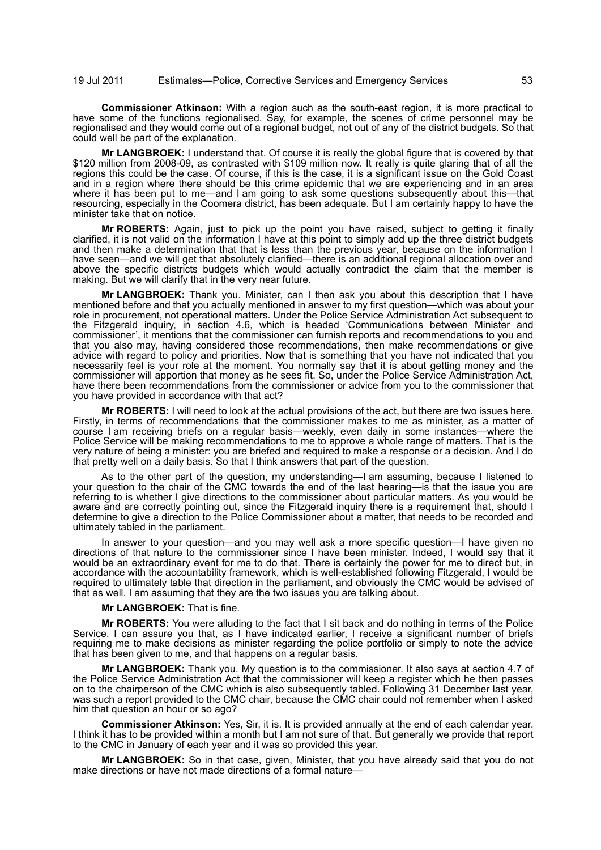**Commissioner Atkinson:** With a region such as the south-east region, it is more practical to have some of the functions regionalised. Say, for example, the scenes of crime personnel may be regionalised and they would come out of a regional budget, not out of any of the district budgets. So that could well be part of the explanation.

**Mr LANGBROEK:** I understand that. Of course it is really the global figure that is covered by that \$120 million from 2008-09, as contrasted with \$109 million now. It really is quite glaring that of all the regions this could be the case. Of course, if this is the case, it is a significant issue on the Gold Coast and in a region where there should be this crime epidemic that we are experiencing and in an area where it has been put to me—and I am going to ask some questions subsequently about this—that resourcing, especially in the Coomera district, has been adequate. But I am certainly happy to have the minister take that on notice.

**Mr ROBERTS:** Again, just to pick up the point you have raised, subject to getting it finally clarified, it is not valid on the information I have at this point to simply add up the three district budgets and then make a determination that that is less than the previous year, because on the information I have seen—and we will get that absolutely clarified—there is an additional regional allocation over and above the specific districts budgets which would actually contradict the claim that the member is making. But we will clarify that in the very near future.

**Mr LANGBROEK:** Thank you. Minister, can I then ask you about this description that I have mentioned before and that you actually mentioned in answer to my first question—which was about your role in procurement, not operational matters. Under the Police Service Administration Act subsequent to the Fitzgerald inquiry, in section 4.6, which is headed 'Communications between Minister and commissioner', it mentions that the commissioner can furnish reports and recommendations to you and that you also may, having considered those recommendations, then make recommendations or give advice with regard to policy and priorities. Now that is something that you have not indicated that you necessarily feel is your role at the moment. You normally say that it is about getting money and the commissioner will apportion that money as he sees fit. So, under the Police Service Administration Act, have there been recommendations from the commissioner or advice from you to the commissioner that you have provided in accordance with that act?

**Mr ROBERTS:** I will need to look at the actual provisions of the act, but there are two issues here. Firstly, in terms of recommendations that the commissioner makes to me as minister, as a matter of course I am receiving briefs on a regular basis—weekly, even daily in some instances—where the Police Service will be making recommendations to me to approve a whole range of matters. That is the very nature of being a minister: you are briefed and required to make a response or a decision. And I do that pretty well on a daily basis. So that I think answers that part of the question.

As to the other part of the question, my understanding—I am assuming, because I listened to your question to the chair of the CMC towards the end of the last hearing—is that the issue you are referring to is whether I give directions to the commissioner about particular matters. As you would be aware and are correctly pointing out, since the Fitzgerald inquiry there is a requirement that, should I determine to give a direction to the Police Commissioner about a matter, that needs to be recorded and ultimately tabled in the parliament.

In answer to your question—and you may well ask a more specific question—I have given no directions of that nature to the commissioner since I have been minister. Indeed, I would say that it would be an extraordinary event for me to do that. There is certainly the power for me to direct but, in accordance with the accountability framework, which is well-established following Fitzgerald, I would be required to ultimately table that direction in the parliament, and obviously the CMC would be advised of that as well. I am assuming that they are the two issues you are talking about.

#### **Mr LANGBROEK:** That is fine.

**Mr ROBERTS:** You were alluding to the fact that I sit back and do nothing in terms of the Police Service. I can assure you that, as I have indicated earlier, I receive a significant number of briefs requiring me to make decisions as minister regarding the police portfolio or simply to note the advice that has been given to me, and that happens on a regular basis.

**Mr LANGBROEK:** Thank you. My question is to the commissioner. It also says at section 4.7 of the Police Service Administration Act that the commissioner will keep a register which he then passes on to the chairperson of the CMC which is also subsequently tabled. Following 31 December last year, was such a report provided to the CMC chair, because the CMC chair could not remember when I asked him that question an hour or so ago?

**Commissioner Atkinson:** Yes, Sir, it is. It is provided annually at the end of each calendar year. I think it has to be provided within a month but I am not sure of that. But generally we provide that report to the CMC in January of each year and it was so provided this year.

**Mr LANGBROEK:** So in that case, given, Minister, that you have already said that you do not make directions or have not made directions of a formal nature—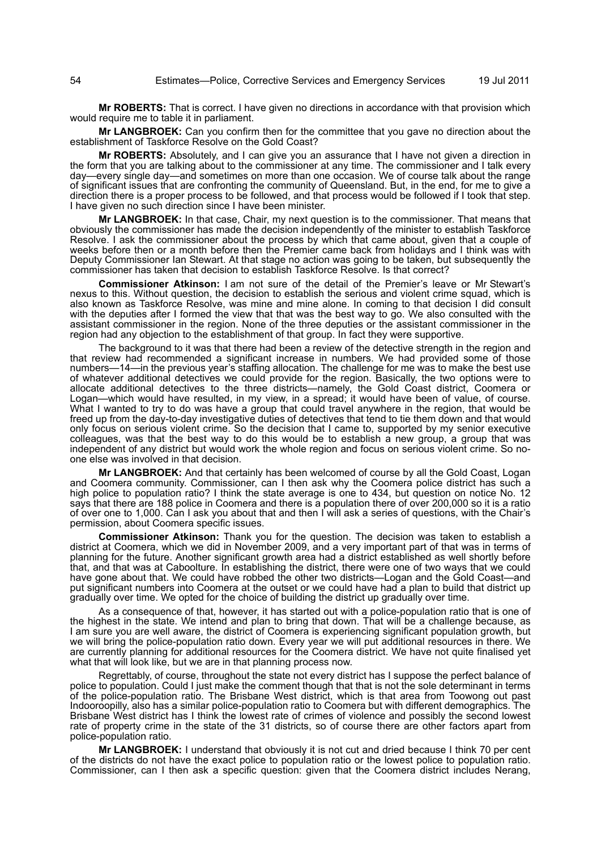**Mr ROBERTS:** That is correct. I have given no directions in accordance with that provision which would require me to table it in parliament.

**Mr LANGBROEK:** Can you confirm then for the committee that you gave no direction about the establishment of Taskforce Resolve on the Gold Coast?

**Mr ROBERTS:** Absolutely, and I can give you an assurance that I have not given a direction in the form that you are talking about to the commissioner at any time. The commissioner and I talk every day—every single day—and sometimes on more than one occasion. We of course talk about the range of significant issues that are confronting the community of Queensland. But, in the end, for me to give a direction there is a proper process to be followed, and that process would be followed if I took that step. I have given no such direction since I have been minister.

**Mr LANGBROEK:** In that case, Chair, my next question is to the commissioner. That means that obviously the commissioner has made the decision independently of the minister to establish Taskforce Resolve. I ask the commissioner about the process by which that came about, given that a couple of weeks before then or a month before then the Premier came back from holidays and I think was with Deputy Commissioner Ian Stewart. At that stage no action was going to be taken, but subsequently the commissioner has taken that decision to establish Taskforce Resolve. Is that correct?

**Commissioner Atkinson:** I am not sure of the detail of the Premier's leave or Mr Stewart's nexus to this. Without question, the decision to establish the serious and violent crime squad, which is also known as Taskforce Resolve, was mine and mine alone. In coming to that decision I did consult with the deputies after I formed the view that that was the best way to go. We also consulted with the assistant commissioner in the region. None of the three deputies or the assistant commissioner in the region had any objection to the establishment of that group. In fact they were supportive.

The background to it was that there had been a review of the detective strength in the region and that review had recommended a significant increase in numbers. We had provided some of those numbers—14—in the previous year's staffing allocation. The challenge for me was to make the best use of whatever additional detectives we could provide for the region. Basically, the two options were to allocate additional detectives to the three districts—namely, the Gold Coast district, Coomera or Logan—which would have resulted, in my view, in a spread; it would have been of value, of course. What I wanted to try to do was have a group that could travel anywhere in the region, that would be freed up from the day-to-day investigative duties of detectives that tend to tie them down and that would only focus on serious violent crime. So the decision that I came to, supported by my senior executive colleagues, was that the best way to do this would be to establish a new group, a group that was independent of any district but would work the whole region and focus on serious violent crime. So noone else was involved in that decision.

**Mr LANGBROEK:** And that certainly has been welcomed of course by all the Gold Coast, Logan and Coomera community. Commissioner, can I then ask why the Coomera police district has such a high police to population ratio? I think the state average is one to 434, but question on notice No. 12 says that there are 188 police in Coomera and there is a population there of over 200,000 so it is a ratio of over one to 1,000. Can I ask you about that and then I will ask a series of questions, with the Chair's permission, about Coomera specific issues.

**Commissioner Atkinson:** Thank you for the question. The decision was taken to establish a district at Coomera, which we did in November 2009, and a very important part of that was in terms of planning for the future. Another significant growth area had a district established as well shortly before that, and that was at Caboolture. In establishing the district, there were one of two ways that we could have gone about that. We could have robbed the other two districts—Logan and the Gold Coast—and put significant numbers into Coomera at the outset or we could have had a plan to build that district up gradually over time. We opted for the choice of building the district up gradually over time.

As a consequence of that, however, it has started out with a police-population ratio that is one of the highest in the state. We intend and plan to bring that down. That will be a challenge because, as I am sure you are well aware, the district of Coomera is experiencing significant population growth, but we will bring the police-population ratio down. Every year we will put additional resources in there. We are currently planning for additional resources for the Coomera district. We have not quite finalised yet what that will look like, but we are in that planning process now.

Regrettably, of course, throughout the state not every district has I suppose the perfect balance of police to population. Could I just make the comment though that that is not the sole determinant in terms of the police-population ratio. The Brisbane West district, which is that area from Toowong out past Indooroopilly, also has a similar police-population ratio to Coomera but with different demographics. The Brisbane West district has I think the lowest rate of crimes of violence and possibly the second lowest rate of property crime in the state of the 31 districts, so of course there are other factors apart from police-population ratio.

**Mr LANGBROEK:** I understand that obviously it is not cut and dried because I think 70 per cent of the districts do not have the exact police to population ratio or the lowest police to population ratio. Commissioner, can I then ask a specific question: given that the Coomera district includes Nerang,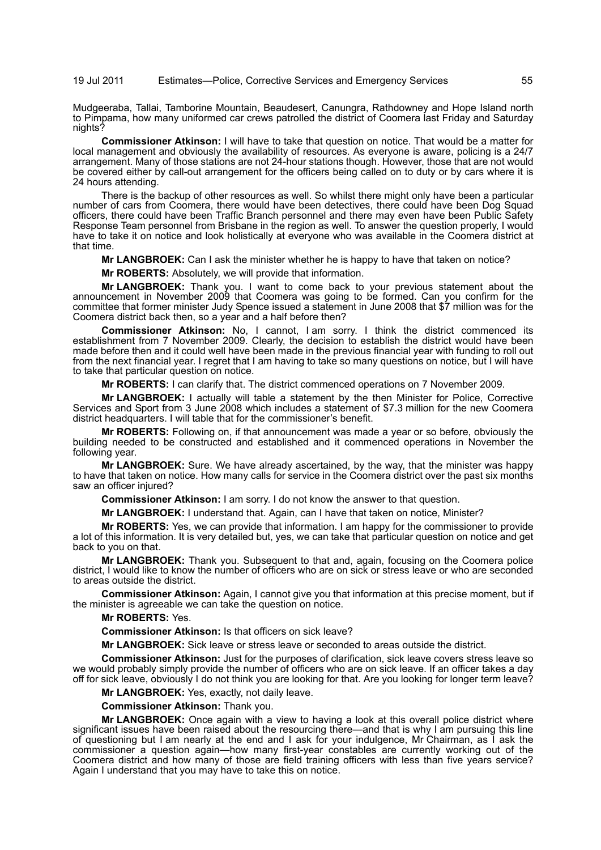Mudgeeraba, Tallai, Tamborine Mountain, Beaudesert, Canungra, Rathdowney and Hope Island north to Pimpama, how many uniformed car crews patrolled the district of Coomera last Friday and Saturday nights?

**Commissioner Atkinson:** I will have to take that question on notice. That would be a matter for local management and obviously the availability of resources. As everyone is aware, policing is a 24/7 arrangement. Many of those stations are not 24-hour stations though. However, those that are not would be covered either by call-out arrangement for the officers being called on to duty or by cars where it is 24 hours attending.

There is the backup of other resources as well. So whilst there might only have been a particular number of cars from Coomera, there would have been detectives, there could have been Dog Squad officers, there could have been Traffic Branch personnel and there may even have been Public Safety Response Team personnel from Brisbane in the region as well. To answer the question properly, I would have to take it on notice and look holistically at everyone who was available in the Coomera district at that time.

**Mr LANGBROEK:** Can I ask the minister whether he is happy to have that taken on notice?

**Mr ROBERTS:** Absolutely, we will provide that information.

**Mr LANGBROEK:** Thank you. I want to come back to your previous statement about the announcement in November 2009 that Coomera was going to be formed. Can you confirm for the committee that former minister Judy Spence issued a statement in June 2008 that \$7 million was for the Coomera district back then, so a year and a half before then?

**Commissioner Atkinson:** No, I cannot, I am sorry. I think the district commenced its establishment from 7 November 2009. Clearly, the decision to establish the district would have been made before then and it could well have been made in the previous financial year with funding to roll out from the next financial year. I regret that I am having to take so many questions on notice, but I will have to take that particular question on notice.

**Mr ROBERTS:** I can clarify that. The district commenced operations on 7 November 2009.

**Mr LANGBROEK:** I actually will table a statement by the then Minister for Police, Corrective Services and Sport from 3 June 2008 which includes a statement of \$7.3 million for the new Coomera district headquarters. I will table that for the commissioner's benefit.

**Mr ROBERTS:** Following on, if that announcement was made a year or so before, obviously the building needed to be constructed and established and it commenced operations in November the following year.

**Mr LANGBROEK:** Sure. We have already ascertained, by the way, that the minister was happy to have that taken on notice. How many calls for service in the Coomera district over the past six months saw an officer injured?

**Commissioner Atkinson:** I am sorry. I do not know the answer to that question.

**Mr LANGBROEK:** I understand that. Again, can I have that taken on notice, Minister?

**Mr ROBERTS:** Yes, we can provide that information. I am happy for the commissioner to provide a lot of this information. It is very detailed but, yes, we can take that particular question on notice and get back to you on that.

**Mr LANGBROEK:** Thank you. Subsequent to that and, again, focusing on the Coomera police district, I would like to know the number of officers who are on sick or stress leave or who are seconded to areas outside the district.

**Commissioner Atkinson:** Again, I cannot give you that information at this precise moment, but if the minister is agreeable we can take the question on notice.

**Mr ROBERTS:** Yes.

**Commissioner Atkinson:** Is that officers on sick leave?

**Mr LANGBROEK:** Sick leave or stress leave or seconded to areas outside the district.

**Commissioner Atkinson:** Just for the purposes of clarification, sick leave covers stress leave so we would probably simply provide the number of officers who are on sick leave. If an officer takes a day off for sick leave, obviously I do not think you are looking for that. Are you looking for longer term leave?

**Mr LANGBROEK:** Yes, exactly, not daily leave.

**Commissioner Atkinson:** Thank you.

**Mr LANGBROEK:** Once again with a view to having a look at this overall police district where significant issues have been raised about the resourcing there—and that is why I am pursuing this line of questioning but I am nearly at the end and I ask for your indulgence, Mr Chairman, as I ask the commissioner a question again—how many first-year constables are currently working out of the Coomera district and how many of those are field training officers with less than five years service? Again I understand that you may have to take this on notice.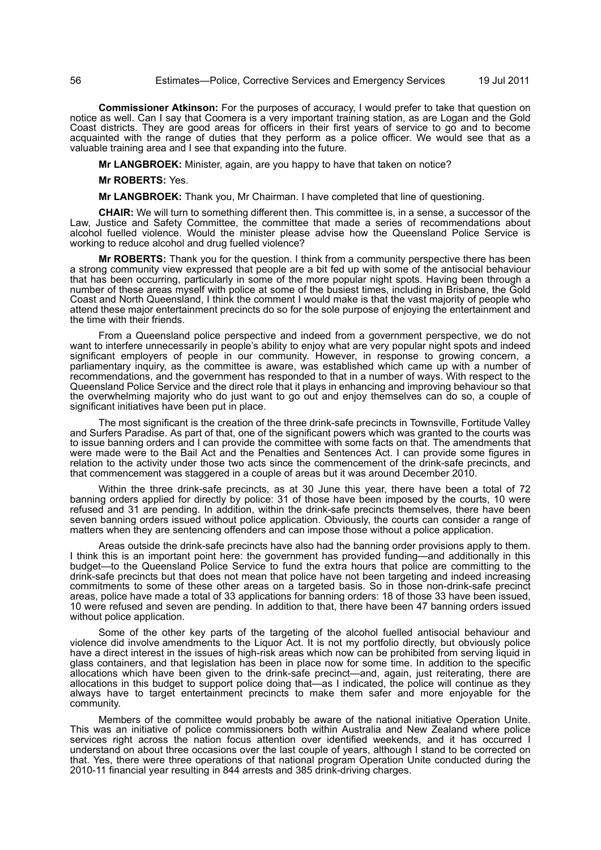**Commissioner Atkinson:** For the purposes of accuracy, I would prefer to take that question on notice as well. Can I say that Coomera is a very important training station, as are Logan and the Gold Coast districts. They are good areas for officers in their first years of service to go and to become acquainted with the range of duties that they perform as a police officer. We would see that as a valuable training area and I see that expanding into the future.

**Mr LANGBROEK:** Minister, again, are you happy to have that taken on notice?

**Mr ROBERTS:** Yes.

**Mr LANGBROEK:** Thank you, Mr Chairman. I have completed that line of questioning.

**CHAIR:** We will turn to something different then. This committee is, in a sense, a successor of the Law, Justice and Safety Committee, the committee that made a series of recommendations about alcohol fuelled violence. Would the minister please advise how the Queensland Police Service is working to reduce alcohol and drug fuelled violence?

**Mr ROBERTS:** Thank you for the question. I think from a community perspective there has been a strong community view expressed that people are a bit fed up with some of the antisocial behaviour that has been occurring, particularly in some of the more popular night spots. Having been through a number of these areas myself with police at some of the busiest times, including in Brisbane, the Gold Coast and North Queensland, I think the comment I would make is that the vast majority of people who attend these major entertainment precincts do so for the sole purpose of enjoying the entertainment and the time with their friends.

From a Queensland police perspective and indeed from a government perspective, we do not want to interfere unnecessarily in people's ability to enjoy what are very popular night spots and indeed significant employers of people in our community. However, in response to growing concern, a parliamentary inquiry, as the committee is aware, was established which came up with a number of recommendations, and the government has responded to that in a number of ways. With respect to the Queensland Police Service and the direct role that it plays in enhancing and improving behaviour so that the overwhelming majority who do just want to go out and enjoy themselves can do so, a couple of significant initiatives have been put in place.

The most significant is the creation of the three drink-safe precincts in Townsville, Fortitude Valley and Surfers Paradise. As part of that, one of the significant powers which was granted to the courts was to issue banning orders and I can provide the committee with some facts on that. The amendments that were made were to the Bail Act and the Penalties and Sentences Act. I can provide some figures in relation to the activity under those two acts since the commencement of the drink-safe precincts, and that commencement was staggered in a couple of areas but it was around December 2010.

Within the three drink-safe precincts, as at 30 June this year, there have been a total of 72 banning orders applied for directly by police: 31 of those have been imposed by the courts, 10 were refused and 31 are pending. In addition, within the drink-safe precincts themselves, there have been seven banning orders issued without police application. Obviously, the courts can consider a range of matters when they are sentencing offenders and can impose those without a police application.

Areas outside the drink-safe precincts have also had the banning order provisions apply to them. I think this is an important point here: the government has provided funding—and additionally in this budget—to the Queensland Police Service to fund the extra hours that police are committing to the drink-safe precincts but that does not mean that police have not been targeting and indeed increasing commitments to some of these other areas on a targeted basis. So in those non-drink-safe precinct areas, police have made a total of 33 applications for banning orders: 18 of those 33 have been issued, 10 were refused and seven are pending. In addition to that, there have been 47 banning orders issued without police application.

Some of the other key parts of the targeting of the alcohol fuelled antisocial behaviour and violence did involve amendments to the Liquor Act. It is not my portfolio directly, but obviously police have a direct interest in the issues of high-risk areas which now can be prohibited from serving liquid in glass containers, and that legislation has been in place now for some time. In addition to the specific allocations which have been given to the drink-safe precinct—and, again, just reiterating, there are allocations in this budget to support police doing that—as I indicated, the police will continue as they always have to target entertainment precincts to make them safer and more enjoyable for the community.

Members of the committee would probably be aware of the national initiative Operation Unite. This was an initiative of police commissioners both within Australia and New Zealand where police services right across the nation focus attention over identified weekends, and it has occurred I understand on about three occasions over the last couple of years, although I stand to be corrected on that. Yes, there were three operations of that national program Operation Unite conducted during the 2010-11 financial year resulting in 844 arrests and 385 drink-driving charges.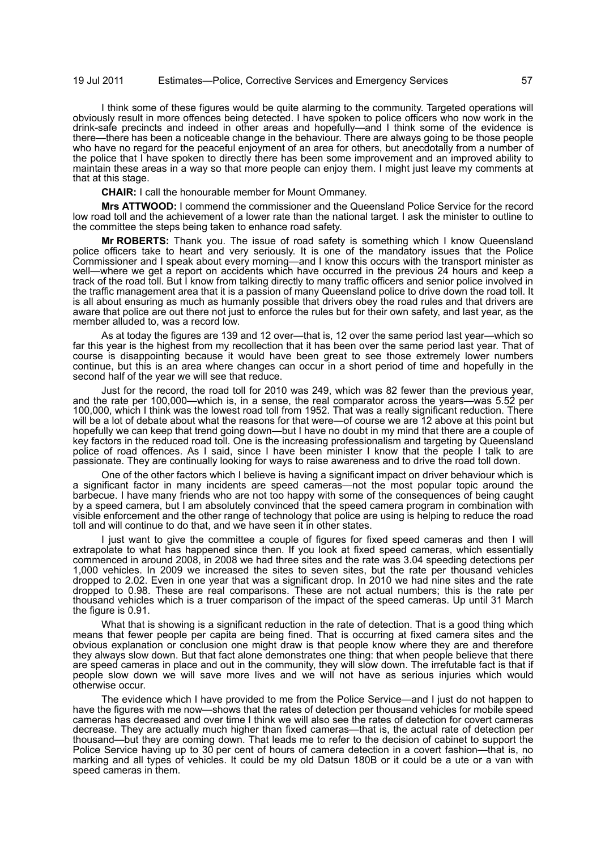I think some of these figures would be quite alarming to the community. Targeted operations will obviously result in more offences being detected. I have spoken to police officers who now work in the drink-safe precincts and indeed in other areas and hopefully—and I think some of the evidence is there—there has been a noticeable change in the behaviour. There are always going to be those people who have no regard for the peaceful enjoyment of an area for others, but anecdotally from a number of the police that I have spoken to directly there has been some improvement and an improved ability to maintain these areas in a way so that more people can enjoy them. I might just leave my comments at that at this stage.

**CHAIR:** I call the honourable member for Mount Ommaney.

**Mrs ATTWOOD:** I commend the commissioner and the Queensland Police Service for the record low road toll and the achievement of a lower rate than the national target. I ask the minister to outline to the committee the steps being taken to enhance road safety.

**Mr ROBERTS:** Thank you. The issue of road safety is something which I know Queensland police officers take to heart and very seriously. It is one of the mandatory issues that the Police Commissioner and I speak about every morning—and I know this occurs with the transport minister as well—where we get a report on accidents which have occurred in the previous 24 hours and keep a track of the road toll. But I know from talking directly to many traffic officers and senior police involved in the traffic management area that it is a passion of many Queensland police to drive down the road toll. It is all about ensuring as much as humanly possible that drivers obey the road rules and that drivers are aware that police are out there not just to enforce the rules but for their own safety, and last year, as the member alluded to, was a record low.

As at today the figures are 139 and 12 over—that is, 12 over the same period last year—which so far this year is the highest from my recollection that it has been over the same period last year. That of course is disappointing because it would have been great to see those extremely lower numbers continue, but this is an area where changes can occur in a short period of time and hopefully in the second half of the year we will see that reduce.

Just for the record, the road toll for 2010 was 249, which was 82 fewer than the previous year, and the rate per 100,000—which is, in a sense, the real comparator across the years—was 5.52 per 100,000, which I think was the lowest road toll from 1952. That was a really significant reduction. There will be a lot of debate about what the reasons for that were—of course we are 12 above at this point but hopefully we can keep that trend going down—but I have no doubt in my mind that there are a couple of key factors in the reduced road toll. One is the increasing professionalism and targeting by Queensland police of road offences. As I said, since I have been minister I know that the people I talk to are passionate. They are continually looking for ways to raise awareness and to drive the road toll down.

One of the other factors which I believe is having a significant impact on driver behaviour which is a significant factor in many incidents are speed cameras—not the most popular topic around the barbecue. I have many friends who are not too happy with some of the consequences of being caught by a speed camera, but I am absolutely convinced that the speed camera program in combination with visible enforcement and the other range of technology that police are using is helping to reduce the road toll and will continue to do that, and we have seen it in other states.

I just want to give the committee a couple of figures for fixed speed cameras and then I will extrapolate to what has happened since then. If you look at fixed speed cameras, which essentially commenced in around 2008, in 2008 we had three sites and the rate was 3.04 speeding detections per 1,000 vehicles. In 2009 we increased the sites to seven sites, but the rate per thousand vehicles dropped to 2.02. Even in one year that was a significant drop. In 2010 we had nine sites and the rate dropped to 0.98. These are real comparisons. These are not actual numbers; this is the rate per thousand vehicles which is a truer comparison of the impact of the speed cameras. Up until 31 March the figure is 0.91.

What that is showing is a significant reduction in the rate of detection. That is a good thing which means that fewer people per capita are being fined. That is occurring at fixed camera sites and the obvious explanation or conclusion one might draw is that people know where they are and therefore they always slow down. But that fact alone demonstrates one thing: that when people believe that there are speed cameras in place and out in the community, they will slow down. The irrefutable fact is that if people slow down we will save more lives and we will not have as serious injuries which would otherwise occur.

The evidence which I have provided to me from the Police Service—and I just do not happen to have the figures with me now—shows that the rates of detection per thousand vehicles for mobile speed cameras has decreased and over time I think we will also see the rates of detection for covert cameras decrease. They are actually much higher than fixed cameras—that is, the actual rate of detection per thousand—but they are coming down. That leads me to refer to the decision of cabinet to support the Police Service having up to 30 per cent of hours of camera detection in a covert fashion—that is, no marking and all types of vehicles. It could be my old Datsun 180B or it could be a ute or a van with speed cameras in them.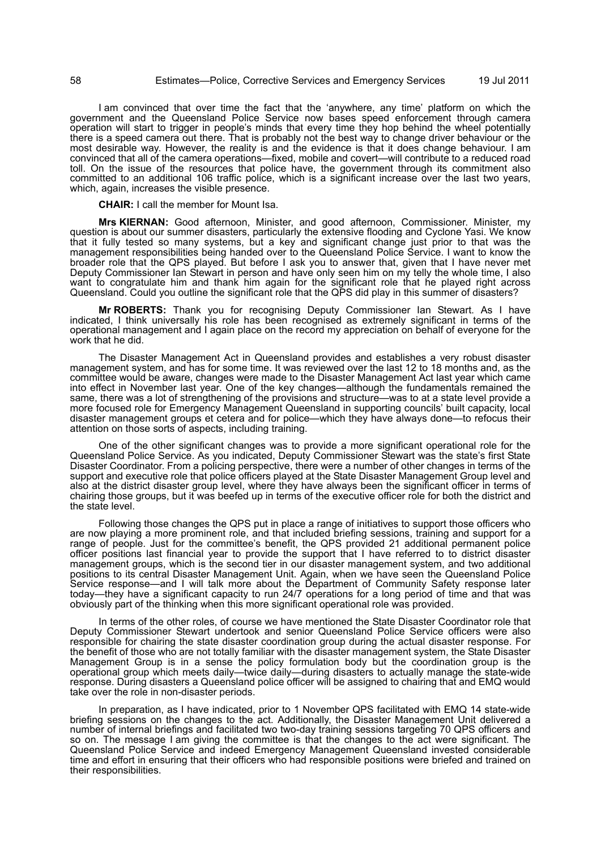I am convinced that over time the fact that the 'anywhere, any time' platform on which the government and the Queensland Police Service now bases speed enforcement through camera operation will start to trigger in people's minds that every time they hop behind the wheel potentially there is a speed camera out there. That is probably not the best way to change driver behaviour or the most desirable way. However, the reality is and the evidence is that it does change behaviour. I am convinced that all of the camera operations—fixed, mobile and covert—will contribute to a reduced road toll. On the issue of the resources that police have, the government through its commitment also committed to an additional 106 traffic police, which is a significant increase over the last two years, which, again, increases the visible presence.

**CHAIR:** I call the member for Mount Isa.

**Mrs KIERNAN:** Good afternoon, Minister, and good afternoon, Commissioner. Minister, my question is about our summer disasters, particularly the extensive flooding and Cyclone Yasi. We know that it fully tested so many systems, but a key and significant change just prior to that was the management responsibilities being handed over to the Queensland Police Service. I want to know the broader role that the QPS played. But before I ask you to answer that, given that I have never met Deputy Commissioner Ian Stewart in person and have only seen him on my telly the whole time, I also want to congratulate him and thank him again for the significant role that he played right across Queensland. Could you outline the significant role that the QPS did play in this summer of disasters?

**Mr ROBERTS:** Thank you for recognising Deputy Commissioner Ian Stewart. As I have indicated, I think universally his role has been recognised as extremely significant in terms of the operational management and I again place on the record my appreciation on behalf of everyone for the work that he did.

The Disaster Management Act in Queensland provides and establishes a very robust disaster management system, and has for some time. It was reviewed over the last 12 to 18 months and, as the committee would be aware, changes were made to the Disaster Management Act last year which came into effect in November last year. One of the key changes—although the fundamentals remained the same, there was a lot of strengthening of the provisions and structure—was to at a state level provide a more focused role for Emergency Management Queensland in supporting councils' built capacity, local disaster management groups et cetera and for police—which they have always done—to refocus their attention on those sorts of aspects, including training.

One of the other significant changes was to provide a more significant operational role for the Queensland Police Service. As you indicated, Deputy Commissioner Stewart was the state's first State Disaster Coordinator. From a policing perspective, there were a number of other changes in terms of the support and executive role that police officers played at the State Disaster Management Group level and also at the district disaster group level, where they have always been the significant officer in terms of chairing those groups, but it was beefed up in terms of the executive officer role for both the district and the state level.

Following those changes the QPS put in place a range of initiatives to support those officers who are now playing a more prominent role, and that included briefing sessions, training and support for a range of people. Just for the committee's benefit, the QPS provided 21 additional permanent police officer positions last financial year to provide the support that I have referred to to district disaster management groups, which is the second tier in our disaster management system, and two additional positions to its central Disaster Management Unit. Again, when we have seen the Queensland Police Service response—and I will talk more about the Department of Community Safety response later today—they have a significant capacity to run 24/7 operations for a long period of time and that was obviously part of the thinking when this more significant operational role was provided.

In terms of the other roles, of course we have mentioned the State Disaster Coordinator role that Deputy Commissioner Stewart undertook and senior Queensland Police Service officers were also responsible for chairing the state disaster coordination group during the actual disaster response. For the benefit of those who are not totally familiar with the disaster management system, the State Disaster Management Group is in a sense the policy formulation body but the coordination group is the operational group which meets daily—twice daily—during disasters to actually manage the state-wide response. During disasters a Queensland police officer will be assigned to chairing that and EMQ would take over the role in non-disaster periods.

In preparation, as I have indicated, prior to 1 November QPS facilitated with EMQ 14 state-wide briefing sessions on the changes to the act. Additionally, the Disaster Management Unit delivered a number of internal briefings and facilitated two two-day training sessions targeting 70 QPS officers and so on. The message I am giving the committee is that the changes to the act were significant. The Queensland Police Service and indeed Emergency Management Queensland invested considerable time and effort in ensuring that their officers who had responsible positions were briefed and trained on their responsibilities.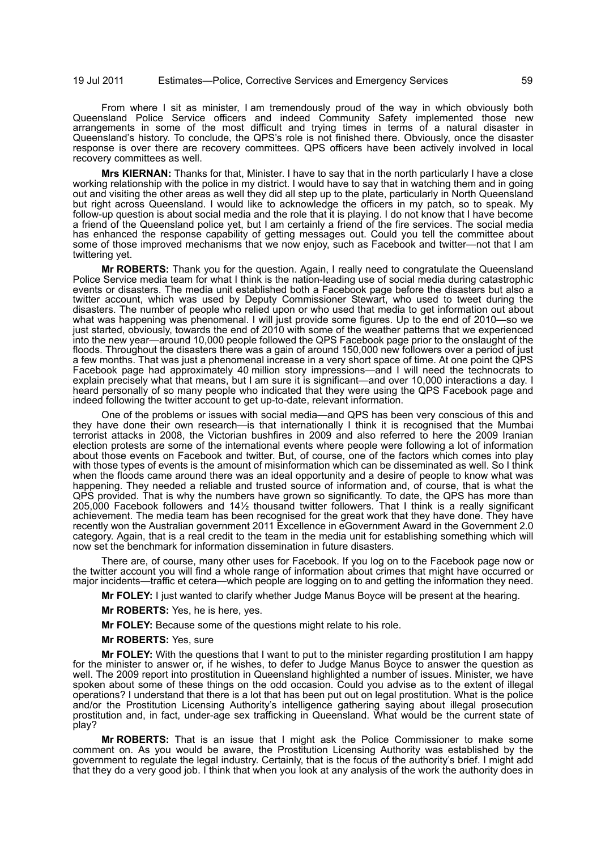From where I sit as minister, I am tremendously proud of the way in which obviously both Queensland Police Service officers and indeed Community Safety implemented those new arrangements in some of the most difficult and trying times in terms of a natural disaster in Queensland's history. To conclude, the QPS's role is not finished there. Obviously, once the disaster response is over there are recovery committees. QPS officers have been actively involved in local recovery committees as well.

**Mrs KIERNAN:** Thanks for that, Minister. I have to say that in the north particularly I have a close working relationship with the police in my district. I would have to say that in watching them and in going out and visiting the other areas as well they did all step up to the plate, particularly in North Queensland but right across Queensland. I would like to acknowledge the officers in my patch, so to speak. My follow-up question is about social media and the role that it is playing. I do not know that I have become a friend of the Queensland police yet, but I am certainly a friend of the fire services. The social media has enhanced the response capability of getting messages out. Could you tell the committee about some of those improved mechanisms that we now enjoy, such as Facebook and twitter—not that I am twittering yet.

**Mr ROBERTS:** Thank you for the question. Again, I really need to congratulate the Queensland Police Service media team for what I think is the nation-leading use of social media during catastrophic events or disasters. The media unit established both a Facebook page before the disasters but also a twitter account, which was used by Deputy Commissioner Stewart, who used to tweet during the disasters. The number of people who relied upon or who used that media to get information out about what was happening was phenomenal. I will just provide some figures. Up to the end of 2010—so we just started, obviously, towards the end of 2010 with some of the weather patterns that we experienced into the new year—around 10,000 people followed the QPS Facebook page prior to the onslaught of the floods. Throughout the disasters there was a gain of around 150,000 new followers over a period of just a few months. That was just a phenomenal increase in a very short space of time. At one point the QPS Facebook page had approximately 40 million story impressions—and I will need the technocrats to explain precisely what that means, but I am sure it is significant—and over 10,000 interactions a day. I heard personally of so many people who indicated that they were using the QPS Facebook page and indeed following the twitter account to get up-to-date, relevant information.

One of the problems or issues with social media—and QPS has been very conscious of this and they have done their own research—is that internationally I think it is recognised that the Mumbai terrorist attacks in 2008, the Victorian bushfires in 2009 and also referred to here the 2009 Iranian election protests are some of the international events where people were following a lot of information about those events on Facebook and twitter. But, of course, one of the factors which comes into play with those types of events is the amount of misinformation which can be disseminated as well. So I think when the floods came around there was an ideal opportunity and a desire of people to know what was happening. They needed a reliable and trusted source of information and, of course, that is what the QPS provided. That is why the numbers have grown so significantly. To date, the QPS has more than 205,000 Facebook followers and 14½ thousand twitter followers. That I think is a really significant achievement. The media team has been recognised for the great work that they have done. They have recently won the Australian government 2011 Excellence in eGovernment Award in the Government 2.0 category. Again, that is a real credit to the team in the media unit for establishing something which will now set the benchmark for information dissemination in future disasters.

There are, of course, many other uses for Facebook. If you log on to the Facebook page now or the twitter account you will find a whole range of information about crimes that might have occurred or major incidents—traffic et cetera—which people are logging on to and getting the information they need.

**Mr FOLEY:** I just wanted to clarify whether Judge Manus Boyce will be present at the hearing.

**Mr ROBERTS:** Yes, he is here, yes.

**Mr FOLEY:** Because some of the questions might relate to his role.

**Mr ROBERTS:** Yes, sure

**Mr FOLEY:** With the questions that I want to put to the minister regarding prostitution I am happy for the minister to answer or, if he wishes, to defer to Judge Manus Boyce to answer the question as well. The 2009 report into prostitution in Queensland highlighted a number of issues. Minister, we have spoken about some of these things on the odd occasion. Could you advise as to the extent of illegal operations? I understand that there is a lot that has been put out on legal prostitution. What is the police and/or the Prostitution Licensing Authority's intelligence gathering saying about illegal prosecution prostitution and, in fact, under-age sex trafficking in Queensland. What would be the current state of play?

**Mr ROBERTS:** That is an issue that I might ask the Police Commissioner to make some comment on. As you would be aware, the Prostitution Licensing Authority was established by the government to regulate the legal industry. Certainly, that is the focus of the authority's brief. I might add that they do a very good job. I think that when you look at any analysis of the work the authority does in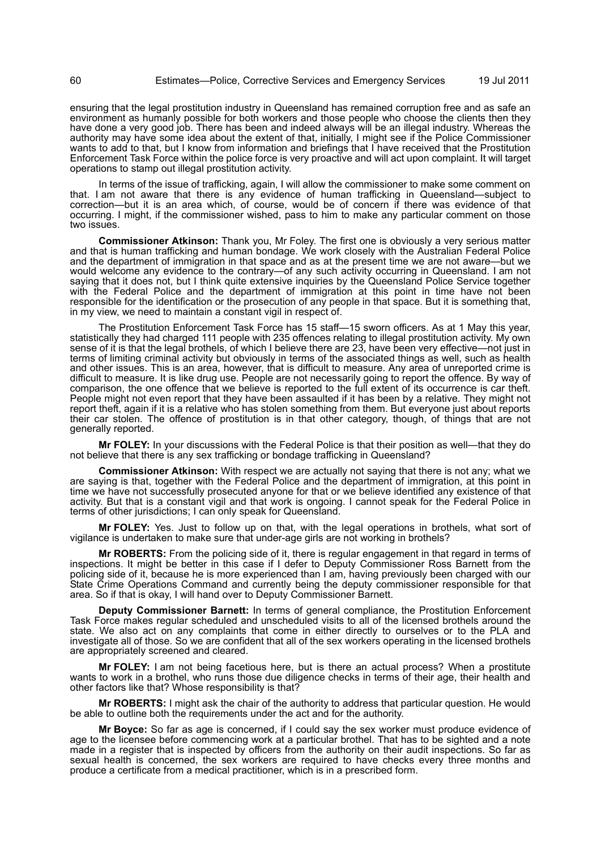ensuring that the legal prostitution industry in Queensland has remained corruption free and as safe an environment as humanly possible for both workers and those people who choose the clients then they have done a very good job. There has been and indeed always will be an illegal industry. Whereas the authority may have some idea about the extent of that, initially, I might see if the Police Commissioner wants to add to that, but I know from information and briefings that I have received that the Prostitution Enforcement Task Force within the police force is very proactive and will act upon complaint. It will target operations to stamp out illegal prostitution activity.

In terms of the issue of trafficking, again, I will allow the commissioner to make some comment on that. I am not aware that there is any evidence of human trafficking in Queensland—subject to correction—but it is an area which, of course, would be of concern if there was evidence of that occurring. I might, if the commissioner wished, pass to him to make any particular comment on those two issues.

**Commissioner Atkinson:** Thank you, Mr Foley. The first one is obviously a very serious matter and that is human trafficking and human bondage. We work closely with the Australian Federal Police and the department of immigration in that space and as at the present time we are not aware—but we would welcome any evidence to the contrary—of any such activity occurring in Queensland. I am not saying that it does not, but I think quite extensive inquiries by the Queensland Police Service together with the Federal Police and the department of immigration at this point in time have not been responsible for the identification or the prosecution of any people in that space. But it is something that, in my view, we need to maintain a constant vigil in respect of.

The Prostitution Enforcement Task Force has 15 staff—15 sworn officers. As at 1 May this year, statistically they had charged 111 people with 235 offences relating to illegal prostitution activity. My own sense of it is that the legal brothels, of which I believe there are 23, have been very effective—not just in terms of limiting criminal activity but obviously in terms of the associated things as well, such as health and other issues. This is an area, however, that is difficult to measure. Any area of unreported crime is difficult to measure. It is like drug use. People are not necessarily going to report the offence. By way of comparison, the one offence that we believe is reported to the full extent of its occurrence is car theft. People might not even report that they have been assaulted if it has been by a relative. They might not report theft, again if it is a relative who has stolen something from them. But everyone just about reports their car stolen. The offence of prostitution is in that other category, though, of things that are not generally reported.

**Mr FOLEY:** In your discussions with the Federal Police is that their position as well—that they do not believe that there is any sex trafficking or bondage trafficking in Queensland?

**Commissioner Atkinson:** With respect we are actually not saying that there is not any; what we are saying is that, together with the Federal Police and the department of immigration, at this point in time we have not successfully prosecuted anyone for that or we believe identified any existence of that activity. But that is a constant vigil and that work is ongoing. I cannot speak for the Federal Police in terms of other jurisdictions; I can only speak for Queensland.

**Mr FOLEY:** Yes. Just to follow up on that, with the legal operations in brothels, what sort of vigilance is undertaken to make sure that under-age girls are not working in brothels?

**Mr ROBERTS:** From the policing side of it, there is regular engagement in that regard in terms of inspections. It might be better in this case if I defer to Deputy Commissioner Ross Barnett from the policing side of it, because he is more experienced than I am, having previously been charged with our State Crime Operations Command and currently being the deputy commissioner responsible for that area. So if that is okay, I will hand over to Deputy Commissioner Barnett.

**Deputy Commissioner Barnett:** In terms of general compliance, the Prostitution Enforcement Task Force makes regular scheduled and unscheduled visits to all of the licensed brothels around the state. We also act on any complaints that come in either directly to ourselves or to the PLA and investigate all of those. So we are confident that all of the sex workers operating in the licensed brothels are appropriately screened and cleared.

**Mr FOLEY:** I am not being facetious here, but is there an actual process? When a prostitute wants to work in a brothel, who runs those due diligence checks in terms of their age, their health and other factors like that? Whose responsibility is that?

**Mr ROBERTS:** I might ask the chair of the authority to address that particular question. He would be able to outline both the requirements under the act and for the authority.

**Mr Boyce:** So far as age is concerned, if I could say the sex worker must produce evidence of age to the licensee before commencing work at a particular brothel. That has to be sighted and a note made in a register that is inspected by officers from the authority on their audit inspections. So far as sexual health is concerned, the sex workers are required to have checks every three months and produce a certificate from a medical practitioner, which is in a prescribed form.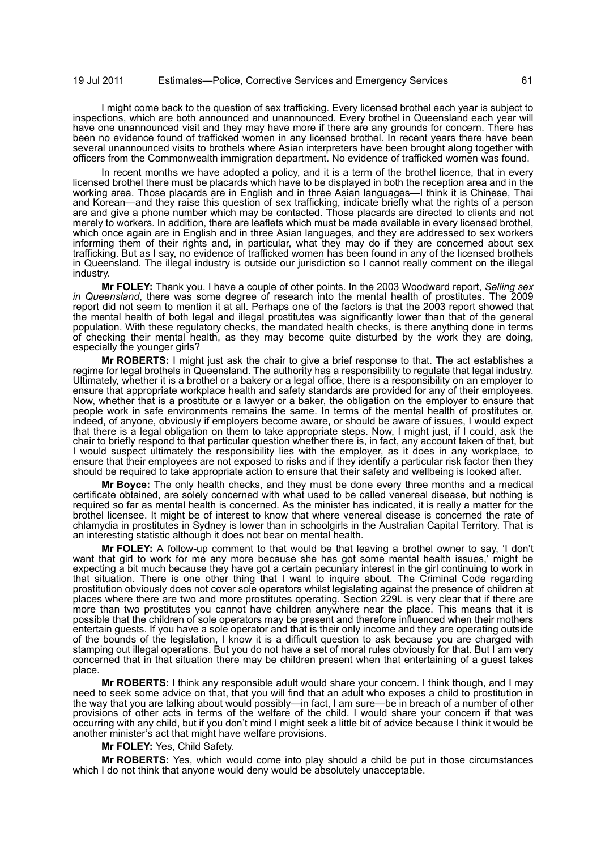I might come back to the question of sex trafficking. Every licensed brothel each year is subject to inspections, which are both announced and unannounced. Every brothel in Queensland each year will have one unannounced visit and they may have more if there are any grounds for concern. There has been no evidence found of trafficked women in any licensed brothel. In recent years there have been several unannounced visits to brothels where Asian interpreters have been brought along together with officers from the Commonwealth immigration department. No evidence of trafficked women was found.

In recent months we have adopted a policy, and it is a term of the brothel licence, that in every licensed brothel there must be placards which have to be displayed in both the reception area and in the working area. Those placards are in English and in three Asian languages—I think it is Chinese, Thai and Korean—and they raise this question of sex trafficking, indicate briefly what the rights of a person are and give a phone number which may be contacted. Those placards are directed to clients and not merely to workers. In addition, there are leaflets which must be made available in every licensed brothel, which once again are in English and in three Asian languages, and they are addressed to sex workers informing them of their rights and, in particular, what they may do if they are concerned about sex trafficking. But as I say, no evidence of trafficked women has been found in any of the licensed brothels in Queensland. The illegal industry is outside our jurisdiction so I cannot really comment on the illegal industry.

**Mr FOLEY:** Thank you. I have a couple of other points. In the 2003 Woodward report, *Selling sex in Queensland*, there was some degree of research into the mental health of prostitutes. The 2009 report did not seem to mention it at all. Perhaps one of the factors is that the 2003 report showed that the mental health of both legal and illegal prostitutes was significantly lower than that of the general population. With these regulatory checks, the mandated health checks, is there anything done in terms of checking their mental health, as they may become quite disturbed by the work they are doing, especially the younger girls?

**Mr ROBERTS:** I might just ask the chair to give a brief response to that. The act establishes a regime for legal brothels in Queensland. The authority has a responsibility to regulate that legal industry. Ultimately, whether it is a brothel or a bakery or a legal office, there is a responsibility on an employer to ensure that appropriate workplace health and safety standards are provided for any of their employees. Now, whether that is a prostitute or a lawyer or a baker, the obligation on the employer to ensure that people work in safe environments remains the same. In terms of the mental health of prostitutes or, indeed, of anyone, obviously if employers become aware, or should be aware of issues, I would expect that there is a legal obligation on them to take appropriate steps. Now, I might just, if I could, ask the chair to briefly respond to that particular question whether there is, in fact, any account taken of that, but I would suspect ultimately the responsibility lies with the employer, as it does in any workplace, to ensure that their employees are not exposed to risks and if they identify a particular risk factor then they should be required to take appropriate action to ensure that their safety and wellbeing is looked after.

**Mr Boyce:** The only health checks, and they must be done every three months and a medical certificate obtained, are solely concerned with what used to be called venereal disease, but nothing is required so far as mental health is concerned. As the minister has indicated, it is really a matter for the brothel licensee. It might be of interest to know that where venereal disease is concerned the rate of chlamydia in prostitutes in Sydney is lower than in schoolgirls in the Australian Capital Territory. That is an interesting statistic although it does not bear on mental health.

**Mr FOLEY:** A follow-up comment to that would be that leaving a brothel owner to say, 'I don't want that girl to work for me any more because she has got some mental health issues,' might be expecting a bit much because they have got a certain pecuniary interest in the girl continuing to work in that situation. There is one other thing that I want to inquire about. The Criminal Code regarding prostitution obviously does not cover sole operators whilst legislating against the presence of children at places where there are two and more prostitutes operating. Section 229L is very clear that if there are more than two prostitutes you cannot have children anywhere near the place. This means that it is possible that the children of sole operators may be present and therefore influenced when their mothers entertain guests. If you have a sole operator and that is their only income and they are operating outside of the bounds of the legislation, I know it is a difficult question to ask because you are charged with stamping out illegal operations. But you do not have a set of moral rules obviously for that. But I am very concerned that in that situation there may be children present when that entertaining of a guest takes place.

**Mr ROBERTS:** I think any responsible adult would share your concern. I think though, and I may need to seek some advice on that, that you will find that an adult who exposes a child to prostitution in the way that you are talking about would possibly—in fact, I am sure—be in breach of a number of other provisions of other acts in terms of the welfare of the child. I would share your concern if that was occurring with any child, but if you don't mind I might seek a little bit of advice because I think it would be another minister's act that might have welfare provisions.

**Mr FOLEY:** Yes, Child Safety.

**Mr ROBERTS:** Yes, which would come into play should a child be put in those circumstances which I do not think that anyone would deny would be absolutely unacceptable.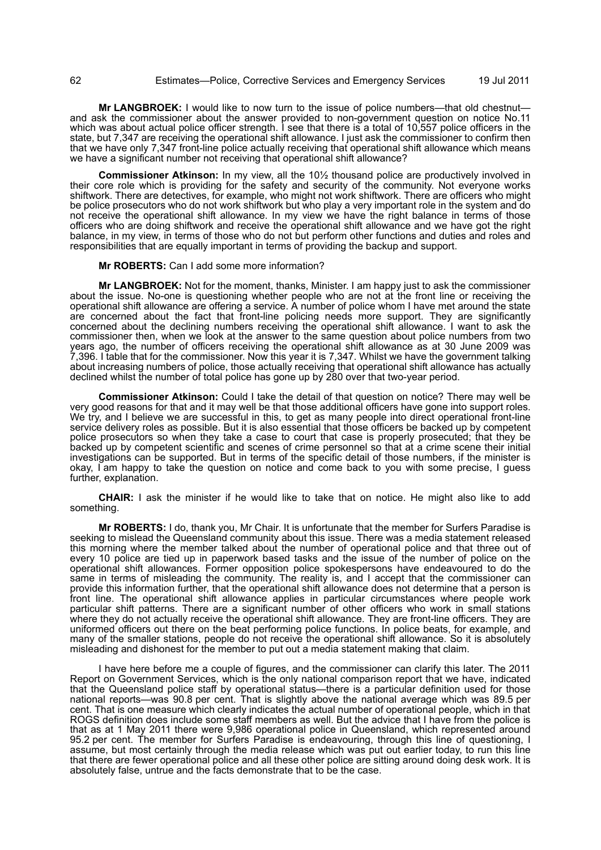## 62 Estimates—Police, Corrective Services and Emergency Services 19 Jul 2011

**Mr LANGBROEK:** I would like to now turn to the issue of police numbers—that old chestnut and ask the commissioner about the answer provided to non-government question on notice No.11 which was about actual police officer strength. I see that there is a total of 10,557 police officers in the state, but 7,347 are receiving the operational shift allowance. I just ask the commissioner to confirm then that we have only 7,347 front-line police actually receiving that operational shift allowance which means we have a significant number not receiving that operational shift allowance?

**Commissioner Atkinson:** In my view, all the 10½ thousand police are productively involved in their core role which is providing for the safety and security of the community. Not everyone works shiftwork. There are detectives, for example, who might not work shiftwork. There are officers who might be police prosecutors who do not work shiftwork but who play a very important role in the system and do not receive the operational shift allowance. In my view we have the right balance in terms of those officers who are doing shiftwork and receive the operational shift allowance and we have got the right balance, in my view, in terms of those who do not but perform other functions and duties and roles and responsibilities that are equally important in terms of providing the backup and support.

#### **Mr ROBERTS:** Can I add some more information?

**Mr LANGBROEK:** Not for the moment, thanks, Minister. I am happy just to ask the commissioner about the issue. No-one is questioning whether people who are not at the front line or receiving the operational shift allowance are offering a service. A number of police whom I have met around the state are concerned about the fact that front-line policing needs more support. They are significantly concerned about the declining numbers receiving the operational shift allowance. I want to ask the commissioner then, when we look at the answer to the same question about police numbers from two years ago, the number of officers receiving the operational shift allowance as at 30 June 2009 was 7,396. I table that for the commissioner. Now this year it is 7,347. Whilst we have the government talking about increasing numbers of police, those actually receiving that operational shift allowance has actually declined whilst the number of total police has gone up by 280 over that two-year period.

**Commissioner Atkinson:** Could I take the detail of that question on notice? There may well be very good reasons for that and it may well be that those additional officers have gone into support roles. We try, and I believe we are successful in this, to get as many people into direct operational front-line service delivery roles as possible. But it is also essential that those officers be backed up by competent police prosecutors so when they take a case to court that case is properly prosecuted; that they be backed up by competent scientific and scenes of crime personnel so that at a crime scene their initial investigations can be supported. But in terms of the specific detail of those numbers, if the minister is okay, I am happy to take the question on notice and come back to you with some precise, I guess further, explanation.

**CHAIR:** I ask the minister if he would like to take that on notice. He might also like to add something.

**Mr ROBERTS:** I do, thank you, Mr Chair. It is unfortunate that the member for Surfers Paradise is seeking to mislead the Queensland community about this issue. There was a media statement released this morning where the member talked about the number of operational police and that three out of every 10 police are tied up in paperwork based tasks and the issue of the number of police on the operational shift allowances. Former opposition police spokespersons have endeavoured to do the same in terms of misleading the community. The reality is, and I accept that the commissioner can provide this information further, that the operational shift allowance does not determine that a person is front line. The operational shift allowance applies in particular circumstances where people work particular shift patterns. There are a significant number of other officers who work in small stations where they do not actually receive the operational shift allowance. They are front-line officers. They are uniformed officers out there on the beat performing police functions. In police beats, for example, and many of the smaller stations, people do not receive the operational shift allowance. So it is absolutely misleading and dishonest for the member to put out a media statement making that claim.

I have here before me a couple of figures, and the commissioner can clarify this later. The 2011 Report on Government Services, which is the only national comparison report that we have, indicated that the Queensland police staff by operational status—there is a particular definition used for those national reports—was 90.8 per cent. That is slightly above the national average which was 89.5 per cent. That is one measure which clearly indicates the actual number of operational people, which in that ROGS definition does include some staff members as well. But the advice that I have from the police is that as at 1 May 2011 there were 9,986 operational police in Queensland, which represented around 95.2 per cent. The member for Surfers Paradise is endeavouring, through this line of questioning, I assume, but most certainly through the media release which was put out earlier today, to run this line that there are fewer operational police and all these other police are sitting around doing desk work. It is absolutely false, untrue and the facts demonstrate that to be the case.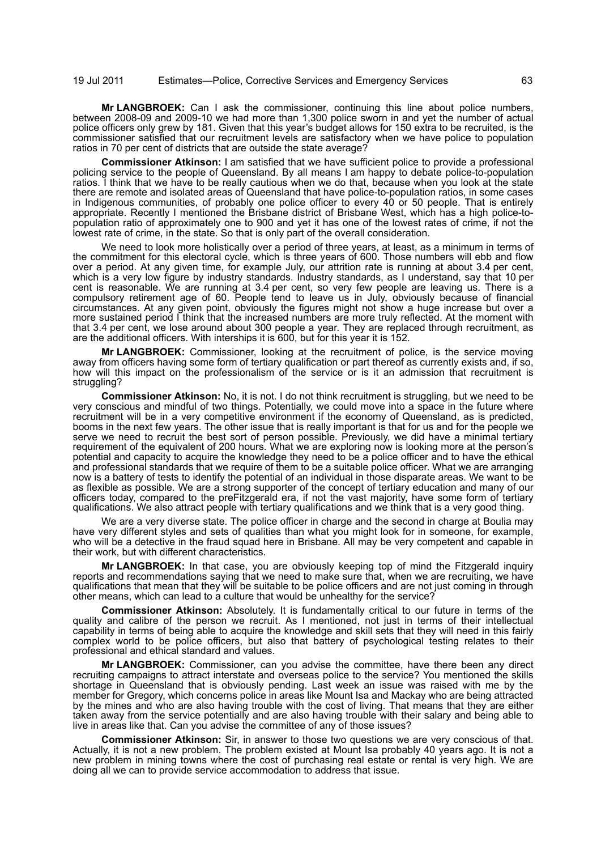**Mr LANGBROEK:** Can I ask the commissioner, continuing this line about police numbers, between 2008-09 and 2009-10 we had more than 1,300 police sworn in and yet the number of actual police officers only grew by 181. Given that this year's budget allows for 150 extra to be recruited, is the commissioner satisfied that our recruitment levels are satisfactory when we have police to population ratios in 70 per cent of districts that are outside the state average?

**Commissioner Atkinson:** I am satisfied that we have sufficient police to provide a professional policing service to the people of Queensland. By all means I am happy to debate police-to-population ratios. I think that we have to be really cautious when we do that, because when you look at the state there are remote and isolated areas of Queensland that have police-to-population ratios, in some cases in Indigenous communities, of probably one police officer to every 40 or 50 people. That is entirely appropriate. Recently I mentioned the Brisbane district of Brisbane West, which has a high police-topopulation ratio of approximately one to 900 and yet it has one of the lowest rates of crime, if not the lowest rate of crime, in the state. So that is only part of the overall consideration.

We need to look more holistically over a period of three years, at least, as a minimum in terms of the commitment for this electoral cycle, which is three years of 600. Those numbers will ebb and flow over a period. At any given time, for example July, our attrition rate is running at about 3.4 per cent, which is a very low figure by industry standards. Industry standards, as I understand, say that 10 per cent is reasonable. We are running at 3.4 per cent, so very few people are leaving us. There is a compulsory retirement age of 60. People tend to leave us in July, obviously because of financial circumstances. At any given point, obviously the figures might not show a huge increase but over a more sustained period I think that the increased numbers are more truly reflected. At the moment with that 3.4 per cent, we lose around about 300 people a year. They are replaced through recruitment, as are the additional officers. With interships it is 600, but for this year it is 152.

**Mr LANGBROEK:** Commissioner, looking at the recruitment of police, is the service moving away from officers having some form of tertiary qualification or part thereof as currently exists and, if so, how will this impact on the professionalism of the service or is it an admission that recruitment is struggling?

**Commissioner Atkinson:** No, it is not. I do not think recruitment is struggling, but we need to be very conscious and mindful of two things. Potentially, we could move into a space in the future where recruitment will be in a very competitive environment if the economy of Queensland, as is predicted, booms in the next few years. The other issue that is really important is that for us and for the people we serve we need to recruit the best sort of person possible. Previously, we did have a minimal tertiary requirement of the equivalent of 200 hours. What we are exploring now is looking more at the person's potential and capacity to acquire the knowledge they need to be a police officer and to have the ethical and professional standards that we require of them to be a suitable police officer. What we are arranging now is a battery of tests to identify the potential of an individual in those disparate areas. We want to be as flexible as possible. We are a strong supporter of the concept of tertiary education and many of our officers today, compared to the preFitzgerald era, if not the vast majority, have some form of tertiary qualifications. We also attract people with tertiary qualifications and we think that is a very good thing.

We are a very diverse state. The police officer in charge and the second in charge at Boulia may have very different styles and sets of qualities than what you might look for in someone, for example, who will be a detective in the fraud squad here in Brisbane. All may be very competent and capable in their work, but with different characteristics.

**Mr LANGBROEK:** In that case, you are obviously keeping top of mind the Fitzgerald inquiry reports and recommendations saying that we need to make sure that, when we are recruiting, we have qualifications that mean that they will be suitable to be police officers and are not just coming in through other means, which can lead to a culture that would be unhealthy for the service?

**Commissioner Atkinson:** Absolutely. It is fundamentally critical to our future in terms of the quality and calibre of the person we recruit. As I mentioned, not just in terms of their intellectual capability in terms of being able to acquire the knowledge and skill sets that they will need in this fairly complex world to be police officers, but also that battery of psychological testing relates to their professional and ethical standard and values.

**Mr LANGBROEK:** Commissioner, can you advise the committee, have there been any direct recruiting campaigns to attract interstate and overseas police to the service? You mentioned the skills shortage in Queensland that is obviously pending. Last week an issue was raised with me by the member for Gregory, which concerns police in areas like Mount Isa and Mackay who are being attracted by the mines and who are also having trouble with the cost of living. That means that they are either taken away from the service potentially and are also having trouble with their salary and being able to live in areas like that. Can you advise the committee of any of those issues?

**Commissioner Atkinson:** Sir, in answer to those two questions we are very conscious of that. Actually, it is not a new problem. The problem existed at Mount Isa probably 40 years ago. It is not a new problem in mining towns where the cost of purchasing real estate or rental is very high. We are doing all we can to provide service accommodation to address that issue.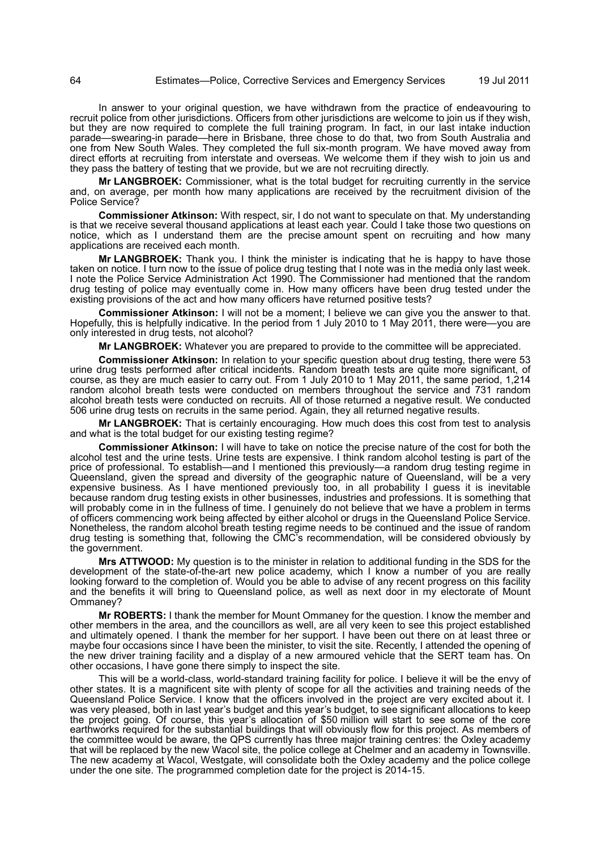In answer to your original question, we have withdrawn from the practice of endeavouring to recruit police from other jurisdictions. Officers from other jurisdictions are welcome to join us if they wish, but they are now required to complete the full training program. In fact, in our last intake induction parade—swearing-in parade—here in Brisbane, three chose to do that, two from South Australia and one from New South Wales. They completed the full six-month program. We have moved away from direct efforts at recruiting from interstate and overseas. We welcome them if they wish to join us and they pass the battery of testing that we provide, but we are not recruiting directly.

**Mr LANGBROEK:** Commissioner, what is the total budget for recruiting currently in the service and, on average, per month how many applications are received by the recruitment division of the Police Service?

**Commissioner Atkinson:** With respect, sir, I do not want to speculate on that. My understanding is that we receive several thousand applications at least each year. Could I take those two questions on notice, which as I understand them are the precise amount spent on recruiting and how many applications are received each month.

**Mr LANGBROEK:** Thank you. I think the minister is indicating that he is happy to have those taken on notice. I turn now to the issue of police drug testing that I note was in the media only last week. I note the Police Service Administration Act 1990. The Commissioner had mentioned that the random drug testing of police may eventually come in. How many officers have been drug tested under the existing provisions of the act and how many officers have returned positive tests?

**Commissioner Atkinson:** I will not be a moment; I believe we can give you the answer to that. Hopefully, this is helpfully indicative. In the period from 1 July 2010 to 1 May 2011, there were—you are only interested in drug tests, not alcohol?

**Mr LANGBROEK:** Whatever you are prepared to provide to the committee will be appreciated.

**Commissioner Atkinson:** In relation to your specific question about drug testing, there were 53 urine drug tests performed after critical incidents. Random breath tests are quite more significant, of course, as they are much easier to carry out. From 1 July 2010 to 1 May 2011, the same period, 1,214 random alcohol breath tests were conducted on members throughout the service and 731 random alcohol breath tests were conducted on recruits. All of those returned a negative result. We conducted 506 urine drug tests on recruits in the same period. Again, they all returned negative results.

**Mr LANGBROEK:** That is certainly encouraging. How much does this cost from test to analysis and what is the total budget for our existing testing regime?

**Commissioner Atkinson:** I will have to take on notice the precise nature of the cost for both the alcohol test and the urine tests. Urine tests are expensive. I think random alcohol testing is part of the price of professional. To establish—and I mentioned this previously—a random drug testing regime in Queensland, given the spread and diversity of the geographic nature of Queensland, will be a very expensive business. As I have mentioned previously too, in all probability I guess it is inevitable because random drug testing exists in other businesses, industries and professions. It is something that will probably come in in the fullness of time. I genuinely do not believe that we have a problem in terms of officers commencing work being affected by either alcohol or drugs in the Queensland Police Service. Nonetheless, the random alcohol breath testing regime needs to be continued and the issue of random drug testing is something that, following the CMC's recommendation, will be considered obviously by the government.

**Mrs ATTWOOD:** My question is to the minister in relation to additional funding in the SDS for the development of the state-of-the-art new police academy, which I know a number of you are really looking forward to the completion of. Would you be able to advise of any recent progress on this facility and the benefits it will bring to Queensland police, as well as next door in my electorate of Mount Ommaney?

**Mr ROBERTS:** I thank the member for Mount Ommaney for the question. I know the member and other members in the area, and the councillors as well, are all very keen to see this project established and ultimately opened. I thank the member for her support. I have been out there on at least three or maybe four occasions since I have been the minister, to visit the site. Recently, I attended the opening of the new driver training facility and a display of a new armoured vehicle that the SERT team has. On other occasions, I have gone there simply to inspect the site.

This will be a world-class, world-standard training facility for police. I believe it will be the envy of other states. It is a magnificent site with plenty of scope for all the activities and training needs of the Queensland Police Service. I know that the officers involved in the project are very excited about it. I was very pleased, both in last year's budget and this year's budget, to see significant allocations to keep the project going. Of course, this year's allocation of \$50 million will start to see some of the core earthworks required for the substantial buildings that will obviously flow for this project. As members of the committee would be aware, the QPS currently has three major training centres: the Oxley academy that will be replaced by the new Wacol site, the police college at Chelmer and an academy in Townsville. The new academy at Wacol, Westgate, will consolidate both the Oxley academy and the police college under the one site. The programmed completion date for the project is 2014-15.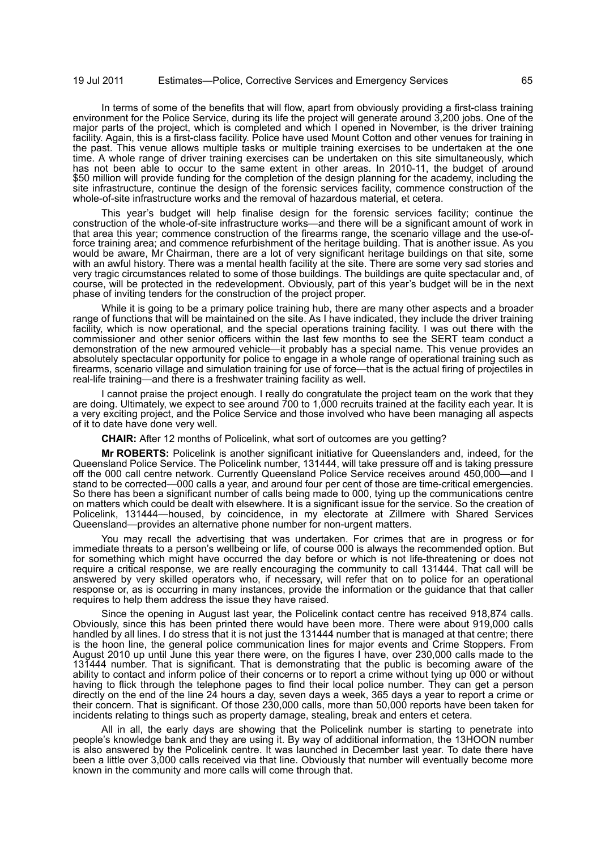In terms of some of the benefits that will flow, apart from obviously providing a first-class training environment for the Police Service, during its life the project will generate around 3,200 jobs. One of the major parts of the project, which is completed and which I opened in November, is the driver training facility. Again, this is a first-class facility. Police have used Mount Cotton and other venues for training in the past. This venue allows multiple tasks or multiple training exercises to be undertaken at the one time. A whole range of driver training exercises can be undertaken on this site simultaneously, which has not been able to occur to the same extent in other areas. In 2010-11, the budget of around \$50 million will provide funding for the completion of the design planning for the academy, including the site infrastructure, continue the design of the forensic services facility, commence construction of the whole-of-site infrastructure works and the removal of hazardous material, et cetera.

This year's budget will help finalise design for the forensic services facility; continue the construction of the whole-of-site infrastructure works—and there will be a significant amount of work in that area this year; commence construction of the firearms range, the scenario village and the use-offorce training area; and commence refurbishment of the heritage building. That is another issue. As you would be aware, Mr Chairman, there are a lot of very significant heritage buildings on that site, some with an awful history. There was a mental health facility at the site. There are some very sad stories and very tragic circumstances related to some of those buildings. The buildings are quite spectacular and, of course, will be protected in the redevelopment. Obviously, part of this year's budget will be in the next phase of inviting tenders for the construction of the project proper.

While it is going to be a primary police training hub, there are many other aspects and a broader range of functions that will be maintained on the site. As I have indicated, they include the driver training facility, which is now operational, and the special operations training facility. I was out there with the commissioner and other senior officers within the last few months to see the SERT team conduct a demonstration of the new armoured vehicle—it probably has a special name. This venue provides an absolutely spectacular opportunity for police to engage in a whole range of operational training such as firearms, scenario village and simulation training for use of force—that is the actual firing of projectiles in real-life training—and there is a freshwater training facility as well.

I cannot praise the project enough. I really do congratulate the project team on the work that they are doing. Ultimately, we expect to see around 700 to 1,000 recruits trained at the facility each year. It is a very exciting project, and the Police Service and those involved who have been managing all aspects of it to date have done very well.

**CHAIR:** After 12 months of Policelink, what sort of outcomes are you getting?

**Mr ROBERTS:** Policelink is another significant initiative for Queenslanders and, indeed, for the Queensland Police Service. The Policelink number, 131444, will take pressure off and is taking pressure off the 000 call centre network. Currently Queensland Police Service receives around 450,000—and I stand to be corrected—000 calls a year, and around four per cent of those are time-critical emergencies. So there has been a significant number of calls being made to 000, tying up the communications centre on matters which could be dealt with elsewhere. It is a significant issue for the service. So the creation of Policelink, 131444—housed, by coincidence, in my electorate at Zillmere with Shared Services Queensland—provides an alternative phone number for non-urgent matters.

You may recall the advertising that was undertaken. For crimes that are in progress or for immediate threats to a person's wellbeing or life, of course 000 is always the recommended option. But for something which might have occurred the day before or which is not life-threatening or does not require a critical response, we are really encouraging the community to call 131444. That call will be answered by very skilled operators who, if necessary, will refer that on to police for an operational response or, as is occurring in many instances, provide the information or the guidance that that caller requires to help them address the issue they have raised.

Since the opening in August last year, the Policelink contact centre has received 918,874 calls. Obviously, since this has been printed there would have been more. There were about 919,000 calls handled by all lines. I do stress that it is not just the 131444 number that is managed at that centre; there is the hoon line, the general police communication lines for major events and Crime Stoppers. From August 2010 up until June this year there were, on the figures I have, over 230,000 calls made to the 131444 number. That is significant. That is demonstrating that the public is becoming aware of the ability to contact and inform police of their concerns or to report a crime without tying up 000 or without having to flick through the telephone pages to find their local police number. They can get a person directly on the end of the line 24 hours a day, seven days a week, 365 days a year to report a crime or their concern. That is significant. Of those 230,000 calls, more than 50,000 reports have been taken for incidents relating to things such as property damage, stealing, break and enters et cetera.

All in all, the early days are showing that the Policelink number is starting to penetrate into people's knowledge bank and they are using it. By way of additional information, the 13HOON number is also answered by the Policelink centre. It was launched in December last year. To date there have been a little over 3,000 calls received via that line. Obviously that number will eventually become more known in the community and more calls will come through that.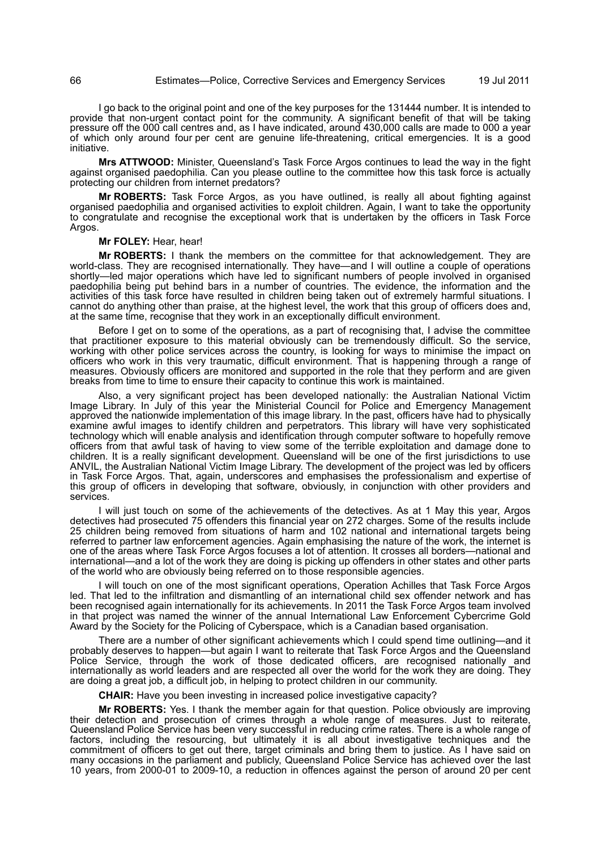I go back to the original point and one of the key purposes for the 131444 number. It is intended to provide that non-urgent contact point for the community. A significant benefit of that will be taking pressure off the 000 call centres and, as I have indicated, around 430,000 calls are made to 000 a year of which only around four per cent are genuine life-threatening, critical emergencies. It is a good initiative.

**Mrs ATTWOOD:** Minister, Queensland's Task Force Argos continues to lead the way in the fight against organised paedophilia. Can you please outline to the committee how this task force is actually protecting our children from internet predators?

**Mr ROBERTS:** Task Force Argos, as you have outlined, is really all about fighting against organised paedophilia and organised activities to exploit children. Again, I want to take the opportunity to congratulate and recognise the exceptional work that is undertaken by the officers in Task Force Argos.

### **Mr FOLEY:** Hear, hear!

**Mr ROBERTS:** I thank the members on the committee for that acknowledgement. They are world-class. They are recognised internationally. They have—and I will outline a couple of operations shortly—led major operations which have led to significant numbers of people involved in organised paedophilia being put behind bars in a number of countries. The evidence, the information and the activities of this task force have resulted in children being taken out of extremely harmful situations. I cannot do anything other than praise, at the highest level, the work that this group of officers does and, at the same time, recognise that they work in an exceptionally difficult environment.

Before I get on to some of the operations, as a part of recognising that, I advise the committee that practitioner exposure to this material obviously can be tremendously difficult. So the service, working with other police services across the country, is looking for ways to minimise the impact on officers who work in this very traumatic, difficult environment. That is happening through a range of measures. Obviously officers are monitored and supported in the role that they perform and are given breaks from time to time to ensure their capacity to continue this work is maintained.

Also, a very significant project has been developed nationally: the Australian National Victim Image Library. In July of this year the Ministerial Council for Police and Emergency Management approved the nationwide implementation of this image library. In the past, officers have had to physically examine awful images to identify children and perpetrators. This library will have very sophisticated technology which will enable analysis and identification through computer software to hopefully remove officers from that awful task of having to view some of the terrible exploitation and damage done to children. It is a really significant development. Queensland will be one of the first jurisdictions to use ANVIL, the Australian National Victim Image Library. The development of the project was led by officers in Task Force Argos. That, again, underscores and emphasises the professionalism and expertise of this group of officers in developing that software, obviously, in conjunction with other providers and services.

I will just touch on some of the achievements of the detectives. As at 1 May this year, Argos detectives had prosecuted 75 offenders this financial year on 272 charges. Some of the results include 25 children being removed from situations of harm and 102 national and international targets being referred to partner law enforcement agencies. Again emphasising the nature of the work, the internet is one of the areas where Task Force Argos focuses a lot of attention. It crosses all borders—national and international—and a lot of the work they are doing is picking up offenders in other states and other parts of the world who are obviously being referred on to those responsible agencies.

I will touch on one of the most significant operations, Operation Achilles that Task Force Argos led. That led to the infiltration and dismantling of an international child sex offender network and has been recognised again internationally for its achievements. In 2011 the Task Force Argos team involved in that project was named the winner of the annual International Law Enforcement Cybercrime Gold Award by the Society for the Policing of Cyberspace, which is a Canadian based organisation.

There are a number of other significant achievements which I could spend time outlining—and it probably deserves to happen—but again I want to reiterate that Task Force Argos and the Queensland Police Service, through the work of those dedicated officers, are recognised nationally and internationally as world leaders and are respected all over the world for the work they are doing. They are doing a great job, a difficult job, in helping to protect children in our community.

**CHAIR:** Have you been investing in increased police investigative capacity?

**Mr ROBERTS:** Yes. I thank the member again for that question. Police obviously are improving their detection and prosecution of crimes through a whole range of measures. Just to reiterate, Queensland Police Service has been very successful in reducing crime rates. There is a whole range of factors, including the resourcing, but ultimately it is all about investigative techniques and the commitment of officers to get out there, target criminals and bring them to justice. As I have said on many occasions in the parliament and publicly, Queensland Police Service has achieved over the last 10 years, from 2000-01 to 2009-10, a reduction in offences against the person of around 20 per cent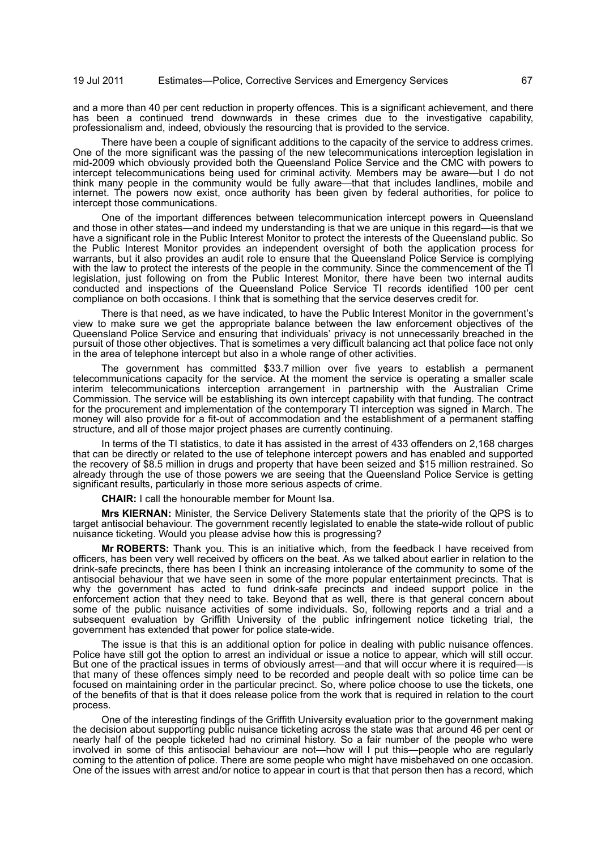and a more than 40 per cent reduction in property offences. This is a significant achievement, and there has been a continued trend downwards in these crimes due to the investigative capability, professionalism and, indeed, obviously the resourcing that is provided to the service.

There have been a couple of significant additions to the capacity of the service to address crimes. One of the more significant was the passing of the new telecommunications interception legislation in mid-2009 which obviously provided both the Queensland Police Service and the CMC with powers to intercept telecommunications being used for criminal activity. Members may be aware—but I do not think many people in the community would be fully aware—that that includes landlines, mobile and internet. The powers now exist, once authority has been given by federal authorities, for police to intercept those communications.

One of the important differences between telecommunication intercept powers in Queensland and those in other states—and indeed my understanding is that we are unique in this regard—is that we have a significant role in the Public Interest Monitor to protect the interests of the Queensland public. So the Public Interest Monitor provides an independent oversight of both the application process for warrants, but it also provides an audit role to ensure that the Queensland Police Service is complying with the law to protect the interests of the people in the community. Since the commencement of the TI legislation, just following on from the Public Interest Monitor, there have been two internal audits conducted and inspections of the Queensland Police Service TI records identified 100 per cent compliance on both occasions. I think that is something that the service deserves credit for.

There is that need, as we have indicated, to have the Public Interest Monitor in the government's view to make sure we get the appropriate balance between the law enforcement objectives of the Queensland Police Service and ensuring that individuals' privacy is not unnecessarily breached in the pursuit of those other objectives. That is sometimes a very difficult balancing act that police face not only in the area of telephone intercept but also in a whole range of other activities.

The government has committed \$33.7 million over five years to establish a permanent telecommunications capacity for the service. At the moment the service is operating a smaller scale interim telecommunications interception arrangement in partnership with the Australian Crime Commission. The service will be establishing its own intercept capability with that funding. The contract for the procurement and implementation of the contemporary TI interception was signed in March. The money will also provide for a fit-out of accommodation and the establishment of a permanent staffing structure, and all of those major project phases are currently continuing.

In terms of the TI statistics, to date it has assisted in the arrest of 433 offenders on 2,168 charges that can be directly or related to the use of telephone intercept powers and has enabled and supported the recovery of \$8.5 million in drugs and property that have been seized and \$15 million restrained. So already through the use of those powers we are seeing that the Queensland Police Service is getting significant results, particularly in those more serious aspects of crime.

**CHAIR:** I call the honourable member for Mount Isa.

**Mrs KIERNAN:** Minister, the Service Delivery Statements state that the priority of the QPS is to target antisocial behaviour. The government recently legislated to enable the state-wide rollout of public nuisance ticketing. Would you please advise how this is progressing?

**Mr ROBERTS:** Thank you. This is an initiative which, from the feedback I have received from officers, has been very well received by officers on the beat. As we talked about earlier in relation to the drink-safe precincts, there has been I think an increasing intolerance of the community to some of the antisocial behaviour that we have seen in some of the more popular entertainment precincts. That is why the government has acted to fund drink-safe precincts and indeed support police in the enforcement action that they need to take. Beyond that as well, there is that general concern about some of the public nuisance activities of some individuals. So, following reports and a trial and a subsequent evaluation by Griffith University of the public infringement notice ticketing trial, the government has extended that power for police state-wide.

The issue is that this is an additional option for police in dealing with public nuisance offences. Police have still got the option to arrest an individual or issue a notice to appear, which will still occur. But one of the practical issues in terms of obviously arrest—and that will occur where it is required—is that many of these offences simply need to be recorded and people dealt with so police time can be focused on maintaining order in the particular precinct. So, where police choose to use the tickets, one of the benefits of that is that it does release police from the work that is required in relation to the court process.

One of the interesting findings of the Griffith University evaluation prior to the government making the decision about supporting public nuisance ticketing across the state was that around 46 per cent or nearly half of the people ticketed had no criminal history. So a fair number of the people who were involved in some of this antisocial behaviour are not—how will I put this—people who are regularly coming to the attention of police. There are some people who might have misbehaved on one occasion. One of the issues with arrest and/or notice to appear in court is that that person then has a record, which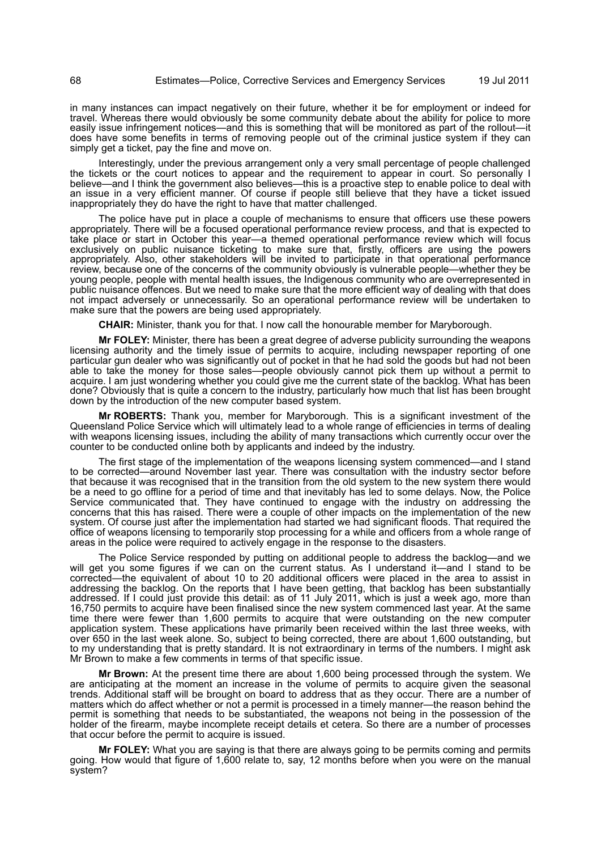in many instances can impact negatively on their future, whether it be for employment or indeed for travel. Whereas there would obviously be some community debate about the ability for police to more easily issue infringement notices—and this is something that will be monitored as part of the rollout—it does have some benefits in terms of removing people out of the criminal justice system if they can simply get a ticket, pay the fine and move on.

Interestingly, under the previous arrangement only a very small percentage of people challenged the tickets or the court notices to appear and the requirement to appear in court. So personally I believe—and I think the government also believes—this is a proactive step to enable police to deal with an issue in a very efficient manner. Of course if people still believe that they have a ticket issued inappropriately they do have the right to have that matter challenged.

The police have put in place a couple of mechanisms to ensure that officers use these powers appropriately. There will be a focused operational performance review process, and that is expected to take place or start in October this year—a themed operational performance review which will focus exclusively on public nuisance ticketing to make sure that, firstly, officers are using the powers appropriately. Also, other stakeholders will be invited to participate in that operational performance review, because one of the concerns of the community obviously is vulnerable people—whether they be young people, people with mental health issues, the Indigenous community who are overrepresented in public nuisance offences. But we need to make sure that the more efficient way of dealing with that does not impact adversely or unnecessarily. So an operational performance review will be undertaken to make sure that the powers are being used appropriately.

**CHAIR:** Minister, thank you for that. I now call the honourable member for Maryborough.

**Mr FOLEY:** Minister, there has been a great degree of adverse publicity surrounding the weapons licensing authority and the timely issue of permits to acquire, including newspaper reporting of one particular gun dealer who was significantly out of pocket in that he had sold the goods but had not been able to take the money for those sales—people obviously cannot pick them up without a permit to acquire. I am just wondering whether you could give me the current state of the backlog. What has been done? Obviously that is quite a concern to the industry, particularly how much that list has been brought down by the introduction of the new computer based system.

**Mr ROBERTS:** Thank you, member for Maryborough. This is a significant investment of the Queensland Police Service which will ultimately lead to a whole range of efficiencies in terms of dealing with weapons licensing issues, including the ability of many transactions which currently occur over the counter to be conducted online both by applicants and indeed by the industry.

The first stage of the implementation of the weapons licensing system commenced—and I stand to be corrected—around November last year. There was consultation with the industry sector before that because it was recognised that in the transition from the old system to the new system there would be a need to go offline for a period of time and that inevitably has led to some delays. Now, the Police Service communicated that. They have continued to engage with the industry on addressing the concerns that this has raised. There were a couple of other impacts on the implementation of the new system. Of course just after the implementation had started we had significant floods. That required the office of weapons licensing to temporarily stop processing for a while and officers from a whole range of areas in the police were required to actively engage in the response to the disasters.

The Police Service responded by putting on additional people to address the backlog—and we will get you some figures if we can on the current status. As I understand it—and I stand to be corrected—the equivalent of about 10 to 20 additional officers were placed in the area to assist in addressing the backlog. On the reports that I have been getting, that backlog has been substantially addressed. If I could just provide this detail: as of 11 July 2011, which is just a week ago, more than 16,750 permits to acquire have been finalised since the new system commenced last year. At the same time there were fewer than 1,600 permits to acquire that were outstanding on the new computer application system. These applications have primarily been received within the last three weeks, with over 650 in the last week alone. So, subject to being corrected, there are about 1,600 outstanding, but to my understanding that is pretty standard. It is not extraordinary in terms of the numbers. I might ask Mr Brown to make a few comments in terms of that specific issue.

**Mr Brown:** At the present time there are about 1,600 being processed through the system. We are anticipating at the moment an increase in the volume of permits to acquire given the seasonal trends. Additional staff will be brought on board to address that as they occur. There are a number of matters which do affect whether or not a permit is processed in a timely manner—the reason behind the permit is something that needs to be substantiated, the weapons not being in the possession of the holder of the firearm, maybe incomplete receipt details et cetera. So there are a number of processes that occur before the permit to acquire is issued.

**Mr FOLEY:** What you are saying is that there are always going to be permits coming and permits going. How would that figure of 1,600 relate to, say, 12 months before when you were on the manual system?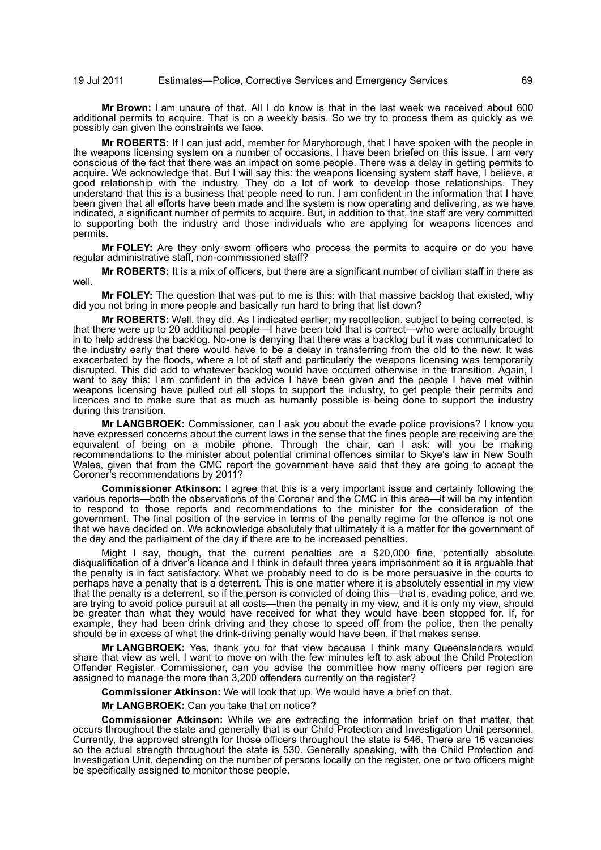**Mr Brown:** I am unsure of that. All I do know is that in the last week we received about 600 additional permits to acquire. That is on a weekly basis. So we try to process them as quickly as we possibly can given the constraints we face.

**Mr ROBERTS:** If I can just add, member for Maryborough, that I have spoken with the people in the weapons licensing system on a number of occasions. I have been briefed on this issue. I am very conscious of the fact that there was an impact on some people. There was a delay in getting permits to acquire. We acknowledge that. But I will say this: the weapons licensing system staff have, I believe, a good relationship with the industry. They do a lot of work to develop those relationships. They understand that this is a business that people need to run. I am confident in the information that I have been given that all efforts have been made and the system is now operating and delivering, as we have indicated, a significant number of permits to acquire. But, in addition to that, the staff are very committed to supporting both the industry and those individuals who are applying for weapons licences and permits.

**Mr FOLEY:** Are they only sworn officers who process the permits to acquire or do you have regular administrative staff, non-commissioned staff?

**Mr ROBERTS:** It is a mix of officers, but there are a significant number of civilian staff in there as well.

**Mr FOLEY:** The question that was put to me is this: with that massive backlog that existed, why did you not bring in more people and basically run hard to bring that list down?

**Mr ROBERTS:** Well, they did. As I indicated earlier, my recollection, subject to being corrected, is that there were up to 20 additional people—I have been told that is correct—who were actually brought in to help address the backlog. No-one is denying that there was a backlog but it was communicated to the industry early that there would have to be a delay in transferring from the old to the new. It was exacerbated by the floods, where a lot of staff and particularly the weapons licensing was temporarily disrupted. This did add to whatever backlog would have occurred otherwise in the transition. Again, I want to say this: I am confident in the advice I have been given and the people I have met within weapons licensing have pulled out all stops to support the industry, to get people their permits and licences and to make sure that as much as humanly possible is being done to support the industry during this transition.

**Mr LANGBROEK:** Commissioner, can I ask you about the evade police provisions? I know you have expressed concerns about the current laws in the sense that the fines people are receiving are the equivalent of being on a mobile phone. Through the chair, can I ask: will you be making recommendations to the minister about potential criminal offences similar to Skye's law in New South Wales, given that from the CMC report the government have said that they are going to accept the Coroner's recommendations by 2011?

**Commissioner Atkinson:** I agree that this is a very important issue and certainly following the various reports—both the observations of the Coroner and the CMC in this area—it will be my intention to respond to those reports and recommendations to the minister for the consideration of the government. The final position of the service in terms of the penalty regime for the offence is not one that we have decided on. We acknowledge absolutely that ultimately it is a matter for the government of the day and the parliament of the day if there are to be increased penalties.

Might I say, though, that the current penalties are a \$20,000 fine, potentially absolute disqualification of a driver's licence and I think in default three years imprisonment so it is arguable that the penalty is in fact satisfactory. What we probably need to do is be more persuasive in the courts to perhaps have a penalty that is a deterrent. This is one matter where it is absolutely essential in my view that the penalty is a deterrent, so if the person is convicted of doing this—that is, evading police, and we are trying to avoid police pursuit at all costs—then the penalty in my view, and it is only my view, should be greater than what they would have received for what they would have been stopped for. If, for example, they had been drink driving and they chose to speed off from the police, then the penalty should be in excess of what the drink-driving penalty would have been, if that makes sense.

**Mr LANGBROEK:** Yes, thank you for that view because I think many Queenslanders would share that view as well. I want to move on with the few minutes left to ask about the Child Protection Offender Register. Commissioner, can you advise the committee how many officers per region are assigned to manage the more than 3,200 offenders currently on the register?

**Commissioner Atkinson:** We will look that up. We would have a brief on that.

**Mr LANGBROEK:** Can you take that on notice?

**Commissioner Atkinson:** While we are extracting the information brief on that matter, that occurs throughout the state and generally that is our Child Protection and Investigation Unit personnel. Currently, the approved strength for those officers throughout the state is 546. There are 16 vacancies so the actual strength throughout the state is 530. Generally speaking, with the Child Protection and Investigation Unit, depending on the number of persons locally on the register, one or two officers might be specifically assigned to monitor those people.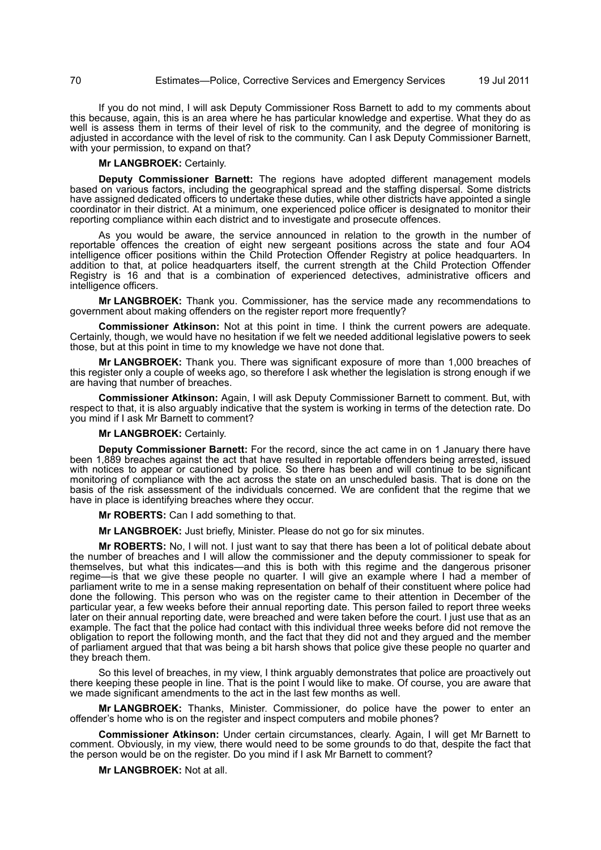If you do not mind, I will ask Deputy Commissioner Ross Barnett to add to my comments about this because, again, this is an area where he has particular knowledge and expertise. What they do as well is assess them in terms of their level of risk to the community, and the degree of monitoring is adjusted in accordance with the level of risk to the community. Can I ask Deputy Commissioner Barnett, with your permission, to expand on that?

## **Mr LANGBROEK:** Certainly.

**Deputy Commissioner Barnett:** The regions have adopted different management models based on various factors, including the geographical spread and the staffing dispersal. Some districts have assigned dedicated officers to undertake these duties, while other districts have appointed a single coordinator in their district. At a minimum, one experienced police officer is designated to monitor their reporting compliance within each district and to investigate and prosecute offences.

As you would be aware, the service announced in relation to the growth in the number of reportable offences the creation of eight new sergeant positions across the state and four AO4 intelligence officer positions within the Child Protection Offender Registry at police headquarters. In addition to that, at police headquarters itself, the current strength at the Child Protection Offender Registry is 16 and that is a combination of experienced detectives, administrative officers and intelligence officers.

**Mr LANGBROEK:** Thank you. Commissioner, has the service made any recommendations to government about making offenders on the register report more frequently?

**Commissioner Atkinson:** Not at this point in time. I think the current powers are adequate. Certainly, though, we would have no hesitation if we felt we needed additional legislative powers to seek those, but at this point in time to my knowledge we have not done that.

**Mr LANGBROEK:** Thank you. There was significant exposure of more than 1,000 breaches of this register only a couple of weeks ago, so therefore I ask whether the legislation is strong enough if we are having that number of breaches.

**Commissioner Atkinson:** Again, I will ask Deputy Commissioner Barnett to comment. But, with respect to that, it is also arguably indicative that the system is working in terms of the detection rate. Do you mind if I ask Mr Barnett to comment?

## **Mr LANGBROEK:** Certainly.

**Deputy Commissioner Barnett:** For the record, since the act came in on 1 January there have been 1,889 breaches against the act that have resulted in reportable offenders being arrested, issued with notices to appear or cautioned by police. So there has been and will continue to be significant monitoring of compliance with the act across the state on an unscheduled basis. That is done on the basis of the risk assessment of the individuals concerned. We are confident that the regime that we have in place is identifying breaches where they occur.

**Mr ROBERTS:** Can I add something to that.

**Mr LANGBROEK:** Just briefly, Minister. Please do not go for six minutes.

**Mr ROBERTS:** No, I will not. I just want to say that there has been a lot of political debate about the number of breaches and I will allow the commissioner and the deputy commissioner to speak for themselves, but what this indicates—and this is both with this regime and the dangerous prisoner regime—is that we give these people no quarter. I will give an example where I had a member of parliament write to me in a sense making representation on behalf of their constituent where police had done the following. This person who was on the register came to their attention in December of the particular year, a few weeks before their annual reporting date. This person failed to report three weeks later on their annual reporting date, were breached and were taken before the court. I just use that as an example. The fact that the police had contact with this individual three weeks before did not remove the obligation to report the following month, and the fact that they did not and they argued and the member of parliament argued that that was being a bit harsh shows that police give these people no quarter and they breach them.

So this level of breaches, in my view, I think arguably demonstrates that police are proactively out there keeping these people in line. That is the point I would like to make. Of course, you are aware that we made significant amendments to the act in the last few months as well.

**Mr LANGBROEK:** Thanks, Minister. Commissioner, do police have the power to enter an offender's home who is on the register and inspect computers and mobile phones?

**Commissioner Atkinson:** Under certain circumstances, clearly. Again, I will get Mr Barnett to comment. Obviously, in my view, there would need to be some grounds to do that, despite the fact that the person would be on the register. Do you mind if I ask Mr Barnett to comment?

**Mr LANGBROEK:** Not at all.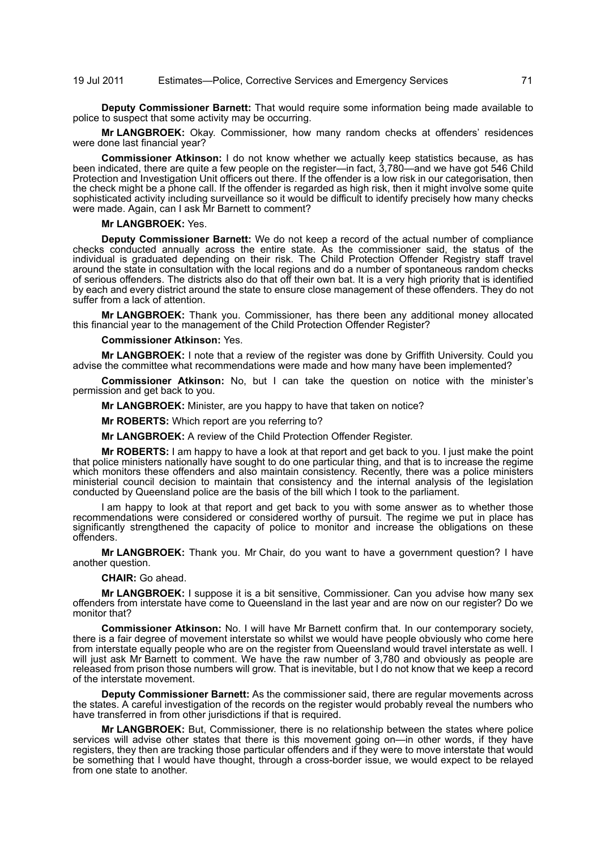**Deputy Commissioner Barnett:** That would require some information being made available to police to suspect that some activity may be occurring.

**Mr LANGBROEK:** Okay. Commissioner, how many random checks at offenders' residences were done last financial year?

**Commissioner Atkinson:** I do not know whether we actually keep statistics because, as has been indicated, there are quite a few people on the register—in fact, 3,780—and we have got 546 Child Protection and Investigation Unit officers out there. If the offender is a low risk in our categorisation, then the check might be a phone call. If the offender is regarded as high risk, then it might involve some quite sophisticated activity including surveillance so it would be difficult to identify precisely how many checks were made. Again, can I ask Mr Barnett to comment?

#### **Mr LANGBROEK:** Yes.

**Deputy Commissioner Barnett:** We do not keep a record of the actual number of compliance checks conducted annually across the entire state. As the commissioner said, the status of the individual is graduated depending on their risk. The Child Protection Offender Registry staff travel around the state in consultation with the local regions and do a number of spontaneous random checks of serious offenders. The districts also do that off their own bat. It is a very high priority that is identified by each and every district around the state to ensure close management of these offenders. They do not suffer from a lack of attention.

**Mr LANGBROEK:** Thank you. Commissioner, has there been any additional money allocated this financial year to the management of the Child Protection Offender Register?

#### **Commissioner Atkinson:** Yes.

**Mr LANGBROEK:** I note that a review of the register was done by Griffith University. Could you advise the committee what recommendations were made and how many have been implemented?

**Commissioner Atkinson:** No, but I can take the question on notice with the minister's permission and get back to you.

**Mr LANGBROEK:** Minister, are you happy to have that taken on notice?

**Mr ROBERTS:** Which report are you referring to?

**Mr LANGBROEK:** A review of the Child Protection Offender Register.

**Mr ROBERTS:** I am happy to have a look at that report and get back to you. I just make the point that police ministers nationally have sought to do one particular thing, and that is to increase the regime which monitors these offenders and also maintain consistency. Recently, there was a police ministers ministerial council decision to maintain that consistency and the internal analysis of the legislation conducted by Queensland police are the basis of the bill which I took to the parliament.

I am happy to look at that report and get back to you with some answer as to whether those recommendations were considered or considered worthy of pursuit. The regime we put in place has significantly strengthened the capacity of police to monitor and increase the obligations on these offenders.

**Mr LANGBROEK:** Thank you. Mr Chair, do you want to have a government question? I have another question.

#### **CHAIR:** Go ahead.

**Mr LANGBROEK:** I suppose it is a bit sensitive, Commissioner. Can you advise how many sex offenders from interstate have come to Queensland in the last year and are now on our register? Do we monitor that?

**Commissioner Atkinson:** No. I will have Mr Barnett confirm that. In our contemporary society, there is a fair degree of movement interstate so whilst we would have people obviously who come here from interstate equally people who are on the register from Queensland would travel interstate as well. I will just ask Mr Barnett to comment. We have the raw number of 3,780 and obviously as people are released from prison those numbers will grow. That is inevitable, but I do not know that we keep a record of the interstate movement.

**Deputy Commissioner Barnett:** As the commissioner said, there are regular movements across the states. A careful investigation of the records on the register would probably reveal the numbers who have transferred in from other jurisdictions if that is required.

**Mr LANGBROEK:** But, Commissioner, there is no relationship between the states where police services will advise other states that there is this movement going on—in other words, if they have registers, they then are tracking those particular offenders and if they were to move interstate that would be something that I would have thought, through a cross-border issue, we would expect to be relayed from one state to another.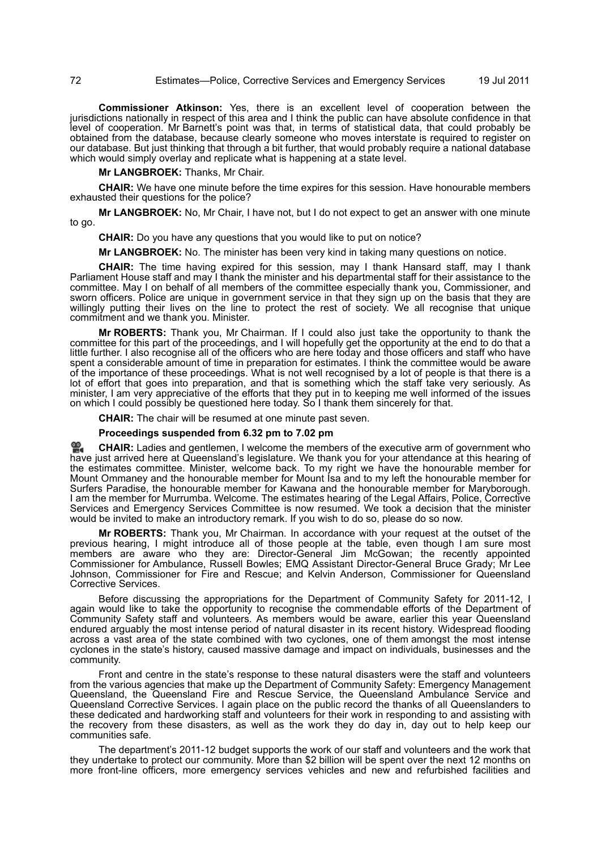**Commissioner Atkinson:** Yes, there is an excellent level of cooperation between the jurisdictions nationally in respect of this area and I think the public can have absolute confidence in that level of cooperation. Mr Barnett's point was that, in terms of statistical data, that could probably be obtained from the database, because clearly someone who moves interstate is required to register on our database. But just thinking that through a bit further, that would probably require a national database which would simply overlay and replicate what is happening at a state level.

**Mr LANGBROEK:** Thanks, Mr Chair.

**CHAIR:** We have one minute before the time expires for this session. Have honourable members exhausted their questions for the police?

**Mr LANGBROEK:** No, Mr Chair, I have not, but I do not expect to get an answer with one minute to go.

**CHAIR:** Do you have any questions that you would like to put on notice?

**Mr LANGBROEK:** No. The minister has been very kind in taking many questions on notice.

**CHAIR:** The time having expired for this session, may I thank Hansard staff, may I thank Parliament House staff and may I thank the minister and his departmental staff for their assistance to the committee. May I on behalf of all members of the committee especially thank you, Commissioner, and sworn officers. Police are unique in government service in that they sign up on the basis that they are willingly putting their lives on the line to protect the rest of society. We all recognise that unique commitment and we thank you. Minister.

**Mr ROBERTS:** Thank you, Mr Chairman. If I could also just take the opportunity to thank the committee for this part of the proceedings, and I will hopefully get the opportunity at the end to do that a little further. I also recognise all of the officers who are here today and those officers and staff who have spent a considerable amount of time in preparation for estimates. I think the committee would be aware of the importance of these proceedings. What is not well recognised by a lot of people is that there is a lot of effort that goes into preparation, and that is something which the staff take very seriously. As minister, I am very appreciative of the efforts that they put in to keeping me well informed of the issues on which I could possibly be questioned here today. So I thank them sincerely for that.

**CHAIR:** The chair will be resumed at one minute past seven.

### **Proceedings suspended from 6.32 pm to 7.02 pm**

**CHAIR:** [Ladies and gentlemen, I welcome the members of the executive arm of government who](http://www.parliament.qld.gov.au/docs/find.aspx?id=0Mba20110719_190321) [hav](http://www.parliament.qld.gov.au/docs/find.aspx?id=0Mba20110719_190321)e just arrived here at Queensland's legislature. We thank you for your attendance at this hearing of the estimates committee. Minister, welcome back. To my right we have the honourable member for Mount Ommaney and the honourable member for Mount Isa and to my left the honourable member for [Surfers Paradise, the honourable member for Kawana and the honourable member for Maryborough.](http://www.parliament.qld.gov.au/docs/find.aspx?id=0Mba20110719_190321) I am the member for Murrumba. Welcome. The estimates hearing of the Legal Affairs, Police, Corrective Services and Emergency Services Committee is now resumed. We took a decision that the minister would be invited to make an introductory remark. If you wish to do so, please do so now.

**Mr ROBERTS:** Thank you, Mr Chairman. In accordance with your request at the outset of the previous hearing, I might introduce all of those people at the table, even though I am sure most members are aware who they are: Director-General Jim McGowan; the recently appointed Commissioner for Ambulance, Russell Bowles; EMQ Assistant Director-General Bruce Grady; Mr Lee Johnson, Commissioner for Fire and Rescue; and Kelvin Anderson, Commissioner for Queensland Corrective Services.

Before discussing the appropriations for the Department of Community Safety for 2011-12, I again would like to take the opportunity to recognise the commendable efforts of the Department of Community Safety staff and volunteers. As members would be aware, earlier this year Queensland endured arguably the most intense period of natural disaster in its recent history. Widespread flooding across a vast area of the state combined with two cyclones, one of them amongst the most intense cyclones in the state's history, caused massive damage and impact on individuals, businesses and the community.

Front and centre in the state's response to these natural disasters were the staff and volunteers from the various agencies that make up the Department of Community Safety: Emergency Management Queensland, the Queensland Fire and Rescue Service, the Queensland Ambulance Service and Queensland Corrective Services. I again place on the public record the thanks of all Queenslanders to these dedicated and hardworking staff and volunteers for their work in responding to and assisting with the recovery from these disasters, as well as the work they do day in, day out to help keep our communities safe.

The department's 2011-12 budget supports the work of our staff and volunteers and the work that they undertake to protect our community. More than \$2 billion will be spent over the next 12 months on more front-line officers, more emergency services vehicles and new and refurbished facilities and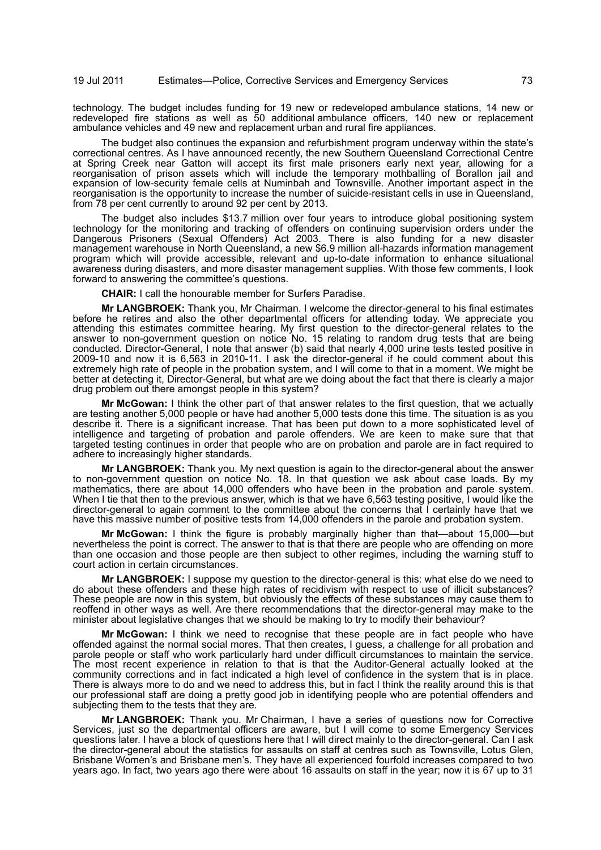technology. The budget includes funding for 19 new or redeveloped ambulance stations, 14 new or redeveloped fire stations as well as 50 additional ambulance officers, 140 new or replacement ambulance vehicles and 49 new and replacement urban and rural fire appliances.

The budget also continues the expansion and refurbishment program underway within the state's correctional centres. As I have announced recently, the new Southern Queensland Correctional Centre at Spring Creek near Gatton will accept its first male prisoners early next year, allowing for a reorganisation of prison assets which will include the temporary mothballing of Borallon jail and expansion of low-security female cells at Numinbah and Townsville. Another important aspect in the reorganisation is the opportunity to increase the number of suicide-resistant cells in use in Queensland, from 78 per cent currently to around 92 per cent by 2013.

The budget also includes \$13.7 million over four years to introduce global positioning system technology for the monitoring and tracking of offenders on continuing supervision orders under the Dangerous Prisoners (Sexual Offenders) Act 2003. There is also funding for a new disaster management warehouse in North Queensland, a new \$6.9 million all-hazards information management program which will provide accessible, relevant and up-to-date information to enhance situational awareness during disasters, and more disaster management supplies. With those few comments, I look forward to answering the committee's questions.

**CHAIR:** I call the honourable member for Surfers Paradise.

**Mr LANGBROEK:** Thank you, Mr Chairman. I welcome the director-general to his final estimates before he retires and also the other departmental officers for attending today. We appreciate you attending this estimates committee hearing. My first question to the director-general relates to the answer to non-government question on notice No. 15 relating to random drug tests that are being conducted. Director-General, I note that answer (b) said that nearly 4,000 urine tests tested positive in 2009-10 and now it is 6,563 in 2010-11. I ask the director-general if he could comment about this extremely high rate of people in the probation system, and I will come to that in a moment. We might be better at detecting it, Director-General, but what are we doing about the fact that there is clearly a major drug problem out there amongst people in this system?

**Mr McGowan:** I think the other part of that answer relates to the first question, that we actually are testing another 5,000 people or have had another 5,000 tests done this time. The situation is as you describe it. There is a significant increase. That has been put down to a more sophisticated level of intelligence and targeting of probation and parole offenders. We are keen to make sure that that targeted testing continues in order that people who are on probation and parole are in fact required to adhere to increasingly higher standards.

**Mr LANGBROEK:** Thank you. My next question is again to the director-general about the answer to non-government question on notice No. 18. In that question we ask about case loads. By my mathematics, there are about 14,000 offenders who have been in the probation and parole system. When I tie that then to the previous answer, which is that we have 6,563 testing positive, I would like the director-general to again comment to the committee about the concerns that I certainly have that we have this massive number of positive tests from 14,000 offenders in the parole and probation system.

**Mr McGowan:** I think the figure is probably marginally higher than that—about 15,000—but nevertheless the point is correct. The answer to that is that there are people who are offending on more than one occasion and those people are then subject to other regimes, including the warning stuff to court action in certain circumstances.

**Mr LANGBROEK:** I suppose my question to the director-general is this: what else do we need to do about these offenders and these high rates of recidivism with respect to use of illicit substances? These people are now in this system, but obviously the effects of these substances may cause them to reoffend in other ways as well. Are there recommendations that the director-general may make to the minister about legislative changes that we should be making to try to modify their behaviour?

**Mr McGowan:** I think we need to recognise that these people are in fact people who have offended against the normal social mores. That then creates, I guess, a challenge for all probation and parole people or staff who work particularly hard under difficult circumstances to maintain the service. The most recent experience in relation to that is that the Auditor-General actually looked at the community corrections and in fact indicated a high level of confidence in the system that is in place. There is always more to do and we need to address this, but in fact I think the reality around this is that our professional staff are doing a pretty good job in identifying people who are potential offenders and subjecting them to the tests that they are.

**Mr LANGBROEK:** Thank you. Mr Chairman, I have a series of questions now for Corrective Services, just so the departmental officers are aware, but I will come to some Emergency Services questions later. I have a block of questions here that I will direct mainly to the director-general. Can I ask the director-general about the statistics for assaults on staff at centres such as Townsville, Lotus Glen, Brisbane Women's and Brisbane men's. They have all experienced fourfold increases compared to two years ago. In fact, two years ago there were about 16 assaults on staff in the year; now it is 67 up to 31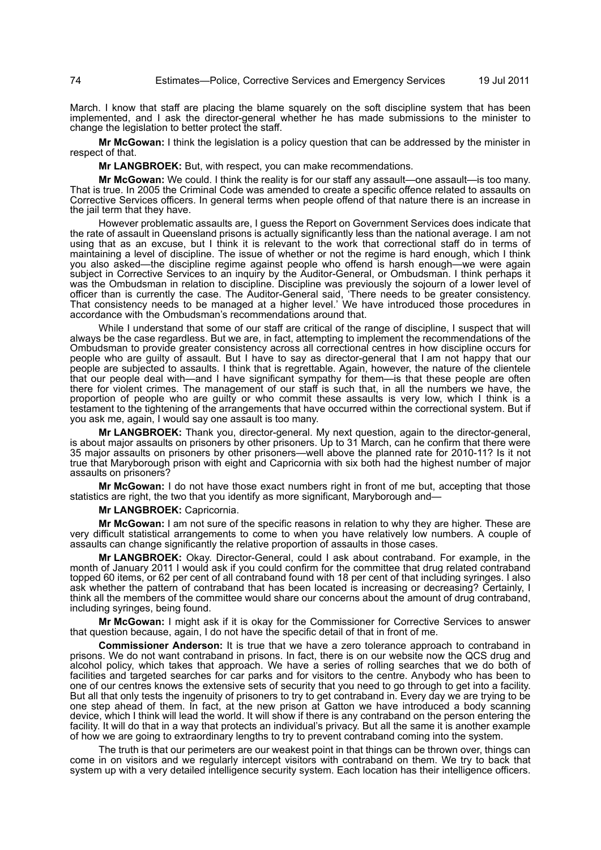March. I know that staff are placing the blame squarely on the soft discipline system that has been implemented, and I ask the director-general whether he has made submissions to the minister to change the legislation to better protect the staff.

**Mr McGowan:** I think the legislation is a policy question that can be addressed by the minister in respect of that.

**Mr LANGBROEK:** But, with respect, you can make recommendations.

**Mr McGowan:** We could. I think the reality is for our staff any assault—one assault—is too many. That is true. In 2005 the Criminal Code was amended to create a specific offence related to assaults on Corrective Services officers. In general terms when people offend of that nature there is an increase in the jail term that they have.

However problematic assaults are, I guess the Report on Government Services does indicate that the rate of assault in Queensland prisons is actually significantly less than the national average. I am not using that as an excuse, but I think it is relevant to the work that correctional staff do in terms of maintaining a level of discipline. The issue of whether or not the regime is hard enough, which I think you also asked—the discipline regime against people who offend is harsh enough—we were again subject in Corrective Services to an inquiry by the Auditor-General, or Ombudsman. I think perhaps it was the Ombudsman in relation to discipline. Discipline was previously the sojourn of a lower level of officer than is currently the case. The Auditor-General said, 'There needs to be greater consistency. That consistency needs to be managed at a higher level.' We have introduced those procedures in accordance with the Ombudsman's recommendations around that.

While I understand that some of our staff are critical of the range of discipline, I suspect that will always be the case regardless. But we are, in fact, attempting to implement the recommendations of the Ombudsman to provide greater consistency across all correctional centres in how discipline occurs for people who are guilty of assault. But I have to say as director-general that I am not happy that our people are subjected to assaults. I think that is regrettable. Again, however, the nature of the clientele that our people deal with—and I have significant sympathy for them—is that these people are often there for violent crimes. The management of our staff is such that, in all the numbers we have, the proportion of people who are guilty or who commit these assaults is very low, which I think is a testament to the tightening of the arrangements that have occurred within the correctional system. But if you ask me, again, I would say one assault is too many.

**Mr LANGBROEK:** Thank you, director-general. My next question, again to the director-general, is about major assaults on prisoners by other prisoners. Up to 31 March, can he confirm that there were 35 major assaults on prisoners by other prisoners—well above the planned rate for 2010-11? Is it not true that Maryborough prison with eight and Capricornia with six both had the highest number of major assaults on prisoners?

**Mr McGowan:** I do not have those exact numbers right in front of me but, accepting that those statistics are right, the two that you identify as more significant, Maryborough and—

**Mr LANGBROEK:** Capricornia.

**Mr McGowan:** I am not sure of the specific reasons in relation to why they are higher. These are very difficult statistical arrangements to come to when you have relatively low numbers. A couple of assaults can change significantly the relative proportion of assaults in those cases.

**Mr LANGBROEK:** Okay. Director-General, could I ask about contraband. For example, in the month of January 2011 I would ask if you could confirm for the committee that drug related contraband topped 60 items, or 62 per cent of all contraband found with 18 per cent of that including syringes. I also ask whether the pattern of contraband that has been located is increasing or decreasing? Certainly, I think all the members of the committee would share our concerns about the amount of drug contraband, including syringes, being found.

**Mr McGowan:** I might ask if it is okay for the Commissioner for Corrective Services to answer that question because, again, I do not have the specific detail of that in front of me.

**Commissioner Anderson:** It is true that we have a zero tolerance approach to contraband in prisons. We do not want contraband in prisons. In fact, there is on our website now the QCS drug and alcohol policy, which takes that approach. We have a series of rolling searches that we do both of facilities and targeted searches for car parks and for visitors to the centre. Anybody who has been to one of our centres knows the extensive sets of security that you need to go through to get into a facility. But all that only tests the ingenuity of prisoners to try to get contraband in. Every day we are trying to be one step ahead of them. In fact, at the new prison at Gatton we have introduced a body scanning device, which I think will lead the world. It will show if there is any contraband on the person entering the facility. It will do that in a way that protects an individual's privacy. But all the same it is another example of how we are going to extraordinary lengths to try to prevent contraband coming into the system.

The truth is that our perimeters are our weakest point in that things can be thrown over, things can come in on visitors and we regularly intercept visitors with contraband on them. We try to back that system up with a very detailed intelligence security system. Each location has their intelligence officers.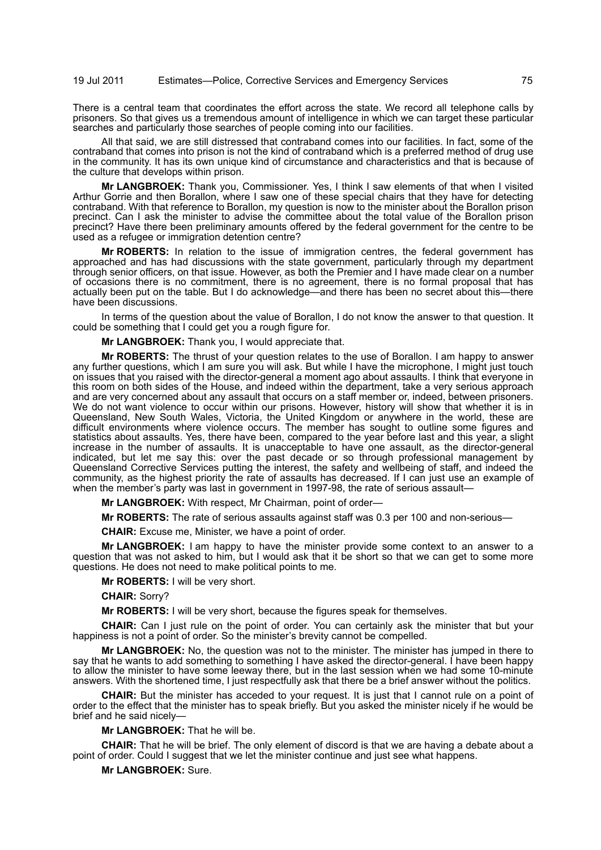There is a central team that coordinates the effort across the state. We record all telephone calls by prisoners. So that gives us a tremendous amount of intelligence in which we can target these particular searches and particularly those searches of people coming into our facilities.

All that said, we are still distressed that contraband comes into our facilities. In fact, some of the contraband that comes into prison is not the kind of contraband which is a preferred method of drug use in the community. It has its own unique kind of circumstance and characteristics and that is because of the culture that develops within prison.

**Mr LANGBROEK:** Thank you, Commissioner. Yes, I think I saw elements of that when I visited Arthur Gorrie and then Borallon, where I saw one of these special chairs that they have for detecting contraband. With that reference to Borallon, my question is now to the minister about the Borallon prison precinct. Can I ask the minister to advise the committee about the total value of the Borallon prison precinct? Have there been preliminary amounts offered by the federal government for the centre to be used as a refugee or immigration detention centre?

**Mr ROBERTS:** In relation to the issue of immigration centres, the federal government has approached and has had discussions with the state government, particularly through my department through senior officers, on that issue. However, as both the Premier and I have made clear on a number of occasions there is no commitment, there is no agreement, there is no formal proposal that has actually been put on the table. But I do acknowledge—and there has been no secret about this—there have been discussions.

In terms of the question about the value of Borallon, I do not know the answer to that question. It could be something that I could get you a rough figure for.

**Mr LANGBROEK:** Thank you, I would appreciate that.

**Mr ROBERTS:** The thrust of your question relates to the use of Borallon. I am happy to answer any further questions, which I am sure you will ask. But while I have the microphone, I might just touch on issues that you raised with the director-general a moment ago about assaults. I think that everyone in this room on both sides of the House, and indeed within the department, take a very serious approach and are very concerned about any assault that occurs on a staff member or, indeed, between prisoners. We do not want violence to occur within our prisons. However, history will show that whether it is in Queensland, New South Wales, Victoria, the United Kingdom or anywhere in the world, these are difficult environments where violence occurs. The member has sought to outline some figures and statistics about assaults. Yes, there have been, compared to the year before last and this year, a slight increase in the number of assaults. It is unacceptable to have one assault, as the director-general indicated, but let me say this: over the past decade or so through professional management by Queensland Corrective Services putting the interest, the safety and wellbeing of staff, and indeed the community, as the highest priority the rate of assaults has decreased. If I can just use an example of when the member's party was last in government in 1997-98, the rate of serious assault-

**Mr LANGBROEK:** With respect, Mr Chairman, point of order—

**Mr ROBERTS:** The rate of serious assaults against staff was 0.3 per 100 and non-serious—

**CHAIR:** Excuse me, Minister, we have a point of order.

**Mr LANGBROEK:** I am happy to have the minister provide some context to an answer to a question that was not asked to him, but I would ask that it be short so that we can get to some more questions. He does not need to make political points to me.

**Mr ROBERTS:** I will be very short.

**CHAIR:** Sorry?

**Mr ROBERTS:** I will be very short, because the figures speak for themselves.

**CHAIR:** Can I just rule on the point of order. You can certainly ask the minister that but your happiness is not a point of order. So the minister's brevity cannot be compelled.

**Mr LANGBROEK:** No, the question was not to the minister. The minister has jumped in there to say that he wants to add something to something I have asked the director-general. I have been happy to allow the minister to have some leeway there, but in the last session when we had some 10-minute answers. With the shortened time, I just respectfully ask that there be a brief answer without the politics.

**CHAIR:** But the minister has acceded to your request. It is just that I cannot rule on a point of order to the effect that the minister has to speak briefly. But you asked the minister nicely if he would be brief and he said nicely—

**Mr LANGBROEK:** That he will be.

**CHAIR:** That he will be brief. The only element of discord is that we are having a debate about a point of order. Could I suggest that we let the minister continue and just see what happens.

**Mr LANGBROEK:** Sure.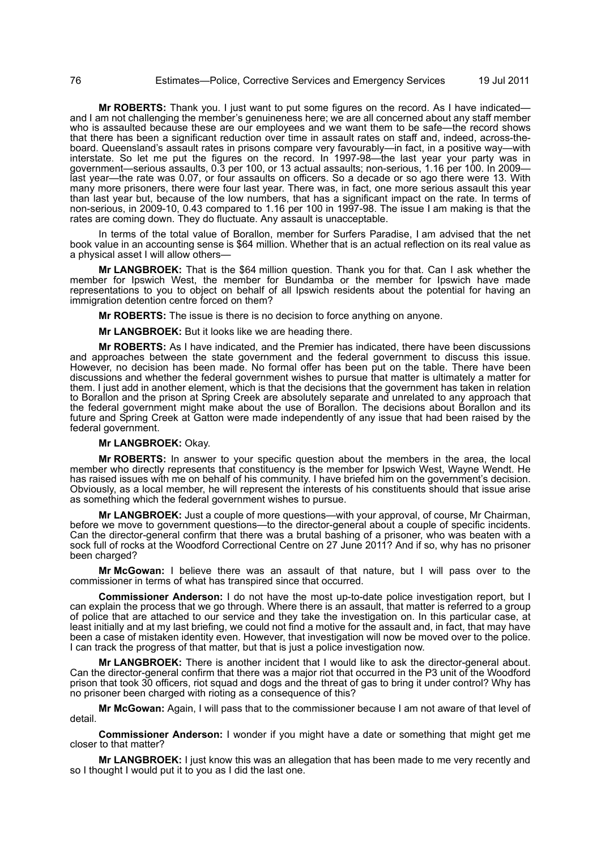**Mr ROBERTS:** Thank you. I just want to put some figures on the record. As I have indicated and I am not challenging the member's genuineness here; we are all concerned about any staff member who is assaulted because these are our employees and we want them to be safe—the record shows that there has been a significant reduction over time in assault rates on staff and, indeed, across-theboard. Queensland's assault rates in prisons compare very favourably—in fact, in a positive way—with interstate. So let me put the figures on the record. In 1997-98—the last year your party was in government—serious assaults, 0.3 per 100, or 13 actual assaults; non-serious, 1.16 per 100. In 2009 last year—the rate was 0.07, or four assaults on officers. So a decade or so ago there were 13. With many more prisoners, there were four last year. There was, in fact, one more serious assault this year than last year but, because of the low numbers, that has a significant impact on the rate. In terms of non-serious, in 2009-10, 0.43 compared to 1.16 per 100 in 1997-98. The issue I am making is that the rates are coming down. They do fluctuate. Any assault is unacceptable.

In terms of the total value of Borallon, member for Surfers Paradise, I am advised that the net book value in an accounting sense is \$64 million. Whether that is an actual reflection on its real value as a physical asset I will allow others—

**Mr LANGBROEK:** That is the \$64 million question. Thank you for that. Can I ask whether the member for Ipswich West, the member for Bundamba or the member for Ipswich have made representations to you to object on behalf of all Ipswich residents about the potential for having an immigration detention centre forced on them?

**Mr ROBERTS:** The issue is there is no decision to force anything on anyone.

**Mr LANGBROEK:** But it looks like we are heading there.

**Mr ROBERTS:** As I have indicated, and the Premier has indicated, there have been discussions and approaches between the state government and the federal government to discuss this issue. However, no decision has been made. No formal offer has been put on the table. There have been discussions and whether the federal government wishes to pursue that matter is ultimately a matter for them. I just add in another element, which is that the decisions that the government has taken in relation to Borallon and the prison at Spring Creek are absolutely separate and unrelated to any approach that the federal government might make about the use of Borallon. The decisions about Borallon and its future and Spring Creek at Gatton were made independently of any issue that had been raised by the federal government.

#### **Mr LANGBROEK:** Okay.

**Mr ROBERTS:** In answer to your specific question about the members in the area, the local member who directly represents that constituency is the member for Ipswich West, Wayne Wendt. He has raised issues with me on behalf of his community. I have briefed him on the government's decision. Obviously, as a local member, he will represent the interests of his constituents should that issue arise as something which the federal government wishes to pursue.

**Mr LANGBROEK:** Just a couple of more questions—with your approval, of course, Mr Chairman, before we move to government questions—to the director-general about a couple of specific incidents. Can the director-general confirm that there was a brutal bashing of a prisoner, who was beaten with a sock full of rocks at the Woodford Correctional Centre on 27 June 2011? And if so, why has no prisoner been charged?

**Mr McGowan:** I believe there was an assault of that nature, but I will pass over to the commissioner in terms of what has transpired since that occurred.

**Commissioner Anderson:** I do not have the most up-to-date police investigation report, but I can explain the process that we go through. Where there is an assault, that matter is referred to a group of police that are attached to our service and they take the investigation on. In this particular case, at least initially and at my last briefing, we could not find a motive for the assault and, in fact, that may have been a case of mistaken identity even. However, that investigation will now be moved over to the police. I can track the progress of that matter, but that is just a police investigation now.

**Mr LANGBROEK:** There is another incident that I would like to ask the director-general about. Can the director-general confirm that there was a major riot that occurred in the P3 unit of the Woodford prison that took 30 officers, riot squad and dogs and the threat of gas to bring it under control? Why has no prisoner been charged with rioting as a consequence of this?

**Mr McGowan:** Again, I will pass that to the commissioner because I am not aware of that level of detail.

**Commissioner Anderson:** I wonder if you might have a date or something that might get me closer to that matter?

**Mr LANGBROEK:** I just know this was an allegation that has been made to me very recently and so I thought I would put it to you as I did the last one.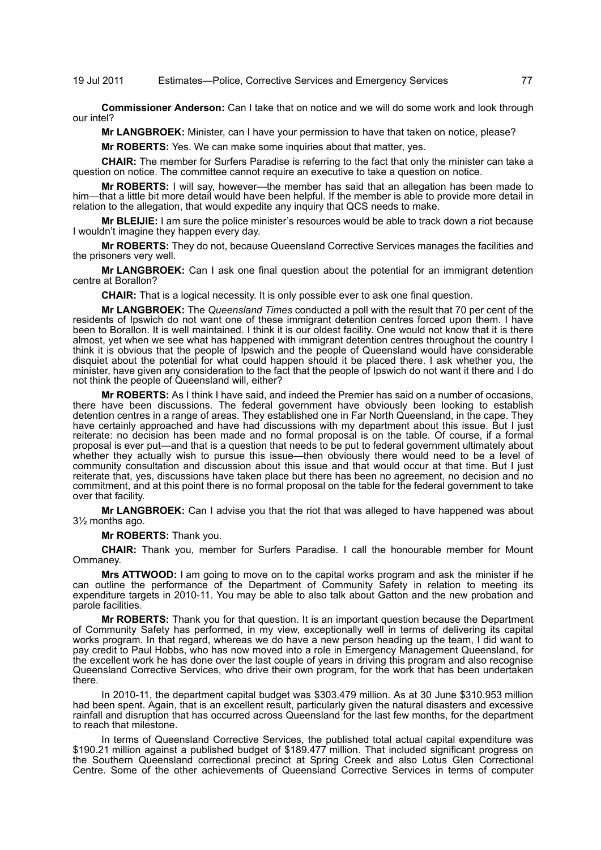## 19 Jul 2011 Estimates—Police, Corrective Services and Emergency Services 77

**Commissioner Anderson:** Can I take that on notice and we will do some work and look through our intel?

**Mr LANGBROEK:** Minister, can I have your permission to have that taken on notice, please?

**Mr ROBERTS:** Yes. We can make some inquiries about that matter, yes.

**CHAIR:** The member for Surfers Paradise is referring to the fact that only the minister can take a question on notice. The committee cannot require an executive to take a question on notice.

**Mr ROBERTS:** I will say, however—the member has said that an allegation has been made to him—that a little bit more detail would have been helpful. If the member is able to provide more detail in relation to the allegation, that would expedite any inquiry that QCS needs to make.

**Mr BLEIJIE:** I am sure the police minister's resources would be able to track down a riot because I wouldn't imagine they happen every day.

**Mr ROBERTS:** They do not, because Queensland Corrective Services manages the facilities and the prisoners very well.

**Mr LANGBROEK:** Can I ask one final question about the potential for an immigrant detention centre at Borallon?

**CHAIR:** That is a logical necessity. It is only possible ever to ask one final question.

**Mr LANGBROEK:** The *Queensland Times* conducted a poll with the result that 70 per cent of the residents of Ipswich do not want one of these immigrant detention centres forced upon them. I have been to Borallon. It is well maintained. I think it is our oldest facility. One would not know that it is there almost, yet when we see what has happened with immigrant detention centres throughout the country I think it is obvious that the people of Ipswich and the people of Queensland would have considerable disquiet about the potential for what could happen should it be placed there. I ask whether you, the minister, have given any consideration to the fact that the people of Ipswich do not want it there and I do not think the people of Queensland will, either?

**Mr ROBERTS:** As I think I have said, and indeed the Premier has said on a number of occasions, there have been discussions. The federal government have obviously been looking to establish detention centres in a range of areas. They established one in Far North Queensland, in the cape. They have certainly approached and have had discussions with my department about this issue. But I just reiterate: no decision has been made and no formal proposal is on the table. Of course, if a formal proposal is ever put—and that is a question that needs to be put to federal government ultimately about whether they actually wish to pursue this issue—then obviously there would need to be a level of community consultation and discussion about this issue and that would occur at that time. But I just reiterate that, yes, discussions have taken place but there has been no agreement, no decision and no commitment, and at this point there is no formal proposal on the table for the federal government to take over that facility.

**Mr LANGBROEK:** Can I advise you that the riot that was alleged to have happened was about 3½ months ago.

**Mr ROBERTS:** Thank you.

**CHAIR:** Thank you, member for Surfers Paradise. I call the honourable member for Mount Ommaney.

**Mrs ATTWOOD:** I am going to move on to the capital works program and ask the minister if he can outline the performance of the Department of Community Safety in relation to meeting its expenditure targets in 2010-11. You may be able to also talk about Gatton and the new probation and parole facilities.

**Mr ROBERTS:** Thank you for that question. It is an important question because the Department of Community Safety has performed, in my view, exceptionally well in terms of delivering its capital works program. In that regard, whereas we do have a new person heading up the team, I did want to pay credit to Paul Hobbs, who has now moved into a role in Emergency Management Queensland, for the excellent work he has done over the last couple of years in driving this program and also recognise Queensland Corrective Services, who drive their own program, for the work that has been undertaken there.

In 2010-11, the department capital budget was \$303.479 million. As at 30 June \$310.953 million had been spent. Again, that is an excellent result, particularly given the natural disasters and excessive rainfall and disruption that has occurred across Queensland for the last few months, for the department to reach that milestone.

In terms of Queensland Corrective Services, the published total actual capital expenditure was \$190.21 million against a published budget of \$189.477 million. That included significant progress on the Southern Queensland correctional precinct at Spring Creek and also Lotus Glen Correctional Centre. Some of the other achievements of Queensland Corrective Services in terms of computer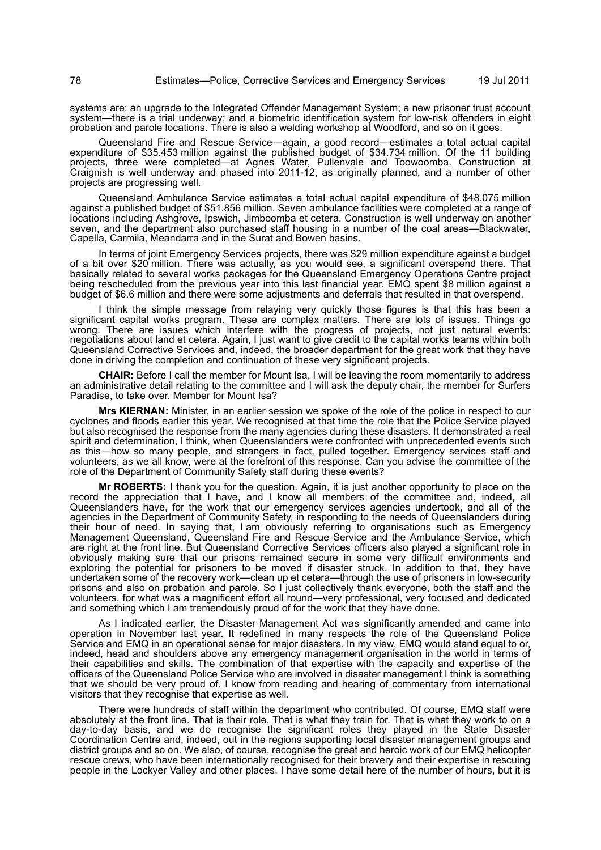systems are: an upgrade to the Integrated Offender Management System; a new prisoner trust account system—there is a trial underway; and a biometric identification system for low-risk offenders in eight probation and parole locations. There is also a welding workshop at Woodford, and so on it goes.

Queensland Fire and Rescue Service—again, a good record—estimates a total actual capital expenditure of \$35.453 million against the published budget of \$34.734 million. Of the 11 building projects, three were completed—at Agnes Water, Pullenvale and Toowoomba. Construction at Craignish is well underway and phased into 2011-12, as originally planned, and a number of other projects are progressing well.

Queensland Ambulance Service estimates a total actual capital expenditure of \$48.075 million against a published budget of \$51.856 million. Seven ambulance facilities were completed at a range of locations including Ashgrove, Ipswich, Jimboomba et cetera. Construction is well underway on another seven, and the department also purchased staff housing in a number of the coal areas—Blackwater, Capella, Carmila, Meandarra and in the Surat and Bowen basins.

In terms of joint Emergency Services projects, there was \$29 million expenditure against a budget of a bit over \$20 million. There was actually, as you would see, a significant overspend there. That basically related to several works packages for the Queensland Emergency Operations Centre project being rescheduled from the previous year into this last financial year. EMQ spent \$8 million against a budget of \$6.6 million and there were some adjustments and deferrals that resulted in that overspend.

I think the simple message from relaying very quickly those figures is that this has been a significant capital works program. These are complex matters. There are lots of issues. Things go wrong. There are issues which interfere with the progress of projects, not just natural events: negotiations about land et cetera. Again, I just want to give credit to the capital works teams within both Queensland Corrective Services and, indeed, the broader department for the great work that they have done in driving the completion and continuation of these very significant projects.

**CHAIR:** Before I call the member for Mount Isa, I will be leaving the room momentarily to address an administrative detail relating to the committee and I will ask the deputy chair, the member for Surfers Paradise, to take over. Member for Mount Isa?

**Mrs KIERNAN:** Minister, in an earlier session we spoke of the role of the police in respect to our cyclones and floods earlier this year. We recognised at that time the role that the Police Service played but also recognised the response from the many agencies during these disasters. It demonstrated a real spirit and determination, I think, when Queenslanders were confronted with unprecedented events such as this—how so many people, and strangers in fact, pulled together. Emergency services staff and volunteers, as we all know, were at the forefront of this response. Can you advise the committee of the role of the Department of Community Safety staff during these events?

**Mr ROBERTS:** I thank you for the question. Again, it is just another opportunity to place on the record the appreciation that I have, and I know all members of the committee and, indeed, all Queenslanders have, for the work that our emergency services agencies undertook, and all of the agencies in the Department of Community Safety, in responding to the needs of Queenslanders during their hour of need. In saying that, I am obviously referring to organisations such as Emergency Management Queensland, Queensland Fire and Rescue Service and the Ambulance Service, which are right at the front line. But Queensland Corrective Services officers also played a significant role in obviously making sure that our prisons remained secure in some very difficult environments and exploring the potential for prisoners to be moved if disaster struck. In addition to that, they have undertaken some of the recovery work—clean up et cetera—through the use of prisoners in low-security prisons and also on probation and parole. So I just collectively thank everyone, both the staff and the volunteers, for what was a magnificent effort all round—very professional, very focused and dedicated and something which I am tremendously proud of for the work that they have done.

As I indicated earlier, the Disaster Management Act was significantly amended and came into operation in November last year. It redefined in many respects the role of the Queensland Police Service and EMQ in an operational sense for major disasters. In my view, EMQ would stand equal to or, indeed, head and shoulders above any emergency management organisation in the world in terms of their capabilities and skills. The combination of that expertise with the capacity and expertise of the officers of the Queensland Police Service who are involved in disaster management I think is something that we should be very proud of. I know from reading and hearing of commentary from international visitors that they recognise that expertise as well.

There were hundreds of staff within the department who contributed. Of course, EMQ staff were absolutely at the front line. That is their role. That is what they train for. That is what they work to on a day-to-day basis, and we do recognise the significant roles they played in the State Disaster Coordination Centre and, indeed, out in the regions supporting local disaster management groups and district groups and so on. We also, of course, recognise the great and heroic work of our EMQ helicopter rescue crews, who have been internationally recognised for their bravery and their expertise in rescuing people in the Lockyer Valley and other places. I have some detail here of the number of hours, but it is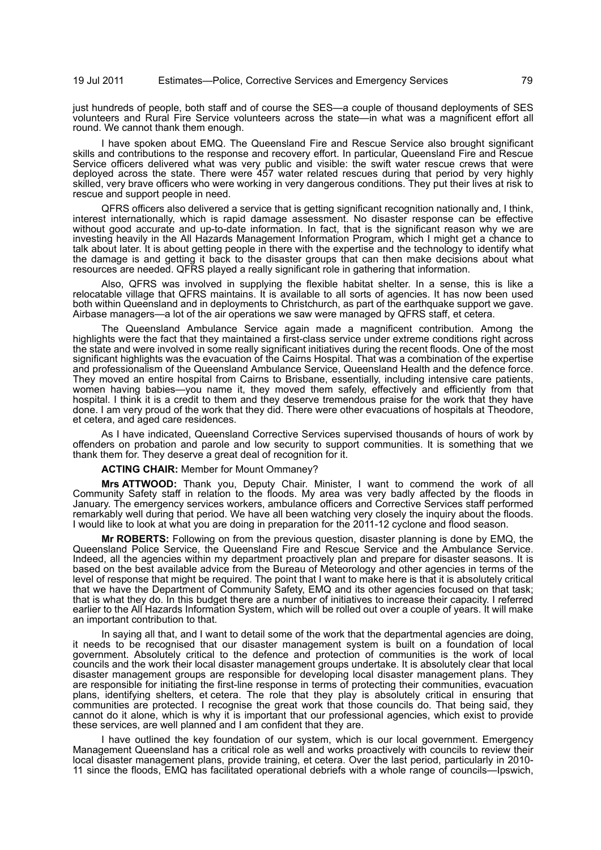just hundreds of people, both staff and of course the SES—a couple of thousand deployments of SES volunteers and Rural Fire Service volunteers across the state—in what was a magnificent effort all round. We cannot thank them enough.

I have spoken about EMQ. The Queensland Fire and Rescue Service also brought significant skills and contributions to the response and recovery effort. In particular, Queensland Fire and Rescue Service officers delivered what was very public and visible: the swift water rescue crews that were deployed across the state. There were 457 water related rescues during that period by very highly skilled, very brave officers who were working in very dangerous conditions. They put their lives at risk to rescue and support people in need.

QFRS officers also delivered a service that is getting significant recognition nationally and, I think, interest internationally, which is rapid damage assessment. No disaster response can be effective without good accurate and up-to-date information. In fact, that is the significant reason why we are investing heavily in the All Hazards Management Information Program, which I might get a chance to talk about later. It is about getting people in there with the expertise and the technology to identify what the damage is and getting it back to the disaster groups that can then make decisions about what resources are needed. QFRS played a really significant role in gathering that information.

Also, QFRS was involved in supplying the flexible habitat shelter. In a sense, this is like a relocatable village that QFRS maintains. It is available to all sorts of agencies. It has now been used both within Queensland and in deployments to Christchurch, as part of the earthquake support we gave. Airbase managers—a lot of the air operations we saw were managed by QFRS staff, et cetera.

The Queensland Ambulance Service again made a magnificent contribution. Among the highlights were the fact that they maintained a first-class service under extreme conditions right across the state and were involved in some really significant initiatives during the recent floods. One of the most significant highlights was the evacuation of the Cairns Hospital. That was a combination of the expertise and professionalism of the Queensland Ambulance Service, Queensland Health and the defence force. They moved an entire hospital from Cairns to Brisbane, essentially, including intensive care patients, women having babies—you name it, they moved them safely, effectively and efficiently from that hospital. I think it is a credit to them and they deserve tremendous praise for the work that they have done. I am very proud of the work that they did. There were other evacuations of hospitals at Theodore, et cetera, and aged care residences.

As I have indicated, Queensland Corrective Services supervised thousands of hours of work by offenders on probation and parole and low security to support communities. It is something that we thank them for. They deserve a great deal of recognition for it.

**ACTING CHAIR:** Member for Mount Ommaney?

**Mrs ATTWOOD:** Thank you, Deputy Chair. Minister, I want to commend the work of all Community Safety staff in relation to the floods. My area was very badly affected by the floods in January. The emergency services workers, ambulance officers and Corrective Services staff performed remarkably well during that period. We have all been watching very closely the inquiry about the floods. I would like to look at what you are doing in preparation for the 2011-12 cyclone and flood season.

**Mr ROBERTS:** Following on from the previous question, disaster planning is done by EMQ, the Queensland Police Service, the Queensland Fire and Rescue Service and the Ambulance Service. Indeed, all the agencies within my department proactively plan and prepare for disaster seasons. It is based on the best available advice from the Bureau of Meteorology and other agencies in terms of the level of response that might be required. The point that I want to make here is that it is absolutely critical that we have the Department of Community Safety, EMQ and its other agencies focused on that task; that is what they do. In this budget there are a number of initiatives to increase their capacity. I referred earlier to the All Hazards Information System, which will be rolled out over a couple of years. It will make an important contribution to that.

In saying all that, and I want to detail some of the work that the departmental agencies are doing, it needs to be recognised that our disaster management system is built on a foundation of local government. Absolutely critical to the defence and protection of communities is the work of local councils and the work their local disaster management groups undertake. It is absolutely clear that local disaster management groups are responsible for developing local disaster management plans. They are responsible for initiating the first-line response in terms of protecting their communities, evacuation plans, identifying shelters, et cetera. The role that they play is absolutely critical in ensuring that communities are protected. I recognise the great work that those councils do. That being said, they cannot do it alone, which is why it is important that our professional agencies, which exist to provide these services, are well planned and I am confident that they are.

I have outlined the key foundation of our system, which is our local government. Emergency Management Queensland has a critical role as well and works proactively with councils to review their local disaster management plans, provide training, et cetera. Over the last period, particularly in 2010- 11 since the floods, EMQ has facilitated operational debriefs with a whole range of councils—Ipswich,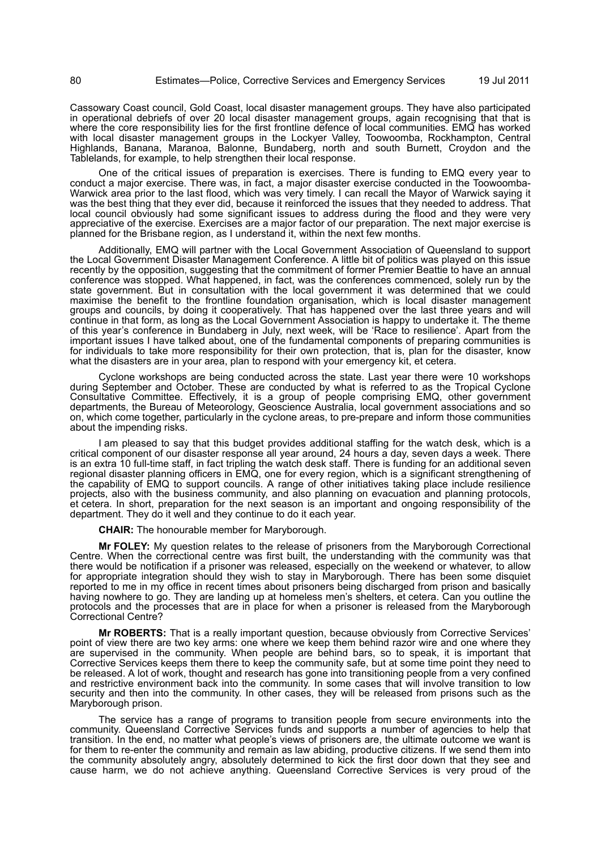Cassowary Coast council, Gold Coast, local disaster management groups. They have also participated in operational debriefs of over 20 local disaster management groups, again recognising that that is where the core responsibility lies for the first frontline defence of local communities. EMQ has worked with local disaster management groups in the Lockyer Valley, Toowoomba, Rockhampton, Central Highlands, Banana, Maranoa, Balonne, Bundaberg, north and south Burnett, Croydon and the Tablelands, for example, to help strengthen their local response.

One of the critical issues of preparation is exercises. There is funding to EMQ every year to conduct a major exercise. There was, in fact, a major disaster exercise conducted in the Toowoomba-Warwick area prior to the last flood, which was very timely. I can recall the Mayor of Warwick saying it was the best thing that they ever did, because it reinforced the issues that they needed to address. That local council obviously had some significant issues to address during the flood and they were very appreciative of the exercise. Exercises are a major factor of our preparation. The next major exercise is planned for the Brisbane region, as I understand it, within the next few months.

Additionally, EMQ will partner with the Local Government Association of Queensland to support the Local Government Disaster Management Conference. A little bit of politics was played on this issue recently by the opposition, suggesting that the commitment of former Premier Beattie to have an annual conference was stopped. What happened, in fact, was the conferences commenced, solely run by the state government. But in consultation with the local government it was determined that we could maximise the benefit to the frontline foundation organisation, which is local disaster management groups and councils, by doing it cooperatively. That has happened over the last three years and will continue in that form, as long as the Local Government Association is happy to undertake it. The theme of this year's conference in Bundaberg in July, next week, will be 'Race to resilience'. Apart from the important issues I have talked about, one of the fundamental components of preparing communities is for individuals to take more responsibility for their own protection, that is, plan for the disaster, know what the disasters are in your area, plan to respond with your emergency kit, et cetera.

Cyclone workshops are being conducted across the state. Last year there were 10 workshops during September and October. These are conducted by what is referred to as the Tropical Cyclone Consultative Committee. Effectively, it is a group of people comprising EMQ, other government departments, the Bureau of Meteorology, Geoscience Australia, local government associations and so on, which come together, particularly in the cyclone areas, to pre-prepare and inform those communities about the impending risks.

I am pleased to say that this budget provides additional staffing for the watch desk, which is a critical component of our disaster response all year around, 24 hours a day, seven days a week. There is an extra 10 full-time staff, in fact tripling the watch desk staff. There is funding for an additional seven regional disaster planning officers in EMQ, one for every region, which is a significant strengthening of the capability of EMQ to support councils. A range of other initiatives taking place include resilience projects, also with the business community, and also planning on evacuation and planning protocols, et cetera. In short, preparation for the next season is an important and ongoing responsibility of the department. They do it well and they continue to do it each year.

**CHAIR:** The honourable member for Maryborough.

**Mr FOLEY:** My question relates to the release of prisoners from the Maryborough Correctional Centre. When the correctional centre was first built, the understanding with the community was that there would be notification if a prisoner was released, especially on the weekend or whatever, to allow for appropriate integration should they wish to stay in Maryborough. There has been some disquiet reported to me in my office in recent times about prisoners being discharged from prison and basically having nowhere to go. They are landing up at homeless men's shelters, et cetera. Can you outline the protocols and the processes that are in place for when a prisoner is released from the Maryborough Correctional Centre?

**Mr ROBERTS:** That is a really important question, because obviously from Corrective Services' point of view there are two key arms: one where we keep them behind razor wire and one where they are supervised in the community. When people are behind bars, so to speak, it is important that Corrective Services keeps them there to keep the community safe, but at some time point they need to be released. A lot of work, thought and research has gone into transitioning people from a very confined and restrictive environment back into the community. In some cases that will involve transition to low security and then into the community. In other cases, they will be released from prisons such as the Maryborough prison.

The service has a range of programs to transition people from secure environments into the community. Queensland Corrective Services funds and supports a number of agencies to help that transition. In the end, no matter what people's views of prisoners are, the ultimate outcome we want is for them to re-enter the community and remain as law abiding, productive citizens. If we send them into the community absolutely angry, absolutely determined to kick the first door down that they see and cause harm, we do not achieve anything. Queensland Corrective Services is very proud of the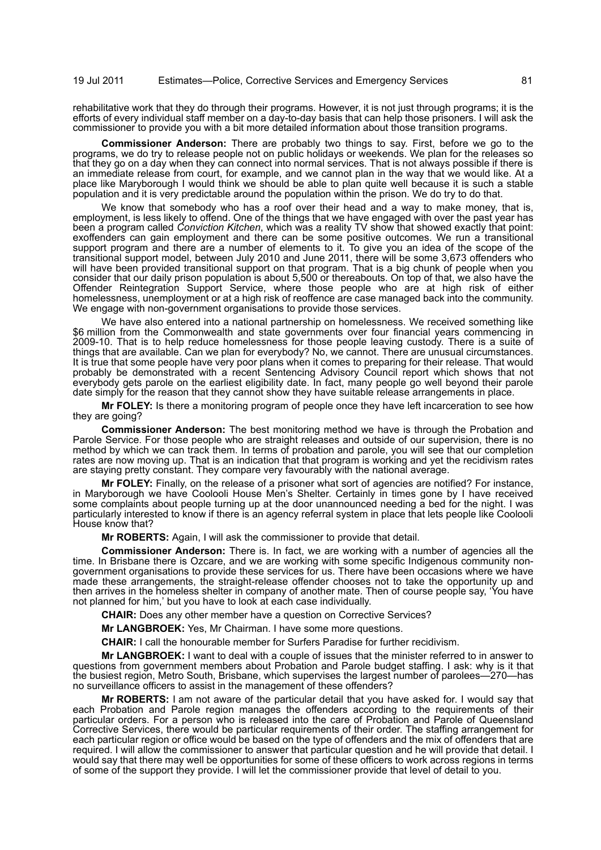rehabilitative work that they do through their programs. However, it is not just through programs; it is the efforts of every individual staff member on a day-to-day basis that can help those prisoners. I will ask the commissioner to provide you with a bit more detailed information about those transition programs.

**Commissioner Anderson:** There are probably two things to say. First, before we go to the programs, we do try to release people not on public holidays or weekends. We plan for the releases so that they go on a day when they can connect into normal services. That is not always possible if there is an immediate release from court, for example, and we cannot plan in the way that we would like. At a place like Maryborough I would think we should be able to plan quite well because it is such a stable population and it is very predictable around the population within the prison. We do try to do that.

We know that somebody who has a roof over their head and a way to make money, that is, employment, is less likely to offend. One of the things that we have engaged with over the past year has been a program called *Conviction Kitchen*, which was a reality TV show that showed exactly that point: exoffenders can gain employment and there can be some positive outcomes. We run a transitional support program and there are a number of elements to it. To give you an idea of the scope of the transitional support model, between July 2010 and June 2011, there will be some 3,673 offenders who will have been provided transitional support on that program. That is a big chunk of people when you consider that our daily prison population is about 5,500 or thereabouts. On top of that, we also have the Offender Reintegration Support Service, where those people who are at high risk of either homelessness, unemployment or at a high risk of reoffence are case managed back into the community. We engage with non-government organisations to provide those services.

We have also entered into a national partnership on homelessness. We received something like \$6 million from the Commonwealth and state governments over four financial years commencing in 2009-10. That is to help reduce homelessness for those people leaving custody. There is a suite of things that are available. Can we plan for everybody? No, we cannot. There are unusual circumstances. It is true that some people have very poor plans when it comes to preparing for their release. That would probably be demonstrated with a recent Sentencing Advisory Council report which shows that not everybody gets parole on the earliest eligibility date. In fact, many people go well beyond their parole date simply for the reason that they cannot show they have suitable release arrangements in place.

**Mr FOLEY:** Is there a monitoring program of people once they have left incarceration to see how they are going?

**Commissioner Anderson:** The best monitoring method we have is through the Probation and Parole Service. For those people who are straight releases and outside of our supervision, there is no method by which we can track them. In terms of probation and parole, you will see that our completion rates are now moving up. That is an indication that that program is working and yet the recidivism rates are staying pretty constant. They compare very favourably with the national average.

**Mr FOLEY:** Finally, on the release of a prisoner what sort of agencies are notified? For instance, in Maryborough we have Coolooli House Men's Shelter. Certainly in times gone by I have received some complaints about people turning up at the door unannounced needing a bed for the night. I was particularly interested to know if there is an agency referral system in place that lets people like Coolooli House know that?

**Mr ROBERTS:** Again, I will ask the commissioner to provide that detail.

**Commissioner Anderson:** There is. In fact, we are working with a number of agencies all the time. In Brisbane there is Ozcare, and we are working with some specific Indigenous community nongovernment organisations to provide these services for us. There have been occasions where we have made these arrangements, the straight-release offender chooses not to take the opportunity up and then arrives in the homeless shelter in company of another mate. Then of course people say, 'You have not planned for him,' but you have to look at each case individually.

**CHAIR:** Does any other member have a question on Corrective Services?

**Mr LANGBROEK:** Yes, Mr Chairman. I have some more questions.

**CHAIR:** I call the honourable member for Surfers Paradise for further recidivism.

**Mr LANGBROEK:** I want to deal with a couple of issues that the minister referred to in answer to questions from government members about Probation and Parole budget staffing. I ask: why is it that the busiest region, Metro South, Brisbane, which supervises the largest number of parolees—270—has no surveillance officers to assist in the management of these offenders?

**Mr ROBERTS:** I am not aware of the particular detail that you have asked for. I would say that each Probation and Parole region manages the offenders according to the requirements of their particular orders. For a person who is released into the care of Probation and Parole of Queensland Corrective Services, there would be particular requirements of their order. The staffing arrangement for each particular region or office would be based on the type of offenders and the mix of offenders that are required. I will allow the commissioner to answer that particular question and he will provide that detail. I would say that there may well be opportunities for some of these officers to work across regions in terms of some of the support they provide. I will let the commissioner provide that level of detail to you.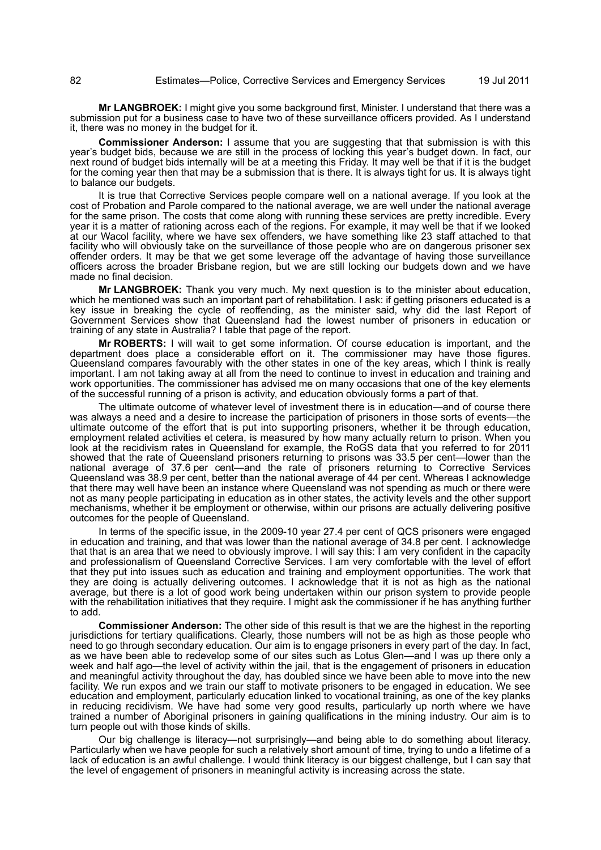**Mr LANGBROEK:** I might give you some background first, Minister. I understand that there was a submission put for a business case to have two of these surveillance officers provided. As I understand it, there was no money in the budget for it.

**Commissioner Anderson:** I assume that you are suggesting that that submission is with this year's budget bids, because we are still in the process of locking this year's budget down. In fact, our next round of budget bids internally will be at a meeting this Friday. It may well be that if it is the budget for the coming year then that may be a submission that is there. It is always tight for us. It is always tight to balance our budgets.

It is true that Corrective Services people compare well on a national average. If you look at the cost of Probation and Parole compared to the national average, we are well under the national average for the same prison. The costs that come along with running these services are pretty incredible. Every year it is a matter of rationing across each of the regions. For example, it may well be that if we looked at our Wacol facility, where we have sex offenders, we have something like 23 staff attached to that facility who will obviously take on the surveillance of those people who are on dangerous prisoner sex offender orders. It may be that we get some leverage off the advantage of having those surveillance officers across the broader Brisbane region, but we are still locking our budgets down and we have made no final decision.

**Mr LANGBROEK:** Thank you very much. My next question is to the minister about education, which he mentioned was such an important part of rehabilitation. I ask: if getting prisoners educated is a key issue in breaking the cycle of reoffending, as the minister said, why did the last Report of Government Services show that Queensland had the lowest number of prisoners in education or training of any state in Australia? I table that page of the report.

**Mr ROBERTS:** I will wait to get some information. Of course education is important, and the department does place a considerable effort on it. The commissioner may have those figures. Queensland compares favourably with the other states in one of the key areas, which I think is really important. I am not taking away at all from the need to continue to invest in education and training and work opportunities. The commissioner has advised me on many occasions that one of the key elements of the successful running of a prison is activity, and education obviously forms a part of that.

The ultimate outcome of whatever level of investment there is in education—and of course there was always a need and a desire to increase the participation of prisoners in those sorts of events—the ultimate outcome of the effort that is put into supporting prisoners, whether it be through education, employment related activities et cetera, is measured by how many actually return to prison. When you look at the recidivism rates in Queensland for example, the RoGS data that you referred to for 2011 showed that the rate of Queensland prisoners returning to prisons was 33.5 per cent—lower than the national average of 37.6 per cent—and the rate of prisoners returning to Corrective Services Queensland was 38.9 per cent, better than the national average of 44 per cent. Whereas I acknowledge that there may well have been an instance where Queensland was not spending as much or there were not as many people participating in education as in other states, the activity levels and the other support mechanisms, whether it be employment or otherwise, within our prisons are actually delivering positive outcomes for the people of Queensland.

In terms of the specific issue, in the 2009-10 year 27.4 per cent of QCS prisoners were engaged in education and training, and that was lower than the national average of 34.8 per cent. I acknowledge that that is an area that we need to obviously improve. I will say this: I am very confident in the capacity and professionalism of Queensland Corrective Services. I am very comfortable with the level of effort that they put into issues such as education and training and employment opportunities. The work that they are doing is actually delivering outcomes. I acknowledge that it is not as high as the national average, but there is a lot of good work being undertaken within our prison system to provide people with the rehabilitation initiatives that they require. I might ask the commissioner if he has anything further to add.

**Commissioner Anderson:** The other side of this result is that we are the highest in the reporting jurisdictions for tertiary qualifications. Clearly, those numbers will not be as high as those people who need to go through secondary education. Our aim is to engage prisoners in every part of the day. In fact, as we have been able to redevelop some of our sites such as Lotus Glen—and I was up there only a week and half ago—the level of activity within the jail, that is the engagement of prisoners in education and meaningful activity throughout the day, has doubled since we have been able to move into the new facility. We run expos and we train our staff to motivate prisoners to be engaged in education. We see education and employment, particularly education linked to vocational training, as one of the key planks in reducing recidivism. We have had some very good results, particularly up north where we have trained a number of Aboriginal prisoners in gaining qualifications in the mining industry. Our aim is to turn people out with those kinds of skills.

Our big challenge is literacy—not surprisingly—and being able to do something about literacy. Particularly when we have people for such a relatively short amount of time, trying to undo a lifetime of a lack of education is an awful challenge. I would think literacy is our biggest challenge, but I can say that the level of engagement of prisoners in meaningful activity is increasing across the state.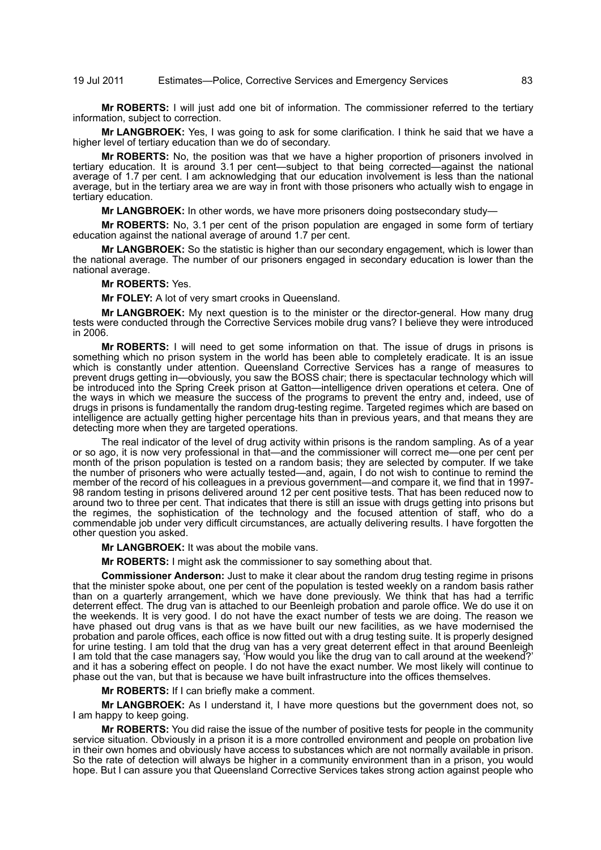## 19 Jul 2011 Estimates—Police, Corrective Services and Emergency Services 83

**Mr ROBERTS:** I will just add one bit of information. The commissioner referred to the tertiary information, subject to correction.

**Mr LANGBROEK:** Yes, I was going to ask for some clarification. I think he said that we have a higher level of tertiary education than we do of secondary.

**Mr ROBERTS:** No, the position was that we have a higher proportion of prisoners involved in tertiary education. It is around 3.1 per cent—subject to that being corrected—against the national average of 1.7 per cent. I am acknowledging that our education involvement is less than the national average, but in the tertiary area we are way in front with those prisoners who actually wish to engage in tertiary education.

**Mr LANGBROEK:** In other words, we have more prisoners doing postsecondary study—

**Mr ROBERTS:** No, 3.1 per cent of the prison population are engaged in some form of tertiary education against the national average of around 1.7 per cent.

**Mr LANGBROEK:** So the statistic is higher than our secondary engagement, which is lower than the national average. The number of our prisoners engaged in secondary education is lower than the national average.

## **Mr ROBERTS:** Yes.

**Mr FOLEY:** A lot of very smart crooks in Queensland.

**Mr LANGBROEK:** My next question is to the minister or the director-general. How many drug tests were conducted through the Corrective Services mobile drug vans? I believe they were introduced in 2006.

**Mr ROBERTS:** I will need to get some information on that. The issue of drugs in prisons is something which no prison system in the world has been able to completely eradicate. It is an issue which is constantly under attention. Queensland Corrective Services has a range of measures to prevent drugs getting in—obviously, you saw the BOSS chair; there is spectacular technology which will be introduced into the Spring Creek prison at Gatton—intelligence driven operations et cetera. One of the ways in which we measure the success of the programs to prevent the entry and, indeed, use of drugs in prisons is fundamentally the random drug-testing regime. Targeted regimes which are based on intelligence are actually getting higher percentage hits than in previous years, and that means they are detecting more when they are targeted operations.

The real indicator of the level of drug activity within prisons is the random sampling. As of a year or so ago, it is now very professional in that—and the commissioner will correct me—one per cent per month of the prison population is tested on a random basis; they are selected by computer. If we take the number of prisoners who were actually tested—and, again, I do not wish to continue to remind the member of the record of his colleagues in a previous government—and compare it, we find that in 1997-98 random testing in prisons delivered around 12 per cent positive tests. That has been reduced now to around two to three per cent. That indicates that there is still an issue with drugs getting into prisons but the regimes, the sophistication of the technology and the focused attention of staff, who do a commendable job under very difficult circumstances, are actually delivering results. I have forgotten the other question you asked.

**Mr LANGBROEK:** It was about the mobile vans.

**Mr ROBERTS:** I might ask the commissioner to say something about that.

**Commissioner Anderson:** Just to make it clear about the random drug testing regime in prisons that the minister spoke about, one per cent of the population is tested weekly on a random basis rather than on a quarterly arrangement, which we have done previously. We think that has had a terrific deterrent effect. The drug van is attached to our Beenleigh probation and parole office. We do use it on the weekends. It is very good. I do not have the exact number of tests we are doing. The reason we have phased out drug vans is that as we have built our new facilities, as we have modernised the probation and parole offices, each office is now fitted out with a drug testing suite. It is properly designed for urine testing. I am told that the drug van has a very great deterrent effect in that around Beenleigh I am told that the case managers say, 'How would you like the drug van to call around at the weekend?' and it has a sobering effect on people. I do not have the exact number. We most likely will continue to phase out the van, but that is because we have built infrastructure into the offices themselves.

**Mr ROBERTS:** If I can briefly make a comment.

**Mr LANGBROEK:** As I understand it, I have more questions but the government does not, so I am happy to keep going.

**Mr ROBERTS:** You did raise the issue of the number of positive tests for people in the community service situation. Obviously in a prison it is a more controlled environment and people on probation live in their own homes and obviously have access to substances which are not normally available in prison. So the rate of detection will always be higher in a community environment than in a prison, you would hope. But I can assure you that Queensland Corrective Services takes strong action against people who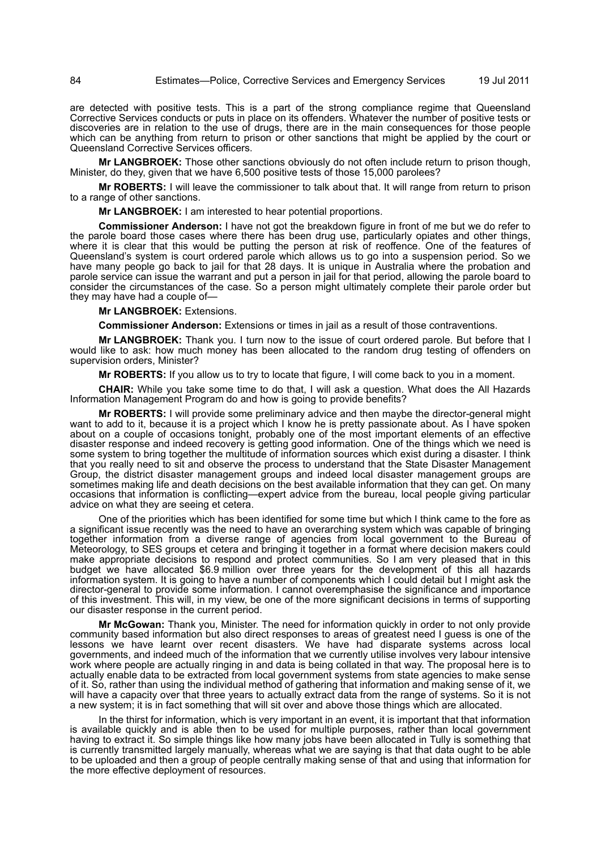are detected with positive tests. This is a part of the strong compliance regime that Queensland Corrective Services conducts or puts in place on its offenders. Whatever the number of positive tests or discoveries are in relation to the use of drugs, there are in the main consequences for those people which can be anything from return to prison or other sanctions that might be applied by the court or Queensland Corrective Services officers.

**Mr LANGBROEK:** Those other sanctions obviously do not often include return to prison though, Minister, do they, given that we have 6,500 positive tests of those 15,000 parolees?

**Mr ROBERTS:** I will leave the commissioner to talk about that. It will range from return to prison to a range of other sanctions.

**Mr LANGBROEK:** I am interested to hear potential proportions.

**Commissioner Anderson:** I have not got the breakdown figure in front of me but we do refer to the parole board those cases where there has been drug use, particularly opiates and other things, where it is clear that this would be putting the person at risk of reoffence. One of the features of Queensland's system is court ordered parole which allows us to go into a suspension period. So we have many people go back to jail for that 28 days. It is unique in Australia where the probation and parole service can issue the warrant and put a person in jail for that period, allowing the parole board to consider the circumstances of the case. So a person might ultimately complete their parole order but they may have had a couple of—

**Mr LANGBROEK:** Extensions.

**Commissioner Anderson:** Extensions or times in jail as a result of those contraventions.

**Mr LANGBROEK:** Thank you. I turn now to the issue of court ordered parole. But before that I would like to ask: how much money has been allocated to the random drug testing of offenders on supervision orders, Minister?

**Mr ROBERTS:** If you allow us to try to locate that figure, I will come back to you in a moment.

**CHAIR:** While you take some time to do that, I will ask a question. What does the All Hazards Information Management Program do and how is going to provide benefits?

**Mr ROBERTS:** I will provide some preliminary advice and then maybe the director-general might want to add to it, because it is a project which I know he is pretty passionate about. As I have spoken about on a couple of occasions tonight, probably one of the most important elements of an effective disaster response and indeed recovery is getting good information. One of the things which we need is some system to bring together the multitude of information sources which exist during a disaster. I think that you really need to sit and observe the process to understand that the State Disaster Management Group, the district disaster management groups and indeed local disaster management groups are sometimes making life and death decisions on the best available information that they can get. On many occasions that information is conflicting—expert advice from the bureau, local people giving particular advice on what they are seeing et cetera.

One of the priorities which has been identified for some time but which I think came to the fore as a significant issue recently was the need to have an overarching system which was capable of bringing together information from a diverse range of agencies from local government to the Bureau of Meteorology, to SES groups et cetera and bringing it together in a format where decision makers could make appropriate decisions to respond and protect communities. So I am very pleased that in this budget we have allocated \$6.9 million over three years for the development of this all hazards information system. It is going to have a number of components which I could detail but I might ask the director-general to provide some information. I cannot overemphasise the significance and importance of this investment. This will, in my view, be one of the more significant decisions in terms of supporting our disaster response in the current period.

**Mr McGowan:** Thank you, Minister. The need for information quickly in order to not only provide community based information but also direct responses to areas of greatest need I guess is one of the lessons we have learnt over recent disasters. We have had disparate systems across local governments, and indeed much of the information that we currently utilise involves very labour intensive work where people are actually ringing in and data is being collated in that way. The proposal here is to actually enable data to be extracted from local government systems from state agencies to make sense of it. So, rather than using the individual method of gathering that information and making sense of it, we will have a capacity over that three years to actually extract data from the range of systems. So it is not a new system; it is in fact something that will sit over and above those things which are allocated.

In the thirst for information, which is very important in an event, it is important that that information is available quickly and is able then to be used for multiple purposes, rather than local government having to extract it. So simple things like how many jobs have been allocated in Tully is something that is currently transmitted largely manually, whereas what we are saying is that that data ought to be able to be uploaded and then a group of people centrally making sense of that and using that information for the more effective deployment of resources.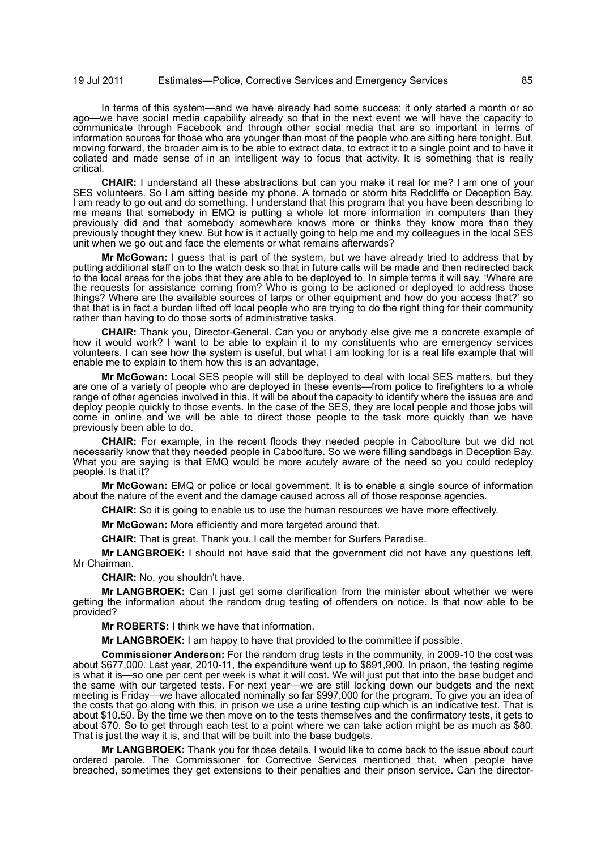In terms of this system—and we have already had some success; it only started a month or so ago—we have social media capability already so that in the next event we will have the capacity to communicate through Facebook and through other social media that are so important in terms of information sources for those who are younger than most of the people who are sitting here tonight. But, moving forward, the broader aim is to be able to extract data, to extract it to a single point and to have it collated and made sense of in an intelligent way to focus that activity. It is something that is really critical.

**CHAIR:** I understand all these abstractions but can you make it real for me? I am one of your SES volunteers. So I am sitting beside my phone. A tornado or storm hits Redcliffe or Deception Bay. I am ready to go out and do something. I understand that this program that you have been describing to me means that somebody in EMQ is putting a whole lot more information in computers than they previously did and that somebody somewhere knows more or thinks they know more than they previously thought they knew. But how is it actually going to help me and my colleagues in the local SES unit when we go out and face the elements or what remains afterwards?

**Mr McGowan:** I guess that is part of the system, but we have already tried to address that by putting additional staff on to the watch desk so that in future calls will be made and then redirected back to the local areas for the jobs that they are able to be deployed to. In simple terms it will say, 'Where are the requests for assistance coming from? Who is going to be actioned or deployed to address those things? Where are the available sources of tarps or other equipment and how do you access that?' so that that is in fact a burden lifted off local people who are trying to do the right thing for their community rather than having to do those sorts of administrative tasks.

**CHAIR:** Thank you, Director-General. Can you or anybody else give me a concrete example of how it would work? I want to be able to explain it to my constituents who are emergency services volunteers. I can see how the system is useful, but what I am looking for is a real life example that will enable me to explain to them how this is an advantage.

**Mr McGowan:** Local SES people will still be deployed to deal with local SES matters, but they are one of a variety of people who are deployed in these events—from police to firefighters to a whole range of other agencies involved in this. It will be about the capacity to identify where the issues are and deploy people quickly to those events. In the case of the SES, they are local people and those jobs will come in online and we will be able to direct those people to the task more quickly than we have previously been able to do.

**CHAIR:** For example, in the recent floods they needed people in Caboolture but we did not necessarily know that they needed people in Caboolture. So we were filling sandbags in Deception Bay. What you are saying is that EMQ would be more acutely aware of the need so you could redeploy people. Is that it?

**Mr McGowan:** EMQ or police or local government. It is to enable a single source of information about the nature of the event and the damage caused across all of those response agencies.

**CHAIR:** So it is going to enable us to use the human resources we have more effectively.

**Mr McGowan:** More efficiently and more targeted around that.

**CHAIR:** That is great. Thank you. I call the member for Surfers Paradise.

**Mr LANGBROEK:** I should not have said that the government did not have any questions left, Mr Chairman.

**CHAIR:** No, you shouldn't have.

**Mr LANGBROEK:** Can I just get some clarification from the minister about whether we were getting the information about the random drug testing of offenders on notice. Is that now able to be provided?

**Mr ROBERTS:** I think we have that information.

**Mr LANGBROEK:** I am happy to have that provided to the committee if possible.

**Commissioner Anderson:** For the random drug tests in the community, in 2009-10 the cost was about \$677,000. Last year, 2010-11, the expenditure went up to \$891,900. In prison, the testing regime is what it is—so one per cent per week is what it will cost. We will just put that into the base budget and the same with our targeted tests. For next year—we are still locking down our budgets and the next meeting is Friday—we have allocated nominally so far \$997,000 for the program. To give you an idea of the costs that go along with this, in prison we use a urine testing cup which is an indicative test. That is about \$10.50. By the time we then move on to the tests themselves and the confirmatory tests, it gets to about \$70. So to get through each test to a point where we can take action might be as much as \$80. That is just the way it is, and that will be built into the base budgets.

**Mr LANGBROEK:** Thank you for those details. I would like to come back to the issue about court ordered parole. The Commissioner for Corrective Services mentioned that, when people have breached, sometimes they get extensions to their penalties and their prison service. Can the director-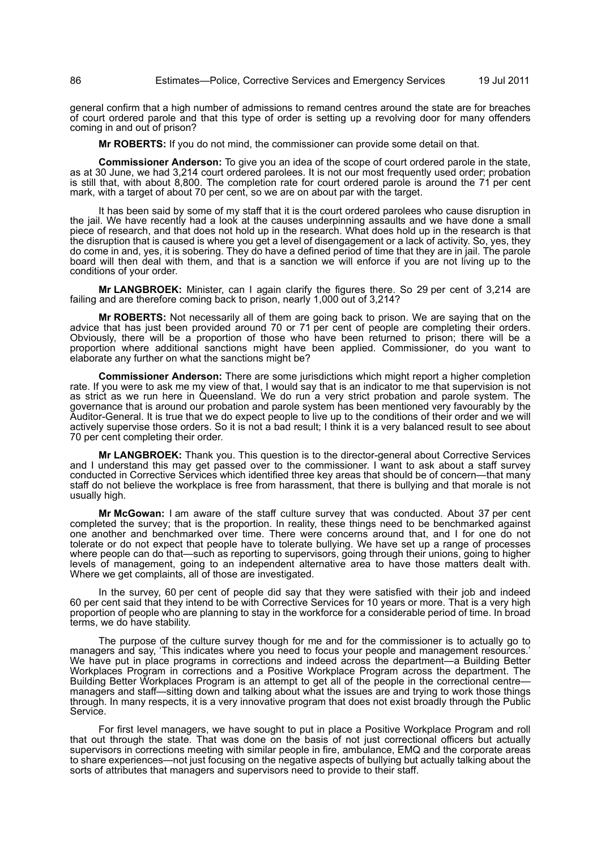general confirm that a high number of admissions to remand centres around the state are for breaches of court ordered parole and that this type of order is setting up a revolving door for many offenders coming in and out of prison?

**Mr ROBERTS:** If you do not mind, the commissioner can provide some detail on that.

**Commissioner Anderson:** To give you an idea of the scope of court ordered parole in the state, as at 30 June, we had 3,214 court ordered parolees. It is not our most frequently used order; probation is still that, with about 8,800. The completion rate for court ordered parole is around the 71 per cent mark, with a target of about 70 per cent, so we are on about par with the target.

It has been said by some of my staff that it is the court ordered parolees who cause disruption in the jail. We have recently had a look at the causes underpinning assaults and we have done a small piece of research, and that does not hold up in the research. What does hold up in the research is that the disruption that is caused is where you get a level of disengagement or a lack of activity. So, yes, they do come in and, yes, it is sobering. They do have a defined period of time that they are in jail. The parole board will then deal with them, and that is a sanction we will enforce if you are not living up to the conditions of your order.

**Mr LANGBROEK:** Minister, can I again clarify the figures there. So 29 per cent of 3,214 are failing and are therefore coming back to prison, nearly 1,000 out of 3,214?

**Mr ROBERTS:** Not necessarily all of them are going back to prison. We are saying that on the advice that has just been provided around 70 or 71 per cent of people are completing their orders. Obviously, there will be a proportion of those who have been returned to prison; there will be a proportion where additional sanctions might have been applied. Commissioner, do you want to elaborate any further on what the sanctions might be?

**Commissioner Anderson:** There are some jurisdictions which might report a higher completion rate. If you were to ask me my view of that, I would say that is an indicator to me that supervision is not as strict as we run here in Queensland. We do run a very strict probation and parole system. The governance that is around our probation and parole system has been mentioned very favourably by the Auditor-General. It is true that we do expect people to live up to the conditions of their order and we will actively supervise those orders. So it is not a bad result; I think it is a very balanced result to see about 70 per cent completing their order.

**Mr LANGBROEK:** Thank you. This question is to the director-general about Corrective Services and I understand this may get passed over to the commissioner. I want to ask about a staff survey conducted in Corrective Services which identified three key areas that should be of concern—that many staff do not believe the workplace is free from harassment, that there is bullying and that morale is not usually high.

**Mr McGowan:** I am aware of the staff culture survey that was conducted. About 37 per cent completed the survey; that is the proportion. In reality, these things need to be benchmarked against one another and benchmarked over time. There were concerns around that, and I for one do not tolerate or do not expect that people have to tolerate bullying. We have set up a range of processes where people can do that—such as reporting to supervisors, going through their unions, going to higher levels of management, going to an independent alternative area to have those matters dealt with. Where we get complaints, all of those are investigated.

In the survey, 60 per cent of people did say that they were satisfied with their job and indeed 60 per cent said that they intend to be with Corrective Services for 10 years or more. That is a very high proportion of people who are planning to stay in the workforce for a considerable period of time. In broad terms, we do have stability.

The purpose of the culture survey though for me and for the commissioner is to actually go to managers and say, 'This indicates where you need to focus your people and management resources.' We have put in place programs in corrections and indeed across the department—a Building Better Workplaces Program in corrections and a Positive Workplace Program across the department. The Building Better Workplaces Program is an attempt to get all of the people in the correctional centre managers and staff—sitting down and talking about what the issues are and trying to work those things through. In many respects, it is a very innovative program that does not exist broadly through the Public Service.

For first level managers, we have sought to put in place a Positive Workplace Program and roll that out through the state. That was done on the basis of not just correctional officers but actually supervisors in corrections meeting with similar people in fire, ambulance, EMQ and the corporate areas to share experiences—not just focusing on the negative aspects of bullying but actually talking about the sorts of attributes that managers and supervisors need to provide to their staff.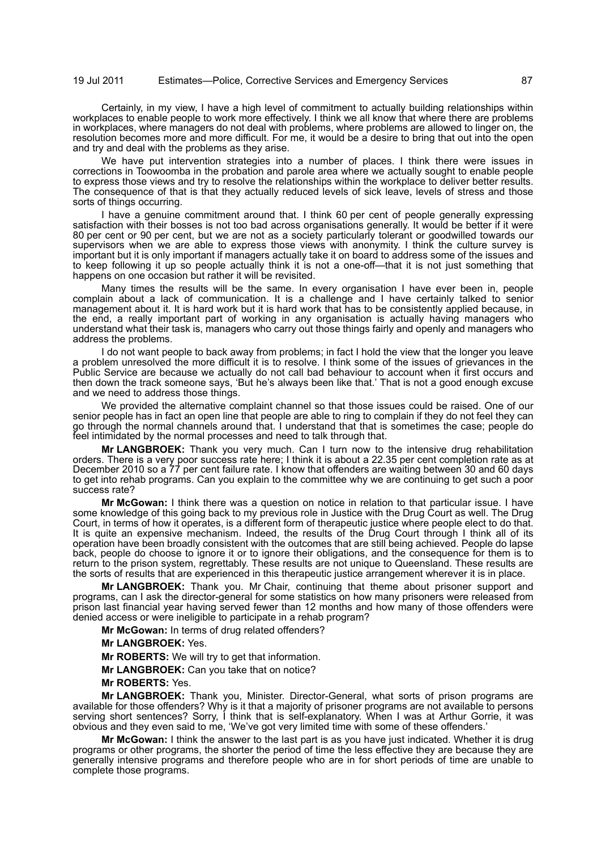Certainly, in my view, I have a high level of commitment to actually building relationships within workplaces to enable people to work more effectively. I think we all know that where there are problems in workplaces, where managers do not deal with problems, where problems are allowed to linger on, the resolution becomes more and more difficult. For me, it would be a desire to bring that out into the open and try and deal with the problems as they arise.

We have put intervention strategies into a number of places. I think there were issues in corrections in Toowoomba in the probation and parole area where we actually sought to enable people to express those views and try to resolve the relationships within the workplace to deliver better results. The consequence of that is that they actually reduced levels of sick leave, levels of stress and those sorts of things occurring.

I have a genuine commitment around that. I think 60 per cent of people generally expressing satisfaction with their bosses is not too bad across organisations generally. It would be better if it were 80 per cent or 90 per cent, but we are not as a society particularly tolerant or goodwilled towards our supervisors when we are able to express those views with anonymity. I think the culture survey is important but it is only important if managers actually take it on board to address some of the issues and to keep following it up so people actually think it is not a one-off—that it is not just something that happens on one occasion but rather it will be revisited.

Many times the results will be the same. In every organisation I have ever been in, people complain about a lack of communication. It is a challenge and I have certainly talked to senior management about it. It is hard work but it is hard work that has to be consistently applied because, in the end, a really important part of working in any organisation is actually having managers who understand what their task is, managers who carry out those things fairly and openly and managers who address the problems.

I do not want people to back away from problems; in fact I hold the view that the longer you leave a problem unresolved the more difficult it is to resolve. I think some of the issues of grievances in the Public Service are because we actually do not call bad behaviour to account when it first occurs and then down the track someone says, 'But he's always been like that.' That is not a good enough excuse and we need to address those things.

We provided the alternative complaint channel so that those issues could be raised. One of our senior people has in fact an open line that people are able to ring to complain if they do not feel they can go through the normal channels around that. I understand that that is sometimes the case; people do feel intimidated by the normal processes and need to talk through that.

**Mr LANGBROEK:** Thank you very much. Can I turn now to the intensive drug rehabilitation orders. There is a very poor success rate here; I think it is about a 22.35 per cent completion rate as at December 2010 so a 77 per cent failure rate. I know that offenders are waiting between 30 and 60 days to get into rehab programs. Can you explain to the committee why we are continuing to get such a poor success rate?

**Mr McGowan:** I think there was a question on notice in relation to that particular issue. I have some knowledge of this going back to my previous role in Justice with the Drug Court as well. The Drug Court, in terms of how it operates, is a different form of therapeutic justice where people elect to do that. It is quite an expensive mechanism. Indeed, the results of the Drug Court through I think all of its operation have been broadly consistent with the outcomes that are still being achieved. People do lapse back, people do choose to ignore it or to ignore their obligations, and the consequence for them is to return to the prison system, regrettably. These results are not unique to Queensland. These results are the sorts of results that are experienced in this therapeutic justice arrangement wherever it is in place.

**Mr LANGBROEK:** Thank you. Mr Chair, continuing that theme about prisoner support and programs, can I ask the director-general for some statistics on how many prisoners were released from prison last financial year having served fewer than 12 months and how many of those offenders were denied access or were ineligible to participate in a rehab program?

**Mr McGowan:** In terms of drug related offenders?

- **Mr LANGBROEK:** Yes.
- **Mr ROBERTS:** We will try to get that information.
- **Mr LANGBROEK:** Can you take that on notice?
- **Mr ROBERTS:** Yes.

**Mr LANGBROEK:** Thank you, Minister. Director-General, what sorts of prison programs are available for those offenders? Why is it that a majority of prisoner programs are not available to persons serving short sentences? Sorry, I think that is self-explanatory. When I was at Arthur Gorrie, it was obvious and they even said to me, 'We've got very limited time with some of these offenders.'

**Mr McGowan:** I think the answer to the last part is as you have just indicated. Whether it is drug programs or other programs, the shorter the period of time the less effective they are because they are generally intensive programs and therefore people who are in for short periods of time are unable to complete those programs.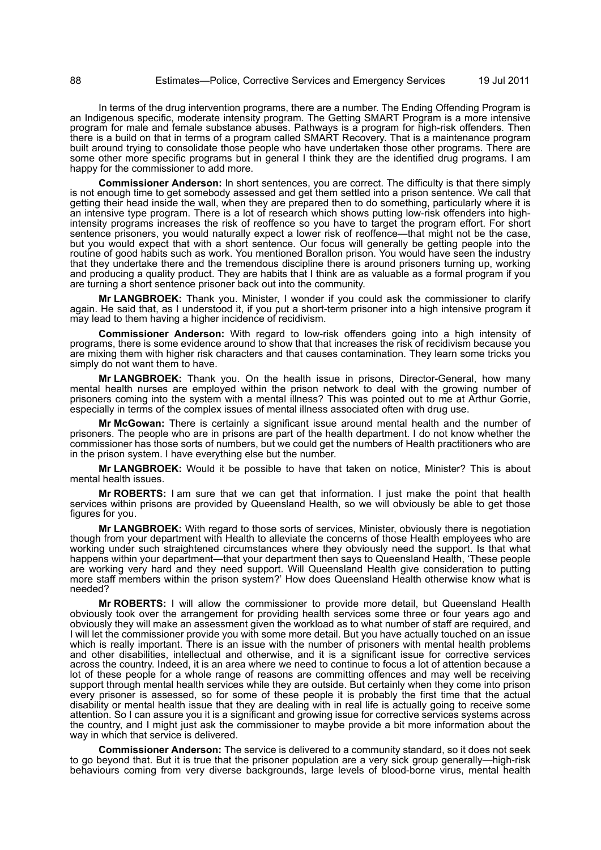In terms of the drug intervention programs, there are a number. The Ending Offending Program is an Indigenous specific, moderate intensity program. The Getting SMART Program is a more intensive program for male and female substance abuses. Pathways is a program for high-risk offenders. Then there is a build on that in terms of a program called SMART Recovery. That is a maintenance program built around trying to consolidate those people who have undertaken those other programs. There are some other more specific programs but in general I think they are the identified drug programs. I am happy for the commissioner to add more.

**Commissioner Anderson:** In short sentences, you are correct. The difficulty is that there simply is not enough time to get somebody assessed and get them settled into a prison sentence. We call that getting their head inside the wall, when they are prepared then to do something, particularly where it is an intensive type program. There is a lot of research which shows putting low-risk offenders into highintensity programs increases the risk of reoffence so you have to target the program effort. For short sentence prisoners, you would naturally expect a lower risk of reoffence—that might not be the case, but you would expect that with a short sentence. Our focus will generally be getting people into the routine of good habits such as work. You mentioned Borallon prison. You would have seen the industry that they undertake there and the tremendous discipline there is around prisoners turning up, working and producing a quality product. They are habits that I think are as valuable as a formal program if you are turning a short sentence prisoner back out into the community.

**Mr LANGBROEK:** Thank you. Minister, I wonder if you could ask the commissioner to clarify again. He said that, as I understood it, if you put a short-term prisoner into a high intensive program it may lead to them having a higher incidence of recidivism.

**Commissioner Anderson:** With regard to low-risk offenders going into a high intensity of programs, there is some evidence around to show that that increases the risk of recidivism because you are mixing them with higher risk characters and that causes contamination. They learn some tricks you simply do not want them to have.

**Mr LANGBROEK:** Thank you. On the health issue in prisons, Director-General, how many mental health nurses are employed within the prison network to deal with the growing number of prisoners coming into the system with a mental illness? This was pointed out to me at Arthur Gorrie, especially in terms of the complex issues of mental illness associated often with drug use.

**Mr McGowan:** There is certainly a significant issue around mental health and the number of prisoners. The people who are in prisons are part of the health department. I do not know whether the commissioner has those sorts of numbers, but we could get the numbers of Health practitioners who are in the prison system. I have everything else but the number.

**Mr LANGBROEK:** Would it be possible to have that taken on notice, Minister? This is about mental health issues.

**Mr ROBERTS:** I am sure that we can get that information. I just make the point that health services within prisons are provided by Queensland Health, so we will obviously be able to get those figures for you.

**Mr LANGBROEK:** With regard to those sorts of services, Minister, obviously there is negotiation though from your department with Health to alleviate the concerns of those Health employees who are working under such straightened circumstances where they obviously need the support. Is that what happens within your department—that your department then says to Queensland Health, 'These people are working very hard and they need support. Will Queensland Health give consideration to putting more staff members within the prison system?' How does Queensland Health otherwise know what is needed?

**Mr ROBERTS:** I will allow the commissioner to provide more detail, but Queensland Health obviously took over the arrangement for providing health services some three or four years ago and obviously they will make an assessment given the workload as to what number of staff are required, and I will let the commissioner provide you with some more detail. But you have actually touched on an issue which is really important. There is an issue with the number of prisoners with mental health problems and other disabilities, intellectual and otherwise, and it is a significant issue for corrective services across the country. Indeed, it is an area where we need to continue to focus a lot of attention because a lot of these people for a whole range of reasons are committing offences and may well be receiving support through mental health services while they are outside. But certainly when they come into prison every prisoner is assessed, so for some of these people it is probably the first time that the actual disability or mental health issue that they are dealing with in real life is actually going to receive some attention. So I can assure you it is a significant and growing issue for corrective services systems across the country, and I might just ask the commissioner to maybe provide a bit more information about the way in which that service is delivered.

**Commissioner Anderson:** The service is delivered to a community standard, so it does not seek to go beyond that. But it is true that the prisoner population are a very sick group generally—high-risk behaviours coming from very diverse backgrounds, large levels of blood-borne virus, mental health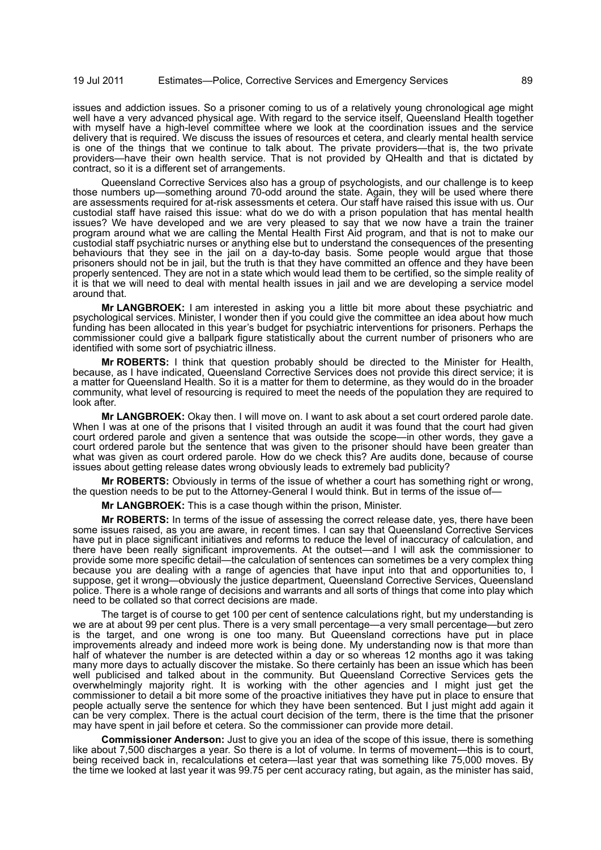issues and addiction issues. So a prisoner coming to us of a relatively young chronological age might well have a very advanced physical age. With regard to the service itself, Queensland Health together with myself have a high-level committee where we look at the coordination issues and the service delivery that is required. We discuss the issues of resources et cetera, and clearly mental health service is one of the things that we continue to talk about. The private providers—that is, the two private providers—have their own health service. That is not provided by QHealth and that is dictated by contract, so it is a different set of arrangements.

Queensland Corrective Services also has a group of psychologists, and our challenge is to keep those numbers up—something around 70-odd around the state. Again, they will be used where there are assessments required for at-risk assessments et cetera. Our staff have raised this issue with us. Our custodial staff have raised this issue: what do we do with a prison population that has mental health issues? We have developed and we are very pleased to say that we now have a train the trainer program around what we are calling the Mental Health First Aid program, and that is not to make our custodial staff psychiatric nurses or anything else but to understand the consequences of the presenting behaviours that they see in the jail on a day-to-day basis. Some people would argue that those prisoners should not be in jail, but the truth is that they have committed an offence and they have been properly sentenced. They are not in a state which would lead them to be certified, so the simple reality of it is that we will need to deal with mental health issues in jail and we are developing a service model around that.

**Mr LANGBROEK:** I am interested in asking you a little bit more about these psychiatric and psychological services. Minister, I wonder then if you could give the committee an idea about how much funding has been allocated in this year's budget for psychiatric interventions for prisoners. Perhaps the commissioner could give a ballpark figure statistically about the current number of prisoners who are identified with some sort of psychiatric illness.

**Mr ROBERTS:** I think that question probably should be directed to the Minister for Health, because, as I have indicated, Queensland Corrective Services does not provide this direct service; it is a matter for Queensland Health. So it is a matter for them to determine, as they would do in the broader community, what level of resourcing is required to meet the needs of the population they are required to look after.

**Mr LANGBROEK:** Okay then. I will move on. I want to ask about a set court ordered parole date. When I was at one of the prisons that I visited through an audit it was found that the court had given court ordered parole and given a sentence that was outside the scope—in other words, they gave a court ordered parole but the sentence that was given to the prisoner should have been greater than what was given as court ordered parole. How do we check this? Are audits done, because of course issues about getting release dates wrong obviously leads to extremely bad publicity?

**Mr ROBERTS:** Obviously in terms of the issue of whether a court has something right or wrong, the question needs to be put to the Attorney-General I would think. But in terms of the issue of-

**Mr LANGBROEK:** This is a case though within the prison, Minister.

**Mr ROBERTS:** In terms of the issue of assessing the correct release date, yes, there have been some issues raised, as you are aware, in recent times. I can say that Queensland Corrective Services have put in place significant initiatives and reforms to reduce the level of inaccuracy of calculation, and there have been really significant improvements. At the outset—and I will ask the commissioner to provide some more specific detail—the calculation of sentences can sometimes be a very complex thing because you are dealing with a range of agencies that have input into that and opportunities to, I suppose, get it wrong—obviously the justice department, Queensland Corrective Services, Queensland police. There is a whole range of decisions and warrants and all sorts of things that come into play which need to be collated so that correct decisions are made.

The target is of course to get 100 per cent of sentence calculations right, but my understanding is we are at about 99 per cent plus. There is a very small percentage—a very small percentage—but zero is the target, and one wrong is one too many. But Queensland corrections have put in place improvements already and indeed more work is being done. My understanding now is that more than half of whatever the number is are detected within a day or so whereas 12 months ago it was taking many more days to actually discover the mistake. So there certainly has been an issue which has been well publicised and talked about in the community. But Queensland Corrective Services gets the overwhelmingly majority right. It is working with the other agencies and I might just get the commissioner to detail a bit more some of the proactive initiatives they have put in place to ensure that people actually serve the sentence for which they have been sentenced. But I just might add again it can be very complex. There is the actual court decision of the term, there is the time that the prisoner may have spent in jail before et cetera. So the commissioner can provide more detail.

**Commissioner Anderson:** Just to give you an idea of the scope of this issue, there is something like about 7,500 discharges a year. So there is a lot of volume. In terms of movement—this is to court, being received back in, recalculations et cetera—last year that was something like 75,000 moves. By the time we looked at last year it was 99.75 per cent accuracy rating, but again, as the minister has said,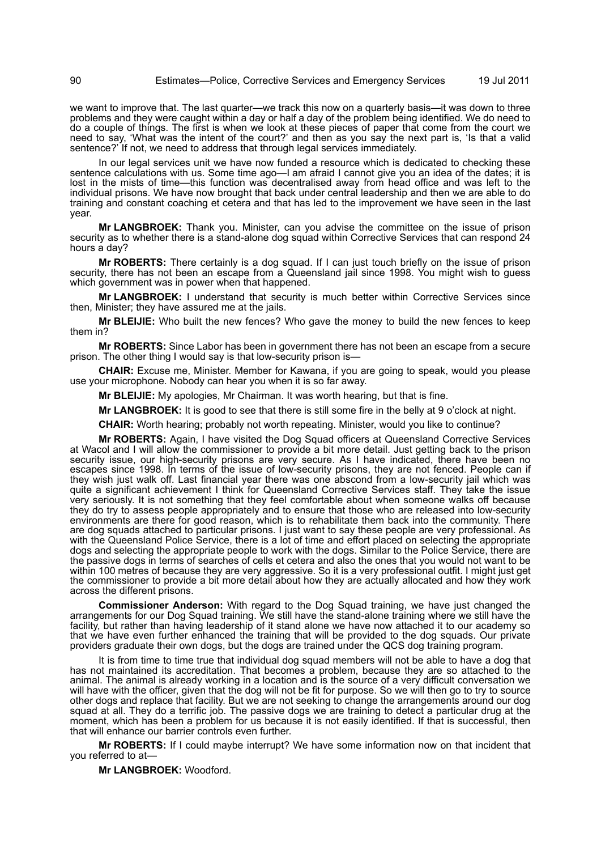we want to improve that. The last quarter—we track this now on a quarterly basis—it was down to three problems and they were caught within a day or half a day of the problem being identified. We do need to do a couple of things. The first is when we look at these pieces of paper that come from the court we need to say, 'What was the intent of the court?' and then as you say the next part is, 'Is that a valid sentence?' If not, we need to address that through legal services immediately.

In our legal services unit we have now funded a resource which is dedicated to checking these sentence calculations with us. Some time ago—I am afraid I cannot give you an idea of the dates; it is lost in the mists of time—this function was decentralised away from head office and was left to the individual prisons. We have now brought that back under central leadership and then we are able to do training and constant coaching et cetera and that has led to the improvement we have seen in the last year.

**Mr LANGBROEK:** Thank you. Minister, can you advise the committee on the issue of prison security as to whether there is a stand-alone dog squad within Corrective Services that can respond 24 hours a day?

**Mr ROBERTS:** There certainly is a dog squad. If I can just touch briefly on the issue of prison security, there has not been an escape from a Queensland jail since 1998. You might wish to quess which government was in power when that happened.

**Mr LANGBROEK:** I understand that security is much better within Corrective Services since then, Minister; they have assured me at the jails.

**Mr BLEIJIE:** Who built the new fences? Who gave the money to build the new fences to keep them in?

**Mr ROBERTS:** Since Labor has been in government there has not been an escape from a secure prison. The other thing I would say is that low-security prison is—

**CHAIR:** Excuse me, Minister. Member for Kawana, if you are going to speak, would you please use your microphone. Nobody can hear you when it is so far away.

**Mr BLEIJIE:** My apologies, Mr Chairman. It was worth hearing, but that is fine.

**Mr LANGBROEK:** It is good to see that there is still some fire in the belly at 9 o'clock at night.

**CHAIR:** Worth hearing; probably not worth repeating. Minister, would you like to continue?

**Mr ROBERTS:** Again, I have visited the Dog Squad officers at Queensland Corrective Services at Wacol and I will allow the commissioner to provide a bit more detail. Just getting back to the prison security issue, our high-security prisons are very secure. As I have indicated, there have been no escapes since 1998. In terms of the issue of low-security prisons, they are not fenced. People can if they wish just walk off. Last financial year there was one abscond from a low-security jail which was quite a significant achievement I think for Queensland Corrective Services staff. They take the issue very seriously. It is not something that they feel comfortable about when someone walks off because they do try to assess people appropriately and to ensure that those who are released into low-security environments are there for good reason, which is to rehabilitate them back into the community. There are dog squads attached to particular prisons. I just want to say these people are very professional. As with the Queensland Police Service, there is a lot of time and effort placed on selecting the appropriate dogs and selecting the appropriate people to work with the dogs. Similar to the Police Service, there are the passive dogs in terms of searches of cells et cetera and also the ones that you would not want to be within 100 metres of because they are very aggressive. So it is a very professional outfit. I might just get the commissioner to provide a bit more detail about how they are actually allocated and how they work across the different prisons.

**Commissioner Anderson:** With regard to the Dog Squad training, we have just changed the arrangements for our Dog Squad training. We still have the stand-alone training where we still have the facility, but rather than having leadership of it stand alone we have now attached it to our academy so that we have even further enhanced the training that will be provided to the dog squads. Our private providers graduate their own dogs, but the dogs are trained under the QCS dog training program.

It is from time to time true that individual dog squad members will not be able to have a dog that has not maintained its accreditation. That becomes a problem, because they are so attached to the animal. The animal is already working in a location and is the source of a very difficult conversation we will have with the officer, given that the dog will not be fit for purpose. So we will then go to try to source other dogs and replace that facility. But we are not seeking to change the arrangements around our dog squad at all. They do a terrific job. The passive dogs we are training to detect a particular drug at the moment, which has been a problem for us because it is not easily identified. If that is successful, then that will enhance our barrier controls even further.

**Mr ROBERTS:** If I could maybe interrupt? We have some information now on that incident that you referred to at—

**Mr LANGBROEK:** Woodford.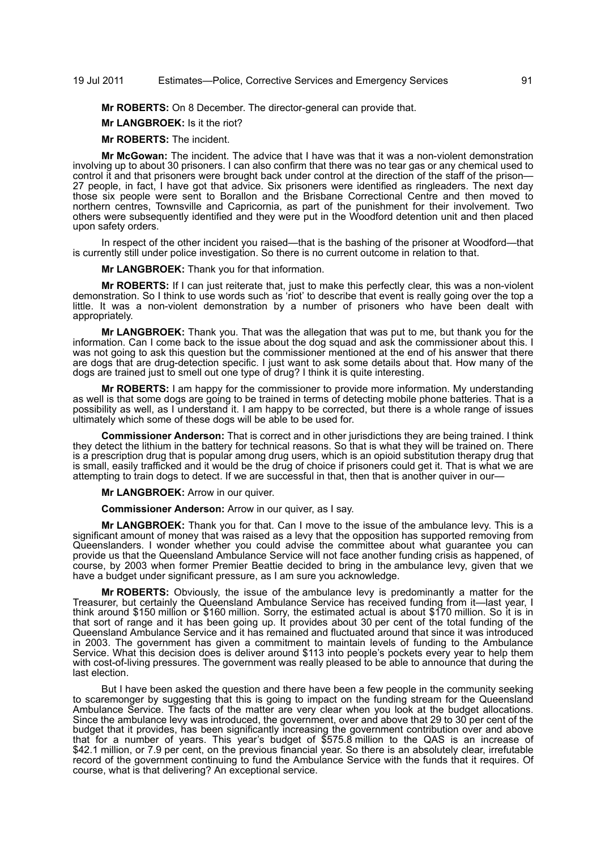## 19 Jul 2011 Estimates—Police, Corrective Services and Emergency Services 91

**Mr ROBERTS:** On 8 December. The director-general can provide that.

**Mr LANGBROEK:** Is it the riot?

**Mr ROBERTS:** The incident.

**Mr McGowan:** The incident. The advice that I have was that it was a non-violent demonstration involving up to about 30 prisoners. I can also confirm that there was no tear gas or any chemical used to control it and that prisoners were brought back under control at the direction of the staff of the prison— 27 people, in fact, I have got that advice. Six prisoners were identified as ringleaders. The next day those six people were sent to Borallon and the Brisbane Correctional Centre and then moved to northern centres, Townsville and Capricornia, as part of the punishment for their involvement. Two others were subsequently identified and they were put in the Woodford detention unit and then placed upon safety orders.

In respect of the other incident you raised—that is the bashing of the prisoner at Woodford—that is currently still under police investigation. So there is no current outcome in relation to that.

**Mr LANGBROEK:** Thank you for that information.

**Mr ROBERTS:** If I can just reiterate that, just to make this perfectly clear, this was a non-violent demonstration. So I think to use words such as 'riot' to describe that event is really going over the top a little. It was a non-violent demonstration by a number of prisoners who have been dealt with appropriately.

**Mr LANGBROEK:** Thank you. That was the allegation that was put to me, but thank you for the information. Can I come back to the issue about the dog squad and ask the commissioner about this. I was not going to ask this question but the commissioner mentioned at the end of his answer that there are dogs that are drug-detection specific. I just want to ask some details about that. How many of the dogs are trained just to smell out one type of drug? I think it is quite interesting.

**Mr ROBERTS:** I am happy for the commissioner to provide more information. My understanding as well is that some dogs are going to be trained in terms of detecting mobile phone batteries. That is a possibility as well, as I understand it. I am happy to be corrected, but there is a whole range of issues ultimately which some of these dogs will be able to be used for.

**Commissioner Anderson:** That is correct and in other jurisdictions they are being trained. I think they detect the lithium in the battery for technical reasons. So that is what they will be trained on. There is a prescription drug that is popular among drug users, which is an opioid substitution therapy drug that is small, easily trafficked and it would be the drug of choice if prisoners could get it. That is what we are attempting to train dogs to detect. If we are successful in that, then that is another quiver in our—

**Mr LANGBROEK:** Arrow in our quiver.

**Commissioner Anderson:** Arrow in our quiver, as I say.

**Mr LANGBROEK:** Thank you for that. Can I move to the issue of the ambulance levy. This is a significant amount of money that was raised as a levy that the opposition has supported removing from Queenslanders. I wonder whether you could advise the committee about what guarantee you can provide us that the Queensland Ambulance Service will not face another funding crisis as happened, of course, by 2003 when former Premier Beattie decided to bring in the ambulance levy, given that we have a budget under significant pressure, as I am sure you acknowledge.

**Mr ROBERTS:** Obviously, the issue of the ambulance levy is predominantly a matter for the Treasurer, but certainly the Queensland Ambulance Service has received funding from it-last year, I think around \$150 million or \$160 million. Sorry, the estimated actual is about \$170 million. So it is in that sort of range and it has been going up. It provides about 30 per cent of the total funding of the Queensland Ambulance Service and it has remained and fluctuated around that since it was introduced in 2003. The government has given a commitment to maintain levels of funding to the Ambulance Service. What this decision does is deliver around \$113 into people's pockets every year to help them with cost-of-living pressures. The government was really pleased to be able to announce that during the last election.

But I have been asked the question and there have been a few people in the community seeking to scaremonger by suggesting that this is going to impact on the funding stream for the Queensland Ambulance Service. The facts of the matter are very clear when you look at the budget allocations. Since the ambulance levy was introduced, the government, over and above that 29 to 30 per cent of the budget that it provides, has been significantly increasing the government contribution over and above that for a number of years. This year's budget of \$575.8 million to the QAS is an increase of \$42.1 million, or 7.9 per cent, on the previous financial year. So there is an absolutely clear, irrefutable record of the government continuing to fund the Ambulance Service with the funds that it requires. Of course, what is that delivering? An exceptional service.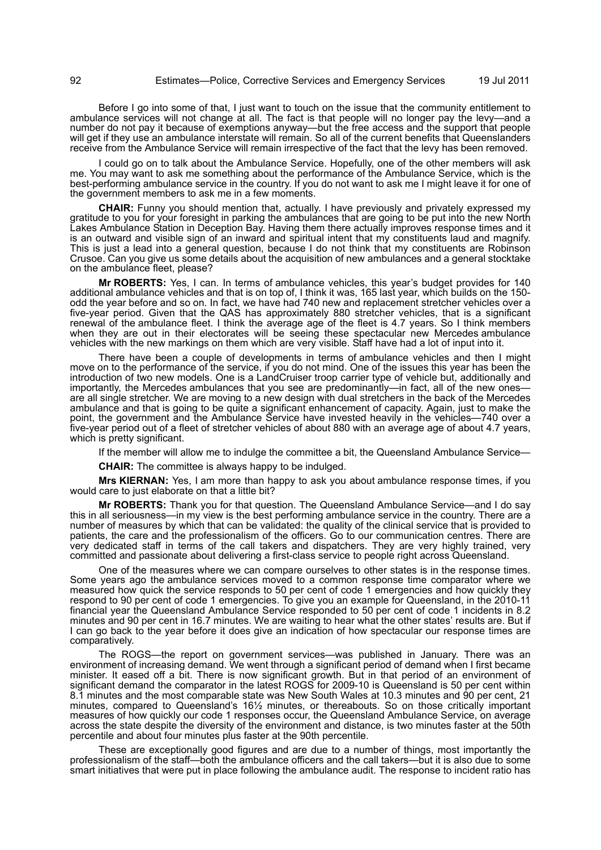Before I go into some of that, I just want to touch on the issue that the community entitlement to ambulance services will not change at all. The fact is that people will no longer pay the levy—and a number do not pay it because of exemptions anyway—but the free access and the support that people will get if they use an ambulance interstate will remain. So all of the current benefits that Queenslanders receive from the Ambulance Service will remain irrespective of the fact that the levy has been removed.

I could go on to talk about the Ambulance Service. Hopefully, one of the other members will ask me. You may want to ask me something about the performance of the Ambulance Service, which is the best-performing ambulance service in the country. If you do not want to ask me I might leave it for one of the government members to ask me in a few moments.

**CHAIR:** Funny you should mention that, actually. I have previously and privately expressed my gratitude to you for your foresight in parking the ambulances that are going to be put into the new North Lakes Ambulance Station in Deception Bay. Having them there actually improves response times and it is an outward and visible sign of an inward and spiritual intent that my constituents laud and magnify. This is just a lead into a general question, because I do not think that my constituents are Robinson Crusoe. Can you give us some details about the acquisition of new ambulances and a general stocktake on the ambulance fleet, please?

**Mr ROBERTS:** Yes, I can. In terms of ambulance vehicles, this year's budget provides for 140 additional ambulance vehicles and that is on top of, I think it was, 165 last year, which builds on the 150 odd the year before and so on. In fact, we have had 740 new and replacement stretcher vehicles over a five-year period. Given that the QAS has approximately 880 stretcher vehicles, that is a significant renewal of the ambulance fleet. I think the average age of the fleet is 4.7 years. So I think members when they are out in their electorates will be seeing these spectacular new Mercedes ambulance vehicles with the new markings on them which are very visible. Staff have had a lot of input into it.

There have been a couple of developments in terms of ambulance vehicles and then I might move on to the performance of the service, if you do not mind. One of the issues this year has been the introduction of two new models. One is a LandCruiser troop carrier type of vehicle but, additionally and importantly, the Mercedes ambulances that you see are predominantly—in fact, all of the new ones are all single stretcher. We are moving to a new design with dual stretchers in the back of the Mercedes ambulance and that is going to be quite a significant enhancement of capacity. Again, just to make the point, the government and the Ambulance Service have invested heavily in the vehicles—740 over a five-year period out of a fleet of stretcher vehicles of about 880 with an average age of about 4.7 years, which is pretty significant.

If the member will allow me to indulge the committee a bit, the Queensland Ambulance Service—

**CHAIR:** The committee is always happy to be indulged.

**Mrs KIERNAN:** Yes, I am more than happy to ask you about ambulance response times, if you would care to just elaborate on that a little bit?

**Mr ROBERTS:** Thank you for that question. The Queensland Ambulance Service—and I do say this in all seriousness—in my view is the best performing ambulance service in the country. There are a number of measures by which that can be validated: the quality of the clinical service that is provided to patients, the care and the professionalism of the officers. Go to our communication centres. There are very dedicated staff in terms of the call takers and dispatchers. They are very highly trained, very committed and passionate about delivering a first-class service to people right across Queensland.

One of the measures where we can compare ourselves to other states is in the response times. Some years ago the ambulance services moved to a common response time comparator where we measured how quick the service responds to 50 per cent of code 1 emergencies and how quickly they respond to 90 per cent of code 1 emergencies. To give you an example for Queensland, in the 2010-11 financial year the Queensland Ambulance Service responded to 50 per cent of code 1 incidents in 8.2 minutes and 90 per cent in 16.7 minutes. We are waiting to hear what the other states' results are. But if I can go back to the year before it does give an indication of how spectacular our response times are comparatively.

The ROGS—the report on government services—was published in January. There was an environment of increasing demand. We went through a significant period of demand when I first became minister. It eased off a bit. There is now significant growth. But in that period of an environment of significant demand the comparator in the latest ROGS for 2009-10 is Queensland is 50 per cent within 8.1 minutes and the most comparable state was New South Wales at 10.3 minutes and 90 per cent, 21 minutes, compared to Queensland's 16½ minutes, or thereabouts. So on those critically important measures of how quickly our code 1 responses occur, the Queensland Ambulance Service, on average across the state despite the diversity of the environment and distance, is two minutes faster at the 50th percentile and about four minutes plus faster at the 90th percentile.

These are exceptionally good figures and are due to a number of things, most importantly the professionalism of the staff—both the ambulance officers and the call takers—but it is also due to some smart initiatives that were put in place following the ambulance audit. The response to incident ratio has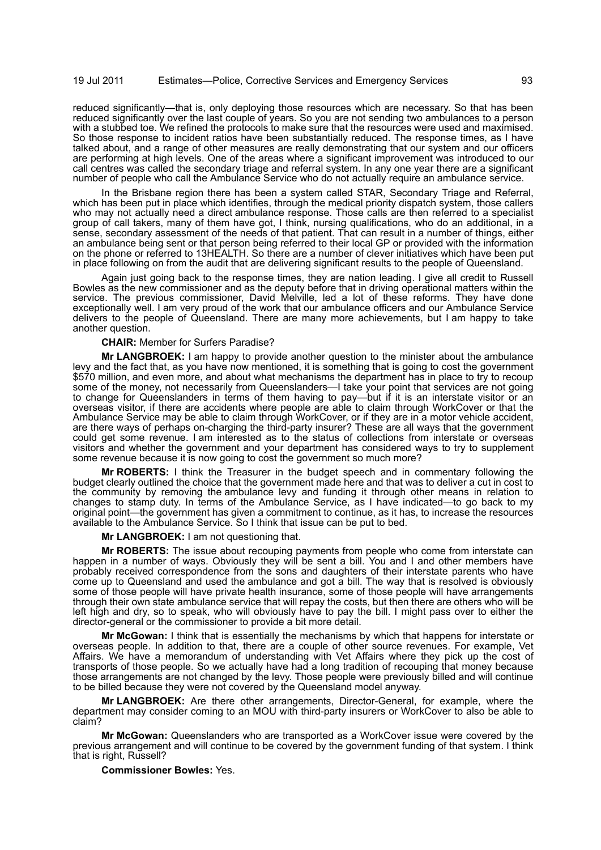reduced significantly—that is, only deploying those resources which are necessary. So that has been reduced significantly over the last couple of years. So you are not sending two ambulances to a person with a stubbed toe. We refined the protocols to make sure that the resources were used and maximised. So those response to incident ratios have been substantially reduced. The response times, as I have talked about, and a range of other measures are really demonstrating that our system and our officers are performing at high levels. One of the areas where a significant improvement was introduced to our call centres was called the secondary triage and referral system. In any one year there are a significant number of people who call the Ambulance Service who do not actually require an ambulance service.

In the Brisbane region there has been a system called STAR, Secondary Triage and Referral, which has been put in place which identifies, through the medical priority dispatch system, those callers who may not actually need a direct ambulance response. Those calls are then referred to a specialist group of call takers, many of them have got, I think, nursing qualifications, who do an additional, in a sense, secondary assessment of the needs of that patient. That can result in a number of things, either an ambulance being sent or that person being referred to their local GP or provided with the information on the phone or referred to 13HEALTH. So there are a number of clever initiatives which have been put in place following on from the audit that are delivering significant results to the people of Queensland.

Again just going back to the response times, they are nation leading. I give all credit to Russell Bowles as the new commissioner and as the deputy before that in driving operational matters within the service. The previous commissioner, David Melville, led a lot of these reforms. They have done exceptionally well. I am very proud of the work that our ambulance officers and our Ambulance Service delivers to the people of Queensland. There are many more achievements, but I am happy to take another question.

### **CHAIR:** Member for Surfers Paradise?

**Mr LANGBROEK:** I am happy to provide another question to the minister about the ambulance levy and the fact that, as you have now mentioned, it is something that is going to cost the government \$570 million, and even more, and about what mechanisms the department has in place to try to recoup some of the money, not necessarily from Queenslanders-I take your point that services are not going to change for Queenslanders in terms of them having to pay—but if it is an interstate visitor or an overseas visitor, if there are accidents where people are able to claim through WorkCover or that the Ambulance Service may be able to claim through WorkCover, or if they are in a motor vehicle accident, are there ways of perhaps on-charging the third-party insurer? These are all ways that the government could get some revenue. I am interested as to the status of collections from interstate or overseas visitors and whether the government and your department has considered ways to try to supplement some revenue because it is now going to cost the government so much more?

**Mr ROBERTS:** I think the Treasurer in the budget speech and in commentary following the budget clearly outlined the choice that the government made here and that was to deliver a cut in cost to the community by removing the ambulance levy and funding it through other means in relation to changes to stamp duty. In terms of the Ambulance Service, as I have indicated—to go back to my original point—the government has given a commitment to continue, as it has, to increase the resources available to the Ambulance Service. So I think that issue can be put to bed.

**Mr LANGBROEK:** I am not questioning that.

**Mr ROBERTS:** The issue about recouping payments from people who come from interstate can happen in a number of ways. Obviously they will be sent a bill. You and I and other members have probably received correspondence from the sons and daughters of their interstate parents who have come up to Queensland and used the ambulance and got a bill. The way that is resolved is obviously some of those people will have private health insurance, some of those people will have arrangements through their own state ambulance service that will repay the costs, but then there are others who will be left high and dry, so to speak, who will obviously have to pay the bill. I might pass over to either the director-general or the commissioner to provide a bit more detail.

**Mr McGowan:** I think that is essentially the mechanisms by which that happens for interstate or overseas people. In addition to that, there are a couple of other source revenues. For example, Vet Affairs. We have a memorandum of understanding with Vet Affairs where they pick up the cost of transports of those people. So we actually have had a long tradition of recouping that money because those arrangements are not changed by the levy. Those people were previously billed and will continue to be billed because they were not covered by the Queensland model anyway.

**Mr LANGBROEK:** Are there other arrangements, Director-General, for example, where the department may consider coming to an MOU with third-party insurers or WorkCover to also be able to claim?

**Mr McGowan:** Queenslanders who are transported as a WorkCover issue were covered by the previous arrangement and will continue to be covered by the government funding of that system. I think that is right, Russell?

**Commissioner Bowles:** Yes.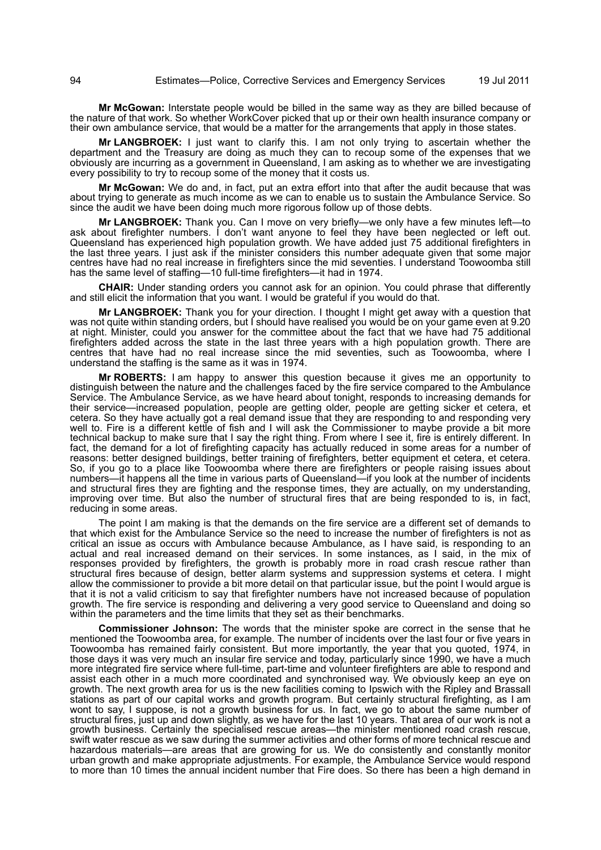**Mr McGowan:** Interstate people would be billed in the same way as they are billed because of the nature of that work. So whether WorkCover picked that up or their own health insurance company or their own ambulance service, that would be a matter for the arrangements that apply in those states.

**Mr LANGBROEK:** I just want to clarify this. I am not only trying to ascertain whether the department and the Treasury are doing as much they can to recoup some of the expenses that we obviously are incurring as a government in Queensland, I am asking as to whether we are investigating every possibility to try to recoup some of the money that it costs us.

**Mr McGowan:** We do and, in fact, put an extra effort into that after the audit because that was about trying to generate as much income as we can to enable us to sustain the Ambulance Service. So since the audit we have been doing much more rigorous follow up of those debts.

**Mr LANGBROEK:** Thank you. Can I move on very briefly—we only have a few minutes left—to ask about firefighter numbers. I don't want anyone to feel they have been neglected or left out. Queensland has experienced high population growth. We have added just 75 additional firefighters in the last three years. I just ask if the minister considers this number adequate given that some major centres have had no real increase in firefighters since the mid seventies. I understand Toowoomba still has the same level of staffing—10 full-time firefighters—it had in 1974.

**CHAIR:** Under standing orders you cannot ask for an opinion. You could phrase that differently and still elicit the information that you want. I would be grateful if you would do that.

**Mr LANGBROEK:** Thank you for your direction. I thought I might get away with a question that was not quite within standing orders, but I should have realised you would be on your game even at 9.20 at night. Minister, could you answer for the committee about the fact that we have had 75 additional firefighters added across the state in the last three years with a high population growth. There are centres that have had no real increase since the mid seventies, such as Toowoomba, where I understand the staffing is the same as it was in 1974.

**Mr ROBERTS:** I am happy to answer this question because it gives me an opportunity to distinguish between the nature and the challenges faced by the fire service compared to the Ambulance Service. The Ambulance Service, as we have heard about tonight, responds to increasing demands for their service—increased population, people are getting older, people are getting sicker et cetera, et cetera. So they have actually got a real demand issue that they are responding to and responding very well to. Fire is a different kettle of fish and I will ask the Commissioner to maybe provide a bit more technical backup to make sure that I say the right thing. From where I see it, fire is entirely different. In fact, the demand for a lot of firefighting capacity has actually reduced in some areas for a number of reasons: better designed buildings, better training of firefighters, better equipment et cetera, et cetera. So, if you go to a place like Toowoomba where there are firefighters or people raising issues about numbers—it happens all the time in various parts of Queensland—if you look at the number of incidents and structural fires they are fighting and the response times, they are actually, on my understanding, improving over time. But also the number of structural fires that are being responded to is, in fact, reducing in some areas.

The point I am making is that the demands on the fire service are a different set of demands to that which exist for the Ambulance Service so the need to increase the number of firefighters is not as critical an issue as occurs with Ambulance because Ambulance, as I have said, is responding to an actual and real increased demand on their services. In some instances, as I said, in the mix of responses provided by firefighters, the growth is probably more in road crash rescue rather than structural fires because of design, better alarm systems and suppression systems et cetera. I might allow the commissioner to provide a bit more detail on that particular issue, but the point I would argue is that it is not a valid criticism to say that firefighter numbers have not increased because of population growth. The fire service is responding and delivering a very good service to Queensland and doing so within the parameters and the time limits that they set as their benchmarks.

**Commissioner Johnson:** The words that the minister spoke are correct in the sense that he mentioned the Toowoomba area, for example. The number of incidents over the last four or five years in Toowoomba has remained fairly consistent. But more importantly, the year that you quoted, 1974, in those days it was very much an insular fire service and today, particularly since 1990, we have a much more integrated fire service where full-time, part-time and volunteer firefighters are able to respond and assist each other in a much more coordinated and synchronised way. We obviously keep an eye on growth. The next growth area for us is the new facilities coming to Ipswich with the Ripley and Brassall stations as part of our capital works and growth program. But certainly structural firefighting, as I am wont to say, I suppose, is not a growth business for us. In fact, we go to about the same number of structural fires, just up and down slightly, as we have for the last 10 years. That area of our work is not a growth business. Certainly the specialised rescue areas—the minister mentioned road crash rescue, swift water rescue as we saw during the summer activities and other forms of more technical rescue and hazardous materials—are areas that are growing for us. We do consistently and constantly monitor urban growth and make appropriate adjustments. For example, the Ambulance Service would respond to more than 10 times the annual incident number that Fire does. So there has been a high demand in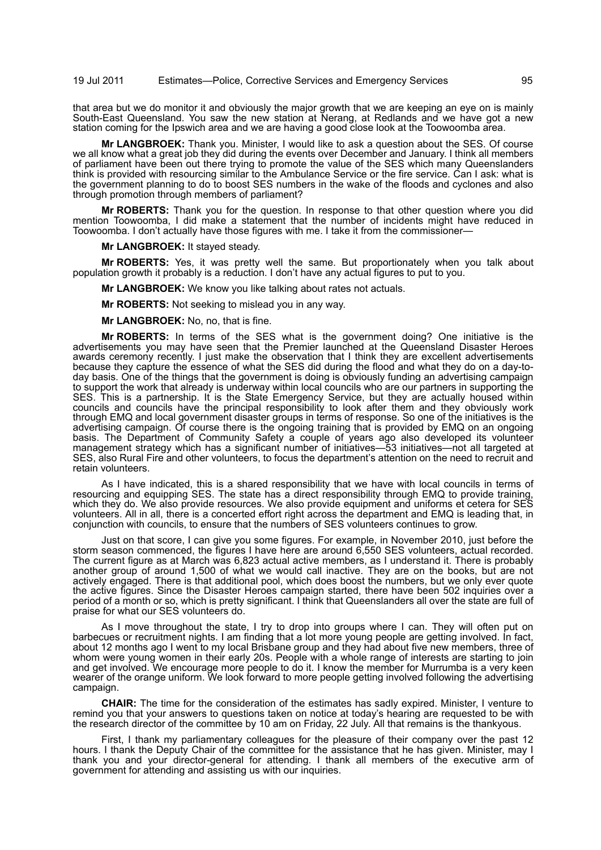that area but we do monitor it and obviously the major growth that we are keeping an eye on is mainly South-East Queensland. You saw the new station at Nerang, at Redlands and we have got a new station coming for the Ipswich area and we are having a good close look at the Toowoomba area.

**Mr LANGBROEK:** Thank you. Minister, I would like to ask a question about the SES. Of course we all know what a great job they did during the events over December and January. I think all members of parliament have been out there trying to promote the value of the SES which many Queenslanders think is provided with resourcing similar to the Ambulance Service or the fire service. Can I ask: what is the government planning to do to boost SES numbers in the wake of the floods and cyclones and also through promotion through members of parliament?

**Mr ROBERTS:** Thank you for the question. In response to that other question where you did mention Toowoomba, I did make a statement that the number of incidents might have reduced in Toowoomba. I don't actually have those figures with me. I take it from the commissioner—

**Mr LANGBROEK:** It stayed steady.

**Mr ROBERTS:** Yes, it was pretty well the same. But proportionately when you talk about population growth it probably is a reduction. I don't have any actual figures to put to you.

**Mr LANGBROEK:** We know you like talking about rates not actuals.

**Mr ROBERTS:** Not seeking to mislead you in any way.

**Mr LANGBROEK:** No, no, that is fine.

**Mr ROBERTS:** In terms of the SES what is the government doing? One initiative is the advertisements you may have seen that the Premier launched at the Queensland Disaster Heroes awards ceremony recently. I just make the observation that I think they are excellent advertisements because they capture the essence of what the SES did during the flood and what they do on a day-today basis. One of the things that the government is doing is obviously funding an advertising campaign to support the work that already is underway within local councils who are our partners in supporting the SES. This is a partnership. It is the State Emergency Service, but they are actually housed within councils and councils have the principal responsibility to look after them and they obviously work through EMQ and local government disaster groups in terms of response. So one of the initiatives is the advertising campaign. Of course there is the ongoing training that is provided by EMQ on an ongoing basis. The Department of Community Safety a couple of years ago also developed its volunteer management strategy which has a significant number of initiatives—53 initiatives—not all targeted at SES, also Rural Fire and other volunteers, to focus the department's attention on the need to recruit and retain volunteers.

As I have indicated, this is a shared responsibility that we have with local councils in terms of resourcing and equipping SES. The state has a direct responsibility through EMQ to provide training, which they do. We also provide resources. We also provide equipment and uniforms et cetera for SES volunteers. All in all, there is a concerted effort right across the department and EMQ is leading that, in conjunction with councils, to ensure that the numbers of SES volunteers continues to grow.

Just on that score, I can give you some figures. For example, in November 2010, just before the storm season commenced, the figures I have here are around 6,550 SES volunteers, actual recorded. The current figure as at March was 6,823 actual active members, as I understand it. There is probably another group of around 1,500 of what we would call inactive. They are on the books, but are not actively engaged. There is that additional pool, which does boost the numbers, but we only ever quote the active figures. Since the Disaster Heroes campaign started, there have been 502 inquiries over a period of a month or so, which is pretty significant. I think that Queenslanders all over the state are full of praise for what our SES volunteers do.

As I move throughout the state, I try to drop into groups where I can. They will often put on barbecues or recruitment nights. I am finding that a lot more young people are getting involved. In fact, about 12 months ago I went to my local Brisbane group and they had about five new members, three of whom were young women in their early 20s. People with a whole range of interests are starting to join and get involved. We encourage more people to do it. I know the member for Murrumba is a very keen wearer of the orange uniform. We look forward to more people getting involved following the advertising campaign.

**CHAIR:** The time for the consideration of the estimates has sadly expired. Minister, I venture to remind you that your answers to questions taken on notice at today's hearing are requested to be with the research director of the committee by 10 am on Friday, 22 July. All that remains is the thankyous.

First, I thank my parliamentary colleagues for the pleasure of their company over the past 12 hours. I thank the Deputy Chair of the committee for the assistance that he has given. Minister, may I thank you and your director-general for attending. I thank all members of the executive arm of government for attending and assisting us with our inquiries.